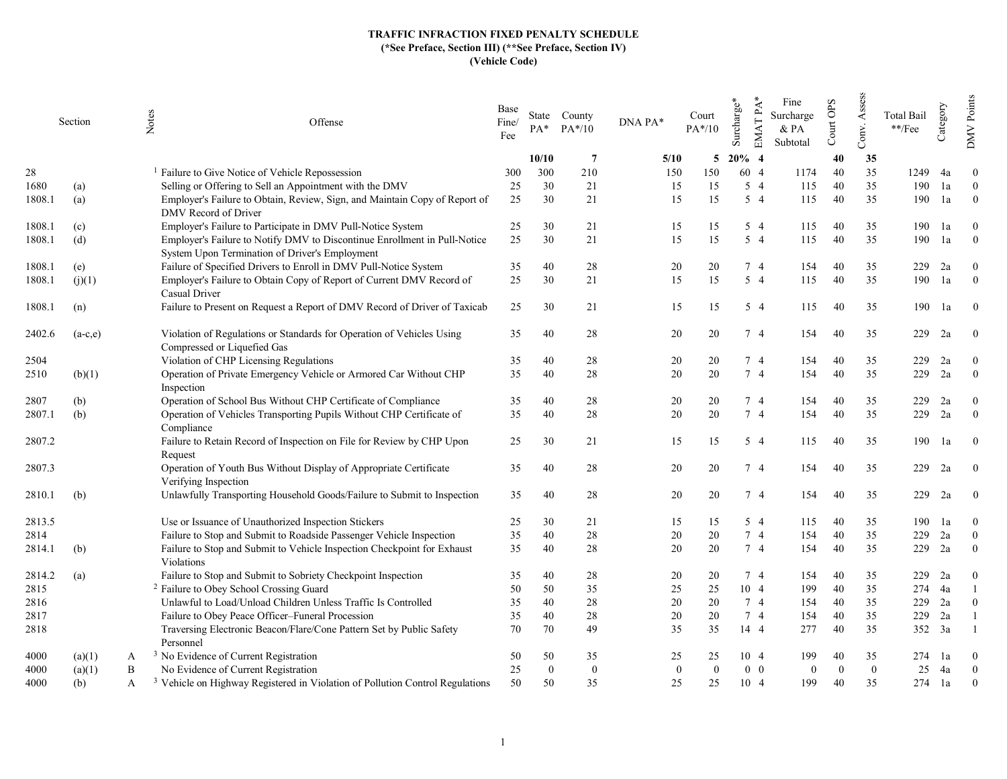|        | Section   |   | Notes<br>Offense                                                                                                            | Base<br>Fine/<br>Fee | $PA^*$       | State County<br>$PA*/10$ | DNA PA* | Court<br>$PA*/10$          | Surcharge* | Fine<br>EMAT PA<br>Surcharge<br>$&$ PA<br>Subtotal | Court OPS | Assess<br>Conv. | <b>Total Bail</b><br>**/Fee | Category | <b>DMV</b> Points |
|--------|-----------|---|-----------------------------------------------------------------------------------------------------------------------------|----------------------|--------------|--------------------------|---------|----------------------------|------------|----------------------------------------------------|-----------|-----------------|-----------------------------|----------|-------------------|
|        |           |   |                                                                                                                             |                      | 10/10        | 7                        | 5/10    | 5                          | $20\%$ 4   |                                                    | 40        | 35              |                             |          |                   |
| 28     |           |   | <sup>1</sup> Failure to Give Notice of Vehicle Repossession                                                                 | 300                  | 300          | 210                      | 150     | 150                        | 60 4       | 1174                                               | 40        | 35              | 1249                        | 4a       | $\overline{0}$    |
| 1680   | (a)       |   | Selling or Offering to Sell an Appointment with the DMV                                                                     | 25                   | 30           | 21                       | 15      | 15                         | $5\quad4$  | 115                                                | 40        | 35              | 190                         | 1a       | $\overline{0}$    |
| 1808.1 | (a)       |   | Employer's Failure to Obtain, Review, Sign, and Maintain Copy of Report of<br>DMV Record of Driver                          | 25                   | 30           | 21                       | 15      | 15                         | $5\quad4$  | 115                                                | 40        | 35              | 190                         | 1a       | $\overline{0}$    |
| 1808.1 | (c)       |   | Employer's Failure to Participate in DMV Pull-Notice System                                                                 | 25                   | 30           | 21                       | 15      | 15                         | 5 4        | 115                                                | 40        | 35              | 190                         | 1a       | $\overline{0}$    |
| 1808.1 | (d)       |   | Employer's Failure to Notify DMV to Discontinue Enrollment in Pull-Notice<br>System Upon Termination of Driver's Employment | 25                   | 30           | 21                       | 15      | 15                         | 54         | 115                                                | 40        | 35              | 190                         | 1a       | $\overline{0}$    |
| 1808.1 | (e)       |   | Failure of Specified Drivers to Enroll in DMV Pull-Notice System                                                            | 35                   | 40           | 28                       | 20      | 20                         | 74         | 154                                                | 40        | 35              | 229                         | 2a       | $\overline{0}$    |
| 1808.1 | (j)(1)    |   | Employer's Failure to Obtain Copy of Report of Current DMV Record of<br>Casual Driver                                       | 25                   | 30           | 21                       | 15      | 15                         | $5\quad 4$ | 115                                                | 40        | 35              | 190                         | 1a       | $\overline{0}$    |
| 1808.1 | (n)       |   | Failure to Present on Request a Report of DMV Record of Driver of Taxicab                                                   | 25                   | 30           | 21                       | 15      | 15                         | 5 4        | 115                                                | 40        | 35              | 190                         | 1a       | $\overline{0}$    |
| 2402.6 | $(a-c,e)$ |   | Violation of Regulations or Standards for Operation of Vehicles Using<br>Compressed or Liquefied Gas                        | 35                   | 40           | 28                       | 20      | 20                         | 74         | 154                                                | 40        | 35              | 229                         | 2a       | $\overline{0}$    |
| 2504   |           |   | Violation of CHP Licensing Regulations                                                                                      | 35                   | 40           | 28                       | 20      | 20                         | 74         | 154                                                | 40        | 35              | 229                         | 2a       | $\mathbf{0}$      |
| 2510   | (b)(1)    |   | Operation of Private Emergency Vehicle or Armored Car Without CHP<br>Inspection                                             | 35                   | 40           | 28                       | 20      | 20                         | 74         | 154                                                | 40        | 35              | 229                         | 2a       | $\overline{0}$    |
| 2807   | (b)       |   | Operation of School Bus Without CHP Certificate of Compliance                                                               | 35                   | 40           | 28                       | 20      | 20                         | 7 4        | 154                                                | 40        | 35              | 229                         | 2a       | $\overline{0}$    |
| 2807.1 | (b)       |   | Operation of Vehicles Transporting Pupils Without CHP Certificate of<br>Compliance                                          | 35                   | 40           | 28                       | 20      | 20                         | 74         | 154                                                | 40        | 35              | 229                         | 2a       | $\theta$          |
| 2807.2 |           |   | Failure to Retain Record of Inspection on File for Review by CHP Upon<br>Request                                            | 25                   | 30           | 21                       | 15      | 15                         | 5 4        | 115                                                | 40        | 35              | 190                         | 1a       | $\mathbf{0}$      |
| 2807.3 |           |   | Operation of Youth Bus Without Display of Appropriate Certificate<br>Verifying Inspection                                   | 35                   | 40           | 28                       | 20      | 20                         | 74         | 154                                                | 40        | 35              | 229                         | 2a       | $\overline{0}$    |
| 2810.1 | (b)       |   | Unlawfully Transporting Household Goods/Failure to Submit to Inspection                                                     | 35                   | 40           | 28                       | 20      | 20                         | 7 4        | 154                                                | 40        | 35              | 229                         | 2a       | $\overline{0}$    |
| 2813.5 |           |   | Use or Issuance of Unauthorized Inspection Stickers                                                                         | 25                   | 30           | 21                       | 15      | 15                         | $5\quad4$  | 115                                                | 40        | 35              | 190                         | 1a       | $\overline{0}$    |
| 2814   |           |   | Failure to Stop and Submit to Roadside Passenger Vehicle Inspection                                                         | 35                   | 40           | 28                       | 20      | 20                         | 74         | 154                                                | 40        | 35              | 229                         | 2a       | $\Omega$          |
| 2814.1 | (b)       |   | Failure to Stop and Submit to Vehicle Inspection Checkpoint for Exhaust<br>Violations                                       | 35                   | 40           | 28                       | 20      | 20                         | 7 4        | 154                                                | 40        | 35              | 229                         | 2a       | $\Omega$          |
| 2814.2 | (a)       |   | Failure to Stop and Submit to Sobriety Checkpoint Inspection                                                                | 35                   | 40           | 28                       | 20      | 20                         | 74         | 154                                                | 40        | 35              | 229                         | 2a       | $\Omega$          |
| 2815   |           |   | <sup>2</sup> Failure to Obey School Crossing Guard                                                                          | 50                   | 50           | 35                       | 25      | 25                         | 10 4       | 199                                                | 40        | 35              | 274                         | 4a       |                   |
| 2816   |           |   | Unlawful to Load/Unload Children Unless Traffic Is Controlled                                                               | 35                   | 40           | 28                       | 20      | 20                         | 74         | 154                                                | 40        | 35              | 229                         | 2a       | $\overline{0}$    |
| 2817   |           |   | Failure to Obey Peace Officer-Funeral Procession                                                                            | 35                   | 40           | 28                       | 20      | 20                         | 74         | 154                                                | 40        | 35              | 229                         | 2a       |                   |
| 2818   |           |   | Traversing Electronic Beacon/Flare/Cone Pattern Set by Public Safety<br>Personnel                                           | 70                   | 70           | 49                       | 35      | 35                         | 14 4       | 277                                                | 40        | 35              | 352                         | 3a       |                   |
| 4000   | (a)(1)    | A | <sup>3</sup> No Evidence of Current Registration                                                                            | 50                   | 50           | 35                       | 25      | 25                         | 10 4       | 199                                                | 40        | 35              | 274                         | 1a       | $\Omega$          |
| 4000   | (a)(1)    | B | No Evidence of Current Registration                                                                                         | 25                   | $\mathbf{0}$ | $\mathbf{0}$             |         | $\overline{0}$<br>$\Omega$ | $0\quad 0$ | $\theta$                                           | $\Omega$  | $\overline{0}$  | 25                          | 4a       | $\overline{0}$    |
| 4000   | (b)       | A | <sup>3</sup> Vehicle on Highway Registered in Violation of Pollution Control Regulations                                    | 50                   | 50           | 35                       | 25      | 25                         | 10 4       | 199                                                | 40        | 35              | 274                         | 1a       | $\mathbf{0}$      |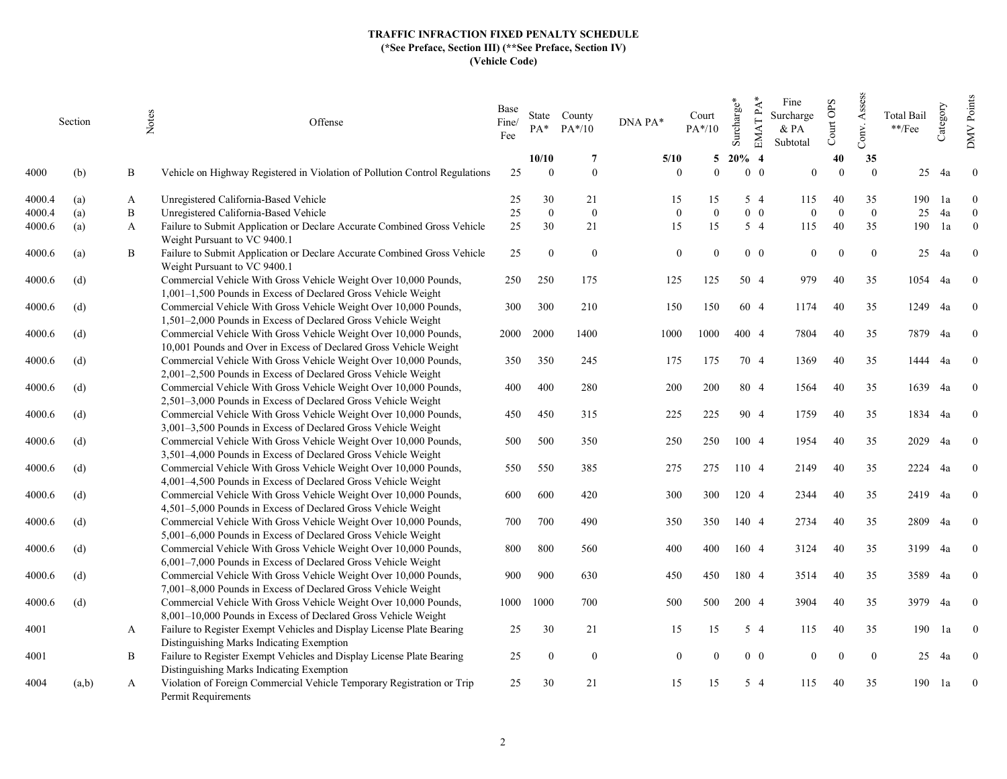|        | Section | Notes | Offense                                                                                                                               | Base<br>Fine/<br>Fee | $PA^*$         | State County<br>$PA*/10$ | DNA PA*        | Court<br>$PA*/10$ | Surcharge* | $EMATPA*$<br>Fine<br>Surcharge<br>& PA<br>Subtotal | Court OPS | Assess<br>Conv. | <b>Total Bail</b><br>$\mathrm{**}/\mathrm{Fee}$ | Category | <b>DMV</b> Points |
|--------|---------|-------|---------------------------------------------------------------------------------------------------------------------------------------|----------------------|----------------|--------------------------|----------------|-------------------|------------|----------------------------------------------------|-----------|-----------------|-------------------------------------------------|----------|-------------------|
|        |         |       |                                                                                                                                       |                      | 10/10          | -7                       | 5/10           | 5                 | $20%$ 4    |                                                    | 40        | 35              |                                                 |          |                   |
| 4000   | (b)     | B     | Vehicle on Highway Registered in Violation of Pollution Control Regulations                                                           | 25                   | $\overline{0}$ | $\overline{0}$           | $\overline{0}$ | $\overline{0}$    | $0\quad 0$ | $\Omega$                                           | $\Omega$  | $\mathbf{0}$    | 25                                              | 4a       | $\bf{0}$          |
| 4000.4 | (a)     | A     | Unregistered California-Based Vehicle                                                                                                 | 25                   | 30             | 21                       | 15             | 15                | 54         | 115                                                | 40        | 35              | 190                                             | 1a       | $\theta$          |
| 4000.4 | (a)     | B     | Unregistered California-Based Vehicle                                                                                                 | $25\,$               | $\mathbf{0}$   | $\mathbf{0}$             | $\Omega$       | $\overline{0}$    | $0\quad 0$ | $\Omega$                                           | $\Omega$  | $\overline{0}$  | 25                                              | 4a       | $\overline{0}$    |
| 4000.6 | (a)     | A     | Failure to Submit Application or Declare Accurate Combined Gross Vehicle<br>Weight Pursuant to VC 9400.1                              | 25                   | 30             | 21                       | 15             | 15                | $5\quad4$  | 115                                                | 40        | 35              | 190                                             | 1a       | $\theta$          |
| 4000.6 | (a)     | B     | Failure to Submit Application or Declare Accurate Combined Gross Vehicle<br>Weight Pursuant to VC 9400.1                              | 25                   | $\overline{0}$ | $\overline{0}$           | $\theta$       | $\Omega$          | $0\quad 0$ | $\theta$                                           | $\Omega$  | $\mathbf{0}$    | 25                                              | 4a       | $\theta$          |
| 4000.6 | (d)     |       | Commercial Vehicle With Gross Vehicle Weight Over 10,000 Pounds,<br>$1,001-1,500$ Pounds in Excess of Declared Gross Vehicle Weight   | 250                  | 250            | 175                      | 125            | 125               | 50 4       | 979                                                | 40        | 35              | 1054                                            | 4a       | $\bf{0}$          |
| 4000.6 | (d)     |       | Commercial Vehicle With Gross Vehicle Weight Over 10,000 Pounds,<br>1,501–2,000 Pounds in Excess of Declared Gross Vehicle Weight     | 300                  | 300            | 210                      | 150            | 150               | 60 4       | 1174                                               | 40        | 35              | 1249                                            | 4a       | $\overline{0}$    |
| 4000.6 | (d)     |       | Commercial Vehicle With Gross Vehicle Weight Over 10,000 Pounds,<br>10,001 Pounds and Over in Excess of Declared Gross Vehicle Weight | 2000                 | 2000           | 1400                     | 1000           | 1000              | 400 4      | 7804                                               | 40        | 35              | 7879 4a                                         |          | $\bf{0}$          |
| 4000.6 | (d)     |       | Commercial Vehicle With Gross Vehicle Weight Over 10,000 Pounds,<br>2,001-2,500 Pounds in Excess of Declared Gross Vehicle Weight     | 350                  | 350            | 245                      | 175            | 175               | 70 4       | 1369                                               | 40        | 35              | 1444                                            | 4a       | $\overline{0}$    |
| 4000.6 | (d)     |       | Commercial Vehicle With Gross Vehicle Weight Over 10,000 Pounds,                                                                      | 400                  | 400            | 280                      | 200            | 200               | 80 4       | 1564                                               | 40        | 35              | 1639                                            | 4a       | $\theta$          |
| 4000.6 | (d)     |       | 2,501–3,000 Pounds in Excess of Declared Gross Vehicle Weight<br>Commercial Vehicle With Gross Vehicle Weight Over 10,000 Pounds,     | 450                  | 450            | 315                      | 225            | 225               | 90 4       | 1759                                               | 40        | 35              | 1834 4a                                         |          | $\overline{0}$    |
| 4000.6 | (d)     |       | 3,001-3,500 Pounds in Excess of Declared Gross Vehicle Weight<br>Commercial Vehicle With Gross Vehicle Weight Over 10,000 Pounds,     | 500                  | 500            | 350                      | 250            | 250               | 100 4      | 1954                                               | 40        | 35              | 2029                                            | 4a       | $\overline{0}$    |
| 4000.6 | (d)     |       | 3,501–4,000 Pounds in Excess of Declared Gross Vehicle Weight<br>Commercial Vehicle With Gross Vehicle Weight Over 10,000 Pounds,     | 550                  | 550            | 385                      | 275            | 275               | 110 4      | 2149                                               | 40        | 35              | 2224                                            | 4a       | $\Omega$          |
| 4000.6 | (d)     |       | 4,001–4,500 Pounds in Excess of Declared Gross Vehicle Weight<br>Commercial Vehicle With Gross Vehicle Weight Over 10,000 Pounds,     | 600                  | 600            | 420                      | 300            | 300               | 120 4      | 2344                                               | 40        | 35              | 2419 4a                                         |          | $\bf{0}$          |
| 4000.6 | (d)     |       | 4,501–5,000 Pounds in Excess of Declared Gross Vehicle Weight<br>Commercial Vehicle With Gross Vehicle Weight Over 10,000 Pounds,     | 700                  | 700            | 490                      | 350            | 350               | 140 4      | 2734                                               | 40        | 35              | 2809                                            | 4a       | $\bf{0}$          |
|        |         |       | 5,001-6,000 Pounds in Excess of Declared Gross Vehicle Weight                                                                         |                      | 800            |                          |                |                   |            |                                                    | 40        |                 |                                                 |          |                   |
| 4000.6 | (d)     |       | Commercial Vehicle With Gross Vehicle Weight Over 10,000 Pounds,<br>6,001–7,000 Pounds in Excess of Declared Gross Vehicle Weight     | 800                  |                | 560                      | 400            | 400               | 160 4      | 3124                                               |           | 35              | 3199                                            | 4a       | $\overline{0}$    |
| 4000.6 | (d)     |       | Commercial Vehicle With Gross Vehicle Weight Over 10,000 Pounds,<br>7,001-8,000 Pounds in Excess of Declared Gross Vehicle Weight     | 900                  | 900            | 630                      | 450            | 450               | 180 4      | 3514                                               | 40        | 35              | 3589                                            | 4a       | $\overline{0}$    |
| 4000.6 | (d)     |       | Commercial Vehicle With Gross Vehicle Weight Over 10,000 Pounds,<br>8,001-10,000 Pounds in Excess of Declared Gross Vehicle Weight    | 1000                 | 1000           | 700                      | 500            | 500               | 200 4      | 3904                                               | 40        | 35              | 3979                                            | 4a       | $\overline{0}$    |
| 4001   |         | A     | Failure to Register Exempt Vehicles and Display License Plate Bearing<br>Distinguishing Marks Indicating Exemption                    | 25                   | 30             | 21                       | 15             | 15                | 5 4        | 115                                                | 40        | 35              | 190                                             | 1a       | $\overline{0}$    |
| 4001   |         | B     | Failure to Register Exempt Vehicles and Display License Plate Bearing<br>Distinguishing Marks Indicating Exemption                    | 25                   | $\bf{0}$       | $\overline{0}$           | $\overline{0}$ | $\Omega$          | $0\quad 0$ | $\theta$                                           | $\Omega$  | $\overline{0}$  | 25                                              | 4a       | $\overline{0}$    |
| 4004   | (a,b)   | A     | Violation of Foreign Commercial Vehicle Temporary Registration or Trip<br>Permit Requirements                                         | 25                   | 30             | 21                       | 15             | 15                | $5\quad4$  | 115                                                | 40        | 35              | 190                                             | 1a       | $\boldsymbol{0}$  |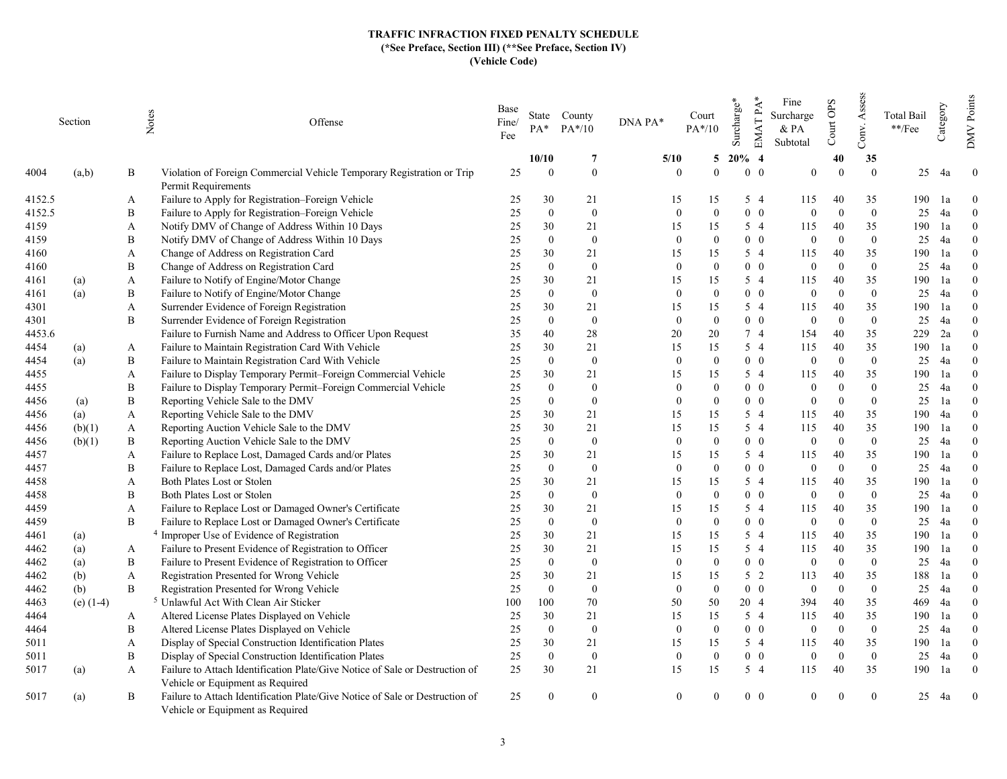|        | Section     |   | Notes<br>Offense                                                                                                 | Base<br>Fine/<br>Fee | PA*            | State County<br>$PA*/10$ | DNA PA*  | Court<br>$PA*/10$            | Surcharge* | EMAT PA*<br>Fine<br>Surcharge<br>& PA<br>Subtotal | Court OPS                    | Assess<br>Conv. | Total Bail<br>**/Fee | Category | Points<br><b>DMV</b> |
|--------|-------------|---|------------------------------------------------------------------------------------------------------------------|----------------------|----------------|--------------------------|----------|------------------------------|------------|---------------------------------------------------|------------------------------|-----------------|----------------------|----------|----------------------|
|        |             |   |                                                                                                                  |                      | 10/10          | 7                        | 5/10     | 5                            | $20\%$ 4   |                                                   | 40                           | 35              |                      |          |                      |
| 4004   | (a,b)       | B | Violation of Foreign Commercial Vehicle Temporary Registration or Trip<br>Permit Requirements                    | 25                   | $\Omega$       | $\overline{0}$           |          | $\Omega$<br>$\Omega$         |            | $0\quad 0$                                        | $\Omega$<br>$\Omega$         | $\theta$        | 25                   | 4a       | $\overline{0}$       |
| 4152.5 |             | A | Failure to Apply for Registration–Foreign Vehicle                                                                | 25                   | 30             | 21                       | 15       | 15                           |            | 5 4<br>115                                        | 40                           | 35              | 190                  | 1a       | $\theta$             |
| 4152.5 |             | B | Failure to Apply for Registration-Foreign Vehicle                                                                | 25                   | $\mathbf{0}$   | $\overline{0}$           |          | $\mathbf{0}$<br>$\mathbf{0}$ |            | $0\quad 0$                                        | $\Omega$<br>$\overline{0}$   | $\overline{0}$  | 25                   | 4a       | $\Omega$             |
| 4159   |             | A | Notify DMV of Change of Address Within 10 Days                                                                   | 25                   | 30             | 21                       | 15       | 15                           |            | $5\quad4$<br>115                                  | 40                           | 35              | 190                  | 1a       | $\Omega$             |
| 4159   |             | B | Notify DMV of Change of Address Within 10 Days                                                                   | 25                   | $\overline{0}$ | $\mathbf{0}$             |          | $\mathbf{0}$<br>$\theta$     |            | $0\quad 0$                                        | $\overline{0}$<br>$\Omega$   | $\overline{0}$  | 25                   | 4a       | $\theta$             |
| 4160   |             | A | Change of Address on Registration Card                                                                           | 25                   | 30             | 21                       | 15       | 15                           |            | $5\quad4$<br>115                                  | 40                           | 35              | 190                  | 1a       | $\Omega$             |
| 4160   |             | B | Change of Address on Registration Card                                                                           | 25                   | $\overline{0}$ | $\bf{0}$                 |          | $\overline{0}$<br>$\theta$   |            | $0\quad 0$                                        | $\overline{0}$<br>$\Omega$   | $\overline{0}$  | 25                   | 4a       | $\theta$             |
| 4161   | (a)         | A | Failure to Notify of Engine/Motor Change                                                                         | 25                   | 30             | 21                       | 15       | 15                           |            | $5\quad4$<br>115                                  | 40                           | 35              | 190                  | 1a       | $\Omega$             |
| 4161   | (a)         | B | Failure to Notify of Engine/Motor Change                                                                         | 25                   | $\theta$       | $\mathbf{0}$             |          | $\theta$<br>$\theta$         |            | $0\quad 0$                                        | $\Omega$<br>$\mathbf{0}$     | $\overline{0}$  | 25                   | 4a       | $\theta$             |
| 4301   |             | A | Surrender Evidence of Foreign Registration                                                                       | 25                   | 30             | 21                       | 15       | 15                           |            | 5 4<br>115                                        | 40                           | 35              | 190                  | 1a       | $\theta$             |
| 4301   |             | B | Surrender Evidence of Foreign Registration                                                                       | 25                   | $\theta$       | $\mathbf{0}$             |          | $\mathbf{0}$<br>$\theta$     |            | $0\quad 0$                                        | $\mathbf{0}$<br>$\Omega$     | $\overline{0}$  | 25                   | 4a       | $\theta$             |
| 4453.6 |             |   | Failure to Furnish Name and Address to Officer Upon Request                                                      | 35                   | 40             | 28                       | 20       | 20                           |            | 7 4<br>154                                        | 40                           | 35              | 229                  | 2a       | $\overline{0}$       |
| 4454   | (a)         | A | Failure to Maintain Registration Card With Vehicle                                                               | 25                   | 30             | 21                       | 15       | 15                           |            | 5 4<br>115                                        | 40                           | 35              | 190                  | 1a       | $\Omega$             |
| 4454   | (a)         | B | Failure to Maintain Registration Card With Vehicle                                                               | 25                   | $\mathbf{0}$   | $\mathbf{0}$             |          | $\theta$<br>$\Omega$         |            | $0\quad 0$                                        | $\Omega$<br>$\mathbf{0}$     | $\mathbf{0}$    | 25                   | 4a       | $\theta$             |
| 4455   |             | A | Failure to Display Temporary Permit-Foreign Commercial Vehicle                                                   | 25                   | 30             | 21                       | 15       | 15                           |            | 5 4<br>115                                        | 40                           | 35              | 190                  | 1a       | $\Omega$             |
| 4455   |             | B | Failure to Display Temporary Permit-Foreign Commercial Vehicle                                                   | 25                   | $\mathbf{0}$   | $\mathbf{0}$             |          | $\Omega$<br>$\theta$         |            | $0\quad 0$                                        | $\mathbf{0}$<br>$\Omega$     | $\overline{0}$  | 25                   | 4a       | $\theta$             |
| 4456   | (a)         | B | Reporting Vehicle Sale to the DMV                                                                                | 25                   | $\Omega$       | $\overline{0}$           | $\Omega$ | $\Omega$                     |            | $0\quad 0$                                        | $\Omega$<br>$\overline{0}$   | $\theta$        | 25                   | 1a       | $\Omega$             |
| 4456   | (a)         | A | Reporting Vehicle Sale to the DMV                                                                                | 25                   | 30             | 21                       | 15       | 15                           |            | $5\quad4$<br>115                                  | 40                           | 35              | 190                  | 4a       | $\Omega$             |
| 4456   | (b)(1)      | A | Reporting Auction Vehicle Sale to the DMV                                                                        | 25                   | 30             | 21                       | 15       | 15                           |            | 5 4<br>115                                        | 40                           | 35              | 190                  | 1a       | $\Omega$             |
| 4456   | (b)(1)      | B | Reporting Auction Vehicle Sale to the DMV                                                                        | 25                   | $\mathbf{0}$   | $\mathbf{0}$             |          | $\mathbf{0}$<br>$\mathbf{0}$ |            | $0\quad 0$                                        | $\overline{0}$<br>$\Omega$   | $\overline{0}$  | 25                   | 4a       | $\theta$             |
| 4457   |             | A | Failure to Replace Lost, Damaged Cards and/or Plates                                                             | 25                   | 30             | 21                       | 15       | 15                           |            | 5 4<br>115                                        | 40                           | 35              | 190                  | 1a       | $\Omega$             |
| 4457   |             | B | Failure to Replace Lost, Damaged Cards and/or Plates                                                             | 25                   | $\mathbf{0}$   | $\mathbf{0}$             |          | $\mathbf{0}$<br>$\theta$     |            | $0\quad 0$                                        | $\Omega$<br>$\mathbf{0}$     | $\mathbf{0}$    | 25                   | 4a       | $\theta$             |
| 4458   |             | A | Both Plates Lost or Stolen                                                                                       | 25                   | 30             | 21                       | 15       | 15                           |            | 5 4<br>115                                        | 40                           | 35              | 190                  | 1a       | $\Omega$             |
| 4458   |             | B | Both Plates Lost or Stolen                                                                                       | 25                   | $\mathbf{0}$   | $\mathbf{0}$             |          | $\mathbf{0}$<br>$\Omega$     |            | $0\quad 0$                                        | $\overline{0}$<br>$\Omega$   | $\overline{0}$  | 25                   | 4a       | $\theta$             |
| 4459   |             | A | Failure to Replace Lost or Damaged Owner's Certificate                                                           | 25                   | 30             | 21                       | 15       | 15                           |            | 5 4<br>115                                        | 40                           | 35              | 190                  | 1a       | $\Omega$             |
| 4459   |             | B | Failure to Replace Lost or Damaged Owner's Certificate                                                           | 25                   | $\mathbf{0}$   | $\mathbf{0}$             |          | $\mathbf{0}$<br>$\mathbf{0}$ |            | $0\quad 0$                                        | $\Omega$<br>$\boldsymbol{0}$ | $\mathbf{0}$    | 25                   | 4a       | $\theta$             |
| 4461   | (a)         |   | <sup>4</sup> Improper Use of Evidence of Registration                                                            | 25                   | 30             | 21                       | 15       | 15                           |            | 5 4<br>115                                        | 40                           | 35              | 190                  | 1a       | $\Omega$             |
| 4462   | (a)         | A | Failure to Present Evidence of Registration to Officer                                                           | 25                   | 30             | 21                       | 15       | 15                           |            | 5 4<br>115                                        | 40                           | 35              | 190                  | 1a       | $\Omega$             |
| 4462   | (a)         | B | Failure to Present Evidence of Registration to Officer                                                           | 25                   | $\theta$       | $\mathbf{0}$             |          | $\mathbf{0}$<br>$\Omega$     |            | $0\quad 0$                                        | $\Omega$<br>$\mathbf{0}$     | $\theta$        | 25                   | 4a       | $\Omega$             |
| 4462   | (b)         | A | Registration Presented for Wrong Vehicle                                                                         | 25                   | 30             | 21                       | 15       | 15                           |            | $5\quad2$<br>113                                  | 40                           | 35              | 188                  | 1a       | $\theta$             |
| 4462   | (b)         | B | Registration Presented for Wrong Vehicle                                                                         | 25                   | $\mathbf{0}$   | $\mathbf{0}$             |          | $\mathbf{0}$<br>$\mathbf{0}$ |            | $0\quad 0$                                        | $\Omega$<br>$\mathbf{0}$     | $\mathbf{0}$    | 25                   | 4a       | $\Omega$             |
| 4463   | (e) $(1-4)$ |   | <sup>5</sup> Unlawful Act With Clean Air Sticker                                                                 | 100                  | 100            | 70                       | 50       | 50                           | 20 4       | 394                                               | 40                           | 35              | 469                  | 4a       | $\theta$             |
| 4464   |             | A | Altered License Plates Displayed on Vehicle                                                                      | 25                   | 30             | 21                       | 15       | 15                           |            | $5\quad4$<br>115                                  | 40                           | 35              | 190                  | 1a       | $\theta$             |
| 4464   |             | B | Altered License Plates Displayed on Vehicle                                                                      | 25                   | $\overline{0}$ | $\mathbf{0}$             |          | $\overline{0}$<br>$\Omega$   |            | $0\quad 0$                                        | $\mathbf{0}$<br>$\Omega$     | $\overline{0}$  | 25                   | 4a       | $\theta$             |
| 5011   |             | A | Display of Special Construction Identification Plates                                                            | 25                   | 30             | 21                       | 15       | 15                           |            | $5\quad4$<br>115                                  | 40                           | 35              | 190                  | 1a       | $\mathbf{0}$         |
| 5011   |             | B | Display of Special Construction Identification Plates                                                            | 25                   | $\mathbf{0}$   | $\mathbf{0}$             |          | $\overline{0}$<br>$\Omega$   |            | $0\quad 0$                                        | $\Omega$<br>$\overline{0}$   | $\overline{0}$  | 25                   | 4a       | $\theta$             |
| 5017   | (a)         | A | Failure to Attach Identification Plate/Give Notice of Sale or Destruction of                                     | 25                   | 30             | 21                       | 15       | 15                           |            | $5\quad4$<br>115                                  | 40                           | 35              | 190                  | 1a       | $\theta$             |
|        |             | B | Vehicle or Equipment as Required<br>Failure to Attach Identification Plate/Give Notice of Sale or Destruction of | 25                   | $\Omega$       | $\overline{0}$           |          | $\theta$                     |            | $0\quad 0$                                        | $\Omega$                     | $\overline{0}$  | 25                   |          | $\theta$             |
| 5017   | (a)         |   | Vehicle or Equipment as Required                                                                                 |                      |                |                          |          |                              |            |                                                   |                              |                 |                      | 4a       |                      |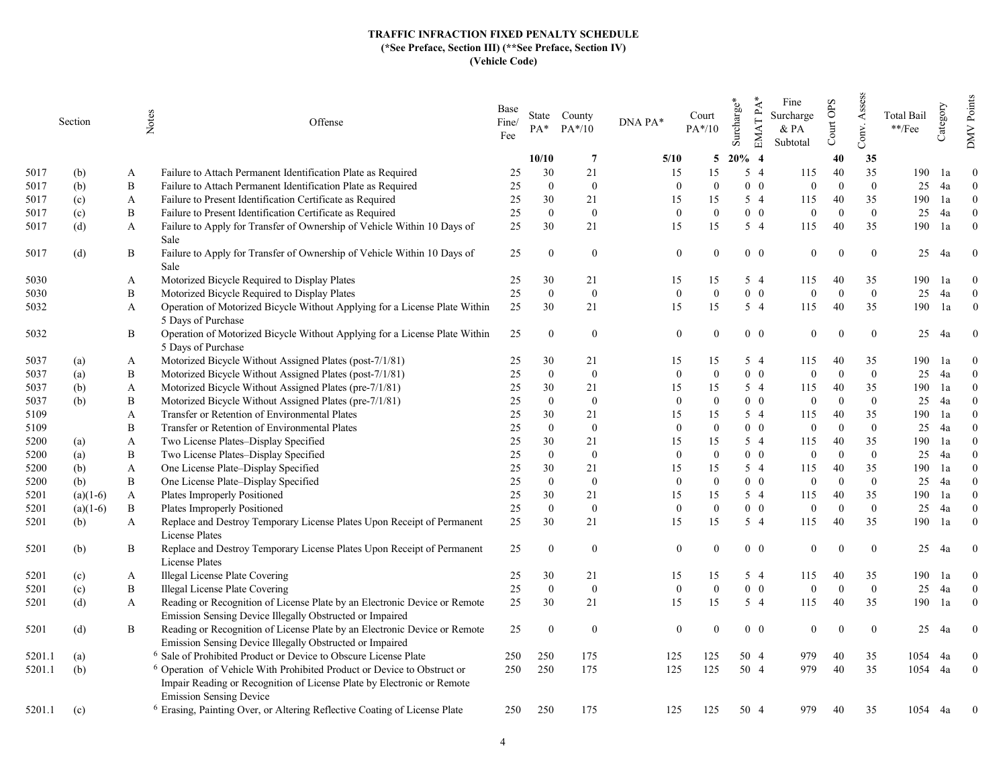|        | Section    |          | Notes<br>Offense                                                                                         | Base<br>Fine/<br>Fee | $PA*$          | State County<br>$PA*/10$ | DNA PA*        | Court<br>$PA*/10$ | Surcharge* | EMAT PA*<br>Fine<br>Surcharge<br>$&$ PA<br>Subtotal | Court OPS | Assess<br>Conv. | Total Bail<br>$\rm **/Fee$ | Category | Points<br><b>NNO</b> |
|--------|------------|----------|----------------------------------------------------------------------------------------------------------|----------------------|----------------|--------------------------|----------------|-------------------|------------|-----------------------------------------------------|-----------|-----------------|----------------------------|----------|----------------------|
|        |            |          |                                                                                                          |                      | 10/10          | $\overline{7}$           | 5/10           | 5                 | $20\%$ 4   |                                                     | 40        | 35              |                            |          |                      |
| 5017   | (b)        | A        | Failure to Attach Permanent Identification Plate as Required                                             | 25                   | 30             | 21                       | 15             | 15                | $5\quad4$  | 115                                                 | 40        | 35              | 190                        | 1a       | $\Omega$             |
| 5017   | (b)        | $\bf{B}$ | Failure to Attach Permanent Identification Plate as Required                                             | 25                   | $\mathbf{0}$   | $\overline{0}$           | $\theta$       | $\Omega$          | $0\quad 0$ | $\overline{0}$                                      | $\Omega$  | $\theta$        | 25                         | 4a       | $\Omega$             |
| 5017   | (c)        | A        | Failure to Present Identification Certificate as Required                                                | 25                   | 30             | 21                       | 15             | 15                | $5\quad4$  | 115                                                 | 40        | 35              | 190                        | 1a       | $\theta$             |
| 5017   | (c)        | B        | Failure to Present Identification Certificate as Required                                                | 25                   | $\theta$       | $\overline{0}$           | $\theta$       | $\theta$          | $0\quad 0$ | $\overline{0}$                                      | $\Omega$  | $\overline{0}$  | 25                         | 4a       | $\Omega$             |
| 5017   | (d)        | A        | Failure to Apply for Transfer of Ownership of Vehicle Within 10 Days of                                  | 25                   | 30             | 21                       | 15             | 15                | $5\quad4$  | 115                                                 | 40        | 35              | 190                        | 1a       | $\theta$             |
|        |            |          | Sale                                                                                                     |                      |                |                          |                |                   |            |                                                     |           |                 |                            |          |                      |
| 5017   | (d)        | B        | Failure to Apply for Transfer of Ownership of Vehicle Within 10 Days of                                  | 25                   | $\theta$       | $\bf{0}$                 | $\mathbf{0}$   | $\Omega$          | $0\quad 0$ | $\mathbf{0}$                                        |           | $\mathbf{0}$    | 25                         | 4a       | $\overline{0}$       |
|        |            |          | Sale                                                                                                     |                      |                |                          |                |                   |            |                                                     |           |                 |                            |          |                      |
| 5030   |            | A        | Motorized Bicycle Required to Display Plates                                                             | 25                   | 30             | 21                       | 15             | 15                | 5 4        | 115                                                 | 40        | 35              | 190                        | 1a       | $\Omega$             |
| 5030   |            | B        | Motorized Bicycle Required to Display Plates                                                             | $25\,$               | $\theta$       | $\mathbf{0}$             | $\mathbf{0}$   | $\Omega$          | $0\quad 0$ | $\overline{0}$                                      | $\Omega$  | $\overline{0}$  | 25                         | 4a       | $\mathbf{0}$         |
| 5032   |            | A        | Operation of Motorized Bicycle Without Applying for a License Plate Within                               | 25                   | 30             | 21                       | 15             | 15                | 5 4        | 115                                                 | 40        | 35              | 190                        | 1a       | $\theta$             |
|        |            |          | 5 Days of Purchase                                                                                       |                      |                |                          |                |                   |            |                                                     |           |                 |                            |          |                      |
| 5032   |            | В        | Operation of Motorized Bicycle Without Applying for a License Plate Within                               | 25                   | $\overline{0}$ | $\overline{0}$           | $\theta$       | $\theta$          | $0\quad 0$ | $\overline{0}$                                      | $\Omega$  | $\overline{0}$  | 25                         | 4a       | $\bf{0}$             |
|        |            |          | 5 Days of Purchase                                                                                       |                      |                |                          |                |                   |            |                                                     |           |                 |                            |          |                      |
| 5037   | (a)        | A        | Motorized Bicycle Without Assigned Plates (post-7/1/81)                                                  | 25                   | 30             | 21                       | 15             | 15                | 54         | 115                                                 | 40        | 35              | 190                        | 1a       | $\theta$             |
| 5037   | (a)        | B        | Motorized Bicycle Without Assigned Plates (post-7/1/81)                                                  | 25                   | $\mathbf{0}$   | $\mathbf{0}$             | $\mathbf{0}$   | $\Omega$          | $0\quad 0$ | $\mathbf{0}$                                        | $\Omega$  | $\mathbf{0}$    | 25                         | 4a       | $\theta$             |
| 5037   | (b)        | A        | Motorized Bicycle Without Assigned Plates (pre-7/1/81)                                                   | 25                   | 30             | 21                       | 15             | 15                | 5 4        | 115                                                 | 40        | 35              | 190                        | 1a       | $\theta$             |
| 5037   | (b)        | B        | Motorized Bicycle Without Assigned Plates (pre-7/1/81)                                                   | 25                   | $\mathbf{0}$   | $\bf{0}$                 | $\mathbf{0}$   | $\theta$          | $0\quad 0$ | $\mathbf{0}$                                        | $\Omega$  | $\overline{0}$  | 25                         | 4a       | $\theta$             |
| 5109   |            | A        | Transfer or Retention of Environmental Plates                                                            | 25                   | 30             | 21                       | 15             | 15                | 5 4        | 115                                                 | 40        | 35              | 190                        | 1a       | $\Omega$             |
| 5109   |            | B        | Transfer or Retention of Environmental Plates                                                            | 25                   | $\theta$       | $\mathbf{0}$             | $\theta$       | $\Omega$          | $0\quad 0$ | $\mathbf{0}$                                        | $\Omega$  | $\overline{0}$  | 25                         | 4a       | $\Omega$             |
| 5200   | (a)        | A        | Two License Plates-Display Specified                                                                     | 25                   | 30             | 21                       | 15             | 15                | 5 4        | 115                                                 | 40        | 35              | 190                        | 1a       | $\Omega$             |
| 5200   | (a)        | B        | Two License Plates-Display Specified                                                                     | 25                   | $\mathbf{0}$   | $\bf{0}$                 | $\mathbf{0}$   | $\Omega$          | $0\quad 0$ | $\mathbf{0}$                                        | $\Omega$  | $\overline{0}$  | 25                         | 4a       | $\Omega$             |
| 5200   | (b)        | A        | One License Plate-Display Specified                                                                      | 25                   | 30             | 21                       | 15             | 15                | 5 4        | 115                                                 | 40        | 35              | 190                        | 1a       | $\Omega$             |
| 5200   | (b)        | B        | One License Plate-Display Specified                                                                      | 25                   | $\Omega$       | $\overline{0}$           | $\mathbf{0}$   | $\Omega$          | $0\quad 0$ | $\mathbf{0}$                                        | $\Omega$  | $\theta$        | 25                         | 4a       | $\Omega$             |
| 5201   | $(a)(1-6)$ | A        | Plates Improperly Positioned                                                                             | 25                   | 30             | 21                       | 15             | 15                | 5 4        | 115                                                 | 40        | 35              | 190                        | 1a       | $\Omega$             |
| 5201   | $(a)(1-6)$ | B        | Plates Improperly Positioned                                                                             | 25                   | $\theta$       | $\bf{0}$                 | $\overline{0}$ | $\Omega$          | $0\quad 0$ | $\Omega$                                            | $\Omega$  | $\overline{0}$  | 25                         | 4a       | $\theta$             |
| 5201   | (b)        | A        | Replace and Destroy Temporary License Plates Upon Receipt of Permanent                                   | 25                   | 30             | 21                       | 15             | 15                | $5\quad4$  | 115                                                 | 40        | 35              | 190                        | 1a       | $\Omega$             |
|        |            |          | License Plates                                                                                           |                      |                |                          |                |                   |            |                                                     |           |                 |                            |          |                      |
| 5201   | (b)        | B        | Replace and Destroy Temporary License Plates Upon Receipt of Permanent                                   | 25                   | $\Omega$       | $\bf{0}$                 | $\mathbf{0}$   | $\Omega$          | $0\quad 0$ | $\mathbf{0}$                                        | $\Omega$  | $\mathbf{0}$    | 25                         | 4a       | $\overline{0}$       |
|        |            |          | License Plates                                                                                           |                      |                |                          |                |                   |            |                                                     |           |                 |                            |          |                      |
| 5201   | (c)        | A        | Illegal License Plate Covering                                                                           | 25                   | 30             | 21                       | 15             | 15                | $5\quad4$  | 115                                                 | 40        | 35              | 190                        | la       | $\theta$             |
| 5201   | (c)        | B        | Illegal License Plate Covering                                                                           | 25                   | $\mathbf{0}$   | $\mathbf{0}$             | $\mathbf{0}$   | $\Omega$          | $0\quad 0$ | $\overline{0}$                                      | $\Omega$  | $\overline{0}$  | 25                         | 4a       | $\theta$             |
| 5201   | (d)        | A        | Reading or Recognition of License Plate by an Electronic Device or Remote                                | 25                   | 30             | 21                       | 15             | 15                | $5\quad4$  | 115                                                 | 40        | 35              | 190                        | 1a       | $\mathbf{0}$         |
|        |            |          | Emission Sensing Device Illegally Obstructed or Impaired                                                 |                      |                |                          |                |                   |            |                                                     |           |                 |                            |          |                      |
| 5201   | (d)        | B        | Reading or Recognition of License Plate by an Electronic Device or Remote                                | 25                   | $\overline{0}$ | $\bf{0}$                 | $\theta$       | $\Omega$          | $0\quad 0$ | $\mathbf{0}$                                        |           | $\overline{0}$  | 25                         | 4a       | $\mathbf{0}$         |
|        |            |          | Emission Sensing Device Illegally Obstructed or Impaired                                                 |                      |                |                          |                |                   |            |                                                     |           |                 |                            |          |                      |
| 5201.1 | (a)        |          | <sup>6</sup> Sale of Prohibited Product or Device to Obscure License Plate                               | 250                  | 250            | 175                      | 125            | 125               | 50 4       | 979                                                 | 40        | 35              | 1054 4a                    |          | $\mathbf{0}$         |
| 5201.1 | (b)        |          | <sup>6</sup> Operation of Vehicle With Prohibited Product or Device to Obstruct or                       | 250                  | 250            | 175                      | 125            | 125               | 50 4       | 979                                                 | 40        | 35              | 1054 4a                    |          | $\mathbf{0}$         |
|        |            |          | Impair Reading or Recognition of License Plate by Electronic or Remote<br><b>Emission Sensing Device</b> |                      |                |                          |                |                   |            |                                                     |           |                 |                            |          |                      |
| 5201.1 | (c)        |          | <sup>6</sup> Erasing, Painting Over, or Altering Reflective Coating of License Plate                     | 250                  | 250            | 175                      | 125            | 125               | 50 4       | 979                                                 | 40        | 35              | 1054                       | 4a       | $\overline{0}$       |
|        |            |          |                                                                                                          |                      |                |                          |                |                   |            |                                                     |           |                 |                            |          |                      |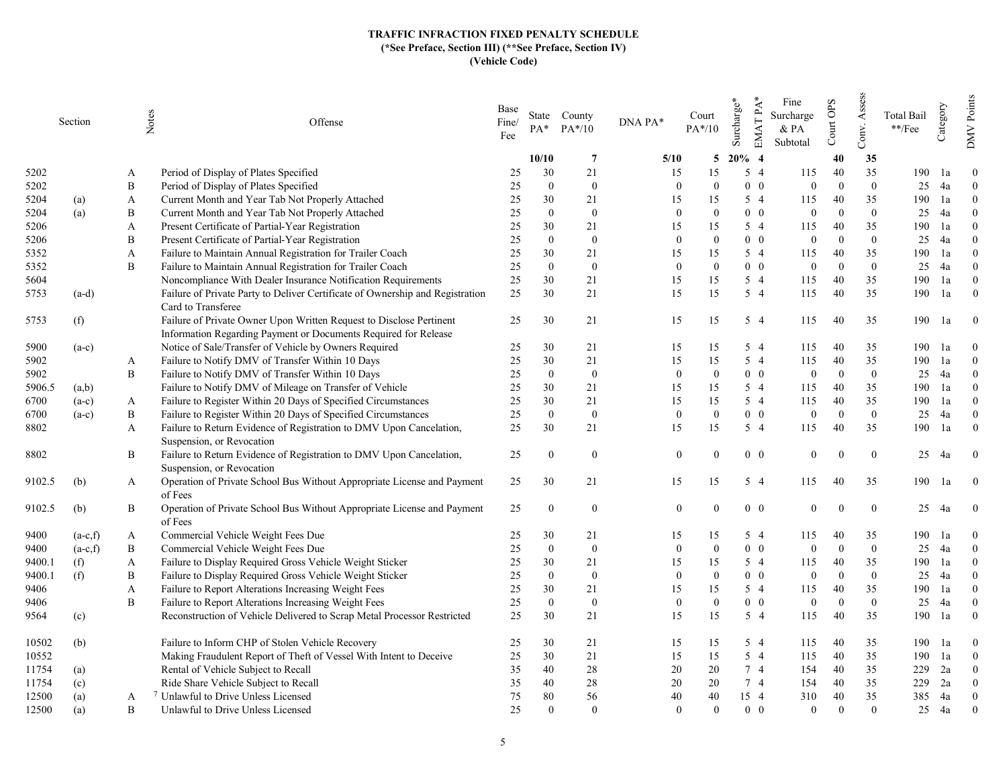|                | Section    | Notes  | Offense                                                                                                          | Base<br>Fine/<br>Fee | PA*              | State County<br>$PA*/10$ | DNA PA*      | Court<br>$PA*/10$ | EMAT PA*<br>Surcharge* | Fine<br>Surcharge<br>& PA<br>Subtotal | Court OPS | Assess<br>Conv. | Total Bail<br>**/Fee | Category | DMV Points     |
|----------------|------------|--------|------------------------------------------------------------------------------------------------------------------|----------------------|------------------|--------------------------|--------------|-------------------|------------------------|---------------------------------------|-----------|-----------------|----------------------|----------|----------------|
|                |            |        |                                                                                                                  |                      | 10/10            | $\overline{7}$           | 5/10         | 5                 | $20\%$ 4               |                                       | 40        | 35              |                      |          |                |
| 5202           |            | A      | Period of Display of Plates Specified                                                                            | 25                   | 30               | 21                       | 15           | 15                | 5 4                    | 115                                   | 40        | 35              | 190                  | 1a       | $\theta$       |
| 5202           |            | B      | Period of Display of Plates Specified                                                                            | 25                   | $\mathbf{0}$     | $\bf{0}$                 | $\theta$     | $\theta$          | $0\quad 0$             | $\mathbf{0}$                          | $\Omega$  | $\overline{0}$  | 25                   | 4a       | $\overline{0}$ |
| 5204           | (a)        | A      | Current Month and Year Tab Not Properly Attached                                                                 | 25                   | 30               | 21                       | 15           | 15                | 5 4                    | 115                                   | 40        | 35              | 190                  | 1a       | $\theta$       |
| 5204           | (a)        | B      | Current Month and Year Tab Not Properly Attached                                                                 | 25                   | $\Omega$         | $\overline{0}$           | $\theta$     | $\Omega$          | $0\quad 0$             | $\overline{0}$                        | $\Omega$  | $\overline{0}$  | 25                   | 4a       | $\Omega$       |
| 5206           |            | A      | Present Certificate of Partial-Year Registration                                                                 | 25                   | 30               | 21                       | 15           | 15                | 5 4                    | 115                                   | 40        | 35              | 190                  | 1a       | $\Omega$       |
| 5206           |            | B      | Present Certificate of Partial-Year Registration                                                                 | 25                   | $\Omega$         | $\mathbf{0}$             | $\mathbf{0}$ | $\mathbf{0}$      | $0\quad 0$             | $\overline{0}$                        | $\Omega$  | $\mathbf{0}$    | 25                   | 4a       | $\theta$       |
| 5352           |            | A      | Failure to Maintain Annual Registration for Trailer Coach                                                        | 25                   | 30               | 21                       | 15           | 15                | 5 4                    | 115                                   | 40        | 35              | 190                  | 1a       | $\Omega$       |
| 5352           |            | B      | Failure to Maintain Annual Registration for Trailer Coach                                                        | 25                   | $\mathbf{0}$     | $\mathbf{0}$             | $\mathbf{0}$ | $\mathbf{0}$      | $0\quad 0$             | $\mathbf{0}$                          | $\Omega$  | $\overline{0}$  | 25                   | 4a       | $\overline{0}$ |
| 5604           |            |        | Noncompliance With Dealer Insurance Notification Requirements                                                    | 25                   | 30               | 21                       | 15           | 15                | 5 4                    | 115                                   | 40        | 35              | 190                  | 1a       | $\Omega$       |
| 5753           | $(a-d)$    |        | Failure of Private Party to Deliver Certificate of Ownership and Registration                                    | 25                   | 30               | 21                       | 15           | 15                | $5\quad4$              | 115                                   | 40        | 35              | 190                  | 1a       | $\overline{0}$ |
|                |            |        | Card to Transferee                                                                                               |                      |                  |                          |              |                   |                        |                                       |           |                 |                      |          |                |
| 5753           | (f)        |        | Failure of Private Owner Upon Written Request to Disclose Pertinent                                              | 25                   | 30               | 21                       | 15           | 15                | 5 4                    | 115                                   | 40        | 35              | 190                  | 1a       | $\overline{0}$ |
|                |            |        | Information Regarding Payment or Documents Required for Release                                                  |                      |                  |                          |              |                   |                        |                                       |           |                 |                      |          |                |
| 5900           | $(a-c)$    |        | Notice of Sale/Transfer of Vehicle by Owners Required                                                            | 25                   | 30               | 21                       | 15           | 15                | $5\quad4$              | 115                                   | 40        | 35              | 190                  | la       | $\theta$       |
| 5902           |            | A      | Failure to Notify DMV of Transfer Within 10 Days                                                                 | 25                   | 30               | 21                       | 15           | 15                | 5 4                    | 115                                   | 40        | 35              | 190                  | 1a       | $\Omega$       |
| 5902           |            | B      | Failure to Notify DMV of Transfer Within 10 Days                                                                 | 25                   | $\mathbf{0}$     | $\mathbf{0}$             | $\mathbf{0}$ | $\mathbf{0}$      | $0\quad 0$             | $\mathbf{0}$                          | $\Omega$  | $\overline{0}$  | 25                   | 4a       | $\overline{0}$ |
| 5906.5         | (a,b)      |        | Failure to Notify DMV of Mileage on Transfer of Vehicle                                                          | 25                   | 30               | 21                       | 15           | 15                | 5 4                    | 115                                   | 40        | 35              | 190                  | 1a       | $\theta$       |
| 6700           | $(a-c)$    | A      | Failure to Register Within 20 Days of Specified Circumstances                                                    | 25                   | 30               | 21                       | 15           | 15                | 5 4                    | 115                                   | 40        | 35              | 190                  | 1a       | $\theta$       |
| 6700           |            | B      | Failure to Register Within 20 Days of Specified Circumstances                                                    | 25                   | $\theta$         | $\overline{0}$           | $\theta$     | $\theta$          | $0\quad 0$             | $\overline{0}$                        | $\Omega$  | $\overline{0}$  | 25                   | 4a       | $\Omega$       |
| 8802           | $(a-c)$    | A      | Failure to Return Evidence of Registration to DMV Upon Cancelation,                                              | 25                   | 30               | 21                       | 15           | 15                | 5 4                    | 115                                   | 40        | 35              | 190                  | 1a       | $\overline{0}$ |
|                |            |        | Suspension, or Revocation                                                                                        |                      |                  |                          |              |                   |                        |                                       |           |                 |                      |          |                |
| 8802           |            | B      | Failure to Return Evidence of Registration to DMV Upon Cancelation,                                              | 25                   | $\theta$         | $\bf{0}$                 | $\mathbf{0}$ | $\Omega$          | $0\quad 0$             | $\mathbf{0}$                          |           | $\bf{0}$        | 25                   | 4a       | $\mathbf{0}$   |
|                |            |        | Suspension, or Revocation                                                                                        |                      |                  |                          |              |                   |                        |                                       |           |                 |                      |          |                |
| 9102.5         |            |        |                                                                                                                  |                      | 30               | 21                       | 15           |                   | $5\quad4$              | 115                                   | 40        | 35              | 190                  | 1a       | $\bf{0}$       |
|                | (b)        | A      | Operation of Private School Bus Without Appropriate License and Payment<br>of Fees                               | 25                   |                  |                          |              | 15                |                        |                                       |           |                 |                      |          |                |
| 9102.5         |            | B      | Operation of Private School Bus Without Appropriate License and Payment                                          | 25                   | $\boldsymbol{0}$ | $\bf{0}$                 | $\mathbf{0}$ | $\Omega$          | $0\quad 0$             | $\mathbf{0}$                          |           | $\mathbf{0}$    | 25                   | 4a       | $\mathbf{0}$   |
|                | (b)        |        | of Fees                                                                                                          |                      |                  |                          |              |                   |                        |                                       |           |                 |                      |          |                |
| 9400           | $(a-c,f)$  |        | Commercial Vehicle Weight Fees Due                                                                               |                      | 30               | 21                       | 15           | 15                | 5 4                    | 115                                   | 40        | 35              | 190                  |          | $\theta$       |
| 9400           | $(a-c,f)$  | A<br>B | Commercial Vehicle Weight Fees Due                                                                               | 25<br>25             | $\mathbf{0}$     | $\overline{0}$           | $\Omega$     | $\theta$          | $0\quad 0$             | $\overline{0}$                        | $\Omega$  | $\theta$        | 25                   | 1a<br>4a | $\Omega$       |
|                |            |        | Failure to Display Required Gross Vehicle Weight Sticker                                                         | 25                   | 30               | 21                       | 15           | 15                | $5\quad4$              | 115                                   | 40        | 35              | 190                  | 1a       | $\theta$       |
| 9400.1         | (f)        | A<br>B |                                                                                                                  |                      | $\mathbf{0}$     | $\bf{0}$                 | $\theta$     | $\theta$          | $0\quad 0$             | $\boldsymbol{0}$                      | $\Omega$  | $\overline{0}$  | 25                   | 4a       | $\theta$       |
| 9400.1<br>9406 | (f)        |        | Failure to Display Required Gross Vehicle Weight Sticker<br>Failure to Report Alterations Increasing Weight Fees | 25<br>25             | 30               | 21                       | 15           | 15                | $5\quad4$              | 115                                   | 40        | 35              | 190                  | 1a       | $\theta$       |
|                |            | A<br>B | Failure to Report Alterations Increasing Weight Fees                                                             | 25                   | $\theta$         | $\mathbf{0}$             | $\theta$     | $\theta$          | $0\quad 0$             | $\overline{0}$                        | $\Omega$  | $\overline{0}$  | 25                   | 4a       | $\theta$       |
| 9406           |            |        | Reconstruction of Vehicle Delivered to Scrap Metal Processor Restricted                                          | 25                   | 30               | 21                       | 15           | 15                | $5\quad4$              | 115                                   | 40        | 35              | 190                  |          | $\theta$       |
| 9564           | (c)        |        |                                                                                                                  |                      |                  |                          |              |                   |                        |                                       |           |                 |                      | 1a       |                |
| 10502          | (b)        |        | Failure to Inform CHP of Stolen Vehicle Recovery                                                                 | 25                   | 30               | 21                       | 15           | 15                | 5 4                    | 115                                   | 40        | 35              | 190                  | 1a       | $\overline{0}$ |
| 10552          |            |        | Making Fraudulent Report of Theft of Vessel With Intent to Deceive                                               | 25                   | 30               | 21                       | 15           | 15                | $5\quad4$              | 115                                   | 40        | 35              | 190                  | 1a       | $\theta$       |
| 11754          |            |        | Rental of Vehicle Subject to Recall                                                                              | 35                   | 40               | 28                       | 20           | 20                | 7 4                    | 154                                   | 40        | 35              | 229                  | 2a       | $\theta$       |
| 11754          | (a)<br>(c) |        | Ride Share Vehicle Subject to Recall                                                                             | 35                   | 40               | 28                       | 20           | 20                | 7 4                    | 154                                   | 40        | 35              | 229                  | 2a       | $\overline{0}$ |
| 12500          | (a)        | A      | <sup>7</sup> Unlawful to Drive Unless Licensed                                                                   | 75                   | 80               | 56                       | 40           | 40                | 15 4                   | 310                                   | 40        | 35              | 385                  | 4a       | $\theta$       |
| 12500          | (a)        | B      | Unlawful to Drive Unless Licensed                                                                                | 25                   | $\Omega$         | $\theta$                 | $\Omega$     | $\Omega$          | $0\quad 0$             | $\Omega$                              | $\Omega$  | $\overline{0}$  | 25                   | 4a       | $\theta$       |
|                |            |        |                                                                                                                  |                      |                  |                          |              |                   |                        |                                       |           |                 |                      |          |                |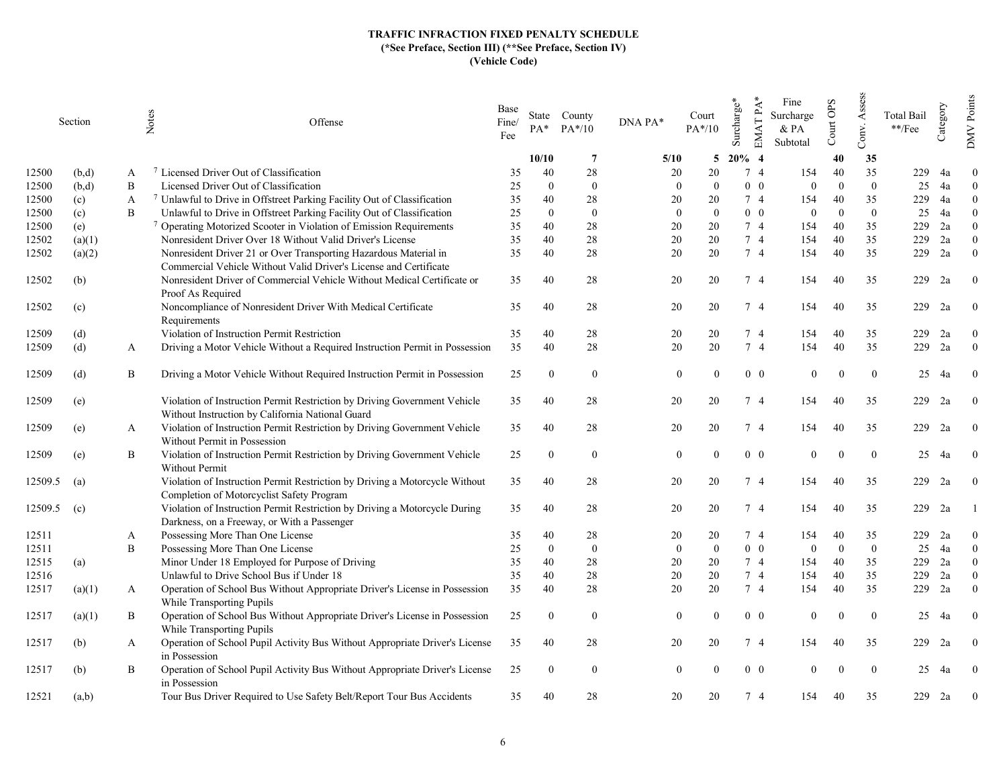|         | Section |   | Notes<br>Offense                                                                                                                      | Base<br>Fine/<br>Fee | PA*            | State County<br>$PA*/10$ | DNA PA*      | Court<br>$PA*/10$ | Surcharge*     | $EMATPA*$<br>Fine<br>Surcharge<br>$&$ PA<br>Subtotal | Court OPS | Assess<br>Conv. | <b>Total Bail</b><br>$\rm **/Fee$ | Category | Points<br><b>DMV</b> |
|---------|---------|---|---------------------------------------------------------------------------------------------------------------------------------------|----------------------|----------------|--------------------------|--------------|-------------------|----------------|------------------------------------------------------|-----------|-----------------|-----------------------------------|----------|----------------------|
|         |         |   |                                                                                                                                       |                      | 10/10          | -7                       | 5/10         | 5                 | $20\%$ 4       |                                                      | 40        | 35              |                                   |          |                      |
| 12500   | (b,d)   | A | <sup>7</sup> Licensed Driver Out of Classification                                                                                    | 35                   | 40             | 28                       | 20           | 20                | 7 4            | 154                                                  | 40        | 35              | 229                               | 4a       | $\theta$             |
| 12500   | (b,d)   | B | Licensed Driver Out of Classification                                                                                                 | 25                   | $\Omega$       | $\overline{0}$           | $\Omega$     | $\Omega$          | $0\quad 0$     | $\overline{0}$                                       | $\Omega$  | $\theta$        | 25                                | 4a       | $\theta$             |
| 12500   | (c)     | A | 7 Unlawful to Drive in Offstreet Parking Facility Out of Classification                                                               | 35                   | 40             | 28                       | 20           | 20                | 7 4            | 154                                                  | 40        | 35              | 229                               | 4a       | $\theta$             |
| 12500   | (c)     | B | Unlawful to Drive in Offstreet Parking Facility Out of Classification                                                                 | 25                   | $\Omega$       | $\bf{0}$                 | $\mathbf{0}$ | $\mathbf{0}$      | $0\quad 0$     | $\boldsymbol{0}$                                     | $\Omega$  | $\overline{0}$  | 25                                | 4a       | $\theta$             |
| 12500   | (e)     |   | <sup>7</sup> Operating Motorized Scooter in Violation of Emission Requirements                                                        | 35                   | 40             | 28                       | 20           | 20                | 7 4            | 154                                                  | 40        | 35              | 229                               | 2a       | $\Omega$             |
| 12502   | (a)(1)  |   | Nonresident Driver Over 18 Without Valid Driver's License                                                                             | 35                   | 40             | 28                       | 20           | 20                | 7 <sub>4</sub> | 154                                                  | 40        | 35              | 229                               | 2a       | $\theta$             |
| 12502   | (a)(2)  |   | Nonresident Driver 21 or Over Transporting Hazardous Material in<br>Commercial Vehicle Without Valid Driver's License and Certificate | 35                   | 40             | 28                       | 20           | 20                | 7 4            | 154                                                  | 40        | 35              | 229                               | 2a       | $\theta$             |
| 12502   | (b)     |   | Nonresident Driver of Commercial Vehicle Without Medical Certificate or<br>Proof As Required                                          | 35                   | 40             | 28                       | 20           | 20                | 74             | 154                                                  | 40        | 35              | 229                               | 2a       | $\theta$             |
| 12502   | (c)     |   | Noncompliance of Nonresident Driver With Medical Certificate<br>Requirements                                                          | 35                   | 40             | 28                       | 20           | 20                | 7 4            | 154                                                  | 40        | 35              | 229                               | 2a       | $\Omega$             |
| 12509   | (d)     |   | Violation of Instruction Permit Restriction                                                                                           | 35                   | 40             | 28                       | 20           | 20                | 74             | 154                                                  | 40        | 35              | 229                               | 2a       | $\theta$             |
| 12509   | (d)     | A | Driving a Motor Vehicle Without a Required Instruction Permit in Possession                                                           | 35                   | 40             | 28                       | 20           | 20                | 7 4            | 154                                                  | 40        | 35              | 229                               | 2a       | $\overline{0}$       |
|         |         |   |                                                                                                                                       |                      |                |                          |              |                   |                |                                                      |           |                 |                                   |          |                      |
| 12509   | (d)     | B | Driving a Motor Vehicle Without Required Instruction Permit in Possession                                                             | 25                   | $\overline{0}$ | $\bf{0}$                 | $\theta$     |                   |                | $0\quad 0$<br>$\theta$                               | $\Omega$  | $\theta$        | 25                                | 4a       | $\Omega$             |
| 12509   | (e)     |   | Violation of Instruction Permit Restriction by Driving Government Vehicle<br>Without Instruction by California National Guard         | 35                   | 40             | 28                       | 20           | 20                | 74             | 154                                                  | 40        | 35              | 229                               | 2a       | $\Omega$             |
| 12509   | (e)     | A | Violation of Instruction Permit Restriction by Driving Government Vehicle<br>Without Permit in Possession                             | 35                   | 40             | 28                       | 20           | 20                | 74             | 154                                                  | 40        | 35              | 229                               | 2a       | $\bf{0}$             |
| 12509   | (e)     | B | Violation of Instruction Permit Restriction by Driving Government Vehicle<br>Without Permit                                           | 25                   | $\Omega$       | $\bf{0}$                 | $\Omega$     |                   | $0\quad 0$     | $\overline{0}$                                       |           | $\overline{0}$  | 25                                | 4a       | $\Omega$             |
|         |         |   | Violation of Instruction Permit Restriction by Driving a Motorcycle Without                                                           |                      |                | 28                       | 20           | 20                | 74             |                                                      | 40        |                 | 229                               | 2a       | $\theta$             |
| 12509.5 | (a)     |   | Completion of Motorcyclist Safety Program                                                                                             | 35                   | 40             |                          |              |                   |                | 154                                                  |           | 35              |                                   |          |                      |
| 12509.5 | (c)     |   | Violation of Instruction Permit Restriction by Driving a Motorcycle During<br>Darkness, on a Freeway, or With a Passenger             | 35                   | 40             | 28                       | 20           | 20                | 74             | 154                                                  | 40        | 35              | 229                               | 2a       |                      |
| 12511   |         | A | Possessing More Than One License                                                                                                      | 35                   | 40             | 28                       | 20           | 20                | 7 4            | 154                                                  | 40        | 35              | 229                               | 2a       | $\Omega$             |
| 12511   |         | B | Possessing More Than One License                                                                                                      | 25                   | $\theta$       | $\mathbf{0}$             | $\theta$     | $\theta$          | $0\quad 0$     | $\overline{0}$                                       | $\Omega$  | $\mathbf{0}$    | 25                                | 4a       | $\overline{0}$       |
| 12515   | (a)     |   | Minor Under 18 Employed for Purpose of Driving                                                                                        | 35                   | 40             | 28                       | 20           | 20                | 7 4            | 154                                                  | 40        | 35              | 229                               | 2a       | $\Omega$             |
| 12516   |         |   | Unlawful to Drive School Bus if Under 18                                                                                              | 35                   | 40             | 28                       | 20           | 20                | 7 4            | 154                                                  | 40        | 35              | 229                               | 2a       | $\theta$             |
| 12517   | (a)(1)  | A | Operation of School Bus Without Appropriate Driver's License in Possession<br>While Transporting Pupils                               | 35                   | 40             | 28                       | 20           | 20                | 7 4            | 154                                                  | 40        | 35              | 229                               | 2a       | $\theta$             |
| 12517   | (a)(1)  | В | Operation of School Bus Without Appropriate Driver's License in Possession<br>While Transporting Pupils                               | 25                   | $\overline{0}$ | $\overline{0}$           | $\theta$     | $\Omega$          | $0\quad 0$     | $\mathbf{0}$                                         | $\Omega$  | $\overline{0}$  | 25                                | 4a       | $\theta$             |
| 12517   | (b)     | A | Operation of School Pupil Activity Bus Without Appropriate Driver's License                                                           | 35                   | 40             | 28                       | 20           | 20                | 7 4            | 154                                                  | 40        | 35              | 229                               | 2a       | $\theta$             |
| 12517   | (b)     | B | in Possession<br>Operation of School Pupil Activity Bus Without Appropriate Driver's License                                          | 25                   | $\Omega$       | $\overline{0}$           | $\Omega$     |                   | $0\quad 0$     | $\Omega$                                             |           | $\Omega$        | 25                                | 4a       | $\theta$             |
| 12521   | (a,b)   |   | in Possession<br>Tour Bus Driver Required to Use Safety Belt/Report Tour Bus Accidents                                                | 35                   | 40             | 28                       | 20           | 20                | 7 4            | 154                                                  | 40        | 35              | 229                               | 2a       | $\mathbf{0}$         |
|         |         |   |                                                                                                                                       |                      |                |                          |              |                   |                |                                                      |           |                 |                                   |          |                      |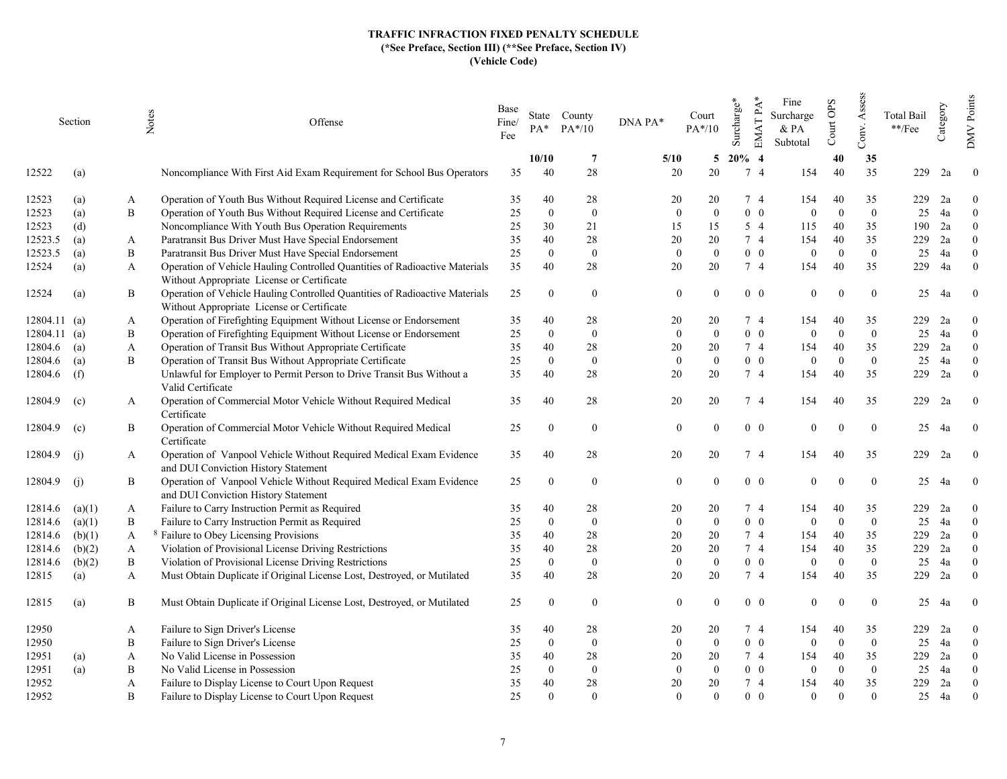|          | Section | Notes        | Offense                                                                                                                   | Base<br>Fine/<br>Fee | $PA^*$       | State County<br>$PA*/10$ | DNA PA*          | Court<br>$PA*/10$ | Surcharge* | $EMATPA*$<br>Fine<br>Surcharge<br>& PA<br>Subtotal | Court OPS | Assess<br>Conv. | Total Bail<br>$\rm **/Fee$ | Category | Points<br><b>DMV</b> |
|----------|---------|--------------|---------------------------------------------------------------------------------------------------------------------------|----------------------|--------------|--------------------------|------------------|-------------------|------------|----------------------------------------------------|-----------|-----------------|----------------------------|----------|----------------------|
|          |         |              |                                                                                                                           |                      | 10/10        | -7                       | 5/10             | 5                 | $20\%$ 4   |                                                    | 40        | 35              |                            |          |                      |
| 12522    | (a)     |              | Noncompliance With First Aid Exam Requirement for School Bus Operators                                                    | 35                   | 40           | 28                       | 20               | 20                | 7 4        | 154                                                | 40        | 35              | 229                        | 2a       | $\overline{0}$       |
| 12523    | (a)     | A            | Operation of Youth Bus Without Required License and Certificate                                                           | 35                   | 40           | 28                       | 20               | 20                | 74         | 154                                                | 40        | 35              | 229                        | 2a       | $\theta$             |
| 12523    | (a)     | B            | Operation of Youth Bus Without Required License and Certificate                                                           | $25\,$               | $\mathbf{0}$ | $\bf{0}$                 | $\Omega$         | $\mathbf{0}$      | $0\quad 0$ | $\overline{0}$                                     | $\Omega$  | $\mathbf{0}$    | 25                         | 4a       | $\mathbf{0}$         |
| 12523    | (d)     |              | Noncompliance With Youth Bus Operation Requirements                                                                       | 25                   | 30           | 21                       | 15               | 15                | $5\quad4$  | 115                                                | 40        | 35              | 190                        | 2a       | $\Omega$             |
| 12523.5  | (a)     | A            | Paratransit Bus Driver Must Have Special Endorsement                                                                      | 35                   | 40           | 28                       | 20               | 20                | 74         | 154                                                | 40        | 35              | 229                        | 2a       | $\Omega$             |
| 12523.5  | (a)     | B            | Paratransit Bus Driver Must Have Special Endorsement                                                                      | 25                   | $\theta$     | $\boldsymbol{0}$         | $\mathbf{0}$     | $\theta$          | $0\quad 0$ | $\theta$                                           | $\Omega$  | $\overline{0}$  | 25                         | 4a       | $\theta$             |
| 12524    | (a)     | A            | Operation of Vehicle Hauling Controlled Quantities of Radioactive Materials<br>Without Appropriate License or Certificate | 35                   | 40           | 28                       | 20               | 20                | 7 4        | 154                                                | 40        | 35              | 229                        | 4a       | $\overline{0}$       |
| 12524    | (a)     | B            | Operation of Vehicle Hauling Controlled Quantities of Radioactive Materials<br>Without Appropriate License or Certificate | 25                   | $\theta$     | $\overline{0}$           | $\theta$         | $\Omega$          | $0\quad 0$ | $\theta$                                           |           | $\theta$        | 25                         | 4a       | $\overline{0}$       |
| 12804.11 | (a)     | A            | Operation of Firefighting Equipment Without License or Endorsement                                                        | 35                   | 40           | 28                       | 20               | 20                | 74         | 154                                                | 40        | 35              | 229                        | 2a       | $\theta$             |
| 12804.11 | (a)     | B            | Operation of Firefighting Equipment Without License or Endorsement                                                        | 25                   | $\mathbf{0}$ | $\overline{0}$           | $\mathbf{0}$     | $\Omega$          | $0\quad 0$ | $\Omega$                                           | $\Omega$  | $\mathbf{0}$    | 25                         | 4a       | $\theta$             |
| 12804.6  | (a)     | A            | Operation of Transit Bus Without Appropriate Certificate                                                                  | 35                   | 40           | 28                       | 20               | 20                | 7 4        | 154                                                | 40        | 35              | 229                        | 2a       | $\overline{0}$       |
| 12804.6  | (a)     | B            | Operation of Transit Bus Without Appropriate Certificate                                                                  | 25                   | $\mathbf{0}$ | $\mathbf{0}$             | $\mathbf{0}$     | $\mathbf{0}$      | $0\quad 0$ | $\mathbf{0}$                                       | $\Omega$  | $\mathbf{0}$    | 25                         | 4a       | $\mathbf{0}$         |
| 12804.6  | (f)     |              | Unlawful for Employer to Permit Person to Drive Transit Bus Without a<br>Valid Certificate                                | 35                   | 40           | 28                       | 20               | 20                | 7 4        | 154                                                | 40        | 35              | 229                        | 2a       | $\overline{0}$       |
| 12804.9  | (c)     | A            | Operation of Commercial Motor Vehicle Without Required Medical<br>Certificate                                             | 35                   | 40           | 28                       | 20               | 20                | 74         | 154                                                | 40        | 35              | 229                        | 2a       | $\boldsymbol{0}$     |
| 12804.9  | (c)     | B            | Operation of Commercial Motor Vehicle Without Required Medical<br>Certificate                                             | 25                   | $\mathbf{0}$ | $\bf{0}$                 | $\mathbf{0}$     | $\Omega$          | $0\quad 0$ | $\theta$                                           | $\Omega$  | $\Omega$        | 25                         | 4a       | $\bf{0}$             |
| 12804.9  | (i)     | A            | Operation of Vanpool Vehicle Without Required Medical Exam Evidence<br>and DUI Conviction History Statement               | 35                   | 40           | 28                       | 20               | 20                | $7\quad4$  | 154                                                | 40        | 35              | 229                        | 2a       | $\mathbf{0}$         |
| 12804.9  | (i)     | B            | Operation of Vanpool Vehicle Without Required Medical Exam Evidence<br>and DUI Conviction History Statement               | 25                   | $\Omega$     | $\mathbf{0}$             | $\theta$         | $\Omega$          | $0\quad 0$ | $\theta$                                           | $\Omega$  | $\theta$        | 25                         | 4a       | $\theta$             |
| 12814.6  | (a)(1)  | A            | Failure to Carry Instruction Permit as Required                                                                           | 35                   | 40           | 28                       | 20               | 20                | 74         | 154                                                | 40        | 35              | 229                        | 2a       | $\theta$             |
| 12814.6  | (a)(1)  | B            | Failure to Carry Instruction Permit as Required                                                                           | 25                   | $\theta$     | $\overline{0}$           | $\theta$         | $\Omega$          | $0\quad 0$ | $\theta$                                           | $\Omega$  | $\theta$        | 25                         | 4a       | $\Omega$             |
| 12814.6  | (b)(1)  | A            | <sup>8</sup> Failure to Obey Licensing Provisions                                                                         | 35                   | 40           | 28                       | 20               | 20                | 7 4        | 154                                                | 40        | 35              | 229                        | 2a       | $\Omega$             |
| 12814.6  | (b)(2)  | $\mathbf{A}$ | Violation of Provisional License Driving Restrictions                                                                     | 35                   | 40           | 28                       | 20               | 20                | 7 4        | 154                                                | 40        | 35              | 229                        | 2a       | $\theta$             |
| 12814.6  | (b)(2)  | B            | Violation of Provisional License Driving Restrictions                                                                     | 25                   | $\Omega$     | $\overline{0}$           | $\mathbf{0}$     | $\Omega$          | $0\quad 0$ | $\theta$                                           | $\Omega$  | $\overline{0}$  | 25                         | 4a       | $\theta$             |
| 12815    | (a)     | A            | Must Obtain Duplicate if Original License Lost, Destroyed, or Mutilated                                                   | 35                   | 40           | 28                       | 20               | 20                | 7 4        | 154                                                | 40        | 35              | 229                        | 2a       | $\theta$             |
| 12815    | (a)     | B            | Must Obtain Duplicate if Original License Lost, Destroyed, or Mutilated                                                   | 25                   | $\theta$     | $\overline{0}$           | $\theta$         |                   | $0\quad 0$ | $\theta$                                           |           | $\theta$        | 25                         | 4a       | $\mathbf{0}$         |
| 12950    |         | A            | Failure to Sign Driver's License                                                                                          | 35                   | 40           | 28                       | 20               | 20                | 74         | 154                                                | 40        | 35              | 229                        | 2a       | $\mathbf{0}$         |
| 12950    |         | B            | Failure to Sign Driver's License                                                                                          | 25                   | $\mathbf{0}$ | $\mathbf{0}$             | $\boldsymbol{0}$ | $\theta$          | $0\quad 0$ | $\overline{0}$                                     | $\Omega$  | $\overline{0}$  | 25                         | 4a       | $\overline{0}$       |
| 12951    | (a)     | A            | No Valid License in Possession                                                                                            | 35                   | 40           | 28                       | 20               | 20                | 74         | 154                                                | 40        | 35              | 229                        | 2a       | $\theta$             |
| 12951    | (a)     | B            | No Valid License in Possession                                                                                            | 25                   | $\mathbf{0}$ | $\overline{0}$           | $\overline{0}$   | $\theta$          | $0\quad 0$ | $\theta$                                           | $\Omega$  | $\mathbf{0}$    | 25                         | 4a       | $\theta$             |
| 12952    |         | A            | Failure to Display License to Court Upon Request                                                                          | 35                   | 40           | 28                       | 20               | 20                | $7\quad4$  | 154                                                | 40        | 35              | 229                        | 2a       | $\overline{0}$       |
| 12952    |         | B            | Failure to Display License to Court Upon Request                                                                          | 25                   | $\Omega$     | $\Omega$                 | $\Omega$         | $\Omega$          | $0\quad 0$ | $\Omega$                                           | $\Omega$  | $\theta$        | 25                         | 4a       | $\mathbf{0}$         |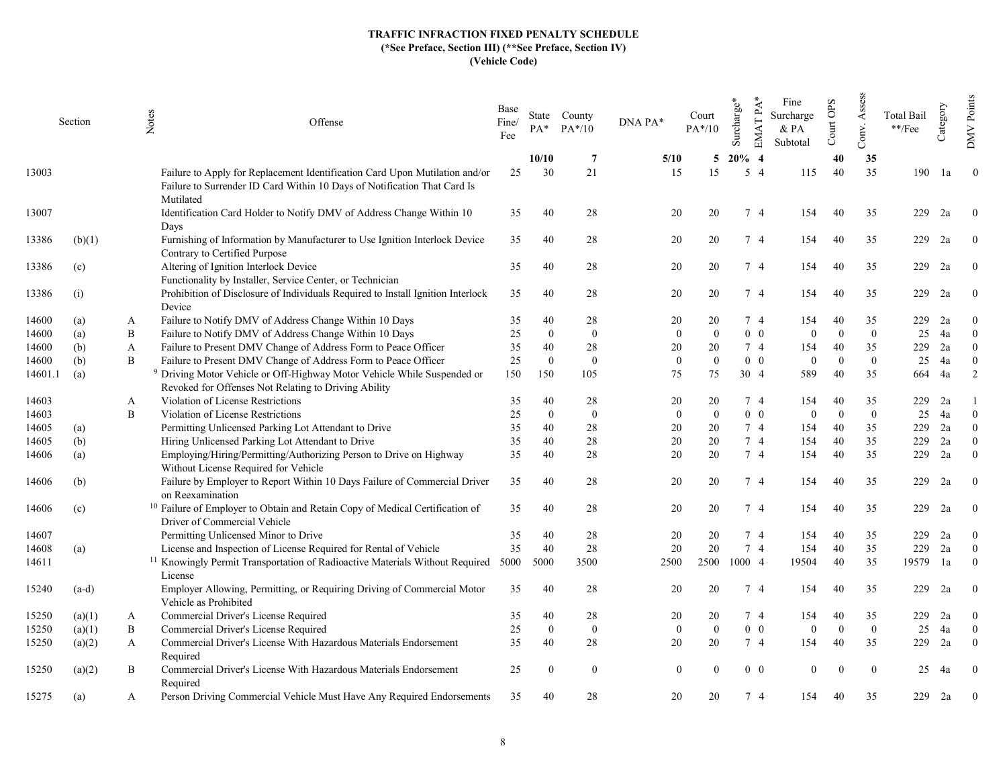|         | Section |   | Notes<br>Offense                                                                                                                                                     | Base<br>Fine/<br>Fee | $PA^*$       | State County<br>$PA*/10$ | DNA PA*      | Court<br>$PA*/10$ | Surcharge* | $EMATPA*$      | Fine<br>Surcharge<br>& PA<br>Subtotal | Court OPS | Assess<br>Conv.  | <b>Total Bail</b><br>$\rm **/Fee$ | Category | Points<br><b>DMV</b> |
|---------|---------|---|----------------------------------------------------------------------------------------------------------------------------------------------------------------------|----------------------|--------------|--------------------------|--------------|-------------------|------------|----------------|---------------------------------------|-----------|------------------|-----------------------------------|----------|----------------------|
|         |         |   |                                                                                                                                                                      |                      | 10/10        | -7                       | 5/10         | 5                 | $20\%$ 4   |                |                                       | 40        | 35               |                                   |          |                      |
| 13003   |         |   | Failure to Apply for Replacement Identification Card Upon Mutilation and/or<br>Failure to Surrender ID Card Within 10 Days of Notification That Card Is<br>Mutilated | 25                   | 30           | 21                       | 15           | 15                |            | 5 4            | 115                                   | 40        | 35               | 190                               | 1a       | $\overline{0}$       |
| 13007   |         |   | Identification Card Holder to Notify DMV of Address Change Within 10<br>Days                                                                                         | 35                   | 40           | 28                       | 20           | 20                |            | 74             | 154                                   | 40        | 35               | 229                               | 2a       | $\Omega$             |
| 13386   | (b)(1)  |   | Furnishing of Information by Manufacturer to Use Ignition Interlock Device<br>Contrary to Certified Purpose                                                          | 35                   | 40           | 28                       | 20           | 20                |            | 74             | 154                                   | 40        | 35               | 229                               | 2a       | $\theta$             |
| 13386   | (c)     |   | Altering of Ignition Interlock Device<br>Functionality by Installer, Service Center, or Technician                                                                   | 35                   | 40           | 28                       | 20           | 20                |            | 7 4            | 154                                   | 40        | 35               | 229                               | 2a       | $\theta$             |
| 13386   | (i)     |   | Prohibition of Disclosure of Individuals Required to Install Ignition Interlock<br>Device                                                                            | 35                   | 40           | 28                       | 20           | 20                |            | 74             | 154                                   | 40        | 35               | 229                               | 2a       | $\theta$             |
| 14600   | (a)     | A | Failure to Notify DMV of Address Change Within 10 Days                                                                                                               | 35                   | 40           | 28                       | 20           | 20                |            | 74             | 154                                   | 40        | 35               | 229                               | 2a       | $\theta$             |
| 14600   | (a)     | B | Failure to Notify DMV of Address Change Within 10 Days                                                                                                               | 25                   | $\mathbf{0}$ | $\mathbf{0}$             | $\mathbf{0}$ | $\theta$          |            | $0\quad 0$     | $\mathbf{0}$                          | $\Omega$  | $\overline{0}$   | 25                                | 4a       | $\theta$             |
| 14600   | (b)     | A | Failure to Present DMV Change of Address Form to Peace Officer                                                                                                       | 35                   | 40           | 28                       | 20           | 20                |            | 74             | 154                                   | 40        | 35               | 229                               | 2a       | $\theta$             |
| 14600   | (b)     | B | Failure to Present DMV Change of Address Form to Peace Officer                                                                                                       | 25                   | $\mathbf{0}$ | $\mathbf{0}$             | $\mathbf{0}$ | $\mathbf{0}$      |            | $0\quad 0$     | $\mathbf{0}$                          | $\Omega$  | $\boldsymbol{0}$ | 25                                | 4a       | $\mathbf{0}$         |
| 14601.1 | (a)     |   | <sup>9</sup> Driving Motor Vehicle or Off-Highway Motor Vehicle While Suspended or<br>Revoked for Offenses Not Relating to Driving Ability                           | 150                  | 150          | 105                      | 75           | 75                |            | 30 4           | 589                                   | 40        | 35               | 664                               | 4a       | $\overline{2}$       |
| 14603   |         | A | Violation of License Restrictions                                                                                                                                    | 35                   | 40           | 28                       | 20           | 20                |            | 74             | 154                                   | 40        | 35               | 229                               | 2a       |                      |
| 14603   |         | B | Violation of License Restrictions                                                                                                                                    | 25                   | $\Omega$     | $\overline{0}$           | $\mathbf{0}$ | $\Omega$          |            | $0\quad 0$     | $\overline{0}$                        | $\Omega$  | $\overline{0}$   | 25                                | 4a       | $\Omega$             |
| 14605   | (a)     |   | Permitting Unlicensed Parking Lot Attendant to Drive                                                                                                                 | 35                   | 40           | 28                       | 20           | 20                |            | 74             | 154                                   | 40        | 35               | 229                               | 2a       | $\theta$             |
| 14605   | (b)     |   | Hiring Unlicensed Parking Lot Attendant to Drive                                                                                                                     | 35                   | 40           | 28                       | 20           | 20                |            | 7 4            | 154                                   | 40        | 35               | 229                               | 2a       | $\theta$             |
| 14606   | (a)     |   | Employing/Hiring/Permitting/Authorizing Person to Drive on Highway<br>Without License Required for Vehicle                                                           | 35                   | 40           | 28                       | 20           | 20                |            | 7 4            | 154                                   | 40        | 35               | 229                               | 2a       | $\Omega$             |
| 14606   | (b)     |   | Failure by Employer to Report Within 10 Days Failure of Commercial Driver<br>on Reexamination                                                                        | 35                   | 40           | 28                       | 20           | 20                |            | 74             | 154                                   | 40        | 35               | 229                               | 2a       | $\theta$             |
| 14606   | (c)     |   | <sup>10</sup> Failure of Employer to Obtain and Retain Copy of Medical Certification of<br>Driver of Commercial Vehicle                                              | 35                   | 40           | 28                       | 20           | 20                |            | 74             | 154                                   | 40        | 35               | 229                               | 2a       | $\bf{0}$             |
| 14607   |         |   | Permitting Unlicensed Minor to Drive                                                                                                                                 | 35                   | 40           | 28                       | 20           | 20                |            | 74             | 154                                   | 40        | 35               | 229                               | 2a       | $\theta$             |
| 14608   | (a)     |   | License and Inspection of License Required for Rental of Vehicle                                                                                                     | 35                   | 40           | 28                       | 20           | 20                |            | 7 <sub>4</sub> | 154                                   | 40        | 35               | 229                               | 2a       | $\theta$             |
| 14611   |         |   | <sup>11</sup> Knowingly Permit Transportation of Radioactive Materials Without Required<br>License                                                                   | 5000                 | 5000         | 3500                     | 2500         | 2500              | 1000 4     |                | 19504                                 | 40        | 35               | 19579                             | 1a       | $\Omega$             |
| 15240   | $(a-d)$ |   | Employer Allowing, Permitting, or Requiring Driving of Commercial Motor<br>Vehicle as Prohibited                                                                     | 35                   | 40           | 28                       | 20           | 20                |            | 7 4            | 154                                   | 40        | 35               | 229                               | 2a       | $\theta$             |
| 15250   | (a)(1)  | A | Commercial Driver's License Required                                                                                                                                 | 35                   | 40           | 28                       | 20           | 20                |            | 74             | 154                                   | 40        | 35               | 229                               | 2a       | $\theta$             |
| 15250   | (a)(1)  | B | Commercial Driver's License Required                                                                                                                                 | 25                   | $\mathbf{0}$ | $\mathbf{0}$             | $\mathbf{0}$ | $\theta$          |            | $0\quad 0$     | $\theta$                              | $\Omega$  | $\overline{0}$   | 25                                | 4a       | $\theta$             |
| 15250   | (a)(2)  | A | Commercial Driver's License With Hazardous Materials Endorsement<br>Required                                                                                         | 35                   | 40           | 28                       | 20           | 20                |            | 74             | 154                                   | 40        | 35               | 229                               | 2a       | $\theta$             |
| 15250   | (a)(2)  | B | Commercial Driver's License With Hazardous Materials Endorsement<br>Required                                                                                         | 25                   | $\Omega$     | $\theta$                 | $\Omega$     | $\Omega$          |            | $0\quad 0$     | $\Omega$                              |           | $\Omega$         | 25                                | 4a       | $\Omega$             |
| 15275   | (a)     | A | Person Driving Commercial Vehicle Must Have Any Required Endorsements                                                                                                | 35                   | 40           | 28                       | 20           | 20                |            | 74             | 154                                   | 40        | 35               | 229                               | 2a       | $\boldsymbol{0}$     |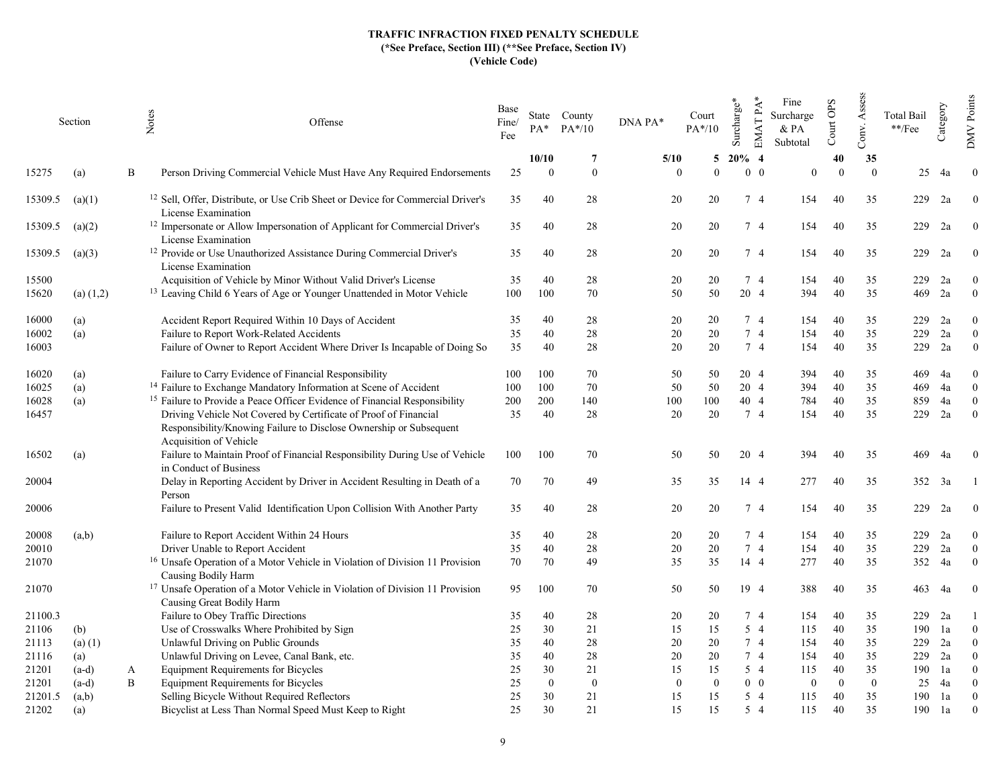|         | Section       |   | Notes<br>Offense                                                                                                                                                 | Base<br>Fine/<br>Fee | PA*      | State County<br>$PA*/10$ | DNA PA*  | Court<br>$PA*/10$ | Surcharge* | $EMATPA*$  | Fine<br>Surcharge<br>$&$ PA<br>Subtotal | Court OPS | Assess<br>Conv. | <b>Total Bail</b><br>$\rm **/Fee$ | Category       | Points<br><b>DMV</b> |
|---------|---------------|---|------------------------------------------------------------------------------------------------------------------------------------------------------------------|----------------------|----------|--------------------------|----------|-------------------|------------|------------|-----------------------------------------|-----------|-----------------|-----------------------------------|----------------|----------------------|
|         |               |   |                                                                                                                                                                  |                      | 10/10    | 7                        | 5/10     | 5                 | $20\%$ 4   |            |                                         | 40        | 35              |                                   |                |                      |
| 15275   | (a)           | B | Person Driving Commercial Vehicle Must Have Any Required Endorsements                                                                                            | 25                   | $\Omega$ | $\Omega$                 | $\Omega$ | $\Omega$          |            | $0\quad 0$ | $\theta$                                | $\Omega$  | $\Omega$        | 25                                | 4a             | $\overline{0}$       |
| 15309.5 | (a)(1)        |   | <sup>12</sup> Sell, Offer, Distribute, or Use Crib Sheet or Device for Commercial Driver's<br>License Examination                                                | 35                   | 40       | 28                       | 20       | 20                |            | 74         | 154                                     | 40        | 35              | 229                               | 2a             | $\theta$             |
| 15309.5 | (a)(2)        |   | <sup>12</sup> Impersonate or Allow Impersonation of Applicant for Commercial Driver's<br>License Examination                                                     | 35                   | 40       | 28                       | 20       | 20                |            | 74         | 154                                     | 40        | 35              | 229                               | 2a             | $\theta$             |
| 15309.5 | (a)(3)        |   | <sup>12</sup> Provide or Use Unauthorized Assistance During Commercial Driver's<br>License Examination                                                           | 35                   | 40       | 28                       | 20       | 20                |            | 74         | 154                                     | 40        | 35              | 229                               | 2a             | $\bf{0}$             |
| 15500   |               |   | Acquisition of Vehicle by Minor Without Valid Driver's License                                                                                                   | 35                   | 40       | 28                       | 20       | 20                |            | 74         | 154                                     | 40        | 35              | 229                               | 2a             | $\theta$             |
| 15620   | $(a)$ $(1,2)$ |   | <sup>13</sup> Leaving Child 6 Years of Age or Younger Unattended in Motor Vehicle                                                                                | 100                  | 100      | 70                       | 50       | 50                |            | 20 4       | 394                                     | 40        | 35              | 469                               | 2a             | $\mathbf{0}$         |
| 16000   | (a)           |   | Accident Report Required Within 10 Days of Accident                                                                                                              | 35                   | 40       | 28                       | 20       | 20                |            | 74         | 154                                     | 40        | 35              | 229                               | 2a             | $\theta$             |
| 16002   | (a)           |   | Failure to Report Work-Related Accidents                                                                                                                         | 35                   | 40       | 28                       | 20       | 20                |            | 74         | 154                                     | 40        | 35              | 229                               | 2a             | $\overline{0}$       |
| 16003   |               |   | Failure of Owner to Report Accident Where Driver Is Incapable of Doing So                                                                                        | 35                   | 40       | 28                       | 20       | 20                |            | 7 4        | 154                                     | 40        | 35              | 229                               | 2a             | $\theta$             |
| 16020   | (a)           |   | Failure to Carry Evidence of Financial Responsibility                                                                                                            | 100                  | 100      | 70                       | 50       | 50                |            | 20 4       | 394                                     | 40        | 35              | 469                               | 4a             | $\theta$             |
| 16025   | (a)           |   | <sup>14</sup> Failure to Exchange Mandatory Information at Scene of Accident                                                                                     | 100                  | 100      | 70                       | 50       | 50                |            | 20 4       | 394                                     | 40        | 35              | 469                               | 4a             | $\theta$             |
| 16028   | (a)           |   | <sup>15</sup> Failure to Provide a Peace Officer Evidence of Financial Responsibility                                                                            | 200                  | 200      | 140                      | 100      | 100               |            | 40 4       | 784                                     | 40        | 35              | 859                               | 4a             | $\theta$             |
| 16457   |               |   | Driving Vehicle Not Covered by Certificate of Proof of Financial<br>Responsibility/Knowing Failure to Disclose Ownership or Subsequent<br>Acquisition of Vehicle | 35                   | 40       | 28                       | 20       | 20                |            | 7 4        | 154                                     | 40        | 35              | 229                               | 2a             | $\mathbf{0}$         |
| 16502   | (a)           |   | Failure to Maintain Proof of Financial Responsibility During Use of Vehicle<br>in Conduct of Business                                                            | 100                  | 100      | 70                       | 50       | 50                |            | 20 4       | 394                                     | 40        | 35              | 469                               | 4a             | $\bf{0}$             |
| 20004   |               |   | Delay in Reporting Accident by Driver in Accident Resulting in Death of a<br>Person                                                                              | 70                   | 70       | 49                       | 35       | 35                |            | 14 4       | 277                                     | 40        | 35              |                                   | $352 \quad 3a$ |                      |
| 20006   |               |   | Failure to Present Valid Identification Upon Collision With Another Party                                                                                        | 35                   | 40       | 28                       | 20       | 20                |            | 7 4        | 154                                     | 40        | 35              | 229                               | 2a             | $\overline{0}$       |
| 20008   | (a,b)         |   | Failure to Report Accident Within 24 Hours                                                                                                                       | 35                   | 40       | 28                       | 20       | 20                |            | 74         | 154                                     | 40        | 35              | 229                               | 2a             | $\overline{0}$       |
| 20010   |               |   | Driver Unable to Report Accident                                                                                                                                 | 35                   | 40       | 28                       | 20       | 20                |            | 7 4        | 154                                     | 40        | 35              | 229                               | 2a             | $\theta$             |
| 21070   |               |   | <sup>16</sup> Unsafe Operation of a Motor Vehicle in Violation of Division 11 Provision<br>Causing Bodily Harm                                                   | 70                   | 70       | 49                       | 35       | 35                |            | 14 4       | 277                                     | 40        | 35              | 352                               | 4a             | $\theta$             |
| 21070   |               |   | <sup>17</sup> Unsafe Operation of a Motor Vehicle in Violation of Division 11 Provision<br>Causing Great Bodily Harm                                             | 95                   | 100      | 70                       | 50       | 50                |            | 19 4       | 388                                     | 40        | 35              | 463                               | 4a             | $\bf{0}$             |
| 21100.3 |               |   | Failure to Obey Traffic Directions                                                                                                                               | 35                   | 40       | 28                       | 20       | 20                |            | 74         | 154                                     | 40        | 35              | 229                               | 2a             |                      |
| 21106   | (b)           |   | Use of Crosswalks Where Prohibited by Sign                                                                                                                       | 25                   | 30       | 21                       | 15       | 15                |            | $5\quad4$  | 115                                     | 40        | 35              | 190                               | 1a             | $\Omega$             |
| 21113   | $(a)$ (1)     |   | Unlawful Driving on Public Grounds                                                                                                                               | 35                   | 40       | 28                       | 20       | 20                |            | 7 4        | 154                                     | 40        | 35              | 229                               | 2a             | $\theta$             |
| 21116   | (a)           |   | Unlawful Driving on Levee, Canal Bank, etc.                                                                                                                      | 35                   | 40       | 28                       | 20       | 20                |            | 7 4        | 154                                     | 40        | 35              | 229                               | 2a             | $\Omega$             |
| 21201   | $(a-d)$       | A | <b>Equipment Requirements for Bicycles</b>                                                                                                                       | 25                   | 30       | 21                       | 15       | 15                |            | 5 4        | 115                                     | 40        | 35              | 190                               | 1a             | $\theta$             |
| 21201   | $(a-d)$       | B | <b>Equipment Requirements for Bicycles</b>                                                                                                                       | 25                   | $\Omega$ | $\mathbf{0}$             | $\Omega$ | $\Omega$          |            | $0\quad 0$ | $\mathbf{0}$                            | $\Omega$  | $\mathbf{0}$    | 25                                | 4a             | $\theta$             |
| 21201.5 | (a,b)         |   | Selling Bicycle Without Required Reflectors                                                                                                                      | 25                   | 30       | 21                       | 15       | 15                |            | $5\quad4$  | 115                                     | 40        | 35              | 190                               | 1a             | $\theta$             |
| 21202   | (a)           |   | Bicyclist at Less Than Normal Speed Must Keep to Right                                                                                                           | 25                   | 30       | 21                       | 15       | 15                |            | 5 4        | 115                                     | 40        | 35              | 190                               | 1a             | $\theta$             |
|         |               |   |                                                                                                                                                                  |                      |          |                          |          |                   |            |            |                                         |           |                 |                                   |                |                      |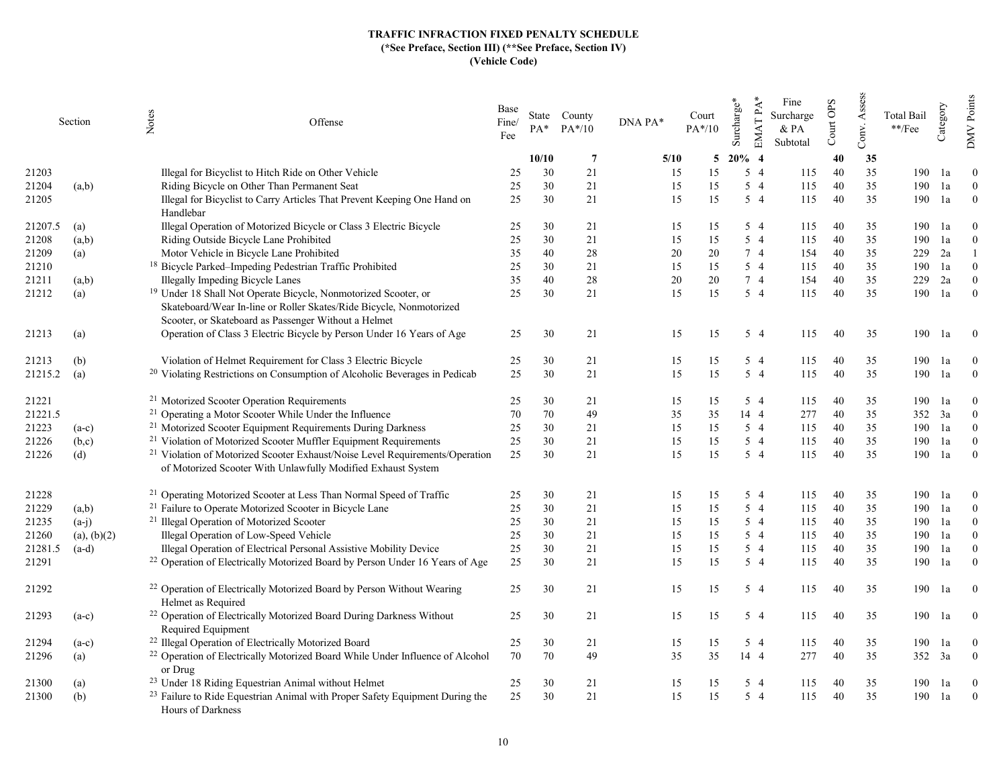|         | Section     | Notes<br>Offense                                                                                                                                                                                          | Base<br>Fine/<br>Fee | $PA^*$ | State County<br>$PA*/10$ | DNA PA* | Court<br>$PA*/10$ | $EMATPA*$<br>Surcharge* | Fine<br>Surcharge<br>& PA<br>Subtotal | Court OPS | Assess<br>Conv. | Total Bail<br>$\rm **/Fee$ | Category | Points<br>$\sqrt{\rm MW}$ |
|---------|-------------|-----------------------------------------------------------------------------------------------------------------------------------------------------------------------------------------------------------|----------------------|--------|--------------------------|---------|-------------------|-------------------------|---------------------------------------|-----------|-----------------|----------------------------|----------|---------------------------|
|         |             |                                                                                                                                                                                                           |                      | 10/10  | $\overline{7}$           | 5/10    | 5                 | $20\%$ 4                |                                       | 40        | 35              |                            |          |                           |
| 21203   |             | Illegal for Bicyclist to Hitch Ride on Other Vehicle                                                                                                                                                      | 25                   | 30     | 21                       | 15      | 15                | 5 4                     | 115                                   | 40        | 35              | 190                        | 1a       | $\theta$                  |
| 21204   | (a,b)       | Riding Bicycle on Other Than Permanent Seat                                                                                                                                                               | 25                   | 30     | 21                       | 15      | 15                | $5\quad4$               | 115                                   | 40        | 35              | 190                        | 1a       | $\mathbf{0}$              |
| 21205   |             | Illegal for Bicyclist to Carry Articles That Prevent Keeping One Hand on<br>Handlebar                                                                                                                     | 25                   | 30     | 21                       | 15      | 15                | $5\quad4$               | 115                                   | 40        | 35              | 190                        | 1a       | $\mathbf{0}$              |
| 21207.5 | (a)         | Illegal Operation of Motorized Bicycle or Class 3 Electric Bicycle                                                                                                                                        | 25                   | 30     | 21                       | 15      | 15                | 5 4                     | 115                                   | 40        | 35              | 190                        | 1a       | $\Omega$                  |
| 21208   | (a,b)       | Riding Outside Bicycle Lane Prohibited                                                                                                                                                                    | 25                   | 30     | 21                       | 15      | 15                | $5\quad4$               | 115                                   | 40        | 35              | 190                        | 1a       | $\mathbf{0}$              |
| 21209   | (a)         | Motor Vehicle in Bicycle Lane Prohibited                                                                                                                                                                  | 35                   | 40     | 28                       | 20      | 20                | 7 4                     | 154                                   | 40        | 35              | 229                        | 2a       |                           |
| 21210   |             | <sup>18</sup> Bicycle Parked-Impeding Pedestrian Traffic Prohibited                                                                                                                                       | 25                   | 30     | 21                       | 15      | 15                | 5 4                     | 115                                   | 40        | 35              | 190                        | 1a       | $\Omega$                  |
| 21211   | (a,b)       | Illegally Impeding Bicycle Lanes                                                                                                                                                                          | 35                   | 40     | 28                       | $20\,$  | 20                | 74                      | 154                                   | 40        | 35              | 229                        | 2a       | $\theta$                  |
| 21212   | (a)         | <sup>19</sup> Under 18 Shall Not Operate Bicycle, Nonmotorized Scooter, or<br>Skateboard/Wear In-line or Roller Skates/Ride Bicycle, Nonmotorized<br>Scooter, or Skateboard as Passenger Without a Helmet | 25                   | 30     | 21                       | 15      | 15                | 5 4                     | 115                                   | 40        | 35              | 190                        | 1a       | $\mathbf{0}$              |
| 21213   | (a)         | Operation of Class 3 Electric Bicycle by Person Under 16 Years of Age                                                                                                                                     | 25                   | 30     | 21                       | 15      | 15                | $5\quad4$               | 115                                   | 40        | 35              | 190                        | 1a       | $\overline{0}$            |
| 21213   | (b)         | Violation of Helmet Requirement for Class 3 Electric Bicycle                                                                                                                                              | 25                   | 30     | 21                       | 15      | 15                | $5\quad4$               | 115                                   | 40        | 35              | 190                        | 1a       | $\Omega$                  |
| 21215.2 | (a)         | <sup>20</sup> Violating Restrictions on Consumption of Alcoholic Beverages in Pedicab                                                                                                                     | 25                   | 30     | 21                       | 15      | 15                | $5\quad4$               | 115                                   | 40        | 35              | 190                        | 1a       | $\mathbf{0}$              |
| 21221   |             | <sup>21</sup> Motorized Scooter Operation Requirements                                                                                                                                                    | 25                   | 30     | 21                       | 15      | 15                | 5 4                     | 115                                   | 40        | 35              | 190                        | 1a       | $\Omega$                  |
| 21221.5 |             | <sup>21</sup> Operating a Motor Scooter While Under the Influence                                                                                                                                         | 70                   | 70     | 49                       | 35      | 35                | 14 4                    | 277                                   | 40        | 35              | 352                        | 3a       | $\overline{0}$            |
| 21223   | $(a-c)$     | <sup>21</sup> Motorized Scooter Equipment Requirements During Darkness                                                                                                                                    | 25                   | 30     | 21                       | 15      | 15                | 5 4                     | 115                                   | 40        | 35              | 190                        | 1a       | $\theta$                  |
| 21226   | (b,c)       | <sup>21</sup> Violation of Motorized Scooter Muffler Equipment Requirements                                                                                                                               | 25                   | 30     | 21                       | 15      | 15                | $5\quad4$               | 115                                   | 40        | 35              | 190                        | 1a       | $\theta$                  |
| 21226   | (d)         | <sup>21</sup> Violation of Motorized Scooter Exhaust/Noise Level Requirements/Operation<br>of Motorized Scooter With Unlawfully Modified Exhaust System                                                   | 25                   | 30     | 21                       | 15      | 15                | $5\quad4$               | 115                                   | 40        | 35              | 190                        | 1a       | $\theta$                  |
| 21228   |             | <sup>21</sup> Operating Motorized Scooter at Less Than Normal Speed of Traffic                                                                                                                            | 25                   | 30     | 21                       | 15      | 15                | 5 4                     | 115                                   | 40        | 35              | 190                        | 1a       | $\theta$                  |
| 21229   | (a,b)       | <sup>21</sup> Failure to Operate Motorized Scooter in Bicycle Lane                                                                                                                                        | 25                   | 30     | 21                       | 15      | 15                | $5\quad4$               | 115                                   | 40        | 35              | 190                        | 1a       | $\overline{0}$            |
| 21235   | $(a-i)$     | <sup>21</sup> Illegal Operation of Motorized Scooter                                                                                                                                                      | 25                   | 30     | 21                       | 15      | 15                | $5\quad4$               | 115                                   | 40        | 35              | 190                        | 1a       | $\Omega$                  |
| 21260   | (a), (b)(2) | Illegal Operation of Low-Speed Vehicle                                                                                                                                                                    | 25                   | 30     | 21                       | 15      | 15                | 5 4                     | 115                                   | 40        | 35              | 190                        | 1a       | $\Omega$                  |
| 21281.5 | $(a-d)$     | Illegal Operation of Electrical Personal Assistive Mobility Device                                                                                                                                        | 25                   | 30     | 21                       | 15      | 15                | 5 4                     | 115                                   | 40        | 35              | 190                        | 1a       | $\theta$                  |
| 21291   |             | <sup>22</sup> Operation of Electrically Motorized Board by Person Under 16 Years of Age                                                                                                                   | 25                   | 30     | 21                       | 15      | 15                | $5\quad4$               | 115                                   | 40        | 35              | 190                        | 1a       | $\theta$                  |
| 21292   |             | <sup>22</sup> Operation of Electrically Motorized Board by Person Without Wearing<br>Helmet as Required                                                                                                   | 25                   | 30     | 21                       | 15      | 15                | 5 4                     | 115                                   | 40        | 35              | 190                        | 1a       | $\overline{0}$            |
| 21293   | $(a-c)$     | <sup>22</sup> Operation of Electrically Motorized Board During Darkness Without<br>Required Equipment                                                                                                     | 25                   | 30     | 21                       | 15      | 15                | 5 4                     | 115                                   | 40        | 35              | 190                        | 1a       | $\overline{0}$            |
| 21294   | $(a-c)$     | <sup>22</sup> Illegal Operation of Electrically Motorized Board                                                                                                                                           | 25                   | 30     | 21                       | 15      | 15                | 5 4                     | 115                                   | 40        | 35              | 190                        | 1a       | $\bf{0}$                  |
| 21296   | (a)         | <sup>22</sup> Operation of Electrically Motorized Board While Under Influence of Alcohol<br>or Drug                                                                                                       | 70                   | 70     | 49                       | 35      | 35                | 14 4                    | 277                                   | 40        | 35              | 352                        | 3a       | $\mathbf{0}$              |
| 21300   | (a)         | <sup>23</sup> Under 18 Riding Equestrian Animal without Helmet                                                                                                                                            | 25                   | 30     | 21                       | 15      | 15                | $5\quad4$               | 115                                   | 40        | 35              | 190                        | 1a       | $\theta$                  |
| 21300   | (b)         | <sup>23</sup> Failure to Ride Equestrian Animal with Proper Safety Equipment During the<br>Hours of Darkness                                                                                              | 25                   | 30     | 21                       | 15      | 15                | $5\quad4$               | 115                                   | 40        | 35              | 190                        | 1a       | $\overline{0}$            |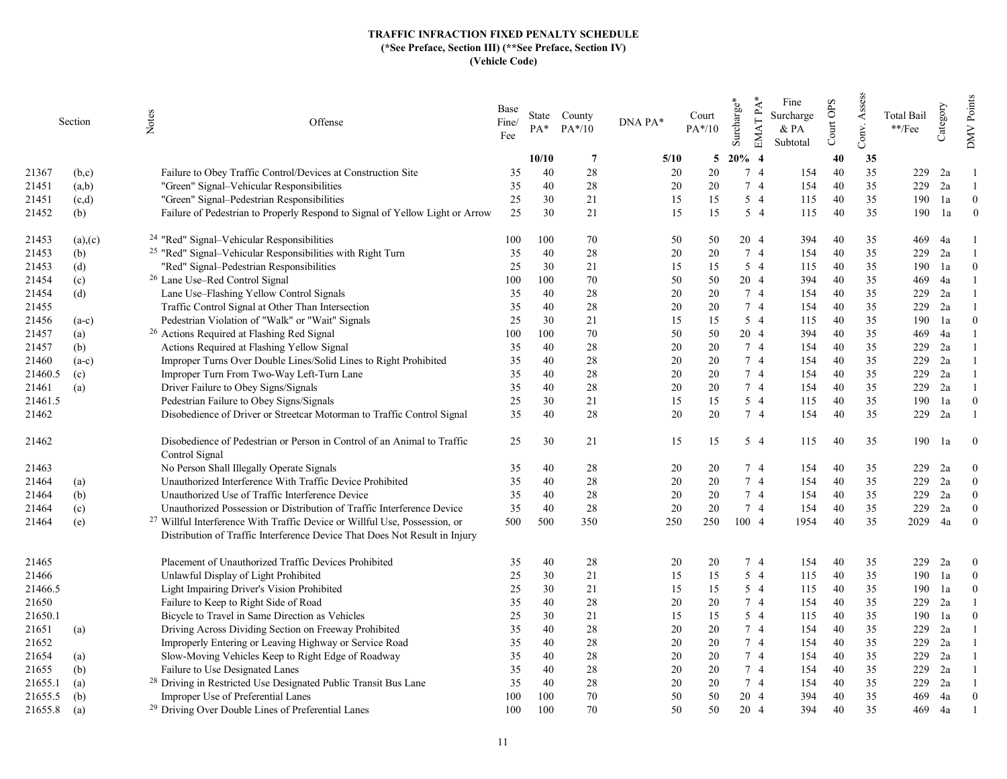|         | Section | Notes<br>Offense                                                                          | Base<br>Fine/<br>Fee | PA*   | State County<br>$PA*/10$ | DNA PA* | Court<br>$PA*/10$ | $EMATPA*$<br>Surcharge* | Fine<br>Surcharge<br>& PA<br>Subtotal | Court OPS | Assess<br>Conv. | Total Bail<br>$\rm **/Fee$ | Category | Points<br><b>NNO</b> |
|---------|---------|-------------------------------------------------------------------------------------------|----------------------|-------|--------------------------|---------|-------------------|-------------------------|---------------------------------------|-----------|-----------------|----------------------------|----------|----------------------|
|         |         |                                                                                           |                      | 10/10 | $\overline{7}$           | 5/10    | 5                 | $20%$ 4                 |                                       | 40        | 35              |                            |          |                      |
| 21367   | (b,c)   | Failure to Obey Traffic Control/Devices at Construction Site                              | 35                   | 40    | 28                       | 20      | 20                | 74                      | 154                                   | 40        | 35              | 229                        | 2a       |                      |
| 21451   | (a,b)   | "Green" Signal-Vehicular Responsibilities                                                 | 35                   | 40    | 28                       | 20      | 20                | 7 4                     | 154                                   | 40        | 35              | 229                        | 2a       |                      |
| 21451   | (c,d)   | "Green" Signal-Pedestrian Responsibilities                                                | 25                   | 30    | 21                       | 15      | 15                | $5\quad4$               | 115                                   | 40        | 35              | 190                        | 1a       | $\mathbf{0}$         |
| 21452   | (b)     | Failure of Pedestrian to Properly Respond to Signal of Yellow Light or Arrow              | 25                   | 30    | 21                       | 15      | 15                | $5\quad4$               | 115                                   | 40        | 35              | 190                        | 1a       | $\mathbf{0}$         |
| 21453   | (a),(c) | <sup>24</sup> "Red" Signal-Vehicular Responsibilities                                     | 100                  | 100   | 70                       | 50      | 50                | 20 4                    | 394                                   | 40        | 35              | 469                        | 4a       |                      |
| 21453   | (b)     | <sup>25</sup> "Red" Signal-Vehicular Responsibilities with Right Turn                     | 35                   | 40    | 28                       | 20      | 20                | 7 4                     | 154                                   | 40        | 35              | 229                        | 2a       |                      |
| 21453   | (d)     | "Red" Signal-Pedestrian Responsibilities                                                  | 25                   | 30    | 21                       | 15      | 15                | $5\quad4$               | 115                                   | 40        | 35              | 190                        | 1a       | $\Omega$             |
| 21454   | (c)     | <sup>26</sup> Lane Use–Red Control Signal                                                 | 100                  | 100   | 70                       | 50      | 50                | 20 4                    | 394                                   | 40        | 35              | 469                        | 4a       |                      |
| 21454   | (d)     | Lane Use-Flashing Yellow Control Signals                                                  | 35                   | 40    | 28                       | 20      | 20                | 7 4                     | 154                                   | 40        | 35              | 229                        | 2a       |                      |
| 21455   |         | Traffic Control Signal at Other Than Intersection                                         | 35                   | 40    | 28                       | 20      | 20                | 7 4                     | 154                                   | 40        | 35              | 229                        | 2a       |                      |
| 21456   | $(a-c)$ | Pedestrian Violation of "Walk" or "Wait" Signals                                          | 25                   | 30    | 21                       | 15      | 15                | $5\quad4$               | 115                                   | 40        | 35              | 190                        | 1a       | $\Omega$             |
| 21457   | (a)     | <sup>26</sup> Actions Required at Flashing Red Signal                                     | 100                  | 100   | 70                       | 50      | 50                | 20 4                    | 394                                   | 40        | 35              | 469                        | 4a       |                      |
| 21457   | (b)     | Actions Required at Flashing Yellow Signal                                                | 35                   | 40    | 28                       | 20      | 20                | 7 4                     | 154                                   | 40        | 35              | 229                        | 2a       |                      |
| 21460   | $(a-c)$ | Improper Turns Over Double Lines/Solid Lines to Right Prohibited                          | 35                   | 40    | 28                       | 20      | 20                | 7 4                     | 154                                   | 40        | 35              | 229                        | 2a       |                      |
| 21460.5 | (c)     | Improper Turn From Two-Way Left-Turn Lane                                                 | 35                   | 40    | 28                       | 20      | 20                | 7 4                     | 154                                   | 40        | 35              | 229                        | 2a       |                      |
| 21461   | (a)     | Driver Failure to Obey Signs/Signals                                                      | 35                   | 40    | 28                       | 20      | 20                | 7 4                     | 154                                   | 40        | 35              | 229                        | 2a       |                      |
| 21461.5 |         | Pedestrian Failure to Obey Signs/Signals                                                  | 25                   | 30    | 21                       | 15      | 15                | $5\quad4$               | 115                                   | 40        | 35              | 190                        | 1a       | $\theta$             |
| 21462   |         | Disobedience of Driver or Streetcar Motorman to Traffic Control Signal                    | 35                   | 40    | 28                       | 20      | 20                | 74                      | 154                                   | 40        | 35              | 229                        | 2a       |                      |
| 21462   |         | Disobedience of Pedestrian or Person in Control of an Animal to Traffic<br>Control Signal | 25                   | 30    | 21                       | 15      | 15                | $5\quad4$               | 115                                   | 40        | 35              | 190                        | 1a       | $\boldsymbol{0}$     |
| 21463   |         | No Person Shall Illegally Operate Signals                                                 | 35                   | 40    | 28                       | 20      | 20                | 74                      | 154                                   | 40        | 35              | 229                        | 2a       | $\theta$             |
| 21464   | (a)     | Unauthorized Interference With Traffic Device Prohibited                                  | 35                   | 40    | 28                       | 20      | 20                | 7 4                     | 154                                   | 40        | 35              | 229                        | 2a       | $\overline{0}$       |
| 21464   | (b)     | Unauthorized Use of Traffic Interference Device                                           | 35                   | 40    | 28                       | 20      | 20                | 7 4                     | 154                                   | 40        | 35              | 229                        | 2a       | $\overline{0}$       |
| 21464   | (c)     | Unauthorized Possession or Distribution of Traffic Interference Device                    | 35                   | 40    | 28                       | 20      | 20                | 7 4                     | 154                                   | 40        | 35              | 229                        | 2a       | $\mathbf{0}$         |
| 21464   | (e)     | <sup>27</sup> Willful Interference With Traffic Device or Willful Use, Possession, or     | 500                  | 500   | 350                      | 250     | 250               | 100 4                   | 1954                                  | 40        | 35              | 2029                       | 4a       | $\theta$             |
|         |         | Distribution of Traffic Interference Device That Does Not Result in Injury                |                      |       |                          |         |                   |                         |                                       |           |                 |                            |          |                      |
| 21465   |         | Placement of Unauthorized Traffic Devices Prohibited                                      | 35                   | 40    | 28                       | 20      | 20                | 74                      | 154                                   | 40        | 35              | 229                        | 2a       | $\theta$             |
| 21466   |         | Unlawful Display of Light Prohibited                                                      | 25                   | 30    | 21                       | 15      | 15                | $5\quad4$               | 115                                   | 40        | 35              | 190                        | 1a       | $\overline{0}$       |
| 21466.5 |         | Light Impairing Driver's Vision Prohibited                                                | 25                   | 30    | 21                       | 15      | 15                | $5\quad4$               | 115                                   | 40        | 35              | 190                        | 1a       | $\theta$             |
| 21650   |         | Failure to Keep to Right Side of Road                                                     | 35                   | 40    | 28                       | 20      | 20                | 7 4                     | 154                                   | 40        | 35              | 229                        | 2a       |                      |
| 21650.1 |         | Bicycle to Travel in Same Direction as Vehicles                                           | 25                   | 30    | 21                       | 15      | 15                | 5 4                     | 115                                   | 40        | 35              | 190                        | 1a       | $\theta$             |
| 21651   | (a)     | Driving Across Dividing Section on Freeway Prohibited                                     | 35                   | 40    | 28                       | 20      | 20                | 7 4                     | 154                                   | 40        | 35              | 229                        | 2a       |                      |
| 21652   |         | Improperly Entering or Leaving Highway or Service Road                                    | 35                   | 40    | 28                       | 20      | 20                | 7 4                     | 154                                   | 40        | 35              | 229                        | 2a       |                      |
| 21654   | (a)     | Slow-Moving Vehicles Keep to Right Edge of Roadway                                        | 35                   | 40    | 28                       | 20      | 20                | 7 4                     | 154                                   | 40        | 35              | 229                        | 2a       |                      |
| 21655   | (b)     | Failure to Use Designated Lanes                                                           | 35                   | 40    | 28                       | 20      | 20                | 7 4                     | 154                                   | 40        | 35              | 229                        | 2a       |                      |
| 21655.1 | (a)     | <sup>28</sup> Driving in Restricted Use Designated Public Transit Bus Lane                | 35                   | 40    | 28                       | 20      | 20                | 74                      | 154                                   | 40        | 35              | 229                        | 2a       |                      |
| 21655.5 | (b)     | Improper Use of Preferential Lanes                                                        | 100                  | 100   | 70                       | 50      | 50                | 20 4                    | 394                                   | 40        | 35              | 469                        | 4a       | $\overline{0}$       |
| 21655.8 | (a)     | <sup>29</sup> Driving Over Double Lines of Preferential Lanes                             | 100                  | 100   | 70                       | 50      | 50                | 20 4                    | 394                                   | 40        | 35              | 469                        | 4a       |                      |
|         |         |                                                                                           |                      |       |                          |         |                   |                         |                                       |           |                 |                            |          |                      |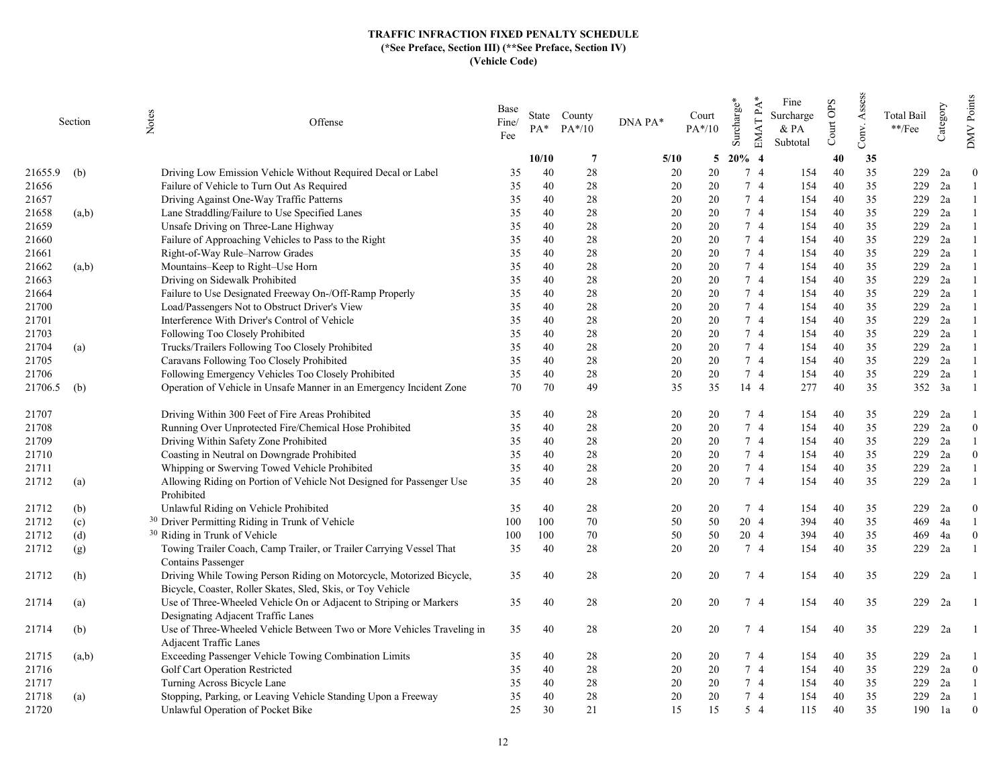|         | Section | Notes<br>Offense                                                                   | Base<br>Fine/<br>Fee | PA*   | State County<br>$PA*/10$ | DNA PA*  | Court<br>PA*/10 | EMAT PA*<br>Surcharge* | Fine<br>Surcharge<br>& PA<br>Subtotal | Court OPS | Assess<br>Conv. | Total Bail<br>$\rm **/Fee$ | Category | Points<br>$\sqrt{\rm M}{\rm M}$ |
|---------|---------|------------------------------------------------------------------------------------|----------------------|-------|--------------------------|----------|-----------------|------------------------|---------------------------------------|-----------|-----------------|----------------------------|----------|---------------------------------|
|         |         |                                                                                    |                      | 10/10 | -7                       | 5/10     | 5               | $20\%$ 4               |                                       | 40        | 35              |                            |          |                                 |
| 21655.9 | (b)     | Driving Low Emission Vehicle Without Required Decal or Label                       | 35                   | 40    | 28                       | 20       | 20              | 7 4                    | 154                                   | 40        | 35              | 229                        | 2a       | $\theta$                        |
| 21656   |         | Failure of Vehicle to Turn Out As Required                                         | 35                   | 40    | 28                       | 20       | 20              | 7 4                    | 154                                   | 40        | 35              | 229                        | 2a       |                                 |
| 21657   |         | Driving Against One-Way Traffic Patterns                                           | 35                   | 40    | 28                       | 20       | 20              | 7 <sub>4</sub>         | 154                                   | 40        | 35              | 229                        | 2a       |                                 |
| 21658   | (a,b)   | Lane Straddling/Failure to Use Specified Lanes                                     | 35                   | 40    | 28                       | 20       | 20              | 74                     | 154                                   | 40        | 35              | 229                        | 2a       |                                 |
| 21659   |         | Unsafe Driving on Three-Lane Highway                                               | 35                   | 40    | 28                       | 20       | 20              | 7 4                    | 154                                   | 40        | 35              | 229                        | 2a       |                                 |
| 21660   |         | Failure of Approaching Vehicles to Pass to the Right                               | 35                   | 40    | 28                       | 20       | 20              | 7 4                    | 154                                   | 40        | 35              | 229                        | 2a       |                                 |
| 21661   |         | Right-of-Way Rule-Narrow Grades                                                    | 35                   | 40    | 28                       | 20       | 20              | 7 4                    | 154                                   | 40        | 35              | 229                        | 2a       |                                 |
| 21662   | (a,b)   | Mountains-Keep to Right-Use Horn                                                   | 35                   | 40    | 28                       | 20       | 20              | 74                     | 154                                   | 40        | 35              | 229                        | 2a       |                                 |
| 21663   |         | Driving on Sidewalk Prohibited                                                     | 35                   | 40    | 28                       | 20       | 20              | 7 4                    | 154                                   | 40        | 35              | 229                        | 2a       |                                 |
| 21664   |         | Failure to Use Designated Freeway On-/Off-Ramp Properly                            | 35                   | 40    | 28                       | 20       | 20              | 7 4                    | 154                                   | 40        | 35              | 229                        | 2a       |                                 |
| 21700   |         | Load/Passengers Not to Obstruct Driver's View                                      | 35                   | 40    | 28                       | 20       | 20              | 7 4                    | 154                                   | 40        | 35              | 229                        | 2a       |                                 |
| 21701   |         | Interference With Driver's Control of Vehicle                                      | 35                   | 40    | 28                       | 20       | 20              | 7 4                    | 154                                   | 40        | 35              | 229                        | 2a       |                                 |
| 21703   |         | Following Too Closely Prohibited                                                   | 35                   | 40    | 28                       | 20       | 20              | 74                     | 154                                   | 40        | 35              | 229                        | 2a       |                                 |
| 21704   | (a)     | Trucks/Trailers Following Too Closely Prohibited                                   | 35                   | 40    | 28                       | 20       | 20              | 7 4                    | 154                                   | 40        | 35              | 229                        | 2a       |                                 |
| 21705   |         | Caravans Following Too Closely Prohibited                                          | 35                   | 40    | 28                       | 20       | 20              | 7 4                    | 154                                   | 40        | 35              | 229                        | 2a       |                                 |
| 21706   |         | Following Emergency Vehicles Too Closely Prohibited                                | 35                   | 40    | 28                       | 20       | 20              | 7 4                    | 154                                   | 40        | 35              | 229                        | 2a       |                                 |
| 21706.5 | (b)     | Operation of Vehicle in Unsafe Manner in an Emergency Incident Zone                | 70                   | 70    | 49                       | 35       | 35              | 14 4                   | 277                                   | 40        | 35              |                            | 352 3a   |                                 |
|         |         |                                                                                    |                      |       |                          |          |                 |                        |                                       |           | 35              | 229                        |          |                                 |
| 21707   |         | Driving Within 300 Feet of Fire Areas Prohibited                                   | 35                   | 40    | 28<br>28                 | 20<br>20 | 20<br>20        | 74<br>7 4              | 154                                   | 40<br>40  | 35              |                            | 2a<br>2a | $\overline{0}$                  |
| 21708   |         | Running Over Unprotected Fire/Chemical Hose Prohibited                             | 35                   | 40    |                          | 20       | 20              |                        | 154                                   |           |                 | 229<br>229                 |          |                                 |
| 21709   |         | Driving Within Safety Zone Prohibited                                              | 35                   | 40    | 28                       |          |                 | 7 4                    | 154                                   | 40        | 35              |                            | 2a       |                                 |
| 21710   |         | Coasting in Neutral on Downgrade Prohibited                                        | 35                   | 40    | 28                       | 20       | 20              | 7 4                    | 154                                   | 40        | 35              | 229                        | 2a       | $\Omega$                        |
| 21711   |         | Whipping or Swerving Towed Vehicle Prohibited                                      | 35                   | 40    | 28                       | 20       | 20              | 7 4                    | 154                                   | 40        | 35              | 229                        | 2a       |                                 |
| 21712   | (a)     | Allowing Riding on Portion of Vehicle Not Designed for Passenger Use<br>Prohibited | 35                   | 40    | 28                       | 20       | 20              | 7 4                    | 154                                   | 40        | 35              | 229                        | 2a       |                                 |
| 21712   | (b)     | Unlawful Riding on Vehicle Prohibited                                              | 35                   | 40    | 28                       | 20       | 20              | 7 4                    | 154                                   | 40        | 35              | 229                        | 2a       | $\bf{0}$                        |
| 21712   | (c)     | <sup>30</sup> Driver Permitting Riding in Trunk of Vehicle                         | 100                  | 100   | 70                       | 50       | 50              | 20 4                   | 394                                   | 40        | 35              | 469                        | 4a       |                                 |
| 21712   | (d)     | <sup>30</sup> Riding in Trunk of Vehicle                                           | 100                  | 100   | 70                       | 50       | 50              | 20 4                   | 394                                   | 40        | 35              | 469                        | 4a       | $\theta$                        |
| 21712   | (g)     | Towing Trailer Coach, Camp Trailer, or Trailer Carrying Vessel That                | 35                   | 40    | 28                       | 20       | 20              | 74                     | 154                                   | 40        | 35              | 229                        | 2a       |                                 |
|         |         | Contains Passenger                                                                 |                      |       |                          |          |                 |                        |                                       |           |                 |                            |          |                                 |
| 21712   | (h)     | Driving While Towing Person Riding on Motorcycle, Motorized Bicycle,               | 35                   | 40    | 28                       | 20       | 20              | 74                     | 154                                   | 40        | 35              | 229                        | 2a       |                                 |
|         |         | Bicycle, Coaster, Roller Skates, Sled, Skis, or Toy Vehicle                        |                      |       |                          |          |                 |                        |                                       |           |                 |                            |          |                                 |
| 21714   | (a)     | Use of Three-Wheeled Vehicle On or Adjacent to Striping or Markers                 | 35                   | 40    | 28                       | 20       | 20              | 74                     | 154                                   | 40        | 35              | 229                        | 2a       |                                 |
|         |         | Designating Adjacent Traffic Lanes                                                 |                      |       |                          |          |                 |                        |                                       |           |                 |                            |          |                                 |
| 21714   | (b)     | Use of Three-Wheeled Vehicle Between Two or More Vehicles Traveling in             | 35                   | 40    | 28                       | 20       | 20              | 74                     | 154                                   | 40        | 35              | 229                        | 2a       |                                 |
|         |         | Adjacent Traffic Lanes                                                             |                      |       |                          |          |                 |                        |                                       |           |                 |                            |          |                                 |
| 21715   | (a,b)   | Exceeding Passenger Vehicle Towing Combination Limits                              | 35                   | 40    | 28                       | 20       | 20              | 74<br>7 4              | 154                                   | 40<br>40  | 35              | 229<br>229                 | 2a       | $\theta$                        |
| 21716   |         | Golf Cart Operation Restricted                                                     | 35                   | 40    | 28                       | 20       | 20              |                        | 154                                   |           | 35<br>35        |                            | 2a       |                                 |
| 21717   |         | Turning Across Bicycle Lane                                                        | 35                   | 40    | 28                       | 20       | 20              | 7 4<br>7 4             | 154                                   | 40        |                 | 229                        | 2a       |                                 |
| 21718   | (a)     | Stopping, Parking, or Leaving Vehicle Standing Upon a Freeway                      | 35                   | 40    | 28                       | 20       | 20              |                        | 154                                   | 40        | 35              | 229                        | 2a       |                                 |
| 21720   |         | Unlawful Operation of Pocket Bike                                                  | 25                   | 30    | 21                       | 15       | 15              | $5\quad4$              | 115                                   | 40        | 35              | 190                        | 1a       | $\theta$                        |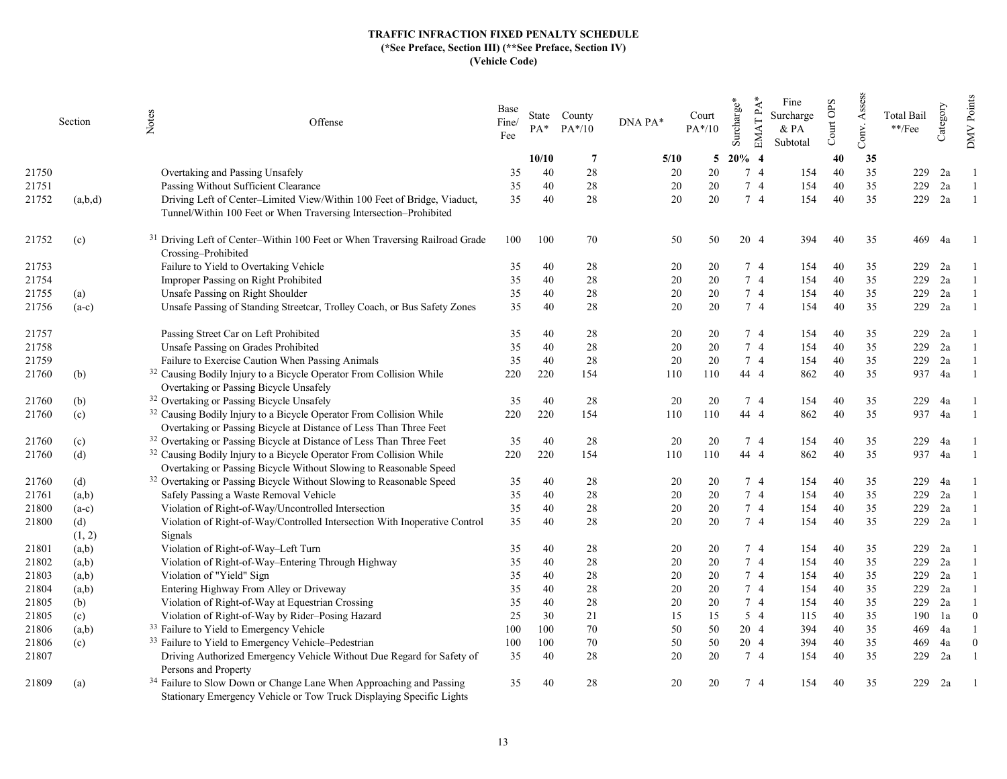|       | Section | Notes<br>Offense                                                                                                                                       | Base<br>Fine/<br>Fee | PA*   | State County<br>$PA*/10$ | DNA PA* | Court<br>$PA*/10$ | Surcharge* | EMAT PA*<br>Fine<br>Surcharge<br>& PA<br>Subtotal | Court OPS | Assess<br>Conv. | <b>Total Bail</b><br>$**$ /Fee | Category | Points<br><b>NNO</b> |
|-------|---------|--------------------------------------------------------------------------------------------------------------------------------------------------------|----------------------|-------|--------------------------|---------|-------------------|------------|---------------------------------------------------|-----------|-----------------|--------------------------------|----------|----------------------|
|       |         |                                                                                                                                                        |                      | 10/10 | -7                       | 5/10    | 5                 | $20\%$ 4   |                                                   | 40        | 35              |                                |          |                      |
| 21750 |         | Overtaking and Passing Unsafely                                                                                                                        | 35                   | 40    | 28                       | 20      | 20                | 7 4        | 154                                               | 40        | 35              | 229                            | 2a       |                      |
| 21751 |         | Passing Without Sufficient Clearance                                                                                                                   | 35                   | 40    | 28                       | 20      | 20                | 7 4        | 154                                               | 40        | 35              | 229                            | 2a       |                      |
| 21752 | (a,b,d) | Driving Left of Center-Limited View/Within 100 Feet of Bridge, Viaduct,<br>Tunnel/Within 100 Feet or When Traversing Intersection-Prohibited           | 35                   | 40    | 28                       | 20      | 20                | 74         | 154                                               | 40        | 35              | 229                            | 2a       |                      |
| 21752 | (c)     | <sup>31</sup> Driving Left of Center-Within 100 Feet or When Traversing Railroad Grade<br>Crossing-Prohibited                                          | 100                  | 100   | 70                       | 50      | 50                | 20 4       | 394                                               | 40        | 35              | 469                            | 4a       |                      |
| 21753 |         | Failure to Yield to Overtaking Vehicle                                                                                                                 | 35                   | 40    | 28                       | 20      | 20                | 7 4        | 154                                               | 40        | 35              | 229                            | 2a       |                      |
| 21754 |         | Improper Passing on Right Prohibited                                                                                                                   | 35                   | 40    | 28                       | 20      | 20                | 74         | 154                                               | 40        | 35              | 229                            | 2a       |                      |
| 21755 | (a)     | Unsafe Passing on Right Shoulder                                                                                                                       | 35                   | 40    | 28                       | 20      | 20                | 7 4        | 154                                               | 40        | 35              | 229                            | 2a       |                      |
| 21756 | $(a-c)$ | Unsafe Passing of Standing Streetcar, Trolley Coach, or Bus Safety Zones                                                                               | 35                   | 40    | 28                       | 20      | 20                | 7 4        | 154                                               | 40        | 35              | 229                            | 2a       |                      |
| 21757 |         | Passing Street Car on Left Prohibited                                                                                                                  | 35                   | 40    | 28                       | 20      | 20                | 7 4        | 154                                               | 40        | 35              | 229                            | 2a       |                      |
| 21758 |         | Unsafe Passing on Grades Prohibited                                                                                                                    | 35                   | 40    | 28                       | 20      | 20                | 74         | 154                                               | 40        | 35              | 229                            | 2a       |                      |
| 21759 |         | Failure to Exercise Caution When Passing Animals                                                                                                       | 35                   | 40    | 28                       | 20      | 20                | 7 4        | 154                                               | 40        | 35              | 229                            | 2a       |                      |
| 21760 | (b)     | <sup>32</sup> Causing Bodily Injury to a Bicycle Operator From Collision While                                                                         | 220                  | 220   | 154                      | 110     | 110               | 44 4       | 862                                               | 40        | 35              | 937                            | 4a       |                      |
|       |         | Overtaking or Passing Bicycle Unsafely                                                                                                                 |                      |       |                          |         |                   |            |                                                   |           |                 |                                |          |                      |
| 21760 | (b)     | <sup>32</sup> Overtaking or Passing Bicycle Unsafely                                                                                                   | 35                   | 40    | 28                       | 20      | 20                | 7 4        | 154                                               | 40        | 35              | 229                            | 4a       |                      |
| 21760 | (c)     | <sup>32</sup> Causing Bodily Injury to a Bicycle Operator From Collision While                                                                         | 220                  | 220   | 154                      | 110     | 110               | 44 4       | 862                                               | 40        | 35              | 937                            | 4a       |                      |
|       |         | Overtaking or Passing Bicycle at Distance of Less Than Three Feet                                                                                      |                      |       |                          |         |                   |            |                                                   |           |                 |                                |          |                      |
| 21760 | (c)     | <sup>32</sup> Overtaking or Passing Bicycle at Distance of Less Than Three Feet                                                                        | 35                   | 40    | 28                       | 20      | 20                | 7 4        | 154                                               | 40        | 35              | 229                            | 4a       |                      |
| 21760 | (d)     | <sup>32</sup> Causing Bodily Injury to a Bicycle Operator From Collision While<br>Overtaking or Passing Bicycle Without Slowing to Reasonable Speed    | 220                  | 220   | 154                      | 110     | 110               | 44 4       | 862                                               | 40        | 35              | 937                            | 4a       |                      |
| 21760 | (d)     | <sup>32</sup> Overtaking or Passing Bicycle Without Slowing to Reasonable Speed                                                                        | 35                   | 40    | 28                       | 20      | 20                | 7 4        | 154                                               | 40        | 35              | 229                            | 4a       |                      |
| 21761 | (a,b)   | Safely Passing a Waste Removal Vehicle                                                                                                                 | 35                   | 40    | 28                       | 20      | 20                | 74         | 154                                               | 40        | 35              | 229                            | 2a       |                      |
| 21800 | $(a-c)$ | Violation of Right-of-Way/Uncontrolled Intersection                                                                                                    | 35                   | 40    | 28                       | 20      | 20                | 7 4        | 154                                               | 40        | 35              | 229                            | 2a       |                      |
| 21800 | (d)     | Violation of Right-of-Way/Controlled Intersection With Inoperative Control                                                                             | 35                   | 40    | 28                       | 20      | 20                | 74         | 154                                               | 40        | 35              | 229                            | 2a       |                      |
|       | (1, 2)  | Signals                                                                                                                                                |                      |       |                          |         |                   |            |                                                   |           |                 |                                |          |                      |
| 21801 | (a,b)   | Violation of Right-of-Way-Left Turn                                                                                                                    | 35                   | 40    | 28                       | 20      | 20                | 7 4        | 154                                               | 40        | 35              | 229                            | 2a       |                      |
| 21802 | (a,b)   | Violation of Right-of-Way-Entering Through Highway                                                                                                     | 35                   | 40    | 28                       | 20      | 20                | 7 4        | 154                                               | 40        | 35              | 229                            | 2a       |                      |
| 21803 | (a,b)   | Violation of "Yield" Sign                                                                                                                              | 35                   | 40    | 28                       | 20      | 20                | 74         | 154                                               | 40        | 35              | 229                            | 2a       |                      |
| 21804 | (a,b)   | Entering Highway From Alley or Driveway                                                                                                                | 35                   | 40    | 28                       | 20      | 20                | 74         | 154                                               | 40        | 35              | 229                            | 2a       |                      |
| 21805 | (b)     | Violation of Right-of-Way at Equestrian Crossing                                                                                                       | 35                   | 40    | 28                       | 20      | 20                | 7 4        | 154                                               | 40        | 35              | 229                            | 2a       |                      |
| 21805 | (c)     | Violation of Right-of-Way by Rider-Posing Hazard                                                                                                       | 25                   | 30    | 21                       | 15      | 15                | 5 4        | 115                                               | 40        | 35              | 190                            | 1a       | $\overline{0}$       |
| 21806 | (a,b)   | <sup>33</sup> Failure to Yield to Emergency Vehicle                                                                                                    | 100                  | 100   | 70                       | 50      | 50                | 20 4       | 394                                               | 40        | 35              | 469                            | 4a       |                      |
| 21806 | (c)     | <sup>33</sup> Failure to Yield to Emergency Vehicle-Pedestrian                                                                                         | 100                  | 100   | 70                       | 50      | 50                | 20 4       | 394                                               | 40        | 35              | 469                            | 4a       | $\theta$             |
| 21807 |         | Driving Authorized Emergency Vehicle Without Due Regard for Safety of<br>Persons and Property                                                          | 35                   | 40    | 28                       | 20      | 20                | 7 4        | 154                                               | 40        | 35              | 229                            | 2a       |                      |
| 21809 | (a)     | <sup>34</sup> Failure to Slow Down or Change Lane When Approaching and Passing<br>Stationary Emergency Vehicle or Tow Truck Displaying Specific Lights | 35                   | 40    | 28                       | 20      | 20                | 7 4        | 154                                               | 40        | 35              | 229                            | 2a       |                      |
|       |         |                                                                                                                                                        |                      |       |                          |         |                   |            |                                                   |           |                 |                                |          |                      |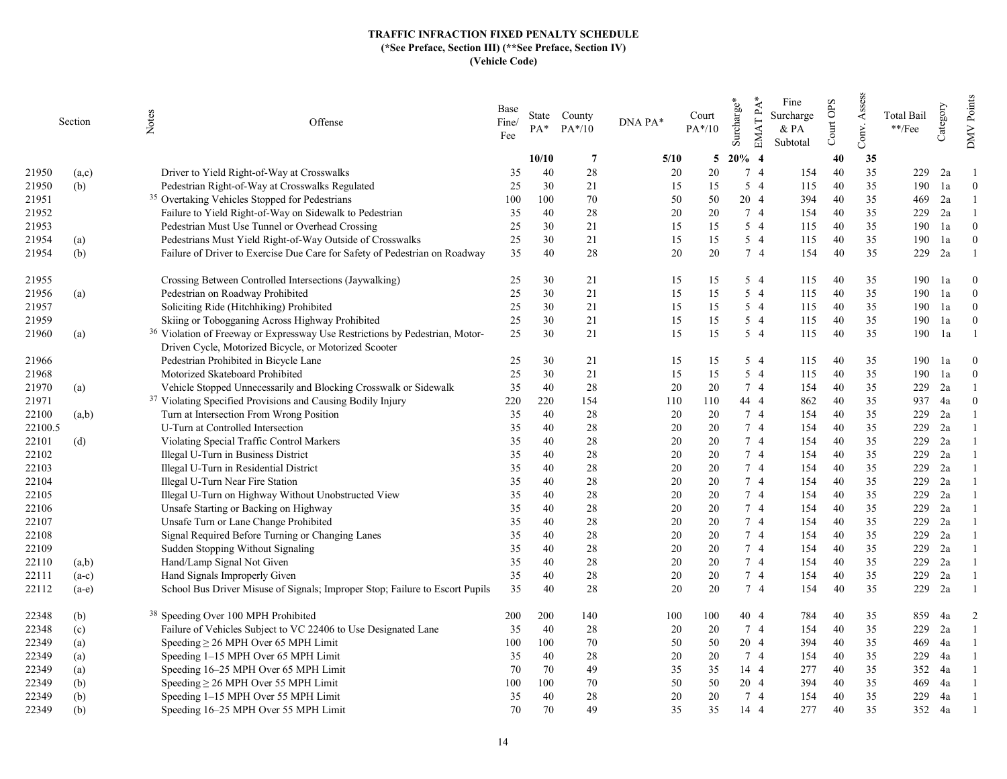|         | Section | Notes<br>Offense                                                                        | Base<br>Fine/<br>Fee | $PA^*$ | State County<br>$PA*/10$ | DNA PA* | Court<br>$PA*/10$ | EMAT PA*<br>Surcharge* | Fine<br>Surcharge<br>$&$ PA<br>Subtotal | Court OPS | Assess<br>Conv. | Total Bail<br>$^{**}/\mathrm{Fee}$ | Category | Points<br><b>NNO</b> |
|---------|---------|-----------------------------------------------------------------------------------------|----------------------|--------|--------------------------|---------|-------------------|------------------------|-----------------------------------------|-----------|-----------------|------------------------------------|----------|----------------------|
|         |         |                                                                                         |                      | 10/10  | $\overline{7}$           | 5/10    | 5                 | $20%$ 4                |                                         | 40        | 35              |                                    |          |                      |
| 21950   | (a,c)   | Driver to Yield Right-of-Way at Crosswalks                                              | 35                   | 40     | 28                       | 20      | 20                | 74                     | 154                                     | 40        | 35              | 229                                | 2a       |                      |
| 21950   | (b)     | Pedestrian Right-of-Way at Crosswalks Regulated                                         | 25                   | 30     | 21                       | 15      | 15                | $5\quad4$              | 115                                     | 40        | 35              | 190                                | 1a       | $\overline{0}$       |
| 21951   |         | <sup>35</sup> Overtaking Vehicles Stopped for Pedestrians                               | 100                  | 100    | 70                       | 50      | 50                | 20 4                   | 394                                     | 40        | 35              | 469                                | 2a       |                      |
| 21952   |         | Failure to Yield Right-of-Way on Sidewalk to Pedestrian                                 | 35                   | 40     | 28                       | 20      | 20                | 74                     | 154                                     | 40        | 35              | 229                                | 2a       |                      |
| 21953   |         | Pedestrian Must Use Tunnel or Overhead Crossing                                         | 25                   | 30     | 21                       | 15      | 15                | 5 4                    | 115                                     | 40        | 35              | 190                                | 1a       | $\theta$             |
| 21954   | (a)     | Pedestrians Must Yield Right-of-Way Outside of Crosswalks                               | 25                   | 30     | 21                       | 15      | 15                | $5\quad4$              | 115                                     | 40        | 35              | 190                                | 1a       | $\Omega$             |
| 21954   | (b)     | Failure of Driver to Exercise Due Care for Safety of Pedestrian on Roadway              | 35                   | 40     | 28                       | 20      | 20                | 7 4                    | 154                                     | 40        | 35              | 229                                | 2a       |                      |
| 21955   |         | Crossing Between Controlled Intersections (Jaywalking)                                  | 25                   | 30     | 21                       | 15      | 15                | 5 4                    | 115                                     | 40        | 35              | 190                                | 1a       | $\theta$             |
| 21956   | (a)     | Pedestrian on Roadway Prohibited                                                        | 25                   | 30     | 21                       | 15      | 15                | 5 4                    | 115                                     | 40        | 35              | 190                                | 1a       | $\Omega$             |
| 21957   |         | Soliciting Ride (Hitchhiking) Prohibited                                                | 25                   | 30     | 21                       | 15      | 15                | 5 4                    | 115                                     | 40        | 35              | 190                                | 1a       | $\theta$             |
| 21959   |         | Skiing or Tobogganing Across Highway Prohibited                                         | 25                   | 30     | 21                       | 15      | 15                | 5 4                    | 115                                     | 40        | 35              | 190                                | 1a       | $\theta$             |
| 21960   | (a)     | <sup>36</sup> Violation of Freeway or Expressway Use Restrictions by Pedestrian, Motor- | 25                   | 30     | 21                       | 15      | 15                | $5\quad4$              | 115                                     | 40        | 35              | 190                                | 1a       |                      |
|         |         | Driven Cycle, Motorized Bicycle, or Motorized Scooter                                   |                      |        |                          |         |                   |                        |                                         |           |                 |                                    |          |                      |
| 21966   |         | Pedestrian Prohibited in Bicycle Lane                                                   | 25                   | 30     | 21                       | 15      | 15                | 5 4                    | 115                                     | 40        | 35              | 190                                | 1a       | $\theta$             |
| 21968   |         | Motorized Skateboard Prohibited                                                         | 25                   | 30     | 21                       | 15      | 15                | $5\quad4$              | 115                                     | 40        | 35              | 190                                | 1a       | $\theta$             |
| 21970   | (a)     | Vehicle Stopped Unnecessarily and Blocking Crosswalk or Sidewalk                        | 35                   | 40     | 28                       | 20      | 20                | 7 4                    | 154                                     | 40        | 35              | 229                                | 2a       |                      |
| 21971   |         | <sup>37</sup> Violating Specified Provisions and Causing Bodily Injury                  | 220                  | 220    | 154                      | 110     | 110               | 44 4                   | 862                                     | 40        | 35              | 937                                | 4a       | $\Omega$             |
| 22100   | (a,b)   | Turn at Intersection From Wrong Position                                                | 35                   | 40     | 28                       | 20      | 20                | 7 4                    | 154                                     | 40        | 35              | 229                                | 2a       |                      |
| 22100.5 |         | U-Turn at Controlled Intersection                                                       | 35                   | 40     | 28                       | 20      | 20                | 7 4                    | 154                                     | 40        | 35              | 229                                | 2a       |                      |
| 22101   | (d)     | Violating Special Traffic Control Markers                                               | 35                   | 40     | 28                       | 20      | 20                | 7 4                    | 154                                     | 40        | 35              | 229                                | 2a       |                      |
| 22102   |         | Illegal U-Turn in Business District                                                     | 35                   | 40     | 28                       | 20      | 20                | 7 4                    | 154                                     | 40        | 35              | 229                                | 2a       |                      |
| 22103   |         | Illegal U-Turn in Residential District                                                  | 35                   | 40     | 28                       | 20      | 20                | 7 4                    | 154                                     | 40        | 35              | 229                                | 2a       |                      |
| 22104   |         | Illegal U-Turn Near Fire Station                                                        | 35                   | 40     | 28                       | 20      | 20                | 7 4                    | 154                                     | 40        | 35              | 229                                | 2a       |                      |
| 22105   |         | Illegal U-Turn on Highway Without Unobstructed View                                     | 35                   | 40     | 28                       | 20      | 20                | 7 4                    | 154                                     | 40        | 35              | 229                                | 2a       |                      |
| 22106   |         | Unsafe Starting or Backing on Highway                                                   | 35                   | 40     | 28                       | 20      | 20                | 7 4                    | 154                                     | 40        | 35              | 229                                | 2a       |                      |
| 22107   |         | Unsafe Turn or Lane Change Prohibited                                                   | 35                   | 40     | 28                       | 20      | 20                | 7 4                    | 154                                     | 40        | 35              | 229                                | 2a       |                      |
| 22108   |         | Signal Required Before Turning or Changing Lanes                                        | 35                   | 40     | 28                       | 20      | 20                | 7 4                    | 154                                     | 40        | 35              | 229                                | 2a       |                      |
| 22109   |         | Sudden Stopping Without Signaling                                                       | 35                   | 40     | 28                       | 20      | 20                | 7 4                    | 154                                     | 40        | 35              | 229                                | 2a       |                      |
| 22110   | (a,b)   | Hand/Lamp Signal Not Given                                                              | 35                   | 40     | 28                       | 20      | 20                | 74                     | 154                                     | 40        | 35              | 229                                | 2a       |                      |
| 22111   | $(a-c)$ | Hand Signals Improperly Given                                                           | 35                   | 40     | 28                       | 20      | 20                | 74                     | 154                                     | 40        | 35              | 229                                | 2a       |                      |
| 22112   | $(a-e)$ | School Bus Driver Misuse of Signals; Improper Stop; Failure to Escort Pupils            | 35                   | 40     | 28                       | 20      | 20                | 74                     | 154                                     | 40        | 35              | 229                                | 2a       |                      |
| 22348   | (b)     | <sup>38</sup> Speeding Over 100 MPH Prohibited                                          | 200                  | 200    | 140                      | 100     | 100               | 40 4                   | 784                                     | 40        | 35              | 859                                | 4a       | 2                    |
| 22348   | (c)     | Failure of Vehicles Subject to VC 22406 to Use Designated Lane                          | 35                   | 40     | 28                       | 20      | 20                | 7 4                    | 154                                     | 40        | 35              | 229                                | 2a       | 1                    |
| 22349   | (a)     | Speeding $\geq$ 26 MPH Over 65 MPH Limit                                                | 100                  | 100    | 70                       | 50      | 50                | 20 4                   | 394                                     | 40        | 35              | 469                                | 4a       |                      |
| 22349   | (a)     | Speeding 1-15 MPH Over 65 MPH Limit                                                     | 35                   | 40     | 28                       | 20      | 20                | 74                     | 154                                     | 40        | 35              | 229                                | 4a       |                      |
| 22349   | (a)     | Speeding 16–25 MPH Over 65 MPH Limit                                                    | 70                   | 70     | 49                       | 35      | 35                | 14 4                   | 277                                     | 40        | 35              | 352                                | 4a       |                      |
| 22349   | (b)     | Speeding $\geq$ 26 MPH Over 55 MPH Limit                                                | 100                  | 100    | 70                       | 50      | 50                | 20 4                   | 394                                     | 40        | 35              | 469                                | 4a       |                      |
| 22349   | (b)     | Speeding 1-15 MPH Over 55 MPH Limit                                                     | 35                   | 40     | 28                       | 20      | 20                | 7 4                    | 154                                     | 40        | 35              | 229                                | 4a       |                      |
| 22349   | (b)     | Speeding 16–25 MPH Over 55 MPH Limit                                                    | 70                   | 70     | 49                       | 35      | 35                | 14 4                   | 277                                     | 40        | 35              | 352                                | 4a       |                      |
|         |         |                                                                                         |                      |        |                          |         |                   |                        |                                         |           |                 |                                    |          |                      |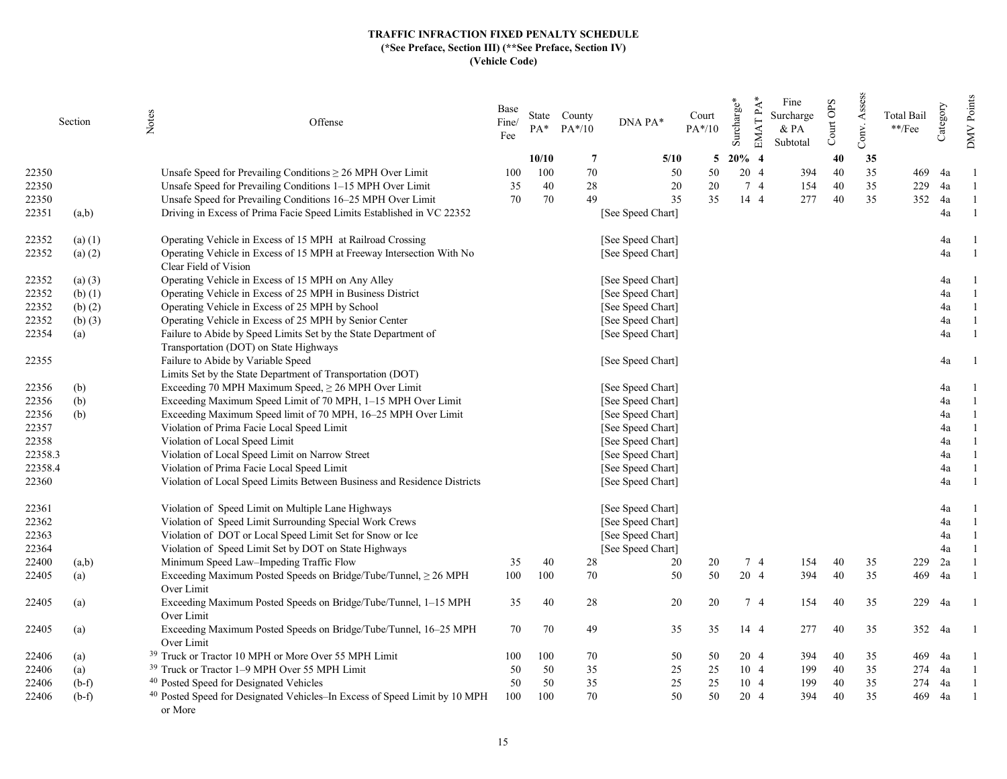|         | Section     | Notes<br>Offense                                                                                          | Base<br>Fine/<br>Fee | $PA^*$ | State County<br>$PA*/10$ | DNA PA*           | Court<br>$PA*/10$ | EMAT PA*<br>Surcharge* | Fine<br>Surcharge<br>& PA<br>Subtotal | Court OPS | Assess<br>Conv. | Total Bail<br>$\rm **/Fee$ | Category | Points<br><b>NNO</b> |
|---------|-------------|-----------------------------------------------------------------------------------------------------------|----------------------|--------|--------------------------|-------------------|-------------------|------------------------|---------------------------------------|-----------|-----------------|----------------------------|----------|----------------------|
|         |             |                                                                                                           |                      | 10/10  | 7                        | 5/10              | 5                 | $20\%$ 4               |                                       | 40        | 35              |                            |          |                      |
| 22350   |             | Unsafe Speed for Prevailing Conditions $\geq 26$ MPH Over Limit                                           | 100                  | 100    | 70                       | 50                | 50                | 20 4                   | 394                                   | 40        | 35              | 469                        | 4a       |                      |
| 22350   |             | Unsafe Speed for Prevailing Conditions 1–15 MPH Over Limit                                                | 35                   | 40     | 28                       | 20                | 20                | 7 4                    | 154                                   | 40        | 35              | 229                        | 4a       |                      |
| 22350   |             | Unsafe Speed for Prevailing Conditions 16-25 MPH Over Limit                                               | 70                   | 70     | 49                       | 35                | 35                | 14 4                   | 277                                   | 40        | 35              | 352                        | 4a       |                      |
| 22351   | (a,b)       | Driving in Excess of Prima Facie Speed Limits Established in VC 22352                                     |                      |        |                          | [See Speed Chart] |                   |                        |                                       |           |                 |                            | 4a       |                      |
| 22352   | $(a)$ (1)   | Operating Vehicle in Excess of 15 MPH at Railroad Crossing                                                |                      |        |                          | [See Speed Chart] |                   |                        |                                       |           |                 |                            | 4a       |                      |
| 22352   | $(a)$ $(2)$ | Operating Vehicle in Excess of 15 MPH at Freeway Intersection With No<br>Clear Field of Vision            |                      |        |                          | [See Speed Chart] |                   |                        |                                       |           |                 |                            | 4a       |                      |
| 22352   | (a) (3)     | Operating Vehicle in Excess of 15 MPH on Any Alley                                                        |                      |        |                          | [See Speed Chart] |                   |                        |                                       |           |                 |                            | 4a       |                      |
| 22352   | $(b)$ $(1)$ | Operating Vehicle in Excess of 25 MPH in Business District                                                |                      |        |                          | [See Speed Chart] |                   |                        |                                       |           |                 |                            | 4a       | $\overline{1}$       |
| 22352   | (b) $(2)$   | Operating Vehicle in Excess of 25 MPH by School                                                           |                      |        |                          | [See Speed Chart] |                   |                        |                                       |           |                 |                            | 4a       | $\overline{1}$       |
| 22352   | $(b)$ $(3)$ | Operating Vehicle in Excess of 25 MPH by Senior Center                                                    |                      |        |                          | [See Speed Chart] |                   |                        |                                       |           |                 |                            | 4a       | $\overline{1}$       |
| 22354   | (a)         | Failure to Abide by Speed Limits Set by the State Department of<br>Transportation (DOT) on State Highways |                      |        |                          | [See Speed Chart] |                   |                        |                                       |           |                 |                            | 4a       | $\overline{1}$       |
| 22355   |             | Failure to Abide by Variable Speed<br>Limits Set by the State Department of Transportation (DOT)          |                      |        |                          | [See Speed Chart] |                   |                        |                                       |           |                 |                            | 4a       |                      |
| 22356   | (b)         | Exceeding 70 MPH Maximum Speed, $\geq$ 26 MPH Over Limit                                                  |                      |        |                          | [See Speed Chart] |                   |                        |                                       |           |                 |                            | 4a       |                      |
| 22356   | (b)         | Exceeding Maximum Speed Limit of 70 MPH, 1-15 MPH Over Limit                                              |                      |        |                          | [See Speed Chart] |                   |                        |                                       |           |                 |                            | 4a       | $\overline{1}$       |
| 22356   |             |                                                                                                           |                      |        |                          |                   |                   |                        |                                       |           |                 |                            | 4a       |                      |
|         | (b)         | Exceeding Maximum Speed limit of 70 MPH, 16-25 MPH Over Limit                                             |                      |        |                          | [See Speed Chart] |                   |                        |                                       |           |                 |                            | 4a       |                      |
| 22357   |             | Violation of Prima Facie Local Speed Limit                                                                |                      |        |                          | [See Speed Chart] |                   |                        |                                       |           |                 |                            |          | $\overline{1}$       |
| 22358   |             | Violation of Local Speed Limit                                                                            |                      |        |                          | [See Speed Chart] |                   |                        |                                       |           |                 |                            | 4a       |                      |
| 22358.3 |             | Violation of Local Speed Limit on Narrow Street                                                           |                      |        |                          | [See Speed Chart] |                   |                        |                                       |           |                 |                            | 4a       |                      |
| 22358.4 |             | Violation of Prima Facie Local Speed Limit                                                                |                      |        |                          | [See Speed Chart] |                   |                        |                                       |           |                 |                            | 4a       |                      |
| 22360   |             | Violation of Local Speed Limits Between Business and Residence Districts                                  |                      |        |                          | [See Speed Chart] |                   |                        |                                       |           |                 |                            | 4a       |                      |
| 22361   |             | Violation of Speed Limit on Multiple Lane Highways                                                        |                      |        |                          | [See Speed Chart] |                   |                        |                                       |           |                 |                            | 4a       |                      |
| 22362   |             | Violation of Speed Limit Surrounding Special Work Crews                                                   |                      |        |                          | [See Speed Chart] |                   |                        |                                       |           |                 |                            | 4a       | $\overline{1}$       |
| 22363   |             | Violation of DOT or Local Speed Limit Set for Snow or Ice                                                 |                      |        |                          | [See Speed Chart] |                   |                        |                                       |           |                 |                            | 4a       |                      |
| 22364   |             | Violation of Speed Limit Set by DOT on State Highways                                                     |                      |        |                          | [See Speed Chart] |                   |                        |                                       |           |                 |                            | 4a       |                      |
| 22400   | (a,b)       | Minimum Speed Law-Impeding Traffic Flow                                                                   | 35                   | 40     | 28                       | 20                | 20                | 74                     | 154                                   | 40        | 35              | 229                        | 2a       |                      |
| 22405   | (a)         | Exceeding Maximum Posted Speeds on Bridge/Tube/Tunnel, ≥ 26 MPH<br>Over Limit                             | 100                  | 100    | 70                       | 50                | 50                | 20 4                   | 394                                   | 40        | 35              | 469                        | 4a       |                      |
| 22405   | (a)         | Exceeding Maximum Posted Speeds on Bridge/Tube/Tunnel, 1-15 MPH<br>Over Limit                             | 35                   | 40     | 28                       | 20                | 20                | 74                     | 154                                   | 40        | 35              | 229                        | 4a       |                      |
| 22405   | (a)         | Exceeding Maximum Posted Speeds on Bridge/Tube/Tunnel, 16–25 MPH<br>Over Limit                            | 70                   | 70     | 49                       | 35                | 35                | 14 4                   | 277                                   | 40        | 35              |                            | 352 4a   |                      |
| 22406   | (a)         | <sup>39</sup> Truck or Tractor 10 MPH or More Over 55 MPH Limit                                           | 100                  | 100    | 70                       | 50                | 50                | 20 4                   | 394                                   | 40        | 35              | 469                        | 4a       |                      |
| 22406   | (a)         | <sup>39</sup> Truck or Tractor 1–9 MPH Over 55 MPH Limit                                                  | 50                   | 50     | 35                       | 25                | 25                | 10 4                   | 199                                   | 40        | 35              |                            | 274 4a   |                      |
| 22406   | $(b-f)$     | <sup>40</sup> Posted Speed for Designated Vehicles                                                        | 50                   | 50     | 35                       | 25                | 25                | 10 4                   | 199                                   | 40        | 35              | 274                        | 4a       |                      |
| 22406   | $(b-f)$     | <sup>40</sup> Posted Speed for Designated Vehicles-In Excess of Speed Limit by 10 MPH<br>or More          | 100                  | 100    | 70                       | 50                | 50                | 20 4                   | 394                                   | 40        | 35              | 469                        | 4a       |                      |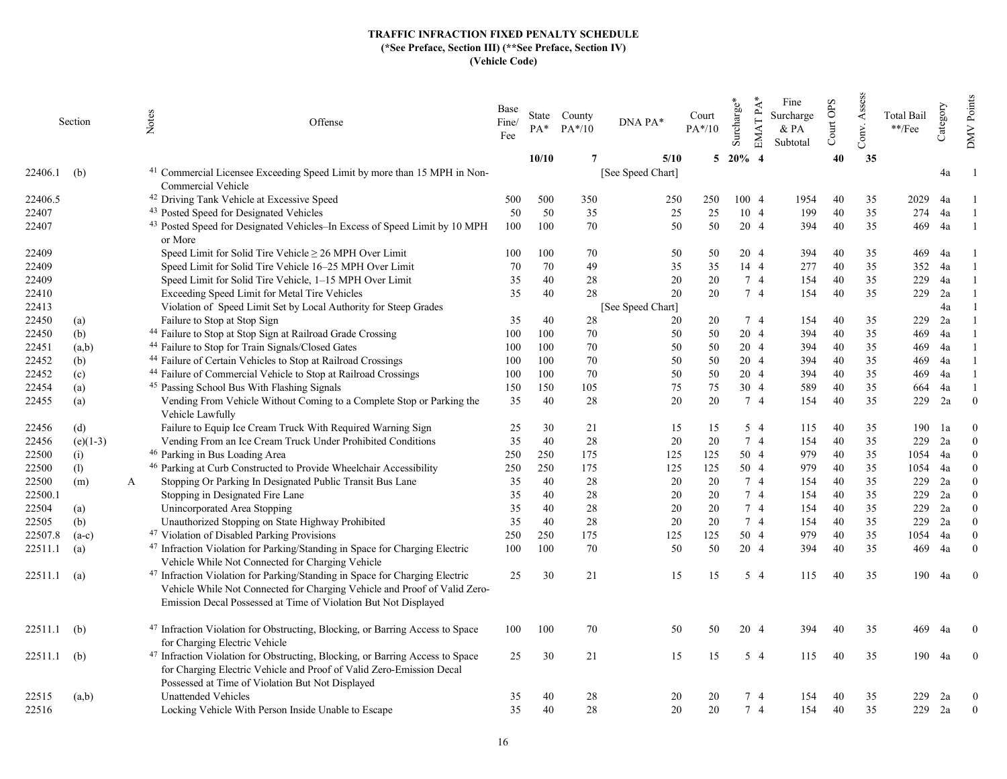|         | Section    |   | Notes<br>Offense                                                                                                                                                                                                                       | Base<br>Fine/<br>Fee | PA*   | State County<br>$PA*/10$ | DNA PA*           | Court<br>$PA*/10$ | EMAT PA*<br>Surcharge* | Fine<br>Surcharge<br>& PA<br>Subtotal | Court OPS | Assess<br>Conv. | <b>Total Bail</b><br>$\rm **/Fee$ | Category | Points<br><b>NNO</b> |
|---------|------------|---|----------------------------------------------------------------------------------------------------------------------------------------------------------------------------------------------------------------------------------------|----------------------|-------|--------------------------|-------------------|-------------------|------------------------|---------------------------------------|-----------|-----------------|-----------------------------------|----------|----------------------|
|         |            |   |                                                                                                                                                                                                                                        |                      | 10/10 |                          | 5/10              |                   | 5 20% 4                |                                       | 40        | 35              |                                   |          |                      |
| 22406.1 | (b)        |   | <sup>41</sup> Commercial Licensee Exceeding Speed Limit by more than 15 MPH in Non-<br>Commercial Vehicle                                                                                                                              |                      |       |                          | [See Speed Chart] |                   |                        |                                       |           |                 |                                   | 4a       |                      |
| 22406.5 |            |   | <sup>42</sup> Driving Tank Vehicle at Excessive Speed                                                                                                                                                                                  | 500                  | 500   | 350                      | 250               | 250               | 100 4                  | 1954                                  | 40        | 35              | 2029                              | 4a       |                      |
| 22407   |            |   | <sup>43</sup> Posted Speed for Designated Vehicles                                                                                                                                                                                     | 50                   | 50    | 35                       | 25                | 25                | 104                    | 199                                   | 40        | 35              | 274                               | 4a       |                      |
| 22407   |            |   | <sup>43</sup> Posted Speed for Designated Vehicles-In Excess of Speed Limit by 10 MPH                                                                                                                                                  | 100                  | 100   | 70                       | 50                | 50                | 20 4                   | 394                                   | 40        | 35              | 469                               | 4a       |                      |
|         |            |   | or More                                                                                                                                                                                                                                |                      |       |                          |                   |                   |                        |                                       |           |                 |                                   |          |                      |
| 22409   |            |   | Speed Limit for Solid Tire Vehicle $\geq 26$ MPH Over Limit                                                                                                                                                                            | 100                  | 100   | 70                       | 50                | 50                | 20 4                   | 394                                   | 40        | 35              | 469                               | 4a       |                      |
| 22409   |            |   | Speed Limit for Solid Tire Vehicle 16-25 MPH Over Limit                                                                                                                                                                                | 70                   | 70    | 49                       | 35                | 35                | 14 4                   | 277                                   | 40        | 35              | 352                               | 4a       |                      |
| 22409   |            |   | Speed Limit for Solid Tire Vehicle, 1-15 MPH Over Limit                                                                                                                                                                                | 35                   | 40    | 28                       | 20                | 20                | 74                     | 154                                   | 40        | 35              | 229                               | 4a       |                      |
| 22410   |            |   | Exceeding Speed Limit for Metal Tire Vehicles                                                                                                                                                                                          | 35                   | 40    | 28                       | 20                | 20                | 7 4                    | 154                                   | 40        | 35              | 229                               | 2a       |                      |
| 22413   |            |   | Violation of Speed Limit Set by Local Authority for Steep Grades                                                                                                                                                                       |                      |       |                          | [See Speed Chart] |                   |                        |                                       |           |                 |                                   | 4a       |                      |
| 22450   | (a)        |   | Failure to Stop at Stop Sign                                                                                                                                                                                                           | 35                   | 40    | 28                       | 20                | 20                | 74                     | 154                                   | 40        | 35              | 229                               | 2a       |                      |
| 22450   | (b)        |   | <sup>44</sup> Failure to Stop at Stop Sign at Railroad Grade Crossing                                                                                                                                                                  | 100                  | 100   | 70                       | 50                | 50                | 20 4                   | 394                                   | 40        | 35              | 469                               | 4a       |                      |
| 22451   | (a,b)      |   | <sup>44</sup> Failure to Stop for Train Signals/Closed Gates                                                                                                                                                                           | 100                  | 100   | 70                       | 50                | 50                | 20 4                   | 394                                   | 40        | 35              | 469                               | 4a       |                      |
| 22452   | (b)        |   | <sup>44</sup> Failure of Certain Vehicles to Stop at Railroad Crossings                                                                                                                                                                | 100                  | 100   | 70                       | 50                | 50                | 20 4                   | 394                                   | 40        | 35              | 469                               | 4a       |                      |
| 22452   | (c)        |   | <sup>44</sup> Failure of Commercial Vehicle to Stop at Railroad Crossings                                                                                                                                                              | 100                  | 100   | 70                       | 50                | 50                | 20 4                   | 394                                   | 40        | 35              | 469                               | 4a       |                      |
| 22454   | (a)        |   | <sup>45</sup> Passing School Bus With Flashing Signals                                                                                                                                                                                 | 150                  | 150   | 105                      | 75                | 75                | 30 4                   | 589                                   | 40        | 35              | 664                               | 4a       |                      |
| 22455   | (a)        |   | Vending From Vehicle Without Coming to a Complete Stop or Parking the<br>Vehicle Lawfully                                                                                                                                              | 35                   | 40    | 28                       | 20                | 20                | 74                     | 154                                   | 40        | 35              | 229                               | 2a       | $\Omega$             |
| 22456   | (d)        |   | Failure to Equip Ice Cream Truck With Required Warning Sign                                                                                                                                                                            | 25                   | 30    | 21                       | 15                | 15                | 5 4                    | 115                                   | 40        | 35              | 190                               | 1a       | $\theta$             |
| 22456   | $(e)(1-3)$ |   | Vending From an Ice Cream Truck Under Prohibited Conditions                                                                                                                                                                            | 35                   | 40    | 28                       | 20                | 20                | 7 4                    | 154                                   | 40        | 35              | 229                               | 2a       | $\mathbf{0}$         |
| 22500   | (i)        |   | <sup>46</sup> Parking in Bus Loading Area                                                                                                                                                                                              | 250                  | 250   | 175                      | 125               | 125               | 50 4                   | 979                                   | 40        | 35              | 1054                              | 4a       | $\Omega$             |
| 22500   | (1)        |   | <sup>46</sup> Parking at Curb Constructed to Provide Wheelchair Accessibility                                                                                                                                                          | 250                  | 250   | 175                      | 125               | 125               | 50 4                   | 979                                   | 40        | 35              | 1054                              | 4a       | $\theta$             |
| 22500   | (m)        | A | Stopping Or Parking In Designated Public Transit Bus Lane                                                                                                                                                                              | 35                   | 40    | 28                       | 20                | 20                | 7 4                    | 154                                   | 40        | 35              | 229                               | 2a       | $\Omega$             |
| 22500.1 |            |   | Stopping in Designated Fire Lane                                                                                                                                                                                                       | 35                   | 40    | 28                       | 20                | 20                | 7 4                    | 154                                   | 40        | 35              | 229                               | 2a       | $\theta$             |
| 22504   | (a)        |   | Unincorporated Area Stopping                                                                                                                                                                                                           | 35                   | 40    | 28                       | 20                | 20                | 74                     | 154                                   | 40        | 35              | 229                               | 2a       | $\theta$             |
| 22505   | (b)        |   | Unauthorized Stopping on State Highway Prohibited                                                                                                                                                                                      | 35                   | 40    | 28                       | 20                | 20                | 7 4                    | 154                                   | 40        | 35              | 229                               | 2a       | $\theta$             |
| 22507.8 | $(a-c)$    |   | <sup>47</sup> Violation of Disabled Parking Provisions                                                                                                                                                                                 | 250                  | 250   | 175                      | 125               | 125               | 50 4                   | 979                                   | 40        | 35              | 1054                              | 4a       | $\theta$             |
| 22511.1 | (a)        |   | <sup>47</sup> Infraction Violation for Parking/Standing in Space for Charging Electric<br>Vehicle While Not Connected for Charging Vehicle                                                                                             | 100                  | 100   | 70                       | 50                | 50                | 20 4                   | 394                                   | 40        | 35              | 469                               | 4a       | $\theta$             |
| 22511.1 | (a)        |   | <sup>47</sup> Infraction Violation for Parking/Standing in Space for Charging Electric<br>Vehicle While Not Connected for Charging Vehicle and Proof of Valid Zero-<br>Emission Decal Possessed at Time of Violation But Not Displayed | 25                   | 30    | 21                       | 15                | 15                | 5 4                    | 115                                   | 40        | 35              | 190                               | 4a       | $\mathbf{0}$         |
| 22511.1 | (b)        |   | <sup>47</sup> Infraction Violation for Obstructing, Blocking, or Barring Access to Space<br>for Charging Electric Vehicle                                                                                                              | 100                  | 100   | 70                       | 50                | 50                | 20 4                   | 394                                   | 40        | 35              | 469                               | 4a       | $\theta$             |
| 22511.1 | (b)        |   | <sup>47</sup> Infraction Violation for Obstructing, Blocking, or Barring Access to Space<br>for Charging Electric Vehicle and Proof of Valid Zero-Emission Decal<br>Possessed at Time of Violation But Not Displayed                   | 25                   | 30    | 21                       | 15                | 15                | $5\quad4$              | 115                                   | 40        | 35              |                                   | 190 4a   | $\overline{0}$       |
| 22515   | (a,b)      |   | Unattended Vehicles                                                                                                                                                                                                                    | 35                   | 40    | 28                       | 20                | 20                | 74                     | 154                                   | 40        | 35              | 229                               | 2a       | $\overline{0}$       |
| 22516   |            |   | Locking Vehicle With Person Inside Unable to Escape                                                                                                                                                                                    | 35                   | 40    | 28                       | 20                | 20                | 7 <sub>4</sub>         | 154                                   | 40        | 35              | 229                               | 2a       | $\overline{0}$       |
|         |            |   |                                                                                                                                                                                                                                        |                      |       |                          |                   |                   |                        |                                       |           |                 |                                   |          |                      |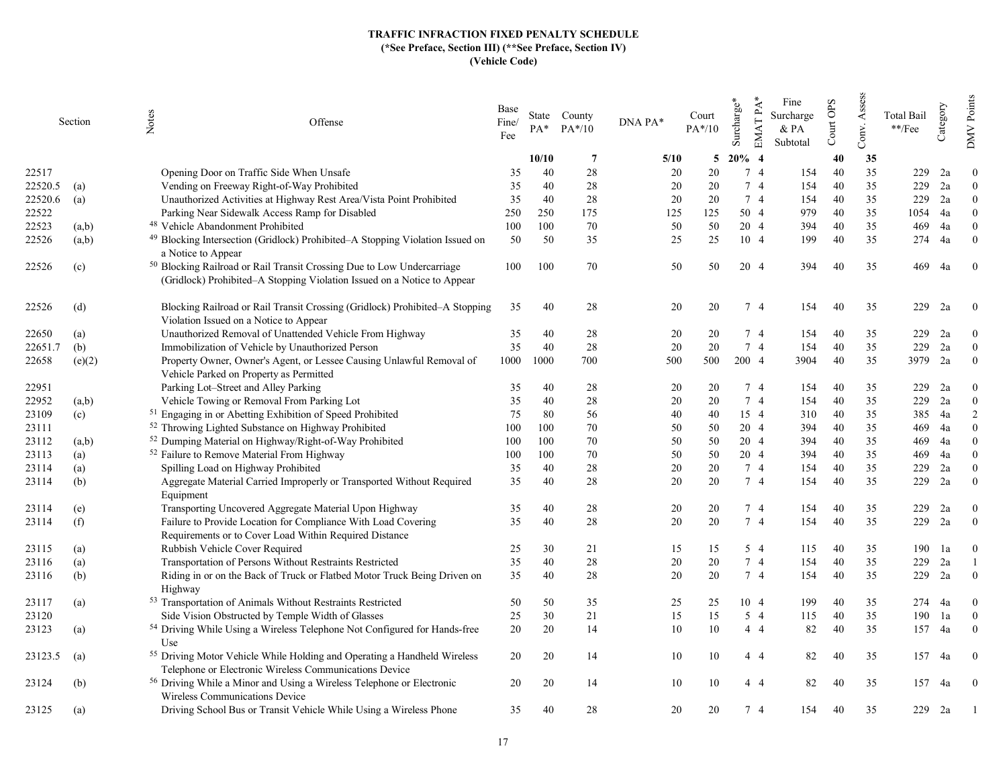|         | Section | Notes<br>Offense                                                                                                                                             | Base<br>Fine/<br>Fee | $PA*$ | State County<br>$PA*/10$ | DNA PA* | Court<br>$PA*/10$ | EMAT PA*<br>Surcharge* | Fine<br>Surcharge<br>$&$ PA<br>Subtotal | Court OPS | Assess<br>Conv. | <b>Total Bail</b><br>$\rm **/Fee$ | Category | Points<br><b>NNO</b> |
|---------|---------|--------------------------------------------------------------------------------------------------------------------------------------------------------------|----------------------|-------|--------------------------|---------|-------------------|------------------------|-----------------------------------------|-----------|-----------------|-----------------------------------|----------|----------------------|
|         |         |                                                                                                                                                              |                      | 10/10 | $\overline{7}$           | 5/10    | 5                 | $20\%$ 4               |                                         | 40        | 35              |                                   |          |                      |
| 22517   |         | Opening Door on Traffic Side When Unsafe                                                                                                                     | 35                   | 40    | 28                       | 20      | 20                | 7 4                    | 154                                     | 40        | 35              | 229                               | 2a       | $\Omega$             |
| 22520.5 | (a)     | Vending on Freeway Right-of-Way Prohibited                                                                                                                   | 35                   | 40    | 28                       | 20      | 20                | 74                     | 154                                     | 40        | 35              | 229                               | 2a       | $\overline{0}$       |
| 22520.6 | (a)     | Unauthorized Activities at Highway Rest Area/Vista Point Prohibited                                                                                          | 35                   | 40    | 28                       | 20      | 20                | 7 4                    | 154                                     | 40        | 35              | 229                               | 2a       | $\theta$             |
| 22522   |         | Parking Near Sidewalk Access Ramp for Disabled                                                                                                               | 250                  | 250   | 175                      | 125     | 125               | 50 4                   | 979                                     | 40        | 35              | 1054                              | 4a       | $\Omega$             |
| 22523   | (a,b)   | <sup>48</sup> Vehicle Abandonment Prohibited                                                                                                                 | 100                  | 100   | 70                       | 50      | 50                | 20 4                   | 394                                     | 40        | 35              | 469                               | 4a       | $\theta$             |
| 22526   | (a,b)   | <sup>49</sup> Blocking Intersection (Gridlock) Prohibited-A Stopping Violation Issued on<br>a Notice to Appear                                               | 50                   | 50    | 35                       | 25      | 25                | 10 4                   | 199                                     | 40        | 35              | 274                               | 4a       | $\theta$             |
| 22526   | (c)     | <sup>50</sup> Blocking Railroad or Rail Transit Crossing Due to Low Undercarriage<br>(Gridlock) Prohibited-A Stopping Violation Issued on a Notice to Appear | 100                  | 100   | 70                       | 50      | 50                | 20 4                   | 394                                     | 40        | 35              | 469                               | 4a       | $\overline{0}$       |
| 22526   | (d)     | Blocking Railroad or Rail Transit Crossing (Gridlock) Prohibited-A Stopping<br>Violation Issued on a Notice to Appear                                        | 35                   | 40    | 28                       | 20      | 20                | 7 4                    | 154                                     | 40        | 35              | 229                               | 2a       | $\overline{0}$       |
| 22650   | (a)     | Unauthorized Removal of Unattended Vehicle From Highway                                                                                                      | 35                   | 40    | 28                       | 20      | 20                | 74                     | 154                                     | 40        | 35              | 229                               | 2a       | $\theta$             |
| 22651.7 | (b)     | Immobilization of Vehicle by Unauthorized Person                                                                                                             | 35                   | 40    | 28                       | 20      | 20                | 7 4                    | 154                                     | 40        | 35              | 229                               | 2a       | $\Omega$             |
| 22658   | (e)(2)  | Property Owner, Owner's Agent, or Lessee Causing Unlawful Removal of<br>Vehicle Parked on Property as Permitted                                              | 1000                 | 1000  | 700                      | 500     | 500               | 200 4                  | 3904                                    | 40        | 35              | 3979                              | 2a       | $\theta$             |
| 22951   |         | Parking Lot–Street and Alley Parking                                                                                                                         | 35                   | 40    | 28                       | 20      | 20                | 74                     | 154                                     | 40        | 35              | 229                               | 2a       | $\theta$             |
| 22952   | (a,b)   | Vehicle Towing or Removal From Parking Lot                                                                                                                   | 35                   | 40    | 28                       | 20      | 20                | 7 4                    | 154                                     | 40        | 35              | 229                               | 2a       | $\mathbf{0}$         |
| 23109   | (c)     | <sup>51</sup> Engaging in or Abetting Exhibition of Speed Prohibited                                                                                         | 75                   | 80    | 56                       | 40      | 40                | 15 4                   | 310                                     | 40        | 35              | 385                               | 4a       | 2                    |
| 23111   |         | <sup>52</sup> Throwing Lighted Substance on Highway Prohibited                                                                                               | 100                  | 100   | 70                       | 50      | 50                | 20 4                   | 394                                     | 40        | 35              | 469                               | 4a       | $\overline{0}$       |
| 23112   | (a,b)   | <sup>52</sup> Dumping Material on Highway/Right-of-Way Prohibited                                                                                            | 100                  | 100   | 70                       | 50      | 50                | 20 4                   | 394                                     | 40        | 35              | 469                               | 4a       | $\Omega$             |
| 23113   | (a)     | <sup>52</sup> Failure to Remove Material From Highway                                                                                                        | 100                  | 100   | 70                       | 50      | 50                | 20 4                   | 394                                     | 40        | 35              | 469                               | 4a       | $\theta$             |
| 23114   | (a)     | Spilling Load on Highway Prohibited                                                                                                                          | 35                   | 40    | 28                       | 20      | 20                | 74                     | 154                                     | 40        | 35              | 229                               | 2a       | $\theta$             |
| 23114   | (b)     | Aggregate Material Carried Improperly or Transported Without Required<br>Equipment                                                                           | 35                   | 40    | 28                       | 20      | 20                | 7 4                    | 154                                     | 40        | 35              | 229                               | 2a       | $\theta$             |
| 23114   | (e)     | Transporting Uncovered Aggregate Material Upon Highway                                                                                                       | 35                   | 40    | 28                       | 20      | 20                | 74                     | 154                                     | 40        | 35              | 229                               | 2a       | $\theta$             |
| 23114   | (f)     | Failure to Provide Location for Compliance With Load Covering<br>Requirements or to Cover Load Within Required Distance                                      | 35                   | 40    | 28                       | 20      | 20                | 7 4                    | 154                                     | 40        | 35              | 229                               | 2a       | $\mathbf{0}$         |
| 23115   | (a)     | Rubbish Vehicle Cover Required                                                                                                                               | 25                   | 30    | 21                       | 15      | 15                | $5\quad4$              | 115                                     | 40        | 35              | 190                               | 1a       | $\theta$             |
| 23116   | (a)     | Transportation of Persons Without Restraints Restricted                                                                                                      | 35                   | 40    | 28                       | 20      | 20                | 7 4                    | 154                                     | 40        | 35              | 229                               | 2a       |                      |
| 23116   | (b)     | Riding in or on the Back of Truck or Flatbed Motor Truck Being Driven on<br>Highway                                                                          | 35                   | 40    | 28                       | 20      | 20                | 7 4                    | 154                                     | 40        | 35              | 229                               | 2a       | $\theta$             |
| 23117   | (a)     | 53 Transportation of Animals Without Restraints Restricted                                                                                                   | 50                   | 50    | 35                       | 25      | 25                | 10 4                   | 199                                     | 40        | 35              | 274                               | 4a       | $\overline{0}$       |
| 23120   |         | Side Vision Obstructed by Temple Width of Glasses                                                                                                            | 25                   | 30    | 21                       | 15      | 15                | $5\quad4$              | 115                                     | 40        | 35              | 190                               | 1a       | $\theta$             |
| 23123   | (a)     | 54 Driving While Using a Wireless Telephone Not Configured for Hands-free<br>Use                                                                             | 20                   | 20    | 14                       | 10      | 10                | $4\quad4$              | 82                                      | 40        | 35              | 157                               | 4a       | $\theta$             |
| 23123.5 | (a)     | <sup>55</sup> Driving Motor Vehicle While Holding and Operating a Handheld Wireless<br>Telephone or Electronic Wireless Communications Device                | 20                   | 20    | 14                       | 10      | 10                | 44                     | 82                                      | 40        | 35              |                                   | 157 4a   | $\bf{0}$             |
| 23124   | (b)     | <sup>56</sup> Driving While a Minor and Using a Wireless Telephone or Electronic<br>Wireless Communications Device                                           | 20                   | 20    | 14                       | 10      | 10                | 44                     | 82                                      | 40        | 35              | 157                               | 4a       | $\theta$             |
| 23125   | (a)     | Driving School Bus or Transit Vehicle While Using a Wireless Phone                                                                                           | 35                   | 40    | 28                       | 20      | 20                | 74                     | 154                                     | 40        | 35              | 229                               | 2a       |                      |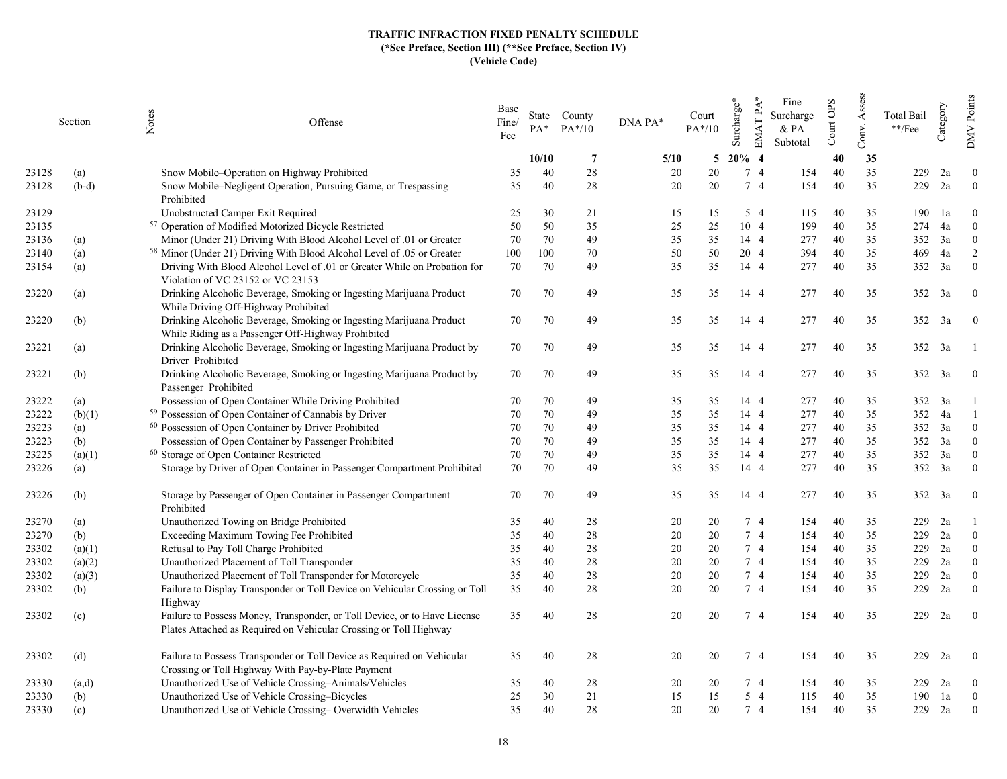|       | Section | Notes<br>Offense                                                                                                                               | Base<br>Fine/<br>Fee | $PA^*$ | State County<br>$PA*/10$ | DNA PA* | Court<br>$PA*/10$ | $EMATPA*$<br>Surcharge* | Fine<br>Surcharge<br>$&$ PA<br>Subtotal | Court OPS | Assess<br>Conv. | <b>Total Bail</b><br>$\rm **/Fee$ | Category      | Points<br><b>NNO</b> |
|-------|---------|------------------------------------------------------------------------------------------------------------------------------------------------|----------------------|--------|--------------------------|---------|-------------------|-------------------------|-----------------------------------------|-----------|-----------------|-----------------------------------|---------------|----------------------|
|       |         |                                                                                                                                                |                      | 10/10  | $\overline{7}$           | 5/10    | 5                 | $20\%$ 4                |                                         | 40        | 35              |                                   |               |                      |
| 23128 | (a)     | Snow Mobile–Operation on Highway Prohibited                                                                                                    | 35                   | 40     | 28                       | 20      | 20                | $7\quad4$               | 154                                     | 40        | 35              | 229                               | 2a            | $\theta$             |
| 23128 | $(b-d)$ | Snow Mobile-Negligent Operation, Pursuing Game, or Trespassing<br>Prohibited                                                                   | 35                   | 40     | 28                       | 20      | 20                | 74                      | 154                                     | 40        | 35              | 229                               | 2a            | $\overline{0}$       |
| 23129 |         | Unobstructed Camper Exit Required                                                                                                              | 25                   | 30     | 21                       | 15      | 15                | 5 4                     | 115                                     | 40        | 35              | 190                               | 1a            | $\Omega$             |
| 23135 |         | 57 Operation of Modified Motorized Bicycle Restricted                                                                                          | 50                   | 50     | 35                       | 25      | 25                | 10 4                    | 199                                     | 40        | 35              | 274                               | 4a            | $\theta$             |
| 23136 | (a)     | Minor (Under 21) Driving With Blood Alcohol Level of .01 or Greater                                                                            | 70                   | 70     | 49                       | 35      | 35                | 14 4                    | 277                                     | 40        | 35              | 352                               | 3a            | $\overline{0}$       |
| 23140 | (a)     | <sup>58</sup> Minor (Under 21) Driving With Blood Alcohol Level of .05 or Greater                                                              | 100                  | 100    | 70                       | 50      | 50                | 20 4                    | 394                                     | 40        | 35              | 469                               | 4a            | $\overline{2}$       |
| 23154 | (a)     | Driving With Blood Alcohol Level of .01 or Greater While on Probation for<br>Violation of VC 23152 or VC 23153                                 | 70                   | 70     | 49                       | 35      | 35                | 14 4                    | 277                                     | 40        | 35              | 352                               | 3a            | $\theta$             |
| 23220 | (a)     | Drinking Alcoholic Beverage, Smoking or Ingesting Marijuana Product<br>While Driving Off-Highway Prohibited                                    | 70                   | 70     | 49                       | 35      | 35                | 14 4                    | 277                                     | 40        | 35              | 352                               | 3a            | $\overline{0}$       |
| 23220 | (b)     | Drinking Alcoholic Beverage, Smoking or Ingesting Marijuana Product<br>While Riding as a Passenger Off-Highway Prohibited                      | 70                   | 70     | 49                       | 35      | 35                | 14 4                    | 277                                     | 40        | 35              |                                   | 352 3a        | $\mathbf{0}$         |
| 23221 | (a)     | Drinking Alcoholic Beverage, Smoking or Ingesting Marijuana Product by<br>Driver Prohibited                                                    | 70                   | 70     | 49                       | 35      | 35                | 14 4                    | 277                                     | 40        | 35              |                                   | 352 3a        |                      |
| 23221 | (b)     | Drinking Alcoholic Beverage, Smoking or Ingesting Marijuana Product by<br>Passenger Prohibited                                                 | 70                   | 70     | 49                       | 35      | 35                | 14 4                    | 277                                     | 40        | 35              |                                   | 352 3a        | $\boldsymbol{0}$     |
| 23222 | (a)     | Possession of Open Container While Driving Prohibited                                                                                          | 70                   | 70     | 49                       | 35      | 35                | 14 4                    | 277                                     | 40        | 35              |                                   | 352 3a        |                      |
| 23222 | (b)(1)  | <sup>59</sup> Possession of Open Container of Cannabis by Driver                                                                               | 70                   | 70     | 49                       | 35      | 35                | 14 4                    | 277                                     | 40        | 35              |                                   | 352 4a        | $\overline{1}$       |
| 23223 | (a)     | <sup>60</sup> Possession of Open Container by Driver Prohibited                                                                                | 70                   | 70     | 49                       | 35      | 35                | 14 4                    | 277                                     | 40        | 35              | 352                               | 3a            | $\overline{0}$       |
| 23223 | (b)     | Possession of Open Container by Passenger Prohibited                                                                                           | 70                   | 70     | 49                       | 35      | 35                | 14 4                    | 277                                     | 40        | 35              | 352                               | 3a            | $\overline{0}$       |
| 23225 | (a)(1)  | <sup>60</sup> Storage of Open Container Restricted                                                                                             | 70                   | 70     | 49                       | 35      | 35                | 14 4                    | 277                                     | 40        | 35              | 352                               | 3a            | $\theta$             |
| 23226 | (a)     | Storage by Driver of Open Container in Passenger Compartment Prohibited                                                                        | 70                   | 70     | 49                       | 35      | 35                | 14 4                    | 277                                     | 40        | 35              | 352                               | 3a            | $\theta$             |
| 23226 | (b)     | Storage by Passenger of Open Container in Passenger Compartment<br>Prohibited                                                                  | 70                   | 70     | 49                       | 35      | 35                | 14 4                    | 277                                     | 40        | 35              | 352                               | <sup>3a</sup> | $\bf{0}$             |
| 23270 | (a)     | Unauthorized Towing on Bridge Prohibited                                                                                                       | 35                   | 40     | 28                       | 20      | 20                | 7 4                     | 154                                     | 40        | 35              | 229                               | 2a            |                      |
| 23270 | (b)     | Exceeding Maximum Towing Fee Prohibited                                                                                                        | 35                   | 40     | 28                       | 20      | 20                | 7 4                     | 154                                     | 40        | 35              | 229                               | 2a            | $\mathbf{0}$         |
| 23302 | (a)(1)  | Refusal to Pay Toll Charge Prohibited                                                                                                          | 35                   | 40     | 28                       | 20      | 20                | 7 4                     | 154                                     | 40        | 35              | 229                               | 2a            | $\theta$             |
| 23302 | (a)(2)  | Unauthorized Placement of Toll Transponder                                                                                                     | 35                   | 40     | 28                       | 20      | 20                | 7 4                     | 154                                     | 40        | 35              | 229                               | 2a            | $\Omega$             |
| 23302 | (a)(3)  | Unauthorized Placement of Toll Transponder for Motorcycle                                                                                      | 35                   | 40     | 28                       | 20      | 20                | 7 4                     | 154                                     | 40        | 35              | 229                               | 2a            | $\theta$             |
| 23302 | (b)     | Failure to Display Transponder or Toll Device on Vehicular Crossing or Toll<br>Highway                                                         | 35                   | 40     | 28                       | 20      | 20                | 7 4                     | 154                                     | 40        | 35              | 229                               | 2a            | $\theta$             |
| 23302 | (c)     | Failure to Possess Money, Transponder, or Toll Device, or to Have License<br>Plates Attached as Required on Vehicular Crossing or Toll Highway | 35                   | 40     | 28                       | 20      | 20                | 7 4                     | 154                                     | 40        | 35              | 229                               | 2a            | $\overline{0}$       |
| 23302 | (d)     | Failure to Possess Transponder or Toll Device as Required on Vehicular<br>Crossing or Toll Highway With Pay-by-Plate Payment                   | 35                   | 40     | 28                       | 20      | 20                | 74                      | 154                                     | 40        | 35              | 229                               | 2a            | $\bf{0}$             |
| 23330 | (a,d)   | Unauthorized Use of Vehicle Crossing-Animals/Vehicles                                                                                          | 35                   | 40     | 28                       | 20      | 20                | 74                      | 154                                     | 40        | 35              | 229                               | 2a            | $\theta$             |
| 23330 | (b)     | Unauthorized Use of Vehicle Crossing–Bicycles                                                                                                  | 25                   | 30     | 21                       | 15      | 15                | $5\quad4$               | 115                                     | 40        | 35              | 190                               | 1a            | $\overline{0}$       |
| 23330 | (c)     | Unauthorized Use of Vehicle Crossing– Overwidth Vehicles                                                                                       | 35                   | 40     | 28                       | 20      | 20                | 7 4                     | 154                                     | 40        | 35              | 229                               | 2a            | $\theta$             |
|       |         |                                                                                                                                                |                      |        |                          |         |                   |                         |                                         |           |                 |                                   |               |                      |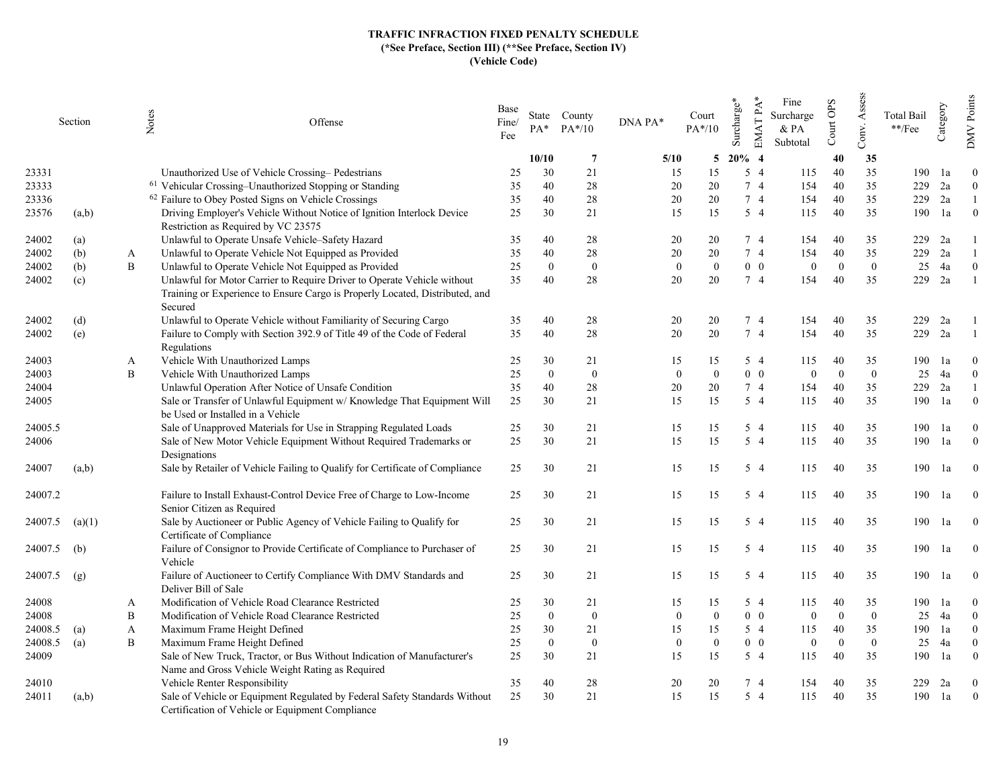|         | Section |   | Notes<br>Offense                                                                                                                                                   | Base<br>Fine/<br>Fee | $PA*$          | State County<br>$PA*/10$ | DNA PA*      | Court<br>$PA*/10$ | Surcharge* | EMAT PA*<br>Fine<br>Surcharge<br>& PA<br>Subtotal | Court OPS | Assess<br>Conv. | Total Bail<br>$\rm **/Fee$ | Category | Points<br>DMV.   |
|---------|---------|---|--------------------------------------------------------------------------------------------------------------------------------------------------------------------|----------------------|----------------|--------------------------|--------------|-------------------|------------|---------------------------------------------------|-----------|-----------------|----------------------------|----------|------------------|
|         |         |   |                                                                                                                                                                    |                      | 10/10          | $\overline{7}$           | 5/10         | 5                 | $20\%$ 4   |                                                   | 40        | 35              |                            |          |                  |
| 23331   |         |   | Unauthorized Use of Vehicle Crossing–Pedestrians                                                                                                                   | 25                   | 30             | 21                       | 15           | 15                | $5\quad4$  | 115                                               | 40        | 35              | 190                        | 1a       | $\Omega$         |
| 23333   |         |   | <sup>61</sup> Vehicular Crossing-Unauthorized Stopping or Standing                                                                                                 | 35                   | 40             | 28                       | 20           | 20                | 7 4        | 154                                               | 40        | 35              | 229                        | 2a       | $\overline{0}$   |
| 23336   |         |   | <sup>62</sup> Failure to Obey Posted Signs on Vehicle Crossings                                                                                                    | 35                   | 40             | 28                       | 20           | 20                | 74         | 154                                               | 40        | 35              | 229                        | 2a       | $\mathbf{1}$     |
| 23576   | (a,b)   |   | Driving Employer's Vehicle Without Notice of Ignition Interlock Device<br>Restriction as Required by VC 23575                                                      | 25                   | 30             | 21                       | 15           | 15                | $5\quad4$  | 115                                               | 40        | 35              | 190                        | 1a       | $\overline{0}$   |
| 24002   | (a)     |   | Unlawful to Operate Unsafe Vehicle-Safety Hazard                                                                                                                   | 35                   | 40             | 28                       | 20           | 20                | 7 4        | 154                                               | 40        | 35              | 229                        | 2a       |                  |
| 24002   | (b)     | A | Unlawful to Operate Vehicle Not Equipped as Provided                                                                                                               | 35                   | 40             | 28                       | 20           | 20                | 7 4        | 154                                               | 40        | 35              | 229                        | 2a       |                  |
| 24002   | (b)     | B | Unlawful to Operate Vehicle Not Equipped as Provided                                                                                                               | 25                   | $\mathbf{0}$   | $\mathbf{0}$             | $\mathbf{0}$ | $\theta$          | $0\quad 0$ | $\overline{0}$                                    | $\Omega$  | $\overline{0}$  | 25                         | 4a       | $\overline{0}$   |
| 24002   | (c)     |   | Unlawful for Motor Carrier to Require Driver to Operate Vehicle without<br>Training or Experience to Ensure Cargo is Properly Located, Distributed, and<br>Secured | 35                   | 40             | 28                       | 20           | 20                | 74         | 154                                               | 40        | 35              | 229                        | 2a       |                  |
| 24002   | (d)     |   | Unlawful to Operate Vehicle without Familiarity of Securing Cargo                                                                                                  | 35                   | 40             | 28                       | 20           | 20                | 74         | 154                                               | 40        | 35              | 229                        | 2a       |                  |
| 24002   | (e)     |   | Failure to Comply with Section 392.9 of Title 49 of the Code of Federal<br>Regulations                                                                             | 35                   | 40             | 28                       | 20           | 20                | 74         | 154                                               | 40        | 35              | 229                        | 2a       |                  |
| 24003   |         | A | Vehicle With Unauthorized Lamps                                                                                                                                    | 25                   | 30             | 21                       | 15           | 15                | 5 4        | 115                                               | 40        | 35              | 190                        | 1a       | $\theta$         |
| 24003   |         | B | Vehicle With Unauthorized Lamps                                                                                                                                    | 25                   | $\theta$       | $\overline{0}$           | $\theta$     | $\theta$          | $0\quad 0$ | $\overline{0}$                                    | $\Omega$  | $\overline{0}$  | 25                         | 4a       | $\overline{0}$   |
| 24004   |         |   | Unlawful Operation After Notice of Unsafe Condition                                                                                                                | 35                   | 40             | 28                       | 20           | 20                | 7 4        | 154                                               | 40        | 35              | 229                        | 2a       |                  |
| 24005   |         |   | Sale or Transfer of Unlawful Equipment w/ Knowledge That Equipment Will<br>be Used or Installed in a Vehicle                                                       | 25                   | 30             | 21                       | 15           | 15                | $5\quad4$  | 115                                               | 40        | 35              | 190                        | 1a       | $\overline{0}$   |
| 24005.5 |         |   | Sale of Unapproved Materials for Use in Strapping Regulated Loads                                                                                                  | 25                   | 30             | 21                       | 15           | 15                | 5 4        | 115                                               | 40        | 35              | 190                        | 1a       | $\overline{0}$   |
| 24006   |         |   | Sale of New Motor Vehicle Equipment Without Required Trademarks or<br>Designations                                                                                 | 25                   | 30             | 21                       | 15           | 15                | $5\quad4$  | 115                                               | 40        | 35              | 190                        | 1a       | $\boldsymbol{0}$ |
| 24007   | (a,b)   |   | Sale by Retailer of Vehicle Failing to Qualify for Certificate of Compliance                                                                                       | 25                   | 30             | 21                       | 15           | 15                | 5 4        | 115                                               | 40        | 35              | 190                        | 1a       | $\mathbf{0}$     |
| 24007.2 |         |   | Failure to Install Exhaust-Control Device Free of Charge to Low-Income<br>Senior Citizen as Required                                                               | 25                   | 30             | 21                       | 15           | 15                | 5 4        | 115                                               | 40        | 35              | 190                        | 1a       | $\overline{0}$   |
| 24007.5 | (a)(1)  |   | Sale by Auctioneer or Public Agency of Vehicle Failing to Qualify for<br>Certificate of Compliance                                                                 | 25                   | 30             | 21                       | 15           | 15                | $5\quad4$  | 115                                               | 40        | 35              | 190                        | 1a       | $\overline{0}$   |
| 24007.5 | (b)     |   | Failure of Consignor to Provide Certificate of Compliance to Purchaser of<br>Vehicle                                                                               | 25                   | 30             | 21                       | 15           | 15                | 5 4        | 115                                               | 40        | 35              | 190                        | 1a       | $\overline{0}$   |
| 24007.5 | (g)     |   | Failure of Auctioneer to Certify Compliance With DMV Standards and<br>Deliver Bill of Sale                                                                         | 25                   | 30             | 21                       | 15           | 15                | 5 4        | 115                                               | 40        | 35              | 190                        | 1a       | $\overline{0}$   |
| 24008   |         | A | Modification of Vehicle Road Clearance Restricted                                                                                                                  | 25                   | 30             | 21                       | 15           | 15                | 5 4        | 115                                               | 40        | 35              | 190                        | 1a       | $\overline{0}$   |
| 24008   |         | B | Modification of Vehicle Road Clearance Restricted                                                                                                                  | 25                   | $\overline{0}$ | $\mathbf{0}$             | $\theta$     | $\overline{0}$    | $0\quad 0$ | $\overline{0}$                                    | $\Omega$  | $\overline{0}$  | 25                         | 4a       | $\Omega$         |
| 24008.5 | (a)     | A | Maximum Frame Height Defined                                                                                                                                       | 25                   | 30             | 21                       | 15           | 15                | 5 4        | 115                                               | 40        | 35              | 190                        | 1a       | $\overline{0}$   |
| 24008.5 | (a)     | B | Maximum Frame Height Defined                                                                                                                                       | 25                   | $\mathbf{0}$   | $\mathbf{0}$             | $\mathbf{0}$ | $\mathbf{0}$      | $0\quad 0$ | $\mathbf{0}$                                      | $\Omega$  | $\overline{0}$  | 25                         | 4a       | $\mathbf{0}$     |
| 24009   |         |   | Sale of New Truck, Tractor, or Bus Without Indication of Manufacturer's<br>Name and Gross Vehicle Weight Rating as Required                                        | 25                   | 30             | 21                       | 15           | 15                | $5\quad4$  | 115                                               | 40        | 35              | 190                        | 1a       | $\theta$         |
| 24010   |         |   | Vehicle Renter Responsibility                                                                                                                                      | 35                   | 40             | 28                       | 20           | 20                | 7 4        | 154                                               | 40        | 35              | 229                        | 2a       | $\theta$         |
| 24011   | (a,b)   |   | Sale of Vehicle or Equipment Regulated by Federal Safety Standards Without<br>Certification of Vehicle or Equipment Compliance                                     | 25                   | 30             | 21                       | 15           | 15                | $5\quad4$  | 115                                               | 40        | 35              | 190                        | 1a       | $\overline{0}$   |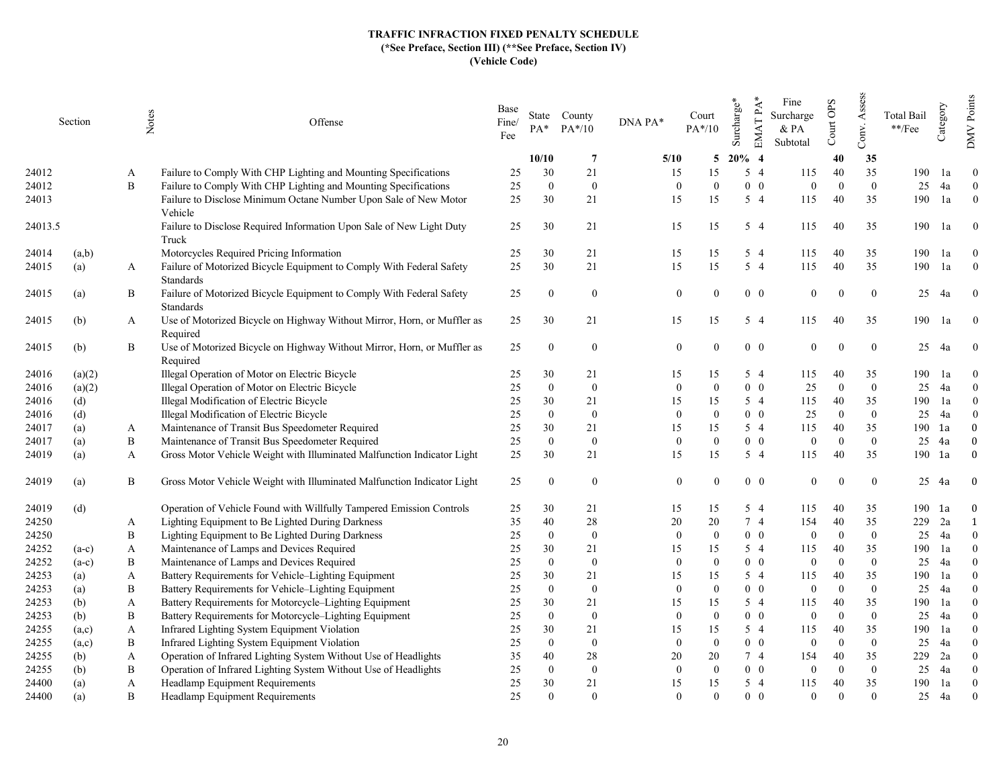|         | Section | Notes | Offense                                                                                  | Base<br>Fine/<br>Fee | $PA*$          | State County<br>$PA*/10$ | DNA PA*        | Court<br>$PA*/10$ | Surcharge* | $EMATPA*$<br>Fine<br>Surcharge<br>& PA<br>Subtotal | Court OPS | Assess<br>Conv.  | <b>Total Bail</b><br>$\rm **/Fee$ | Category | Points<br>$\sqrt{MN}$ |
|---------|---------|-------|------------------------------------------------------------------------------------------|----------------------|----------------|--------------------------|----------------|-------------------|------------|----------------------------------------------------|-----------|------------------|-----------------------------------|----------|-----------------------|
|         |         |       |                                                                                          |                      | 10/10          | $7\phantom{.0}$          | 5/10           | 5                 | $20\%$ 4   |                                                    | 40        | 35               |                                   |          |                       |
| 24012   |         | A     | Failure to Comply With CHP Lighting and Mounting Specifications                          | 25                   | 30             | 21                       | 15             | 15                | $5\quad4$  | 115                                                | 40        | 35               | 190                               | 1a       | $\overline{0}$        |
| 24012   |         | B     | Failure to Comply With CHP Lighting and Mounting Specifications                          | 25                   | $\theta$       | $\overline{0}$           | $\Omega$       | $\Omega$          | $0\quad 0$ | $\Omega$                                           | $\Omega$  | $\theta$         | 25                                | 4a       | $\theta$              |
| 24013   |         |       | Failure to Disclose Minimum Octane Number Upon Sale of New Motor<br>Vehicle              | 25                   | 30             | 21                       | 15             | 15                | $5\quad4$  | 115                                                | 40        | 35               | 190                               | 1a       | $\overline{0}$        |
| 24013.5 |         |       | Failure to Disclose Required Information Upon Sale of New Light Duty<br>Truck            | 25                   | 30             | 21                       | 15             | 15                | $5\quad4$  | 115                                                | 40        | 35               | 190                               | 1a       | $\theta$              |
| 24014   | (a,b)   |       | Motorcycles Required Pricing Information                                                 | 25                   | 30             | 21                       | 15             | 15                | 5 4        | 115                                                | 40        | 35               | 190                               | 1a       | $\overline{0}$        |
| 24015   | (a)     | A     | Failure of Motorized Bicycle Equipment to Comply With Federal Safety<br><b>Standards</b> | 25                   | 30             | 21                       | 15             | 15                | 54         | 115                                                | 40        | 35               | 190                               | 1a       | $\mathbf{0}$          |
| 24015   | (a)     | B     | Failure of Motorized Bicycle Equipment to Comply With Federal Safety<br>Standards        | 25                   | $\theta$       | $\theta$                 | $\overline{0}$ | $\Omega$          | $0\quad 0$ | $\theta$                                           | $\Omega$  | $\mathbf{0}$     | 25                                | 4a       | $\theta$              |
| 24015   | (b)     | A     | Use of Motorized Bicycle on Highway Without Mirror, Horn, or Muffler as<br>Required      | 25                   | 30             | 21                       | 15             | 15                | $5\quad4$  | 115                                                | 40        | 35               | 190                               | 1a       | $\theta$              |
| 24015   | (b)     | B     | Use of Motorized Bicycle on Highway Without Mirror, Horn, or Muffler as<br>Required      | 25                   | $\theta$       | $\overline{0}$           | $\Omega$       | $\Omega$          | $0\quad 0$ | $\theta$                                           |           | $\mathbf{0}$     | 25                                | 4a       | $\mathbf{0}$          |
| 24016   | (a)(2)  |       | Illegal Operation of Motor on Electric Bicycle                                           | 25                   | 30             | 21                       | 15             | 15                | $5\quad4$  | 115                                                | 40        | 35               | 190                               | 1a       | $\Omega$              |
| 24016   | (a)(2)  |       | Illegal Operation of Motor on Electric Bicycle                                           | 25                   | $\theta$       | $\mathbf{0}$             | $\Omega$       | $\Omega$          | $0\quad 0$ | $25\,$                                             | $\Omega$  | $\Omega$         | 25                                | 4a       | $\theta$              |
| 24016   | (d)     |       | Illegal Modification of Electric Bicycle                                                 | 25                   | 30             | 21                       | 15             | 15                | $5\quad4$  | 115                                                | 40        | 35               | 190                               | 1a       | $\overline{0}$        |
| 24016   | (d)     |       | Illegal Modification of Electric Bicycle                                                 | 25                   | $\theta$       | $\overline{0}$           | $\Omega$       | $\Omega$          | $0\quad 0$ | 25                                                 | $\Omega$  | $\theta$         | 25                                | 4a       | $\Omega$              |
| 24017   | (a)     | A     | Maintenance of Transit Bus Speedometer Required                                          | 25                   | 30             | 21                       | 15             | 15                | 5 4        | 115                                                | 40        | 35               | 190                               | 1a       | $\Omega$              |
| 24017   | (a)     | B     | Maintenance of Transit Bus Speedometer Required                                          | 25                   | $\mathbf{0}$   | $\bf{0}$                 | $\Omega$       | $\overline{0}$    | $0\quad 0$ | $\theta$                                           | $\Omega$  | $\overline{0}$   | 25                                | 4a       | $\theta$              |
| 24019   | (a)     | A     | Gross Motor Vehicle Weight with Illuminated Malfunction Indicator Light                  | 25                   | 30             | 21                       | 15             | 15                | $5\quad4$  | 115                                                | 40        | 35               |                                   | 190 1a   | $\Omega$              |
| 24019   | (a)     | B     | Gross Motor Vehicle Weight with Illuminated Malfunction Indicator Light                  | 25                   | $\Omega$       | $\overline{0}$           | $\overline{0}$ |                   | $0\quad 0$ | $\mathbf{0}$                                       | $\theta$  | $\boldsymbol{0}$ | 25                                | 4a       | $\boldsymbol{0}$      |
| 24019   | (d)     |       | Operation of Vehicle Found with Willfully Tampered Emission Controls                     | 25                   | 30             | 21                       | 15             | 15                | $5\quad4$  | 115                                                | 40        | 35               | 190                               | 1a       | $\theta$              |
| 24250   |         | A     | Lighting Equipment to Be Lighted During Darkness                                         | 35                   | 40             | 28                       | 20             | 20                | 74         | 154                                                | 40        | 35               | 229                               | 2a       | $\mathbf{1}$          |
| 24250   |         | B     | Lighting Equipment to Be Lighted During Darkness                                         | 25                   | $\overline{0}$ | $\mathbf{0}$             | $\Omega$       | $\theta$          | $0\quad 0$ | $\theta$                                           | $\Omega$  | $\theta$         | 25                                | 4a       | $\theta$              |
| 24252   | $(a-c)$ | A     | Maintenance of Lamps and Devices Required                                                | 25                   | 30             | 21                       | 15             | 15                | $5\quad4$  | 115                                                | 40        | 35               | 190                               | 1a       | $\Omega$              |
| 24252   | $(a-c)$ | B     | Maintenance of Lamps and Devices Required                                                | 25                   | $\Omega$       | $\mathbf{0}$             | $\Omega$       | $\Omega$          | $0\quad 0$ | $\Omega$                                           | $\Omega$  | $\theta$         | 25                                | 4a       | $\Omega$              |
| 24253   | (a)     | A     | Battery Requirements for Vehicle-Lighting Equipment                                      | 25                   | 30             | 21                       | 15             | 15                | $5\quad4$  | 115                                                | 40        | 35               | 190                               | 1a       | $\Omega$              |
| 24253   | (a)     | B     | Battery Requirements for Vehicle-Lighting Equipment                                      | 25                   | $\theta$       | $\mathbf{0}$             | $\Omega$       | $\theta$          | $0\quad 0$ | $\mathbf{0}$                                       | $\Omega$  | $\overline{0}$   | 25                                | 4a       | $\mathbf{0}$          |
| 24253   | (b)     | A     | Battery Requirements for Motorcycle-Lighting Equipment                                   | 25                   | 30             | 21                       | 15             | 15                | 5 4        | 115                                                | 40        | 35               | 190                               | 1a       | $\theta$              |
| 24253   | (b)     | B     | Battery Requirements for Motorcycle-Lighting Equipment                                   | 25                   | $\Omega$       | $\mathbf{0}$             | $\Omega$       | $\Omega$          | $0\quad 0$ | $\Omega$                                           | $\Omega$  | $\Omega$         | 25                                | 4a       | $\Omega$              |
| 24255   | (a,c)   | A     | Infrared Lighting System Equipment Violation                                             | 25                   | 30             | 21                       | 15             | 15                | $5\quad4$  | 115                                                | 40        | 35               | 190                               | 1a       | $\theta$              |
| 24255   | (a,c)   | B     | Infrared Lighting System Equipment Violation                                             | 25                   | $\theta$       | $\overline{0}$           | $\Omega$       | $\Omega$          | $0\quad 0$ | $\theta$                                           | $\Omega$  | $\theta$         | 25                                | 4a       | $\Omega$              |
| 24255   | (b)     | A     | Operation of Infrared Lighting System Without Use of Headlights                          | 35                   | 40             | 28                       | 20             | 20                | 74         | 154                                                | 40        | 35               | 229                               | 2a       | $\Omega$              |
| 24255   | (b)     | B     | Operation of Infrared Lighting System Without Use of Headlights                          | 25                   | $\theta$       | $\mathbf{0}$             | $\Omega$       | $\theta$          | $0\quad 0$ | $\theta$                                           | $\Omega$  | $\overline{0}$   | 25                                | 4a       | $\theta$              |
| 24400   | (a)     | A     | Headlamp Equipment Requirements                                                          | 25                   | 30             | 21                       | 15             | 15                | $5\quad4$  | 115                                                | 40        | 35               | 190                               | 1a       | $\theta$              |
| 24400   | (a)     | B     | Headlamp Equipment Requirements                                                          | 25                   | $\Omega$       | $\Omega$                 | $\Omega$       | $\Omega$          | $0\quad 0$ | $\Omega$                                           | $\Omega$  | $\theta$         | 25                                | 4a       | $\theta$              |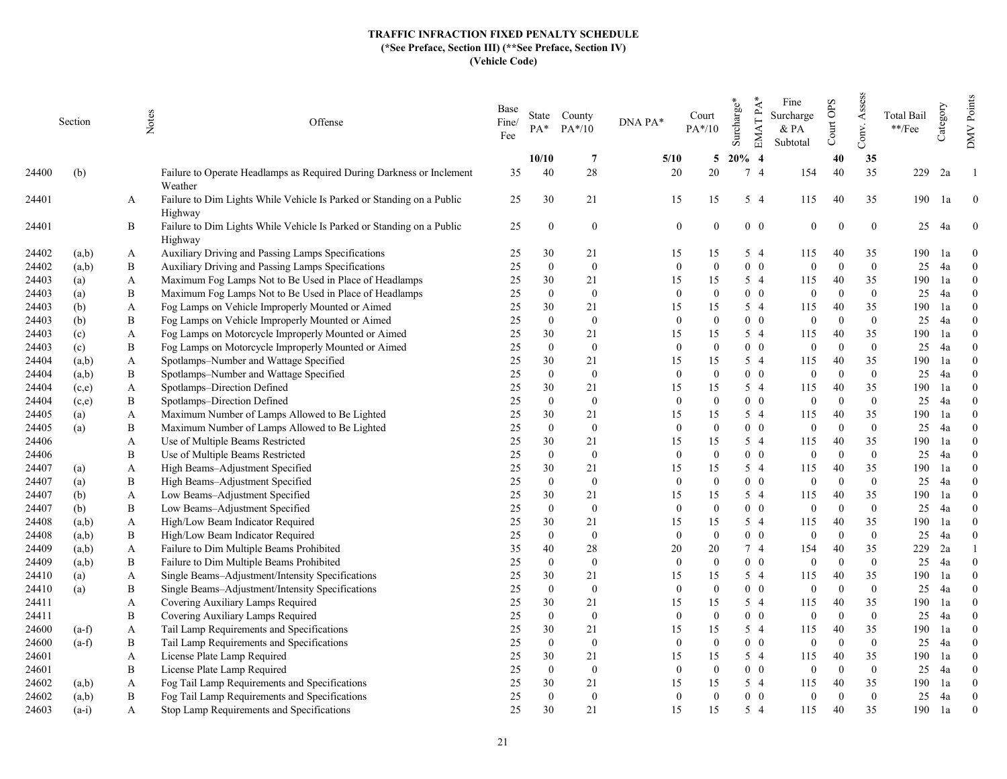|       | Section | Notes            | Offense                                                               | Base<br>Fine/<br>Fee | $PA^*$       | State County<br>$PA*/10$ | DNA PA*      | Court<br>$PA*/10$ | Surcharge* | EMAT PA*<br>Fine<br>Surcharge<br>& PA<br>Subtotal | Court OPS                  | Assess<br>Conv. | <b>Total Bail</b><br>**/Fee | Category | DMV Points     |
|-------|---------|------------------|-----------------------------------------------------------------------|----------------------|--------------|--------------------------|--------------|-------------------|------------|---------------------------------------------------|----------------------------|-----------------|-----------------------------|----------|----------------|
|       |         |                  |                                                                       |                      | 10/10        | $\overline{7}$           | 5/10         | 5                 | $20%$ 4    |                                                   | 40                         | 35              |                             |          |                |
| 24400 | (b)     |                  | Failure to Operate Headlamps as Required During Darkness or Inclement | 35                   | 40           | 28                       | 20           | 20                | 7 4        | 154                                               | 40                         | 35              | 229                         | 2a       |                |
|       |         |                  | Weather                                                               |                      |              |                          |              |                   |            |                                                   |                            |                 |                             |          |                |
| 24401 |         | A                | Failure to Dim Lights While Vehicle Is Parked or Standing on a Public | 25                   | 30           | 21                       | 15           | 15                | 5 4        | 115                                               | 40                         | 35              | 190                         | 1a       | $\overline{0}$ |
|       |         |                  | Highway                                                               |                      |              |                          |              |                   |            |                                                   |                            |                 |                             |          |                |
| 24401 |         | B                | Failure to Dim Lights While Vehicle Is Parked or Standing on a Public | 25                   | $\mathbf{0}$ | $\overline{0}$           | $\theta$     | $\Omega$          | $0\quad 0$ |                                                   | $\theta$                   | $\theta$        | 25                          | 4a       | $\mathbf{0}$   |
|       |         |                  | Highway                                                               |                      |              |                          |              |                   |            |                                                   |                            |                 |                             |          |                |
| 24402 | (a,b)   | A                | Auxiliary Driving and Passing Lamps Specifications                    | 25                   | 30           | 21                       | 15           | 15                | 5 4        | 115                                               | 40                         | 35              | 190                         | 1a       | $\theta$       |
| 24402 | (a,b)   | B                | Auxiliary Driving and Passing Lamps Specifications                    | 25                   | $\mathbf{0}$ | $\mathbf{0}$             | $\theta$     | $\theta$          |            | $0\quad 0$                                        | $\Omega$<br>$\theta$       | $\mathbf{0}$    | 25                          | 4a       | $\mathbf{0}$   |
| 24403 | (a)     | A                | Maximum Fog Lamps Not to Be Used in Place of Headlamps                | 25                   | 30           | 21                       | 15           | 15                | $5\quad4$  | 115                                               | 40                         | 35              | 190                         | 1a       | $\Omega$       |
| 24403 | (a)     | B                | Maximum Fog Lamps Not to Be Used in Place of Headlamps                | 25                   | $\mathbf{0}$ | $\mathbf{0}$             | $\theta$     | $\Omega$          |            | $0\quad 0$                                        | $\Omega$<br>$\theta$       | $\mathbf{0}$    | 25                          | 4a       | $\theta$       |
| 24403 | (b)     | A                | Fog Lamps on Vehicle Improperly Mounted or Aimed                      | 25                   | 30           | 21                       | 15           | 15                | $5\quad4$  | 115                                               | 40                         | 35              | 190                         | 1a       | $\theta$       |
| 24403 | (b)     | B                | Fog Lamps on Vehicle Improperly Mounted or Aimed                      | 25                   | $\mathbf{0}$ | $\mathbf{0}$             | $\mathbf{0}$ | $\Omega$          |            | $0\quad 0$                                        | $\Omega$<br>$\mathbf{0}$   | $\mathbf{0}$    | 25                          | 4a       | $\theta$       |
| 24403 | (c)     | A                | Fog Lamps on Motorcycle Improperly Mounted or Aimed                   | 25                   | 30           | 21                       | 15           | 15                | $5\quad4$  | 115                                               | 40                         | 35              | 190                         | 1a       | $\Omega$       |
| 24403 | (c)     | B                | Fog Lamps on Motorcycle Improperly Mounted or Aimed                   | 25                   | $\mathbf{0}$ | $\bf{0}$                 | $\theta$     | $\Omega$          | $0\quad 0$ |                                                   | $\theta$<br>$\Omega$       | $\mathbf{0}$    | 25                          | 4a       | $\Omega$       |
| 24404 | (a,b)   | A                | Spotlamps-Number and Wattage Specified                                | 25                   | 30           | 21                       | 15           | 15                | $5\quad4$  | 115                                               | 40                         | 35              | 190                         | 1a       | $\Omega$       |
| 24404 | (a,b)   | B                | Spotlamps-Number and Wattage Specified                                | 25                   | $\mathbf{0}$ | $\mathbf{0}$             | $\theta$     | $\Omega$          | $0\quad 0$ |                                                   | $\theta$<br>$\Omega$       | $\overline{0}$  | 25                          | 4a       | $\theta$       |
| 24404 | (c,e)   | A                | Spotlamps-Direction Defined                                           | 25                   | 30           | 21                       | 15           | 15                | $5\quad4$  | 115                                               | 40                         | 35              | 190                         | 1a       | $\theta$       |
| 24404 | (c,e)   | B                | Spotlamps-Direction Defined                                           | 25                   | $\mathbf{0}$ | $\mathbf{0}$             | $\theta$     | $\Omega$          |            | $0\quad 0$                                        | $\Omega$<br>$\overline{0}$ | $\mathbf{0}$    | 25                          | 4a       | $\theta$       |
| 24405 | (a)     | A                | Maximum Number of Lamps Allowed to Be Lighted                         | 25                   | 30           | 21                       | 15           | 15                | $5\quad4$  | 115                                               | 40                         | 35              | 190                         | 1a       | $\Omega$       |
| 24405 | (a)     | B                | Maximum Number of Lamps Allowed to Be Lighted                         | 25                   | $\mathbf{0}$ | $\mathbf{0}$             | $\theta$     | $\Omega$          |            | $0\quad 0$                                        | $\theta$<br>$\Omega$       | $\overline{0}$  | 25                          | 4a       | $\theta$       |
| 24406 |         | A                | Use of Multiple Beams Restricted                                      | 25                   | 30           | 21                       | 15           | 15                | $5\quad4$  | 115                                               | 40                         | 35              | 190                         | 1a       | $\theta$       |
| 24406 |         | B                | Use of Multiple Beams Restricted                                      | 25                   | $\mathbf{0}$ | $\mathbf{0}$             | $\mathbf{0}$ | $\theta$          | $0\quad 0$ |                                                   | $\Omega$<br>$\mathbf{0}$   | $\overline{0}$  | 25                          | 4a       | $\theta$       |
| 24407 | (a)     | A                | High Beams-Adjustment Specified                                       | 25                   | 30           | 21                       | 15           | 15                | $5\quad4$  | 115                                               | 40                         | 35              | 190                         | 1a       | $\Omega$       |
| 24407 | (a)     | B                | High Beams-Adjustment Specified                                       | 25                   | $\mathbf{0}$ | $\mathbf{0}$             | $\theta$     | $\Omega$          | $0\quad 0$ |                                                   | $\Omega$<br>$\theta$       | $\overline{0}$  | 25                          | 4a       | $\theta$       |
| 24407 | (b)     | A                | Low Beams-Adjustment Specified                                        | 25                   | 30           | 21                       | 15           | 15                | 5 4        | 115                                               | 40                         | 35              | 190                         | 1a       | $\Omega$       |
| 24407 | (b)     | B                | Low Beams-Adjustment Specified                                        | 25                   | $\mathbf{0}$ | $\mathbf{0}$             | $\theta$     | $\Omega$          | $0\quad 0$ |                                                   | $\Omega$<br>$\Omega$       | $\overline{0}$  | 25                          | 4a       | $\theta$       |
| 24408 | (a,b)   | A                | High/Low Beam Indicator Required                                      | 25                   | 30           | 21                       | 15           | 15                | $5\quad4$  | 115                                               | 40                         | 35              | 190                         | 1a       | $\theta$       |
| 24408 | (a,b)   | B                | High/Low Beam Indicator Required                                      | 25                   | $\mathbf{0}$ | $\mathbf{0}$             | $\theta$     | $\Omega$          |            | $0\quad 0$                                        | $\overline{0}$<br>$\Omega$ | $\overline{0}$  | 25                          | 4a       | $\theta$       |
| 24409 | (a,b)   | A                | Failure to Dim Multiple Beams Prohibited                              | 35                   | 40           | 28                       | 20           | 20                | 7 4        | 154                                               | 40                         | 35              | 229                         | 2a       |                |
| 24409 | (a,b)   | $\boldsymbol{B}$ | Failure to Dim Multiple Beams Prohibited                              | 25                   | $\mathbf{0}$ | $\mathbf{0}$             | $\mathbf{0}$ | $\Omega$          | $0\quad 0$ |                                                   | $\overline{0}$<br>$\Omega$ | $\overline{0}$  | 25                          | 4a       | $\theta$       |
| 24410 | (a)     | A                | Single Beams-Adjustment/Intensity Specifications                      | 25                   | 30           | 21                       | 15           | 15                | $5\quad4$  | 115                                               | 40                         | 35              | 190                         | 1a       | $\theta$       |
| 24410 | (a)     | B                | Single Beams-Adjustment/Intensity Specifications                      | 25                   | $\mathbf{0}$ | $\mathbf{0}$             | $\mathbf{0}$ | $\Omega$          | $0\quad 0$ |                                                   | $\overline{0}$<br>$\Omega$ | $\overline{0}$  | 25                          | 4a       | $\theta$       |
| 24411 |         | A                | Covering Auxiliary Lamps Required                                     | 25                   | 30           | 21                       | 15           | 15                | $5\quad4$  | 115                                               | 40                         | 35              | 190                         | 1a       | $\Omega$       |
| 24411 |         | B                | Covering Auxiliary Lamps Required                                     | 25                   | $\mathbf{0}$ | $\mathbf{0}$             | $\theta$     | $\Omega$          | $0\quad 0$ |                                                   | $\Omega$<br>$\theta$       | $\overline{0}$  | 25                          | 4a       | $\theta$       |
| 24600 | $(a-f)$ | A                | Tail Lamp Requirements and Specifications                             | 25                   | 30           | 21                       | 15           | 15                | $5\quad4$  | 115                                               | 40                         | 35              | 190                         | 1a       | $\Omega$       |
| 24600 | $(a-f)$ | B                | Tail Lamp Requirements and Specifications                             | 25                   | $\mathbf{0}$ | $\mathbf{0}$             | $\theta$     | $\Omega$          |            | $0\quad 0$                                        | $\mathbf{0}$<br>$\Omega$   | $\overline{0}$  | 25                          | 4a       | $\mathbf{0}$   |
| 24601 |         | A                | License Plate Lamp Required                                           | 25                   | 30           | 21                       | 15           | 15                | $5\quad4$  | 115                                               | 40                         | 35              | 190                         | 1a       | $\Omega$       |
| 24601 |         | B                | License Plate Lamp Required                                           | 25                   | $\mathbf{0}$ | $\mathbf{0}$             | $\theta$     | $\theta$          |            | $0\quad 0$                                        | $\overline{0}$<br>$\Omega$ | $\theta$        | 25                          | 4a       | $\theta$       |
| 24602 | (a,b)   | A                | Fog Tail Lamp Requirements and Specifications                         | 25                   | 30           | 21                       | 15           | 15                | 5 4        | 115                                               | 40                         | 35              | 190                         | 1a       | $\theta$       |
| 24602 | (a,b)   | B                | Fog Tail Lamp Requirements and Specifications                         | 25                   | $\mathbf{0}$ | $\mathbf{0}$             | $\mathbf{0}$ | $\theta$          | $0\quad 0$ |                                                   | $\Omega$<br>$\theta$       | $\overline{0}$  | 25                          | 4a       | $\theta$       |
| 24603 | $(a-i)$ | A                | Stop Lamp Requirements and Specifications                             | 25                   | 30           | 21                       | 15           | 15                | $5\quad4$  | 115                                               | 40                         | 35              | 190                         | 1a       | $\theta$       |
|       |         |                  |                                                                       |                      |              |                          |              |                   |            |                                                   |                            |                 |                             |          |                |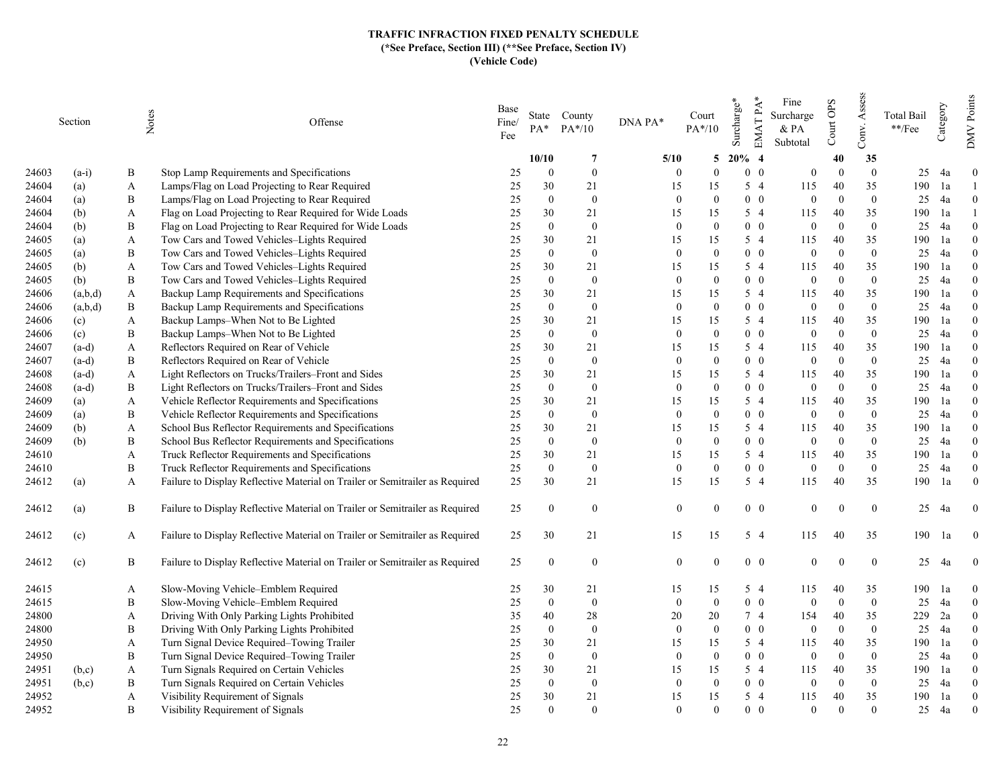|       | Section | Notes    | Offense                                                                      | Base<br>Fine/<br>Fee | $PA*$          | State County<br>$PA*/10$ | DNA PA*        | Court<br>$PA*/10$ | Surcharge* | EMAT PA*<br>Fine<br>Surcharge<br>$&$ PA<br>Subtotal | Court OPS | Assess<br>Conv.  | <b>Total Bail</b><br>$\rm **/Fee$ | Category | Points<br><b>NNO</b> |
|-------|---------|----------|------------------------------------------------------------------------------|----------------------|----------------|--------------------------|----------------|-------------------|------------|-----------------------------------------------------|-----------|------------------|-----------------------------------|----------|----------------------|
|       |         |          |                                                                              |                      | 10/10          | -7                       | 5/10           | 5                 | $20\%$ 4   |                                                     | 40        | 35               |                                   |          |                      |
| 24603 | $(a-i)$ | B        | Stop Lamp Requirements and Specifications                                    | 25                   | $\Omega$       | $\bf{0}$                 | $\Omega$       | $\Omega$          | $0\quad 0$ | $\theta$                                            | $\Omega$  | $\theta$         | 25                                | 4a       | $\theta$             |
| 24604 | (a)     | A        | Lamps/Flag on Load Projecting to Rear Required                               | 25                   | 30             | 21                       | 15             | 15                | $5\quad4$  | 115                                                 | 40        | 35               | 190                               | 1a       |                      |
| 24604 | (a)     | B        | Lamps/Flag on Load Projecting to Rear Required                               | 25                   | $\mathbf{0}$   | $\boldsymbol{0}$         | $\Omega$       | $\Omega$          | $0\quad 0$ | $\mathbf{0}$                                        | $\Omega$  | $\boldsymbol{0}$ | 25                                | 4a       | $\mathbf{0}$         |
| 24604 | (b)     | A        | Flag on Load Projecting to Rear Required for Wide Loads                      | 25                   | 30             | 21                       | 15             | 15                | 5 4        | 115                                                 | 40        | 35               | 190                               | 1a       |                      |
| 24604 | (b)     | B        | Flag on Load Projecting to Rear Required for Wide Loads                      | 25                   | $\mathbf{0}$   | $\bf{0}$                 | $\theta$       | $\Omega$          | $0\quad 0$ | $\mathbf{0}$                                        | $\Omega$  | $\overline{0}$   | 25                                | 4a       | $\theta$             |
| 24605 | (a)     | A        | Tow Cars and Towed Vehicles-Lights Required                                  | 25                   | 30             | 21                       | 15             | 15                | 5 4        | 115                                                 | 40        | 35               | 190                               | 1a       | $\theta$             |
| 24605 | (a)     | B        | Tow Cars and Towed Vehicles-Lights Required                                  | 25                   | $\mathbf{0}$   | $\bf{0}$                 | $\mathbf{0}$   | $\mathbf{0}$      | $0\quad 0$ | $\boldsymbol{0}$                                    | $\Omega$  | $\mathbf{0}$     | 25                                | 4a       | $\theta$             |
| 24605 | (b)     | A        | Tow Cars and Towed Vehicles-Lights Required                                  | 25                   | 30             | 21                       | 15             | 15                | 5 4        | 115                                                 | 40        | 35               | 190                               | 1a       | $\theta$             |
| 24605 | (b)     | B        | Tow Cars and Towed Vehicles-Lights Required                                  | 25                   | $\Omega$       | $\overline{0}$           | $\mathbf{0}$   | $\Omega$          | $0\quad 0$ | $\overline{0}$                                      | $\Omega$  | $\overline{0}$   | 25                                | 4a       | $\Omega$             |
| 24606 | (a,b,d) | A        | Backup Lamp Requirements and Specifications                                  | 25                   | 30             | 21                       | 15             | 15                | 5 4        | 115                                                 | 40        | 35               | 190                               | 1a       | $\Omega$             |
| 24606 | (a,b,d) | B        | Backup Lamp Requirements and Specifications                                  | 25                   | $\mathbf{0}$   | $\bf{0}$                 | $\mathbf{0}$   | $\Omega$          | $0\quad 0$ | $\overline{0}$                                      | $\Omega$  | $\overline{0}$   | 25                                | 4a       | $\theta$             |
| 24606 | (c)     | A        | Backup Lamps-When Not to Be Lighted                                          | 25                   | 30             | 21                       | 15             | 15                | $5\quad4$  | 115                                                 | 40        | 35               | 190                               | 1a       | $\Omega$             |
| 24606 | (c)     | В        | Backup Lamps-When Not to Be Lighted                                          | 25                   | $\overline{0}$ | $\bf{0}$                 | $\overline{0}$ | $\theta$          | $0\quad 0$ | $\overline{0}$                                      | $\Omega$  | $\overline{0}$   | 25                                | 4a       | $\theta$             |
| 24607 | $(a-d)$ | A        | Reflectors Required on Rear of Vehicle                                       | 25                   | 30             | 21                       | 15             | 15                | $5\quad4$  | 115                                                 | 40        | 35               | 190                               | 1a       | $\Omega$             |
| 24607 | $(a-d)$ | $\bf{B}$ | Reflectors Required on Rear of Vehicle                                       | 25                   | $\overline{0}$ | $\mathbf{0}$             | $\theta$       | $\theta$          | $0\quad 0$ | $\mathbf{0}$                                        | $\Omega$  | $\overline{0}$   | 25                                | 4a       | $\Omega$             |
| 24608 | $(a-d)$ | A        | Light Reflectors on Trucks/Trailers-Front and Sides                          | 25                   | 30             | 21                       | 15             | 15                | 5 4        | 115                                                 | 40        | 35               | 190                               | 1a       | $\theta$             |
| 24608 | $(a-d)$ | B        | Light Reflectors on Trucks/Trailers–Front and Sides                          | 25                   | $\mathbf{0}$   | $\bf{0}$                 | $\overline{0}$ | $\theta$          | $0\quad 0$ | $\mathbf{0}$                                        | $\Omega$  | $\overline{0}$   | 25                                | 4a       | $\theta$             |
| 24609 | (a)     | A        | Vehicle Reflector Requirements and Specifications                            | 25                   | 30             | 21                       | 15             | 15                | $5\quad4$  | 115                                                 | 40        | 35               | 190                               | 1a       | $\theta$             |
| 24609 | (a)     | B        | Vehicle Reflector Requirements and Specifications                            | 25                   | $\theta$       | $\overline{0}$           | $\overline{0}$ | $\Omega$          | $0\quad 0$ | $\overline{0}$                                      | $\Omega$  | $\theta$         | 25                                | 4a       | $\Omega$             |
| 24609 | (b)     | A        | School Bus Reflector Requirements and Specifications                         | 25                   | 30             | 21                       | 15             | 15                | 5 4        | 115                                                 | 40        | 35               | 190                               | 1a       | $\theta$             |
| 24609 | (b)     | B        | School Bus Reflector Requirements and Specifications                         | 25                   | $\overline{0}$ | $\bf{0}$                 | $\mathbf{0}$   | $\Omega$          | $0\quad 0$ | $\overline{0}$                                      | $\Omega$  | $\overline{0}$   | 25                                | 4a       | $\Omega$             |
| 24610 |         | A        | Truck Reflector Requirements and Specifications                              | 25                   | 30             | 21                       | 15             | 15                | $5\quad4$  | 115                                                 | 40        | 35               | 190                               | 1a       | $\theta$             |
| 24610 |         | B        | Truck Reflector Requirements and Specifications                              | 25                   | $\overline{0}$ | $\mathbf{0}$             | $\mathbf{0}$   | $\Omega$          | $0\quad 0$ | $\overline{0}$                                      | $\Omega$  | $\overline{0}$   | 25                                | 4a       | $\theta$             |
| 24612 | (a)     | A        | Failure to Display Reflective Material on Trailer or Semitrailer as Required | 25                   | 30             | 21                       | 15             | 15                | $5\quad4$  | 115                                                 | 40        | 35               | 190                               | 1a       | $\Omega$             |
| 24612 | (a)     | B        | Failure to Display Reflective Material on Trailer or Semitrailer as Required | 25                   | $\overline{0}$ | $\bf{0}$                 | $\mathbf{0}$   | $\theta$          | $0\quad 0$ | $\mathbf{0}$                                        | $\theta$  | $\boldsymbol{0}$ | 25                                | 4a       | $\overline{0}$       |
| 24612 | (c)     | A        | Failure to Display Reflective Material on Trailer or Semitrailer as Required | 25                   | 30             | 21                       | 15             | 15                | 5 4        | 115                                                 | 40        | 35               | 190                               | 1a       | $\overline{0}$       |
| 24612 | (c)     | B        | Failure to Display Reflective Material on Trailer or Semitrailer as Required | 25                   | $\overline{0}$ | $\overline{0}$           | $\overline{0}$ | $\Omega$          | $0\quad 0$ | $\theta$                                            | $\Omega$  | $\mathbf{0}$     | 25                                | 4a       | $\overline{0}$       |
| 24615 |         | A        | Slow-Moving Vehicle–Emblem Required                                          | 25                   | 30             | 21                       | 15             | 15                | 5 4        | 115                                                 | 40        | 35               | 190                               | 1a       | $\theta$             |
| 24615 |         | B        | Slow-Moving Vehicle-Emblem Required                                          | 25                   | $\mathbf{0}$   | $\bf{0}$                 | $\mathbf{0}$   | $\mathbf{0}$      | $0\quad 0$ | $\mathbf{0}$                                        | $\theta$  | $\mathbf{0}$     | 25                                | 4a       | $\mathbf{0}$         |
| 24800 |         | A        | Driving With Only Parking Lights Prohibited                                  | 35                   | 40             | 28                       | 20             | 20                | 74         | 154                                                 | 40        | 35               | 229                               | 2a       | $\Omega$             |
| 24800 |         | B        | Driving With Only Parking Lights Prohibited                                  | 25                   | $\mathbf{0}$   | $\mathbf{0}$             | $\mathbf{0}$   | $\Omega$          | $0\quad 0$ | $\mathbf{0}$                                        | $\Omega$  | $\mathbf{0}$     | 25                                | 4a       | $\theta$             |
| 24950 |         | A        | Turn Signal Device Required-Towing Trailer                                   | 25                   | 30             | 21                       | 15             | 15                | $5\quad4$  | 115                                                 | 40        | 35               | 190                               | 1a       | $\Omega$             |
| 24950 |         | B        | Turn Signal Device Required-Towing Trailer                                   | 25                   | $\overline{0}$ | $\bf{0}$                 | $\overline{0}$ | $\Omega$          | $0\quad 0$ | $\mathbf{0}$                                        | $\theta$  | $\mathbf{0}$     | 25                                | 4a       | $\theta$             |
| 24951 | (b,c)   | A        | Turn Signals Required on Certain Vehicles                                    | 25                   | 30             | 21                       | 15             | 15                | $5\quad4$  | 115                                                 | 40        | 35               | 190                               | 1a       | $\theta$             |
| 24951 | (b,c)   | В        | Turn Signals Required on Certain Vehicles                                    | 25                   | $\overline{0}$ | $\overline{0}$           | $\theta$       | $\Omega$          | $0\quad 0$ | $\overline{0}$                                      | $\Omega$  | $\overline{0}$   | 25                                | 4a       | $\Omega$             |
| 24952 |         | A        | Visibility Requirement of Signals                                            | 25                   | 30             | 21                       | 15             | 15                | 5 4        | 115                                                 | 40        | 35               | 190                               | 1a       | $\mathbf{0}$         |
| 24952 |         | B        | Visibility Requirement of Signals                                            | 25                   | $\theta$       | $\overline{0}$           | $\Omega$       | $\Omega$          | $0\quad 0$ | $\Omega$                                            | $\Omega$  | $\Omega$         | 25                                | 4a       | $\theta$             |
|       |         |          |                                                                              |                      |                |                          |                |                   |            |                                                     |           |                  |                                   |          |                      |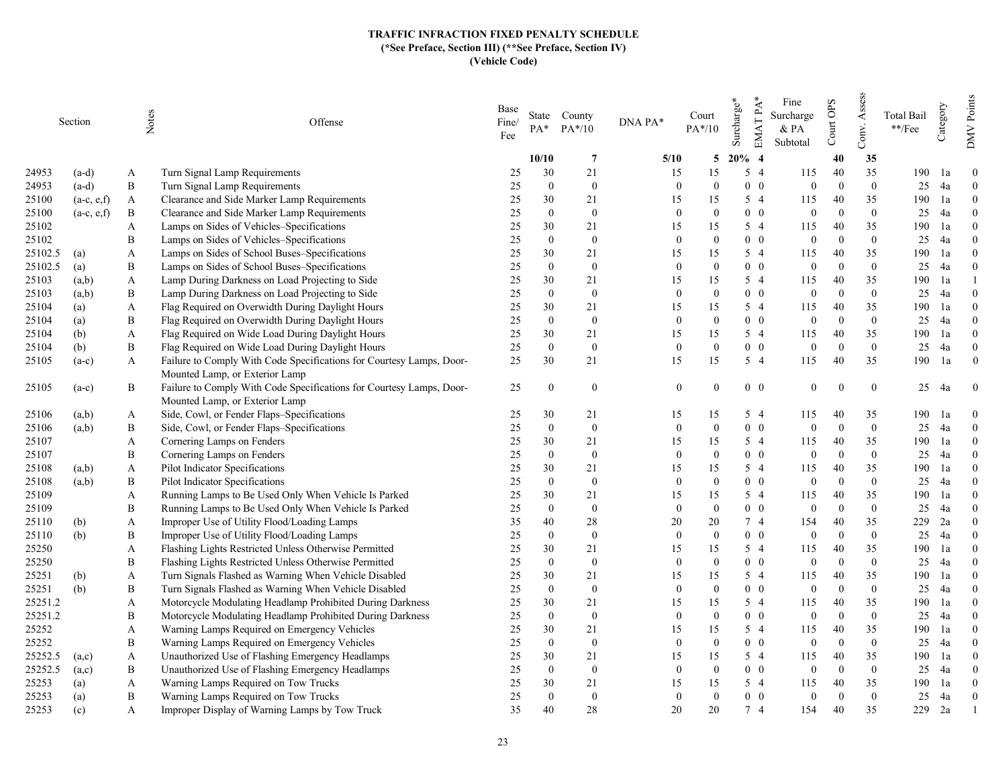|         | Section       | Notes | Offense                                                              | Base<br>Fine/<br>Fee | $PA*$          | State County<br>$PA*/10$ | DNA PA*      | Court<br>$PA*/10$ | Surcharge* | EMAT PA*<br>Fine<br>Surcharge<br>& PA<br>Subtotal | Court OPS | Assess<br>Conv. | Total Bail<br>**/Fee | Category | Points<br><b>NNO</b> |
|---------|---------------|-------|----------------------------------------------------------------------|----------------------|----------------|--------------------------|--------------|-------------------|------------|---------------------------------------------------|-----------|-----------------|----------------------|----------|----------------------|
|         |               |       |                                                                      |                      | 10/10          | $\overline{7}$           | 5/10         | 5                 | $20\%$ 4   |                                                   | 40        | 35              |                      |          |                      |
| 24953   | $(a-d)$       | A     | Turn Signal Lamp Requirements                                        | 25                   | 30             | 21                       | 15           | 15                | $5\quad4$  | 115                                               | 40        | 35              | 190                  | 1a       | $\theta$             |
| 24953   | $(a-d)$       | B     | Turn Signal Lamp Requirements                                        | 25                   | $\mathbf{0}$   | $\bf{0}$                 | $\theta$     | $\theta$          | $0\quad 0$ | $\mathbf{0}$                                      | $\Omega$  | $\overline{0}$  | 25                   | 4a       | $\overline{0}$       |
| 25100   | $(a-c, e,f)$  | A     | Clearance and Side Marker Lamp Requirements                          | 25                   | 30             | 21                       | 15           | 15                | 5 4        | 115                                               | 40        | 35              | 190                  | 1a       | $\theta$             |
| 25100   | $(a-c, e, f)$ | B     | Clearance and Side Marker Lamp Requirements                          | 25                   | $\Omega$       | $\bf{0}$                 | $\theta$     | $\theta$          | $0\quad 0$ | $\overline{0}$                                    | $\Omega$  | $\overline{0}$  | 25                   | 4a       | $\Omega$             |
| 25102   |               | A     | Lamps on Sides of Vehicles–Specifications                            | 25                   | 30             | 21                       | 15           | 15                | 5 4        | 115                                               | 40        | 35              | 190                  | 1a       | $\Omega$             |
| 25102   |               | B     | Lamps on Sides of Vehicles-Specifications                            | 25                   | $\Omega$       | $\bf{0}$                 | $\mathbf{0}$ | $\Omega$          | $0\quad 0$ | $\overline{0}$                                    | $\Omega$  | $\overline{0}$  | 25                   | 4a       | $\theta$             |
| 25102.5 | (a)           | A     | Lamps on Sides of School Buses–Specifications                        | 25                   | 30             | 21                       | 15           | 15                | 5 4        | 115                                               | 40        | 35              | 190                  | 1a       | $\theta$             |
| 25102.5 | (a)           | B     | Lamps on Sides of School Buses-Specifications                        | 25                   | $\mathbf{0}$   | $\bf{0}$                 | $\mathbf{0}$ | $\theta$          | $0\quad 0$ | $\mathbf{0}$                                      | $\Omega$  | $\overline{0}$  | 25                   | 4a       | $\theta$             |
| 25103   | (a,b)         | A     | Lamp During Darkness on Load Projecting to Side                      | 25                   | 30             | 21                       | 15           | 15                | 5 4        | 115                                               | 40        | 35              | 190                  | 1a       |                      |
| 25103   | (a,b)         | B     | Lamp During Darkness on Load Projecting to Side                      | 25                   | $\mathbf{0}$   | $\mathbf{0}$             | $\mathbf{0}$ | $\Omega$          | $0\quad 0$ | $\mathbf{0}$                                      | $\Omega$  | $\overline{0}$  | 25                   | 4a       | $\theta$             |
| 25104   | (a)           | A     | Flag Required on Overwidth During Daylight Hours                     | 25                   | 30             | 21                       | 15           | 15                | 5 4        | 115                                               | 40        | 35              | 190                  | 1a       | $\Omega$             |
| 25104   | (a)           | B     | Flag Required on Overwidth During Daylight Hours                     | 25                   | $\mathbf{0}$   | $\bf{0}$                 | $\mathbf{0}$ | $\theta$          | $0\quad 0$ | $\boldsymbol{0}$                                  | $\Omega$  | $\overline{0}$  | 25                   | 4a       | $\theta$             |
| 25104   | (b)           | A     | Flag Required on Wide Load During Daylight Hours                     | 25                   | 30             | 21                       | 15           | 15                | 5 4        | 115                                               | 40        | 35              | 190                  | 1a       | $\theta$             |
| 25104   | (b)           | B     | Flag Required on Wide Load During Daylight Hours                     | 25                   | $\mathbf{0}$   | $\bf{0}$                 | $\mathbf{0}$ | $\Omega$          | $0\quad 0$ | $\theta$                                          | $\Omega$  | $\overline{0}$  | 25                   | 4a       | $\theta$             |
| 25105   | $(a-c)$       | A     | Failure to Comply With Code Specifications for Courtesy Lamps, Door- | 25                   | 30             | 21                       | 15           | 15                | 5 4        | 115                                               | 40        | 35              | 190                  | 1a       | $\overline{0}$       |
|         |               |       | Mounted Lamp, or Exterior Lamp                                       |                      |                |                          |              |                   |            |                                                   |           |                 |                      |          |                      |
| 25105   | $(a-c)$       | B     | Failure to Comply With Code Specifications for Courtesy Lamps, Door- | 25                   | $\theta$       | $\overline{0}$           | $\theta$     | $\Omega$          | $0\quad 0$ | $\overline{0}$                                    | $\Omega$  | $\overline{0}$  | 25                   | -4a      | $\overline{0}$       |
|         |               |       | Mounted Lamp, or Exterior Lamp                                       |                      |                |                          |              |                   |            |                                                   |           |                 |                      |          |                      |
| 25106   | (a,b)         | A     | Side, Cowl, or Fender Flaps-Specifications                           | 25                   | 30             | 21                       | 15           | 15                | 5 4        | 115                                               | 40        | 35              | 190                  | 1a       | $\theta$             |
| 25106   | (a,b)         | B     | Side, Cowl, or Fender Flaps-Specifications                           | 25                   | $\mathbf{0}$   | $\mathbf{0}$             | $\mathbf{0}$ | $\theta$          | $0\quad 0$ | $\boldsymbol{0}$                                  | $\Omega$  | $\overline{0}$  | 25                   | 4a       | $\overline{0}$       |
| 25107   |               | A     | Cornering Lamps on Fenders                                           | 25                   | 30             | 21                       | 15           | 15                | 5 4        | 115                                               | 40        | 35              | 190                  | 1a       | $\theta$             |
| 25107   |               | B     | Cornering Lamps on Fenders                                           | 25                   | $\mathbf{0}$   | $\bf{0}$                 | $\mathbf{0}$ | $\Omega$          | $0\quad 0$ | $\boldsymbol{0}$                                  | $\Omega$  | $\mathbf{0}$    | 25                   | 4a       | $\theta$             |
| 25108   | (a,b)         | A     | Pilot Indicator Specifications                                       | 25                   | 30             | 21                       | 15           | 15                | 5 4        | 115                                               | 40        | 35              | 190                  | 1a       | $\Omega$             |
| 25108   | (a,b)         | B     | Pilot Indicator Specifications                                       | 25                   | $\mathbf{0}$   | $\bf{0}$                 | $\theta$     | $\Omega$          | $0\quad 0$ | $\mathbf{0}$                                      | $\Omega$  | $\overline{0}$  | 25                   | 4a       | $\theta$             |
| 25109   |               | A     | Running Lamps to Be Used Only When Vehicle Is Parked                 | 25                   | 30             | 21                       | 15           | 15                | 5 4        | 115                                               | 40        | 35              | 190                  | 1a       | $\Omega$             |
| 25109   |               | B     | Running Lamps to Be Used Only When Vehicle Is Parked                 | 25                   | $\mathbf{0}$   | $\bf{0}$                 | $\mathbf{0}$ | $\theta$          | $0\quad 0$ | $\mathbf{0}$                                      | $\Omega$  | $\mathbf{0}$    | 25                   | 4a       | $\theta$             |
| 25110   | (b)           | A     | Improper Use of Utility Flood/Loading Lamps                          | 35                   | 40             | 28                       | 20           | 20                | 74         | 154                                               | 40        | 35              | 229                  | 2a       | $\theta$             |
| 25110   | (b)           | B     | Improper Use of Utility Flood/Loading Lamps                          | 25                   | $\Omega$       | $\bf{0}$                 | $\mathbf{0}$ | $\Omega$          | $0\quad 0$ | $\mathbf{0}$                                      | $\Omega$  | $\mathbf{0}$    | 25                   | 4a       | $\theta$             |
| 25250   |               | A     | Flashing Lights Restricted Unless Otherwise Permitted                | 25                   | 30             | 21                       | 15           | 15                | 5 4        | 115                                               | 40        | 35              | 190                  | 1a       | $\Omega$             |
| 25250   |               | B     | Flashing Lights Restricted Unless Otherwise Permitted                | 25                   | $\Omega$       | $\mathbf{0}$             | $\mathbf{0}$ | $\Omega$          | $0\quad 0$ | $\mathbf{0}$                                      | $\Omega$  | $\overline{0}$  | 25                   | 4a       | $\theta$             |
| 25251   | (b)           | A     | Turn Signals Flashed as Warning When Vehicle Disabled                | 25                   | 30             | 21                       | 15           | 15                | 5 4        | 115                                               | 40        | 35              | 190                  | 1a       | $\theta$             |
| 25251   | (b)           | B     | Turn Signals Flashed as Warning When Vehicle Disabled                | 25                   | $\mathbf{0}$   | $\bf{0}$                 | $\mathbf{0}$ | $\Omega$          | $0\quad 0$ | $\mathbf{0}$                                      | $\Omega$  | $\overline{0}$  | 25                   | 4a       | $\theta$             |
| 25251.2 |               | A     | Motorcycle Modulating Headlamp Prohibited During Darkness            | 25                   | 30             | 21                       | 15           | 15                | 5 4        | 115                                               | 40        | 35              | 190                  | 1a       | $\Omega$             |
| 25251.2 |               | B     | Motorcycle Modulating Headlamp Prohibited During Darkness            | 25                   | $\overline{0}$ | $\bf{0}$                 | $\theta$     | $\Omega$          | $0\quad 0$ | $\mathbf{0}$                                      | $\Omega$  | $\overline{0}$  | 25                   | 4a       | $\theta$             |
| 25252   |               | A     | Warning Lamps Required on Emergency Vehicles                         | 25                   | 30             | 21                       | 15           | 15                | 5 4        | 115                                               | 40        | 35              | 190                  | 1a       | $\Omega$             |
| 25252   |               | B     | Warning Lamps Required on Emergency Vehicles                         | 25                   | $\mathbf{0}$   | $\bf{0}$                 | $\mathbf{0}$ | $\mathbf{0}$      | $0\quad 0$ | $\mathbf{0}$                                      | $\Omega$  | $\mathbf{0}$    | 25                   | 4a       | $\mathbf{0}$         |
| 25252.5 | (a,c)         | A     | Unauthorized Use of Flashing Emergency Headlamps                     | 25                   | 30             | 21                       | 15           | 15                | 5 4        | 115                                               | 40        | 35              | 190                  | 1a       | $\Omega$             |
| 25252.5 | (a,c)         | B     | Unauthorized Use of Flashing Emergency Headlamps                     | 25                   | $\theta$       | $\mathbf{0}$             | $\theta$     | $\Omega$          | $0\quad 0$ | $\mathbf{0}$                                      | $\Omega$  | $\mathbf{0}$    | 25                   | 4a       | $\theta$             |
| 25253   | (a)           | A     | Warning Lamps Required on Tow Trucks                                 | 25                   | 30             | 21                       | 15           | 15                | 5 4        | 115                                               | 40        | 35              | 190                  | 1a       | $\theta$             |
| 25253   | (a)           | B     | Warning Lamps Required on Tow Trucks                                 | 25                   | $\Omega$       | $\bf{0}$                 | $\mathbf{0}$ | $\Omega$          | $0\quad 0$ | $\overline{0}$                                    | $\Omega$  | $\overline{0}$  | 25                   | 4a       | $\theta$             |
| 25253   | (c)           | A     | Improper Display of Warning Lamps by Tow Truck                       | 35                   | 40             | 28                       | 20           | 20                | 7 4        | 154                                               | 40        | 35              | 229                  | 2a       |                      |
|         |               |       |                                                                      |                      |                |                          |              |                   |            |                                                   |           |                 |                      |          |                      |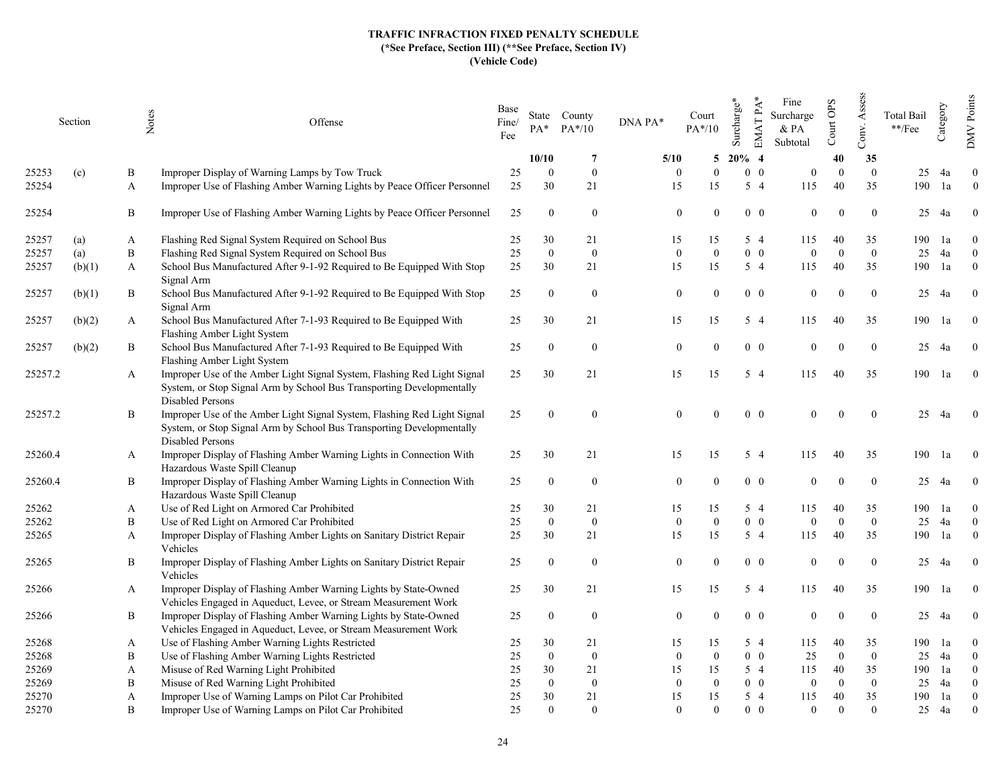|         | Section | Notes | Offense                                                                                                                                                                                   | Base<br>Fine/<br>Fee | $PA^*$           | State County<br>$PA*/10$ | DNA PA*          | Court<br>$PA*/10$ | Surcharge* | $EMATPA*$<br>Fine<br>Surcharge<br>& PA<br>Subtotal | Court OPS    | Assess<br>Conv.  | Total Bail<br>$\rm **/Fee$ | Category | DMV Points       |
|---------|---------|-------|-------------------------------------------------------------------------------------------------------------------------------------------------------------------------------------------|----------------------|------------------|--------------------------|------------------|-------------------|------------|----------------------------------------------------|--------------|------------------|----------------------------|----------|------------------|
|         |         |       |                                                                                                                                                                                           |                      | 10/10            | -7                       | 5/10             | 5                 | $20\%$ 4   |                                                    | 40           | 35               |                            |          |                  |
| 25253   | (c)     | B     | Improper Display of Warning Lamps by Tow Truck                                                                                                                                            | 25                   | $\Omega$         | $\mathbf{0}$             | $\Omega$         | $\theta$          | $0\quad 0$ | $\theta$                                           | $\Omega$     | $\mathbf{0}$     | 25                         | 4a       | $\boldsymbol{0}$ |
| 25254   |         | A     | Improper Use of Flashing Amber Warning Lights by Peace Officer Personnel                                                                                                                  | 25                   | 30               | 21                       | 15               | 15                | $5\quad4$  | 115                                                | 40           | 35               | 190                        | 1a       | $\theta$         |
| 25254   |         | B     | Improper Use of Flashing Amber Warning Lights by Peace Officer Personnel                                                                                                                  | 25                   | $\overline{0}$   | $\overline{0}$           | $\overline{0}$   | $\Omega$          | $0\quad 0$ | $\overline{0}$                                     | $\theta$     | $\theta$         | 25                         | 4a       | $\overline{0}$   |
| 25257   | (a)     | A     | Flashing Red Signal System Required on School Bus                                                                                                                                         | 25                   | 30               | 21                       | 15               | 15                | $5\quad4$  | 115                                                | 40           | 35               | 190                        | 1a       | $\theta$         |
| 25257   | (a)     | B     | Flashing Red Signal System Required on School Bus                                                                                                                                         | 25                   | $\mathbf{0}$     | $\boldsymbol{0}$         | $\boldsymbol{0}$ | $\Omega$          | $0\quad 0$ | $\Omega$                                           | $\theta$     | $\mathbf{0}$     | 25                         | 4a       | $\overline{0}$   |
| 25257   | (b)(1)  | A     | School Bus Manufactured After 9-1-92 Required to Be Equipped With Stop<br>Signal Arm                                                                                                      | 25                   | 30               | 21                       | 15               | 15                | $5\quad4$  | 115                                                | 40           | 35               | 190                        | 1a       | $\mathbf{0}$     |
| 25257   | (b)(1)  | B     | School Bus Manufactured After 9-1-92 Required to Be Equipped With Stop<br>Signal Arm                                                                                                      | 25                   | $\mathbf{0}$     | $\boldsymbol{0}$         | $\mathbf{0}$     |                   | $0\quad 0$ | $\theta$                                           | $\Omega$     | $\boldsymbol{0}$ | 25                         | 4a       | $\overline{0}$   |
| 25257   | (b)(2)  | A     | School Bus Manufactured After 7-1-93 Required to Be Equipped With<br>Flashing Amber Light System                                                                                          | 25                   | 30               | 21                       | 15               | 15                | $5\quad4$  | 115                                                | 40           | 35               | 190                        | 1a       | $\bf{0}$         |
| 25257   | (b)(2)  | B     | School Bus Manufactured After 7-1-93 Required to Be Equipped With<br>Flashing Amber Light System                                                                                          | 25                   | $\theta$         | $\mathbf{0}$             | $\overline{0}$   |                   | $0\quad 0$ | $\theta$                                           | $\Omega$     | $\mathbf{0}$     | 25                         | 4a       | $\theta$         |
| 25257.2 |         | A     | Improper Use of the Amber Light Signal System, Flashing Red Light Signal<br>System, or Stop Signal Arm by School Bus Transporting Developmentally                                         | 25                   | 30               | 21                       | 15               | 15                | $5\quad4$  | 115                                                | 40           | 35               | 190                        | 1a       | $\overline{0}$   |
| 25257.2 |         | B     | Disabled Persons<br>Improper Use of the Amber Light Signal System, Flashing Red Light Signal<br>System, or Stop Signal Arm by School Bus Transporting Developmentally<br>Disabled Persons | 25                   | $\theta$         | $\mathbf{0}$             | $\overline{0}$   | $\Omega$          | $0\quad 0$ | $\theta$                                           | $\Omega$     | $\boldsymbol{0}$ | 25                         | 4a       | $\overline{0}$   |
| 25260.4 |         | A     | Improper Display of Flashing Amber Warning Lights in Connection With<br>Hazardous Waste Spill Cleanup                                                                                     | 25                   | 30               | 21                       | 15               | 15                | $5\quad4$  | 115                                                | 40           | 35               | 190                        | 1a       | $\overline{0}$   |
| 25260.4 |         | B     | Improper Display of Flashing Amber Warning Lights in Connection With<br>Hazardous Waste Spill Cleanup                                                                                     | 25                   | $\boldsymbol{0}$ | $\mathbf{0}$             | $\mathbf{0}$     | $\Omega$          | $0\quad 0$ | $\Omega$                                           | $\Omega$     | $\boldsymbol{0}$ | 25                         | 4a       | $\mathbf{0}$     |
| 25262   |         | A     | Use of Red Light on Armored Car Prohibited                                                                                                                                                | 25                   | 30               | 21                       | 15               | 15                | $5\quad4$  | 115                                                | 40           | 35               | 190                        | 1a       | $\overline{0}$   |
| 25262   |         | B     | Use of Red Light on Armored Car Prohibited                                                                                                                                                | 25                   | $\mathbf{0}$     | $\overline{0}$           | $\overline{0}$   | $\Omega$          | $0\quad 0$ | $\Omega$                                           | $\Omega$     | $\mathbf{0}$     | 25                         | 4a       | $\mathbf{0}$     |
| 25265   |         | A     | Improper Display of Flashing Amber Lights on Sanitary District Repair<br>Vehicles                                                                                                         | 25                   | 30               | 21                       | 15               | 15                | $5\quad4$  | 115                                                | 40           | 35               | 190                        | 1a       | $\mathbf{0}$     |
| 25265   |         | B     | Improper Display of Flashing Amber Lights on Sanitary District Repair<br>Vehicles                                                                                                         | 25                   | $\Omega$         | $\bf{0}$                 | $\overline{0}$   |                   | $0\quad 0$ | $\theta$                                           | $\Omega$     | $\theta$         | 25                         | 4a       | $\overline{0}$   |
| 25266   |         | A     | Improper Display of Flashing Amber Warning Lights by State-Owned<br>Vehicles Engaged in Aqueduct, Levee, or Stream Measurement Work                                                       | 25                   | 30               | 21                       | 15               | 15                | $5\quad4$  | 115                                                | 40           | 35               |                            | 190 la   | $\bf{0}$         |
| 25266   |         | B     | Improper Display of Flashing Amber Warning Lights by State-Owned<br>Vehicles Engaged in Aqueduct, Levee, or Stream Measurement Work                                                       | 25                   | $\Omega$         | $\overline{0}$           | $\overline{0}$   | $\Omega$          | $0\quad 0$ | $\theta$                                           | $\Omega$     | $\mathbf{0}$     | 25                         | 4a       | $\overline{0}$   |
| 25268   |         | A     | Use of Flashing Amber Warning Lights Restricted                                                                                                                                           | 25                   | 30               | 21                       | 15               | 15                | $5\quad4$  | 115                                                | 40           | 35               | 190                        | 1a       | $\overline{0}$   |
| 25268   |         | B     | Use of Flashing Amber Warning Lights Restricted                                                                                                                                           | 25                   | $\mathbf{0}$     | $\overline{0}$           | $\mathbf{0}$     | $\theta$          | $0\quad 0$ | 25                                                 | $\mathbf{0}$ | $\mathbf{0}$     | 25                         | 4a       | $\overline{0}$   |
| 25269   |         | A     | Misuse of Red Warning Light Prohibited                                                                                                                                                    | 25                   | 30               | 21                       | 15               | 15                | 5 4        | 115                                                | 40           | 35               | 190                        | 1a       | $\mathbf{0}$     |
| 25269   |         | B     | Misuse of Red Warning Light Prohibited                                                                                                                                                    | 25                   | $\theta$         | $\overline{0}$           | $\Omega$         | $\Omega$          | $0\quad 0$ | $\theta$                                           | $\Omega$     | $\mathbf{0}$     | 25                         | 4a       | $\overline{0}$   |
| 25270   |         | A     | Improper Use of Warning Lamps on Pilot Car Prohibited                                                                                                                                     | 25                   | 30               | 21                       | 15               | 15                | $5\quad4$  | 115                                                | 40           | 35               | 190                        | 1a       | $\mathbf{0}$     |
| 25270   |         | B     | Improper Use of Warning Lamps on Pilot Car Prohibited                                                                                                                                     | 25                   | $\Omega$         | $\Omega$                 | $\Omega$         |                   | $0\quad 0$ | $\Omega$                                           | $\Omega$     | $\theta$         | 25                         | 4a       | $\theta$         |
|         |         |       |                                                                                                                                                                                           |                      |                  |                          |                  |                   |            |                                                    |              |                  |                            |          |                  |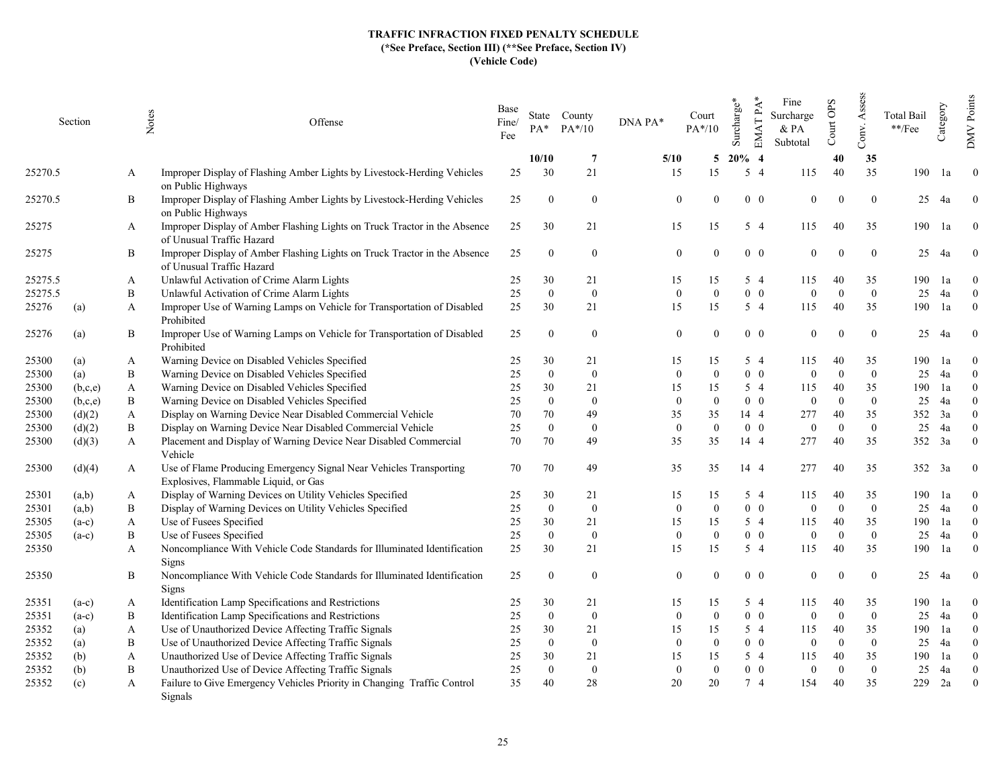|         | Section | Notes        | Offense                                                                                                    | Base<br>Fine/<br>Fee | $PA^*$         | State County<br>$PA*/10$ | DNA PA* |                | Court<br>$PA*/10$ | Surcharge* | $EMATPA*$  | Fine<br>Surcharge<br>$\&$ PA<br>Subtotal | Court OPS | Assess<br>Conv. | Total Bail<br>$\rm **/Fee$ | Category | Points<br>DMV  |
|---------|---------|--------------|------------------------------------------------------------------------------------------------------------|----------------------|----------------|--------------------------|---------|----------------|-------------------|------------|------------|------------------------------------------|-----------|-----------------|----------------------------|----------|----------------|
|         |         |              |                                                                                                            |                      | 10/10          | -7                       |         | 5/10           | 5                 | $20\%$ 4   |            |                                          | 40        | 35              |                            |          |                |
| 25270.5 |         | A            | Improper Display of Flashing Amber Lights by Livestock-Herding Vehicles<br>on Public Highways              | 25                   | 30             | 21                       |         | 15             | 15                |            | $5\quad4$  | 115                                      | 40        | 35              | 190                        | 1a       | $\overline{0}$ |
| 25270.5 |         | B            | Improper Display of Flashing Amber Lights by Livestock-Herding Vehicles<br>on Public Highways              | 25                   | $\theta$       | $\mathbf{0}$             |         | $\Omega$       | $\Omega$          |            | $0\quad 0$ | $\theta$                                 | $\Omega$  | $\theta$        | 25                         | 4a       | $\mathbf{0}$   |
| 25275   |         | A            | Improper Display of Amber Flashing Lights on Truck Tractor in the Absence<br>of Unusual Traffic Hazard     | 25                   | 30             | 21                       |         | 15             | 15                |            | $5\quad4$  | 115                                      | 40        | 35              | 190                        | 1a       | $\theta$       |
| 25275   |         | B            | Improper Display of Amber Flashing Lights on Truck Tractor in the Absence<br>of Unusual Traffic Hazard     | 25                   | $\overline{0}$ | $\overline{0}$           |         | $\overline{0}$ |                   |            | $0\quad 0$ | $\theta$                                 |           | $\theta$        | 25                         | 4a       | $\theta$       |
| 25275.5 |         | A            | Unlawful Activation of Crime Alarm Lights                                                                  | 25                   | 30             | 21                       |         | 15             | 15                |            | 5 4        | 115                                      | 40        | 35              | 190                        | 1a       | $\theta$       |
| 25275.5 |         | B            | Unlawful Activation of Crime Alarm Lights                                                                  | 25                   | $\mathbf{0}$   | $\bf{0}$                 |         | $\Omega$       | $\Omega$          |            | $0\quad 0$ | $\Omega$                                 | $\Omega$  | $\overline{0}$  | 25                         | 4a       | $\overline{0}$ |
| 25276   | (a)     | A            | Improper Use of Warning Lamps on Vehicle for Transportation of Disabled<br>Prohibited                      | 25                   | 30             | 21                       |         | 15             | 15                |            | $5\quad4$  | 115                                      | 40        | 35              | 190                        | 1a       | $\mathbf{0}$   |
| 25276   | (a)     | B            | Improper Use of Warning Lamps on Vehicle for Transportation of Disabled<br>Prohibited                      | 25                   | $\theta$       | $\mathbf{0}$             |         | $\overline{0}$ | $\theta$          |            | $0\quad 0$ | $\theta$                                 |           | $\mathbf{0}$    | 25                         | 4a       | $\theta$       |
| 25300   | (a)     | A            | Warning Device on Disabled Vehicles Specified                                                              | 25                   | 30             | 21                       |         | 15             | 15                |            | 5 4        | 115                                      | 40        | 35              | 190                        | 1a       | $\Omega$       |
| 25300   | (a)     | B            | Warning Device on Disabled Vehicles Specified                                                              | 25                   | $\theta$       | $\mathbf{0}$             |         | $\Omega$       | $\theta$          |            | $0\quad 0$ | $\theta$                                 | $\Omega$  | $\overline{0}$  | 25                         | 4a       | $\theta$       |
| 25300   | (b,c,e) | A            | Warning Device on Disabled Vehicles Specified                                                              | 25                   | 30             | 21                       |         | 15             | 15                |            | $5\quad4$  | 115                                      | 40        | 35              | 190                        | 1a       | $\theta$       |
| 25300   | (b,c,e) | B            | Warning Device on Disabled Vehicles Specified                                                              | 25                   | $\Omega$       | $\mathbf{0}$             |         | $\Omega$       | $\theta$          |            | $0\quad 0$ | $\Omega$                                 | $\Omega$  | $\overline{0}$  | 25                         | 4a       | $\Omega$       |
| 25300   | (d)(2)  | $\mathbf{A}$ | Display on Warning Device Near Disabled Commercial Vehicle                                                 | 70                   | 70             | 49                       |         | 35             | 35                |            | 14 4       | 277                                      | 40        | 35              | 352                        | 3a       | $\Omega$       |
| 25300   | (d)(2)  | B            | Display on Warning Device Near Disabled Commercial Vehicle                                                 | 25                   | $\theta$       | $\mathbf{0}$             |         | $\mathbf{0}$   | $\overline{0}$    |            | $0\quad 0$ | $\theta$                                 | $\Omega$  | $\overline{0}$  | 25                         | 4a       | $\theta$       |
| 25300   | (d)(3)  | $\mathbf{A}$ | Placement and Display of Warning Device Near Disabled Commercial<br>Vehicle                                | 70                   | 70             | 49                       |         | 35             | 35                |            | 14 4       | 277                                      | 40        | 35              | 352                        | 3a       | $\theta$       |
| 25300   | (d)(4)  | A            | Use of Flame Producing Emergency Signal Near Vehicles Transporting<br>Explosives, Flammable Liquid, or Gas | 70                   | 70             | 49                       |         | 35             | 35                |            | 14 4       | 277                                      | 40        | 35              | 352                        | 3a       | $\theta$       |
| 25301   | (a,b)   | A            | Display of Warning Devices on Utility Vehicles Specified                                                   | 25                   | 30             | 21                       |         | 15             | 15                |            | 5 4        | 115                                      | 40        | 35              | 190                        | 1a       | $\theta$       |
| 25301   | (a,b)   | B            | Display of Warning Devices on Utility Vehicles Specified                                                   | 25                   | $\mathbf{0}$   | $\bf{0}$                 |         | $\Omega$       | $\overline{0}$    |            | $0\quad 0$ | $\theta$                                 | $\Omega$  | $\overline{0}$  | 25                         | 4a       | $\overline{0}$ |
| 25305   | $(a-c)$ | $\mathbf{A}$ | Use of Fusees Specified                                                                                    | 25                   | 30             | 21                       |         | 15             | 15                |            | $5\quad4$  | 115                                      | 40        | 35              | 190                        | 1a       | $\theta$       |
| 25305   | $(a-c)$ | B            | Use of Fusees Specified                                                                                    | 25                   | $\Omega$       | $\overline{0}$           |         | $\Omega$       | $\theta$          |            | $0\quad 0$ | $\Omega$                                 | $\Omega$  | $\overline{0}$  | 25                         | 4a       | $\theta$       |
| 25350   |         | A            | Noncompliance With Vehicle Code Standards for Illuminated Identification<br>Signs                          | 25                   | 30             | 21                       |         | 15             | 15                |            | $5\quad4$  | 115                                      | 40        | 35              | 190                        | 1a       | $\overline{0}$ |
| 25350   |         | B            | Noncompliance With Vehicle Code Standards for Illuminated Identification<br>Signs                          | 25                   | $\Omega$       | $\mathbf{0}$             |         | $\theta$       | $\Omega$          |            | $0\quad 0$ | $\Omega$                                 | $\Omega$  | $\theta$        | 25                         | 4a       | $\theta$       |
| 25351   | $(a-c)$ | A            | Identification Lamp Specifications and Restrictions                                                        | 25                   | 30             | 21                       |         | 15             | 15                |            | 5 4        | 115                                      | 40        | 35              | 190                        | 1a       | $\theta$       |
| 25351   | $(a-c)$ | B            | Identification Lamp Specifications and Restrictions                                                        | 25                   | $\overline{0}$ | $\mathbf{0}$             |         | $\mathbf{0}$   | $\overline{0}$    |            | $0\quad 0$ | $\theta$                                 | $\Omega$  | $\overline{0}$  | 25                         | 4a       | $\theta$       |
| 25352   | (a)     | $\mathbf{A}$ | Use of Unauthorized Device Affecting Traffic Signals                                                       | 25                   | 30             | 21                       |         | 15             | 15                |            | $5\quad4$  | 115                                      | 40        | 35              | 190                        | 1a       | $\theta$       |
| 25352   | (a)     | B            | Use of Unauthorized Device Affecting Traffic Signals                                                       | 25                   | $\theta$       | $\mathbf{0}$             |         | $\Omega$       | $\theta$          |            | $0\quad 0$ | $\theta$                                 | $\Omega$  | $\overline{0}$  | 25                         | 4a       | $\theta$       |
| 25352   | (b)     | $\mathbf{A}$ | Unauthorized Use of Device Affecting Traffic Signals                                                       | 25                   | 30             | 21                       |         | 15             | 15                |            | 5 4        | 115                                      | 40        | 35              | 190                        | 1a       | $\Omega$       |
| 25352   | (b)     | B            | Unauthorized Use of Device Affecting Traffic Signals                                                       | 25                   | $\theta$       | $\mathbf{0}$             |         | $\Omega$       | $\theta$          |            | $0\quad 0$ | $\Omega$                                 | $\Omega$  | $\overline{0}$  | 25                         | 4a       | $\theta$       |
| 25352   | (c)     | A            | Failure to Give Emergency Vehicles Priority in Changing Traffic Control<br>Signals                         | 35                   | 40             | 28                       |         | 20             | 20                |            | 74         | 154                                      | 40        | 35              | 229                        | 2a       | $\theta$       |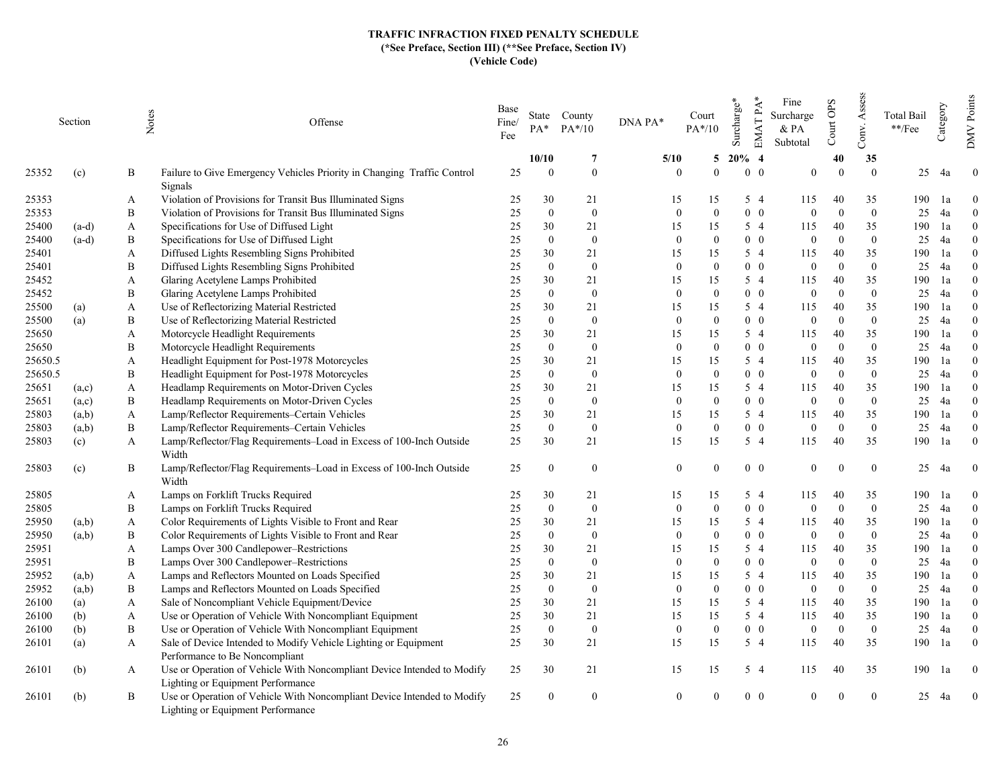|         | Section | Notes | Offense                                                                                                      | Base<br>Fine/<br>Fee | $PA*$          | State County<br>$PA*/10$ | DNA PA*          | Court<br>$PA*/10$ | Surcharge* | EMAT PA*<br>Fine<br>Surcharge<br>& PA<br>Subtotal | Court OPS | Assess<br>Conv. | Total Bail<br>$\rm **/Fee$ | Category | Points<br><b>NNO</b> |
|---------|---------|-------|--------------------------------------------------------------------------------------------------------------|----------------------|----------------|--------------------------|------------------|-------------------|------------|---------------------------------------------------|-----------|-----------------|----------------------------|----------|----------------------|
|         |         |       |                                                                                                              |                      | 10/10          | 7                        | 5/10             | 5                 | $20\%$ 4   |                                                   | 40        | 35              |                            |          |                      |
| 25352   | (c)     | B     | Failure to Give Emergency Vehicles Priority in Changing Traffic Control<br>Signals                           | 25                   | $\Omega$       | $\overline{0}$           | $\Omega$         | $\Omega$          |            | $0\quad 0$<br>$\theta$                            | $\Omega$  | $\Omega$        | 25                         | 4a       | $\overline{0}$       |
| 25353   |         | A     | Violation of Provisions for Transit Bus Illuminated Signs                                                    | 25                   | 30             | 21                       | 15               | 15                | 5 4        | 115                                               | 40        | 35              | 190                        | 1a       | $\theta$             |
| 25353   |         | B     | Violation of Provisions for Transit Bus Illuminated Signs                                                    | 25                   | $\mathbf{0}$   | $\bf{0}$                 | $\mathbf{0}$     | $\Omega$          |            | $0\quad 0$<br>$\overline{0}$                      | $\Omega$  | $\overline{0}$  | 25                         | 4a       | $\Omega$             |
| 25400   | $(a-d)$ | A     | Specifications for Use of Diffused Light                                                                     | 25                   | 30             | 21                       | 15               | 15                |            | 5 4<br>115                                        | 40        | 35              | 190                        | 1a       | $\Omega$             |
| 25400   | $(a-d)$ | B     | Specifications for Use of Diffused Light                                                                     | 25                   | $\mathbf{0}$   | $\mathbf{0}$             | $\mathbf{0}$     | $\Omega$          |            | $0\quad 0$<br>$\mathbf{0}$                        | $\Omega$  | $\overline{0}$  | 25                         | 4a       | $\Omega$             |
| 25401   |         | A     | Diffused Lights Resembling Signs Prohibited                                                                  | 25                   | 30             | 21                       | 15               | 15                |            | 5 4<br>115                                        | 40        | 35              | 190                        | 1a       | $\theta$             |
| 25401   |         | B     | Diffused Lights Resembling Signs Prohibited                                                                  | 25                   | $\theta$       | $\bf{0}$                 | $\theta$         | $\Omega$          |            | $0\quad 0$<br>$\mathbf{0}$                        | $\Omega$  | $\theta$        | 25                         | 4a       | $\Omega$             |
| 25452   |         | A     | Glaring Acetylene Lamps Prohibited                                                                           | 25                   | 30             | 21                       | 15               | 15                | 5 4        | 115                                               | 40        | 35              | 190                        | 1a       | $\Omega$             |
| 25452   |         | B     | Glaring Acetylene Lamps Prohibited                                                                           | 25                   | $\theta$       | $\mathbf{0}$             | $\theta$         | $\Omega$          |            | $0\quad 0$<br>$\overline{0}$                      | $\Omega$  | $\overline{0}$  | 25                         | 4a       | $\Omega$             |
| 25500   | (a)     | A     | Use of Reflectorizing Material Restricted                                                                    | 25                   | 30             | 21                       | 15               | 15                |            | 5 4<br>115                                        | 40        | 35              | 190                        | 1a       | $\theta$             |
| 25500   | (a)     | B     | Use of Reflectorizing Material Restricted                                                                    | 25                   | $\theta$       | $\mathbf{0}$             | $\boldsymbol{0}$ | $\Omega$          |            | $0\quad 0$<br>$\mathbf{0}$                        | $\Omega$  | $\mathbf{0}$    | 25                         | 4a       | $\Omega$             |
| 25650   |         | A     | Motorcycle Headlight Requirements                                                                            | 25                   | 30             | 21                       | 15               | 15                | 5 4        | 115                                               | 40        | 35              | 190                        | 1a       | $\theta$             |
| 25650   |         | B     | Motorcycle Headlight Requirements                                                                            | 25                   | $\theta$       | $\overline{0}$           | $\Omega$         | $\Omega$          |            | $0\quad 0$<br>$\overline{0}$                      | $\Omega$  | $\theta$        | 25                         | 4a       | $\Omega$             |
| 25650.5 |         | A     | Headlight Equipment for Post-1978 Motorcycles                                                                | 25                   | 30             | 21                       | 15               | 15                |            | 5 4<br>115                                        | 40        | 35              | 190                        | 1a       | $\Omega$             |
| 25650.5 |         | B     | Headlight Equipment for Post-1978 Motorcycles                                                                | 25                   | $\theta$       | $\mathbf{0}$             | $\theta$         | $\theta$          |            | $0\quad 0$<br>$\overline{0}$                      | $\Omega$  | $\overline{0}$  | 25                         | 4a       | $\Omega$             |
| 25651   | (a,c)   | A     | Headlamp Requirements on Motor-Driven Cycles                                                                 | 25                   | 30             | 21                       | 15               | 15                |            | 5 4<br>115                                        | 40        | 35              | 190                        | 1a       | $\theta$             |
| 25651   | (a,c)   | B     | Headlamp Requirements on Motor-Driven Cycles                                                                 | 25                   | $\theta$       | $\mathbf{0}$             | $\theta$         | $\Omega$          |            | $0\quad 0$<br>$\overline{0}$                      | $\Omega$  | $\theta$        | 25                         | 4a       | $\Omega$             |
| 25803   | (a,b)   | A     | Lamp/Reflector Requirements-Certain Vehicles                                                                 | 25                   | 30             | 21                       | 15               | 15                |            | $5\quad4$<br>115                                  | 40        | 35              | 190                        | 1a       | $\Omega$             |
| 25803   | (a,b)   | B     | Lamp/Reflector Requirements-Certain Vehicles                                                                 | 25                   | $\mathbf{0}$   | $\mathbf{0}$             | $\overline{0}$   | $\Omega$          |            | $0\quad 0$<br>$\overline{0}$                      | $\Omega$  | $\overline{0}$  | 25                         | 4a       | $\theta$             |
| 25803   | (c)     | A     | Lamp/Reflector/Flag Requirements-Load in Excess of 100-Inch Outside<br>Width                                 | 25                   | 30             | 21                       | 15               | 15                | $5\quad4$  | 115                                               | 40        | 35              | 190                        | 1a       | $\theta$             |
| 25803   | (c)     | B     | Lamp/Reflector/Flag Requirements-Load in Excess of 100-Inch Outside<br>Width                                 | 25                   | $\overline{0}$ | $\bf{0}$                 | $\mathbf{0}$     | $\Omega$          |            | $0\quad 0$<br>$\mathbf{0}$                        | $\Omega$  | $\overline{0}$  | 25                         | - 4a     | $\boldsymbol{0}$     |
| 25805   |         | A     | Lamps on Forklift Trucks Required                                                                            | 25                   | 30             | 21                       | 15               | 15                | 5 4        | 115                                               | 40        | 35              | 190                        | -la      | $\theta$             |
| 25805   |         | B     | Lamps on Forklift Trucks Required                                                                            | 25                   | $\mathbf{0}$   | $\bf{0}$                 | $\mathbf{0}$     | $\Omega$          |            | $0\quad 0$<br>$\mathbf{0}$                        | $\Omega$  | $\overline{0}$  | 25                         | 4a       | $\theta$             |
| 25950   | (a,b)   | A     | Color Requirements of Lights Visible to Front and Rear                                                       | 25                   | 30             | 21                       | 15               | 15                | $5\quad4$  | 115                                               | 40        | 35              | 190                        | 1a       | $\theta$             |
| 25950   | (a,b)   | B     | Color Requirements of Lights Visible to Front and Rear                                                       | 25                   | $\mathbf{0}$   | $\mathbf{0}$             | $\mathbf{0}$     | $\Omega$          |            | $0\quad 0$<br>$\overline{0}$                      | $\Omega$  | $\theta$        | 25                         | 4a       | $\Omega$             |
| 25951   |         | A     | Lamps Over 300 Candlepower-Restrictions                                                                      | 25                   | 30             | 21                       | 15               | 15                |            | 5 4<br>115                                        | 40        | 35              | 190                        | 1a       | $\theta$             |
| 25951   |         | B     | Lamps Over 300 Candlepower-Restrictions                                                                      | 25                   | $\theta$       | $\overline{0}$           | $\overline{0}$   | $\Omega$          |            | $0\quad 0$<br>$\mathbf{0}$                        | $\Omega$  | $\overline{0}$  | 25                         | 4a       | $\Omega$             |
| 25952   | (a,b)   | A     | Lamps and Reflectors Mounted on Loads Specified                                                              | 25                   | 30             | 21                       | 15               | 15                |            | 5 4<br>115                                        | 40        | 35              | 190                        | 1a       | $\mathbf{0}$         |
| 25952   | (a,b)   | B     | Lamps and Reflectors Mounted on Loads Specified                                                              | 25                   | $\overline{0}$ | $\overline{0}$           | $\overline{0}$   | $\Omega$          |            | $0\quad 0$<br>$\overline{0}$                      | $\Omega$  | $\overline{0}$  | 25                         | 4a       | $\Omega$             |
| 26100   | (a)     | A     | Sale of Noncompliant Vehicle Equipment/Device                                                                | 25                   | 30             | 21                       | 15               | 15                |            | $5\quad4$<br>115                                  | 40        | 35              | 190                        | 1a       | $\Omega$             |
| 26100   | (b)     | A     | Use or Operation of Vehicle With Noncompliant Equipment                                                      | 25                   | 30             | 21                       | 15               | 15                |            | 5 4<br>115                                        | 40        | 35              | 190                        | 1a       | $\Omega$             |
| 26100   | (b)     | B     | Use or Operation of Vehicle With Noncompliant Equipment                                                      | 25                   | $\theta$       | $\mathbf{0}$             | $\boldsymbol{0}$ | $\Omega$          |            | $0\quad 0$<br>$\mathbf{0}$                        | $\Omega$  | $\mathbf{0}$    | 25                         | 4a       | $\Omega$             |
| 26101   | (a)     | A     | Sale of Device Intended to Modify Vehicle Lighting or Equipment                                              | 25                   | 30             | 21                       | 15               | 15                | 5 4        | 115                                               | 40        | 35              | 190                        | 1a       | $\theta$             |
|         |         |       | Performance to Be Noncompliant                                                                               |                      |                |                          |                  |                   |            |                                                   |           |                 |                            |          |                      |
| 26101   | (b)     | A     | Use or Operation of Vehicle With Noncompliant Device Intended to Modify<br>Lighting or Equipment Performance | 25                   | 30             | 21                       | 15               | 15                | 5 4        | 115                                               | 40        | 35              | 190                        | la       | $\bf{0}$             |
| 26101   | (b)     | B     | Use or Operation of Vehicle With Noncompliant Device Intended to Modify<br>Lighting or Equipment Performance | 25                   | $\Omega$       | $\theta$                 | $\Omega$         |                   |            | $0\quad 0$<br>$\Omega$                            |           | $\overline{0}$  | 25                         | 4a       | $\overline{0}$       |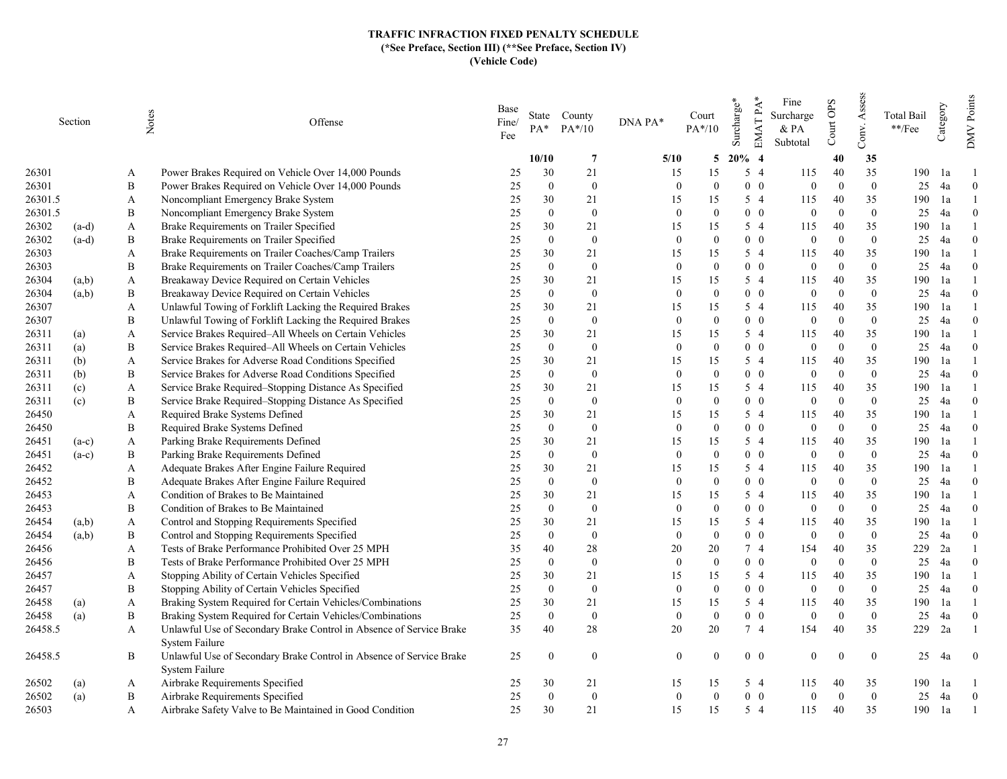|         | Section | Notes        | Offense                                                                               | Base<br>Fine/<br>Fee | PA*            | State County<br>$PA*/10$ | DNA PA*      | Court<br>$PA*/10$ | EMAT PA*<br>Surcharge* | Fine<br>Surcharge<br>& PA<br>Subtotal | Court OPS | Assess<br>Conv. | Total Bail<br>**/Fee | Category | Points<br><b>NNO</b> |
|---------|---------|--------------|---------------------------------------------------------------------------------------|----------------------|----------------|--------------------------|--------------|-------------------|------------------------|---------------------------------------|-----------|-----------------|----------------------|----------|----------------------|
|         |         |              |                                                                                       |                      | 10/10          | $\overline{7}$           | 5/10         | 5                 | $20\%$ 4               |                                       | 40        | 35              |                      |          |                      |
| 26301   |         | A            | Power Brakes Required on Vehicle Over 14,000 Pounds                                   | 25                   | 30             | 21                       | 15           | 15                | $5\quad4$              | 115                                   | 40        | 35              | 190                  | 1a       |                      |
| 26301   |         | B            | Power Brakes Required on Vehicle Over 14,000 Pounds                                   | 25                   | $\mathbf{0}$   | $\bf{0}$                 | $\theta$     | $\theta$          | $0\quad 0$             | $\mathbf{0}$                          | $\Omega$  | $\overline{0}$  | 25                   | 4a       | $\overline{0}$       |
| 26301.5 |         | A            | Noncompliant Emergency Brake System                                                   | 25                   | 30             | 21                       | 15           | 15                | 5 4                    | 115                                   | 40        | 35              | 190                  | 1a       |                      |
| 26301.5 |         | B            | Noncompliant Emergency Brake System                                                   | 25                   | $\theta$       | $\overline{0}$           | $\theta$     | $\Omega$          | $0\quad 0$             | $\overline{0}$                        | $\Omega$  | $\overline{0}$  | 25                   | 4a       | $\theta$             |
| 26302   | $(a-d)$ | A            | Brake Requirements on Trailer Specified                                               | 25                   | 30             | 21                       | 15           | 15                | 5 4                    | 115                                   | 40        | 35              | 190                  | 1a       |                      |
| 26302   | $(a-d)$ | B            | Brake Requirements on Trailer Specified                                               | 25                   | $\Omega$       | $\mathbf{0}$             | $\mathbf{0}$ | $\mathbf{0}$      | $0\quad 0$             | $\overline{0}$                        | $\Omega$  | $\overline{0}$  | 25                   | 4a       | $\theta$             |
| 26303   |         | A            | Brake Requirements on Trailer Coaches/Camp Trailers                                   | 25                   | 30             | 21                       | 15           | 15                | 5 4                    | 115                                   | 40        | 35              | 190                  | 1a       |                      |
| 26303   |         | B            | Brake Requirements on Trailer Coaches/Camp Trailers                                   | 25                   | $\mathbf{0}$   | $\bf{0}$                 | $\mathbf{0}$ | $\Omega$          | $0\quad 0$             | $\mathbf{0}$                          | $\Omega$  | $\overline{0}$  | 25                   | 4a       | $\theta$             |
| 26304   | (a,b)   | A            | Breakaway Device Required on Certain Vehicles                                         | 25                   | 30             | 21                       | 15           | 15                | 5 4                    | 115                                   | 40        | 35              | 190                  | 1a       |                      |
| 26304   | (a,b)   | $\, {\bf B}$ | Breakaway Device Required on Certain Vehicles                                         | 25                   | $\mathbf{0}$   | $\mathbf{0}$             | $\mathbf{0}$ | $\Omega$          | $0\quad 0$             | $\mathbf{0}$                          | $\Omega$  | $\overline{0}$  | 25                   | 4a       | $\theta$             |
| 26307   |         | A            | Unlawful Towing of Forklift Lacking the Required Brakes                               | 25                   | 30             | 21                       | 15           | 15                | 5 4                    | 115                                   | 40        | 35              | 190                  | 1a       |                      |
| 26307   |         | B            | Unlawful Towing of Forklift Lacking the Required Brakes                               | 25                   | $\mathbf{0}$   | $\mathbf{0}$             | $\mathbf{0}$ | $\theta$          | $0\quad 0$             | $\mathbf{0}$                          | $\Omega$  | $\overline{0}$  | 25                   | 4a       | $\theta$             |
| 26311   | (a)     | A            | Service Brakes Required–All Wheels on Certain Vehicles                                | 25                   | 30             | 21                       | 15           | 15                | 5 4                    | 115                                   | 40        | 35              | 190                  | 1a       |                      |
| 26311   | (a)     | B            | Service Brakes Required-All Wheels on Certain Vehicles                                | 25                   | $\mathbf{0}$   | $\bf{0}$                 | $\theta$     | $\Omega$          | $0\quad 0$             | $\overline{0}$                        | $\Omega$  | $\mathbf{0}$    | 25                   | 4a       | $\theta$             |
| 26311   | (b)     | A            | Service Brakes for Adverse Road Conditions Specified                                  | 25                   | 30             | 21                       | 15           | 15                | 5 4                    | 115                                   | 40        | 35              | 190                  | 1a       |                      |
| 26311   | (b)     | B            | Service Brakes for Adverse Road Conditions Specified                                  | 25                   | $\Omega$       | $\mathbf{0}$             | $\mathbf{0}$ | $\mathbf{0}$      | $0\quad 0$             | $\mathbf{0}$                          | $\Omega$  | $\overline{0}$  | 25                   | 4a       | $\theta$             |
| 26311   | (c)     | A            | Service Brake Required-Stopping Distance As Specified                                 | 25                   | 30             | 21                       | 15           | 15                | 5 4                    | 115                                   | 40        | 35              | 190                  | 1a       |                      |
| 26311   | (c)     | B            | Service Brake Required-Stopping Distance As Specified                                 | 25                   | $\mathbf{0}$   | $\mathbf{0}$             | $\mathbf{0}$ | $\Omega$          | $0\quad 0$             | $\overline{0}$                        | $\Omega$  | $\overline{0}$  | 25                   | 4a       | $\theta$             |
| 26450   |         | A            | Required Brake Systems Defined                                                        | 25                   | 30             | 21                       | 15           | 15                | 5 4                    | 115                                   | 40        | 35              | 190                  | 1a       |                      |
| 26450   |         | B            | Required Brake Systems Defined                                                        | 25                   | $\mathbf{0}$   | $\mathbf{0}$             | $\mathbf{0}$ | $\Omega$          | $0\quad 0$             | $\mathbf{0}$                          | $\Omega$  | $\overline{0}$  | 25                   | 4a       | $\theta$             |
| 26451   | $(a-c)$ | A            | Parking Brake Requirements Defined                                                    | 25                   | 30             | 21                       | 15           | 15                | 5 4                    | 115                                   | 40        | 35              | 190                  | 1a       |                      |
| 26451   | $(a-c)$ | B            | Parking Brake Requirements Defined                                                    | 25                   | $\mathbf{0}$   | $\mathbf{0}$             | $\mathbf{0}$ | $\mathbf{0}$      | $0\quad 0$             | $\mathbf{0}$                          | $\Omega$  | $\mathbf{0}$    | 25                   | 4a       | $\theta$             |
| 26452   |         | A            | Adequate Brakes After Engine Failure Required                                         | 25                   | 30             | 21                       | 15           | 15                | 5 4                    | 115                                   | 40        | 35              | 190                  | 1a       |                      |
| 26452   |         | B            | Adequate Brakes After Engine Failure Required                                         | 25                   | $\mathbf{0}$   | $\bf{0}$                 | $\theta$     | $\Omega$          | $0\quad 0$             | $\mathbf{0}$                          | $\Omega$  | $\mathbf{0}$    | 25                   | 4a       | $\theta$             |
| 26453   |         | A            | Condition of Brakes to Be Maintained                                                  | 25                   | 30             | 21                       | 15           | 15                | 5 4                    | 115                                   | 40        | 35              | 190                  | 1a       |                      |
| 26453   |         | B            | Condition of Brakes to Be Maintained                                                  | 25                   | $\mathbf{0}$   | $\bf{0}$                 | $\mathbf{0}$ | $\theta$          | $0\quad 0$             | $\mathbf{0}$                          | $\Omega$  | $\mathbf{0}$    | 25                   | 4a       | $\theta$             |
| 26454   | (a,b)   | A            | Control and Stopping Requirements Specified                                           | 25                   | 30             | 21                       | 15           | 15                | 5 4                    | 115                                   | 40        | 35              | 190                  | 1a       |                      |
| 26454   | (a,b)   | B            | Control and Stopping Requirements Specified                                           | 25                   | $\mathbf{0}$   | $\bf{0}$                 | $\mathbf{0}$ | $\Omega$          | $0\quad 0$             | $\mathbf{0}$                          | $\Omega$  | $\mathbf{0}$    | 25                   | 4a       | $\Omega$             |
| 26456   |         | A            | Tests of Brake Performance Prohibited Over 25 MPH                                     | 35                   | 40             | 28                       | 20           | 20                | 74                     | 154                                   | 40        | 35              | 229                  | 2a       |                      |
| 26456   |         | B            | Tests of Brake Performance Prohibited Over 25 MPH                                     | 25                   | $\Omega$       | $\mathbf{0}$             | $\mathbf{0}$ | $\Omega$          | $0\quad 0$             | $\overline{0}$                        | $\Omega$  | $\overline{0}$  | 25                   | 4a       | $\Omega$             |
| 26457   |         | A            | Stopping Ability of Certain Vehicles Specified                                        | 25                   | 30             | 21                       | 15           | 15                | 5 4                    | 115                                   | 40        | 35              | 190                  | 1a       |                      |
| 26457   |         | B            | Stopping Ability of Certain Vehicles Specified                                        | 25                   | $\mathbf{0}$   | $\mathbf{0}$             | $\mathbf{0}$ | $\Omega$          | $0\quad 0$             | $\mathbf{0}$                          | $\Omega$  | $\overline{0}$  | 25                   | 4a       | $\theta$             |
| 26458   | (a)     | A            | Braking System Required for Certain Vehicles/Combinations                             | 25                   | 30             | 21                       | 15           | 15                | 5 4                    | 115                                   | 40        | 35              | 190                  | 1a       |                      |
| 26458   | (a)     | B            | Braking System Required for Certain Vehicles/Combinations                             | 25                   | $\overline{0}$ | $\mathbf{0}$             | $\mathbf{0}$ | $\Omega$          | $0\quad 0$             | $\mathbf{0}$                          | $\Omega$  | $\overline{0}$  | 25                   | 4a       | $\theta$             |
| 26458.5 |         | A            | Unlawful Use of Secondary Brake Control in Absence of Service Brake<br>System Failure | 35                   | 40             | 28                       | 20           | 20                | 7 4                    | 154                                   | 40        | 35              | 229                  | 2a       |                      |
| 26458.5 |         | B            | Unlawful Use of Secondary Brake Control in Absence of Service Brake<br>System Failure | 25                   | $\theta$       | $\overline{0}$           | $\theta$     | $\Omega$          | $0\quad 0$             | $\overline{0}$                        | $\Omega$  | $\overline{0}$  | 25                   | 4a       | $\overline{0}$       |
| 26502   | (a)     | A            | Airbrake Requirements Specified                                                       | 25                   | 30             | 21                       | 15           | 15                | 5 4                    | 115                                   | 40        | 35              | 190                  | 1a       |                      |
| 26502   | (a)     | B            | Airbrake Requirements Specified                                                       | 25                   | $\mathbf{0}$   | $\mathbf{0}$             | $\mathbf{0}$ | $\theta$          | $0\quad 0$             | $\overline{0}$                        | $\Omega$  | $\mathbf{0}$    | 25                   | 4a       | $\overline{0}$       |
| 26503   |         | A            | Airbrake Safety Valve to Be Maintained in Good Condition                              | 25                   | 30             | 21                       | 15           | 15                | $5\quad4$              | 115                                   | 40        | 35              | 190                  | 1a       |                      |
|         |         |              |                                                                                       |                      |                |                          |              |                   |                        |                                       |           |                 |                      |          |                      |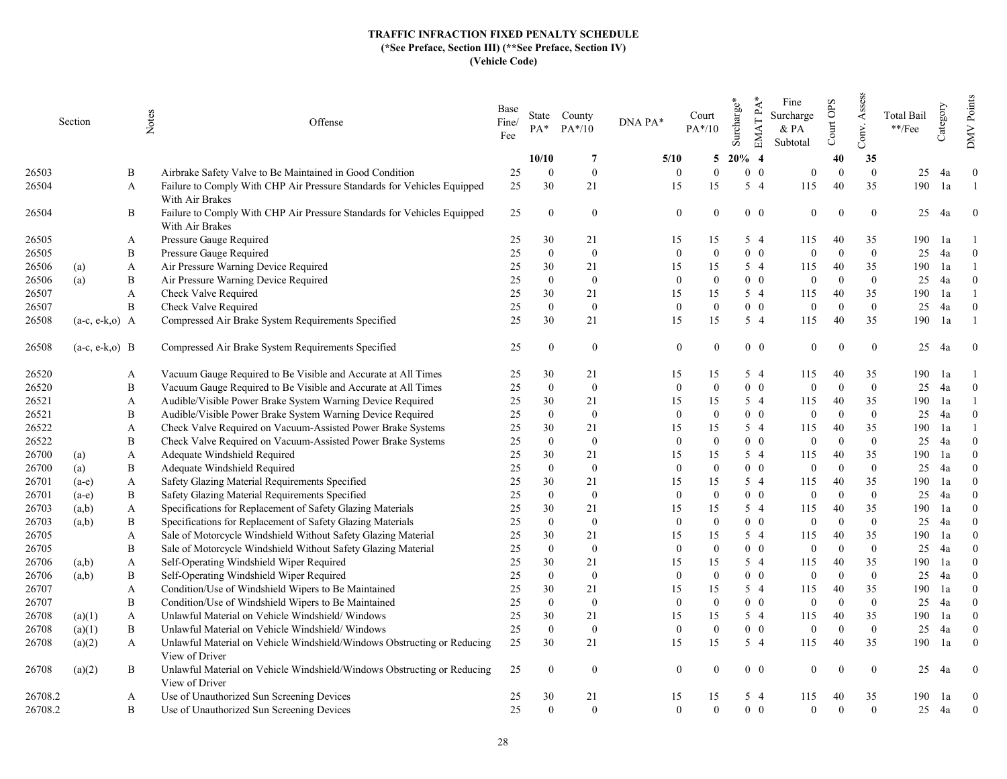|         | Section           | Notes        | Offense                                                                                    | Base<br>Fine/<br>Fee | $PA*$          | State County<br>$PA*/10$ | DNA PA*  | Court<br>$PA*/10$          | Surcharge* | $EMATPA*$  | Fine<br>Surcharge<br>& PA<br>Subtotal | Court OPS | Assess<br>Conv. | <b>Total Bail</b><br>**/Fee | Category | Points<br><b>NNO</b> |
|---------|-------------------|--------------|--------------------------------------------------------------------------------------------|----------------------|----------------|--------------------------|----------|----------------------------|------------|------------|---------------------------------------|-----------|-----------------|-----------------------------|----------|----------------------|
|         |                   |              |                                                                                            |                      | 10/10          | $\overline{7}$           | 5/10     | 5                          | $20\%$ 4   |            |                                       | 40        | 35              |                             |          |                      |
| 26503   |                   | B            | Airbrake Safety Valve to Be Maintained in Good Condition                                   | 25                   | $\theta$       | $\theta$                 | $\Omega$ | $\theta$                   |            | $0\quad 0$ | $\Omega$                              | $\Omega$  | $\overline{0}$  | 25                          | 4a       | $\theta$             |
| 26504   |                   | A            | Failure to Comply With CHP Air Pressure Standards for Vehicles Equipped<br>With Air Brakes | 25                   | 30             | 21                       | 15       | 15                         |            | $5\quad4$  | 115                                   | 40        | 35              | 190                         | 1a       |                      |
| 26504   |                   | B            | Failure to Comply With CHP Air Pressure Standards for Vehicles Equipped<br>With Air Brakes | 25                   | $\theta$       | $\mathbf{0}$             |          | $\overline{0}$<br>$\theta$ |            | $0\quad 0$ | $\theta$                              |           | $\mathbf{0}$    | 25                          | 4a       | $\mathbf{0}$         |
| 26505   |                   | A            | Pressure Gauge Required                                                                    | 25                   | 30             | 21                       | 15       | 15                         |            | $5\quad4$  | 115                                   | 40        | 35              | 190                         | 1a       |                      |
| 26505   |                   | B            | Pressure Gauge Required                                                                    | 25                   | $\mathbf{0}$   | $\bf{0}$                 | $\Omega$ | $\theta$                   |            | $0\quad 0$ | $\theta$                              | $\Omega$  | $\mathbf{0}$    | 25                          | 4a       | $\theta$             |
| 26506   | (a)               | A            | Air Pressure Warning Device Required                                                       | 25                   | 30             | 21                       | 15       | 15                         |            | $5\quad4$  | 115                                   | 40        | 35              | 190                         | 1a       |                      |
| 26506   | (a)               | B            | Air Pressure Warning Device Required                                                       | 25                   | $\overline{0}$ | $\overline{0}$           | $\Omega$ | $\theta$                   |            | $0\quad 0$ | $\Omega$                              | $\Omega$  | $\theta$        | 25                          | 4a       | $\Omega$             |
| 26507   |                   | $\mathbf{A}$ | Check Valve Required                                                                       | 25                   | 30             | 21                       | 15       | 15                         |            | $5\quad4$  | 115                                   | 40        | 35              | 190                         | 1a       |                      |
| 26507   |                   | B            | Check Valve Required                                                                       | 25                   | $\theta$       | $\mathbf{0}$             | $\Omega$ | $\overline{0}$             |            | $0\quad 0$ | $\Omega$                              | $\Omega$  | $\overline{0}$  | 25                          | 4a       | $\theta$             |
| 26508   | $(a-c, e-k, o)$ A |              | Compressed Air Brake System Requirements Specified                                         | 25                   | 30             | 21                       | 15       | 15                         |            | $5\quad4$  | 115                                   | 40        | 35              | 190                         | 1a       |                      |
| 26508   | $(a-c, e-k, o)$ B |              | Compressed Air Brake System Requirements Specified                                         | 25                   | $\Omega$       | $\overline{0}$           |          | $\mathbf{0}$               |            | $0\quad 0$ | $\Omega$                              |           | $\mathbf{0}$    | 25                          | 4a       | $\theta$             |
| 26520   |                   | A            | Vacuum Gauge Required to Be Visible and Accurate at All Times                              | 25                   | 30             | 21                       | 15       | 15                         |            | $5\quad4$  | 115                                   | 40        | 35              | 190                         | 1a       |                      |
| 26520   |                   | B            | Vacuum Gauge Required to Be Visible and Accurate at All Times                              | 25                   | $\mathbf{0}$   | $\overline{0}$           | $\Omega$ | $\Omega$                   |            | $0\quad 0$ | $\theta$                              | $\Omega$  | $\mathbf{0}$    | 25                          | 4a       | $\theta$             |
| 26521   |                   | A            | Audible/Visible Power Brake System Warning Device Required                                 | 25                   | 30             | 21                       | 15       | 15                         |            | $5\quad4$  | 115                                   | 40        | 35              | 190                         | 1a       |                      |
| 26521   |                   | B            | Audible/Visible Power Brake System Warning Device Required                                 | 25                   | $\overline{0}$ | $\overline{0}$           | $\Omega$ | $\theta$                   |            | $0\quad 0$ | $\Omega$                              | $\Omega$  | $\theta$        | 25                          | 4a       | $\Omega$             |
| 26522   |                   | A            | Check Valve Required on Vacuum-Assisted Power Brake Systems                                | 25                   | 30             | 21                       | 15       | 15                         |            | $5\quad4$  | 115                                   | 40        | 35              | 190                         | 1a       |                      |
| 26522   |                   | B            | Check Valve Required on Vacuum-Assisted Power Brake Systems                                | 25                   | $\overline{0}$ | $\mathbf{0}$             | $\Omega$ | $\theta$                   |            | $0\quad 0$ | $\theta$                              | $\Omega$  | $\overline{0}$  | 25                          | 4a       | $\theta$             |
| 26700   | (a)               | A            | Adequate Windshield Required                                                               | 25                   | 30             | 21                       | 15       | 15                         |            | $5\quad4$  | 115                                   | 40        | 35              | 190                         | 1a       | $\theta$             |
| 26700   | (a)               | B            | Adequate Windshield Required                                                               | 25                   | $\theta$       | $\mathbf{0}$             | $\Omega$ | $\theta$                   |            | $0\quad 0$ | $\theta$                              | $\Omega$  | $\overline{0}$  | 25                          | 4a       | $\Omega$             |
| 26701   | $(a-e)$           | A            | Safety Glazing Material Requirements Specified                                             | 25                   | 30             | 21                       | 15       | 15                         |            | $5\quad4$  | 115                                   | 40        | 35              | 190                         | 1a       | $\theta$             |
| 26701   | $(a-e)$           | B            | Safety Glazing Material Requirements Specified                                             | 25                   | $\Omega$       | $\mathbf{0}$             | $\Omega$ | $\theta$                   |            | $0\quad 0$ | $\theta$                              | $\Omega$  | $\overline{0}$  | 25                          | 4a       | $\Omega$             |
| 26703   | (a,b)             | $\mathbf{A}$ | Specifications for Replacement of Safety Glazing Materials                                 | 25                   | 30             | 21                       | 15       | 15                         |            | $5\quad4$  | 115                                   | 40        | 35              | 190                         | 1a       | $\theta$             |
| 26703   | (a,b)             | B            | Specifications for Replacement of Safety Glazing Materials                                 | 25                   | $\overline{0}$ | $\overline{0}$           | $\Omega$ | $\theta$                   |            | $0\quad 0$ | $\theta$                              | $\Omega$  | $\overline{0}$  | 25                          | 4a       | $\Omega$             |
| 26705   |                   | A            | Sale of Motorcycle Windshield Without Safety Glazing Material                              | 25                   | 30             | 21                       | 15       | 15                         |            | $5\quad4$  | 115                                   | 40        | 35              | 190                         | 1a       | $\theta$             |
| 26705   |                   | B            | Sale of Motorcycle Windshield Without Safety Glazing Material                              | 25                   | $\theta$       | $\mathbf{0}$             | $\Omega$ | $\theta$                   |            | $0\quad 0$ | $\Omega$                              | $\Omega$  | $\theta$        | 25                          | 4a       | $\Omega$             |
| 26706   | (a,b)             | $\mathbf{A}$ | Self-Operating Windshield Wiper Required                                                   | 25                   | 30             | 21                       | 15       | 15                         |            | $5\quad4$  | 115                                   | 40        | 35              | 190                         | 1a       | $\Omega$             |
| 26706   | (a,b)             | B            | Self-Operating Windshield Wiper Required                                                   | 25                   | $\theta$       | $\mathbf{0}$             | $\Omega$ | $\theta$                   |            | $0\quad 0$ | $\theta$                              | $\Omega$  | $\theta$        | 25                          | 4a       | $\theta$             |
| 26707   |                   | A            | Condition/Use of Windshield Wipers to Be Maintained                                        | 25                   | 30             | 21                       | 15       | 15                         |            | $5\quad4$  | 115                                   | 40        | 35              | 190                         | 1a       | $\theta$             |
| 26707   |                   | B            | Condition/Use of Windshield Wipers to Be Maintained                                        | 25                   | $\theta$       | $\mathbf{0}$             | $\Omega$ | $\theta$                   |            | $0\quad 0$ | $\theta$                              | $\Omega$  | $\theta$        | 25                          | 4a       | $\Omega$             |
| 26708   | (a)(1)            | A            | Unlawful Material on Vehicle Windshield/Windows                                            | 25                   | 30             | 21                       | 15       | 15                         |            | $5\quad4$  | 115                                   | 40        | 35              | 190                         | 1a       | $\theta$             |
| 26708   | (a)(1)            | B            | Unlawful Material on Vehicle Windshield/Windows                                            | 25                   | $\Omega$       | $\mathbf{0}$             | $\Omega$ | $\theta$                   |            | $0\quad 0$ | $\theta$                              | $\Omega$  | $\overline{0}$  | 25                          | 4a       | $\overline{0}$       |
| 26708   | (a)(2)            | A            | Unlawful Material on Vehicle Windshield/Windows Obstructing or Reducing<br>View of Driver  | 25                   | 30             | 21                       | 15       | 15                         |            | $5\quad4$  | 115                                   | 40        | 35              | 190                         | 1a       | $\mathbf{0}$         |
| 26708   | (a)(2)            | Β            | Unlawful Material on Vehicle Windshield/Windows Obstructing or Reducing<br>View of Driver  | 25                   | $\theta$       | $\theta$                 |          | $\overline{0}$<br>$\Omega$ |            | $0\quad 0$ | $\theta$                              |           | $\theta$        | 25                          | 4a       | $\theta$             |
| 26708.2 |                   | A            | Use of Unauthorized Sun Screening Devices                                                  | 25                   | 30             | 21                       | 15       | 15                         |            | $5\quad4$  | 115                                   | 40        | 35              | 190                         | 1a       | $\overline{0}$       |
| 26708.2 |                   | B            | Use of Unauthorized Sun Screening Devices                                                  | 25                   | $\theta$       | $\Omega$                 | $\Omega$ | $\Omega$                   |            | $0\quad 0$ | $\Omega$                              | $\Omega$  | $\overline{0}$  | 25                          | 4a       | $\overline{0}$       |
|         |                   |              |                                                                                            |                      |                |                          |          |                            |            |            |                                       |           |                 |                             |          |                      |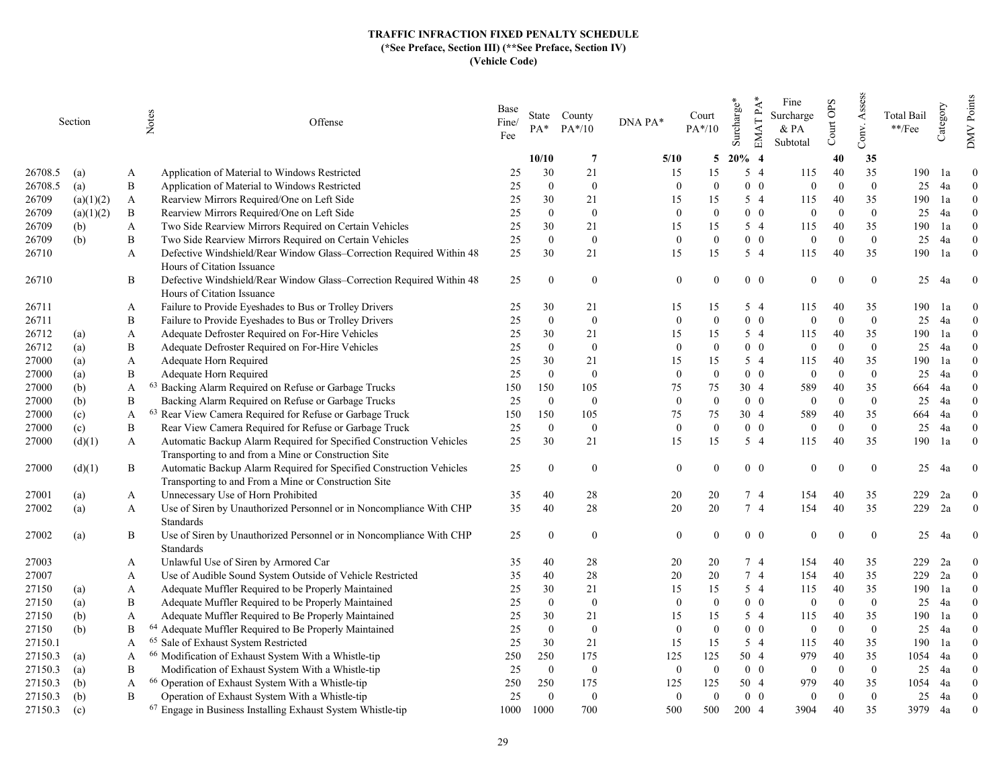|         | Section   |   | Notes<br>Offense                                                                                                            | Base<br>Fine/<br>Fee | PA*            | State County<br>$PA*/10$ | DNA PA*        | Court<br>$PA*/10$ | EMAT PA*<br>Surcharge* | Fine<br>Surcharge<br>& PA<br>Subtotal | Court OPS | Assess<br>Conv. | <b>Total Bail</b><br>**/Fee | Category | Points<br><b>NNO</b> |
|---------|-----------|---|-----------------------------------------------------------------------------------------------------------------------------|----------------------|----------------|--------------------------|----------------|-------------------|------------------------|---------------------------------------|-----------|-----------------|-----------------------------|----------|----------------------|
|         |           |   |                                                                                                                             |                      | 10/10          | -7                       | 5/10           | 5                 | $20\%$ 4               |                                       | 40        | 35              |                             |          |                      |
| 26708.5 | (a)       | A | Application of Material to Windows Restricted                                                                               | 25                   | 30             | 21                       | 15             | 15                | $5\quad4$              | 115                                   | 40        | 35              | 190                         | 1a       | $\theta$             |
| 26708.5 | (a)       | B | Application of Material to Windows Restricted                                                                               | 25                   | $\mathbf{0}$   | $\bf{0}$                 | $\theta$       | $\theta$          | $0\quad 0$             | $\mathbf{0}$                          | $\Omega$  | $\overline{0}$  | 25                          | 4a       | $\theta$             |
| 26709   | (a)(1)(2) | A | Rearview Mirrors Required/One on Left Side                                                                                  | 25                   | 30             | 21                       | 15             | 15                | 5 4                    | 115                                   | 40        | 35              | 190                         | 1a       | $\Omega$             |
| 26709   | (a)(1)(2) | B | Rearview Mirrors Required/One on Left Side                                                                                  | 25                   | $\theta$       | $\overline{0}$           | $\theta$       | $\Omega$          | $0\quad 0$             | $\overline{0}$                        | $\Omega$  | $\overline{0}$  | 25                          | 4a       | $\Omega$             |
| 26709   | (b)       | A | Two Side Rearview Mirrors Required on Certain Vehicles                                                                      | 25                   | 30             | 21                       | 15             | 15                | 5 4                    | 115                                   | 40        | 35              | 190                         | 1a       | $\Omega$             |
| 26709   | (b)       | B | Two Side Rearview Mirrors Required on Certain Vehicles                                                                      | 25                   | $\Omega$       | $\mathbf{0}$             | $\mathbf{0}$   | $\Omega$          | $0\quad 0$             | $\overline{0}$                        | $\Omega$  | $\overline{0}$  | 25                          | 4a       | $\theta$             |
| 26710   |           | A | Defective Windshield/Rear Window Glass-Correction Required Within 48                                                        | 25                   | 30             | 21                       | 15             | 15                | 5 4                    | 115                                   | 40        | 35              | 190                         | 1a       | $\theta$             |
|         |           |   | Hours of Citation Issuance                                                                                                  |                      |                |                          |                |                   |                        |                                       |           |                 |                             |          |                      |
| 26710   |           | B | Defective Windshield/Rear Window Glass-Correction Required Within 48                                                        | 25                   | $\Omega$       | $\overline{0}$           | $\theta$       | $\Omega$          | $0\quad 0$             | $\theta$                              | $\Omega$  | $\overline{0}$  | 25                          | 4a       | $\overline{0}$       |
|         |           |   | Hours of Citation Issuance                                                                                                  |                      |                |                          |                |                   |                        |                                       |           |                 |                             |          |                      |
| 26711   |           | A | Failure to Provide Eyeshades to Bus or Trolley Drivers                                                                      | 25                   | 30             | 21                       | 15             | 15                | 5 4                    | 115                                   | 40        | 35              | 190                         | -la      | $\theta$             |
| 26711   |           | B | Failure to Provide Eyeshades to Bus or Trolley Drivers                                                                      | 25                   | $\mathbf{0}$   | $\bf{0}$                 | $\mathbf{0}$   | $\mathbf{0}$      | $0\quad 0$             | $\mathbf{0}$                          | $\Omega$  | $\overline{0}$  | 25                          | 4a       | $\overline{0}$       |
| 26712   | (a)       | A | Adequate Defroster Required on For-Hire Vehicles                                                                            | 25                   | 30             | 21                       | 15             | 15                | $5\quad4$              | 115                                   | 40        | 35              | 190                         | 1a       | $\theta$             |
| 26712   | (a)       | B | Adequate Defroster Required on For-Hire Vehicles                                                                            | 25                   | $\overline{0}$ | $\bf{0}$                 | $\theta$       | $\Omega$          | $0\quad 0$             | $\overline{0}$                        | $\Omega$  | $\Omega$        | 25                          | 4a       | $\theta$             |
| 27000   | (a)       | A | Adequate Horn Required                                                                                                      | 25                   | 30             | 21                       | 15             | 15                | 5 4                    | 115                                   | 40        | 35              | 190                         | 1a       | $\Omega$             |
| 27000   | (a)       | B | Adequate Horn Required                                                                                                      | 25                   | $\Omega$       | $\mathbf{0}$             | $\mathbf{0}$   | $\Omega$          | $0\quad 0$             | $\overline{0}$                        | $\Omega$  | $\overline{0}$  | 25                          | 4a       | $\theta$             |
| 27000   | (b)       | A | <sup>63</sup> Backing Alarm Required on Refuse or Garbage Trucks                                                            | 150                  | 150            | 105                      | 75             | 75                | 30 4                   | 589                                   | 40        | 35              | 664                         | 4a       | $\theta$             |
| 27000   | (b)       | B | Backing Alarm Required on Refuse or Garbage Trucks                                                                          | 25                   | $\Omega$       | $\bf{0}$                 | $\mathbf{0}$   | $\Omega$          | $0\quad 0$             | $\overline{0}$                        | $\Omega$  | $\overline{0}$  | 25                          | 4a       | $\theta$             |
| 27000   | (c)       | A | 63 Rear View Camera Required for Refuse or Garbage Truck                                                                    | 150                  | 150            | 105                      | 75             | 75                | 30 4                   | 589                                   | 40        | 35              | 664                         | 4a       | $\Omega$             |
| 27000   | (c)       | B | Rear View Camera Required for Refuse or Garbage Truck                                                                       | 25                   | $\Omega$       | $\bf{0}$                 | $\mathbf{0}$   | $\theta$          | $0\quad 0$             | $\mathbf{0}$                          | $\Omega$  | $\overline{0}$  | 25                          | 4a       | $\theta$             |
| 27000   | (d)(1)    | A | Automatic Backup Alarm Required for Specified Construction Vehicles                                                         | 25                   | 30             | 21                       | 15             | 15                | $5\quad4$              | 115                                   | 40        | 35              | 190                         | 1a       | $\theta$             |
|         |           |   | Transporting to and from a Mine or Construction Site                                                                        |                      |                |                          |                |                   |                        |                                       |           |                 |                             |          |                      |
| 27000   | (d)(1)    | B | Automatic Backup Alarm Required for Specified Construction Vehicles<br>Transporting to and From a Mine or Construction Site | 25                   | $\overline{0}$ | $\overline{0}$           | $\theta$       | $\Omega$          | $0\quad 0$             | $\mathbf{0}$                          | $\Omega$  | $\overline{0}$  | 25                          | 4a       | $\theta$             |
| 27001   | (a)       | A | Unnecessary Use of Horn Prohibited                                                                                          | 35                   | 40             | 28                       | 20             | 20                | 74                     | 154                                   | 40        | 35              | 229                         | 2a       | $\theta$             |
| 27002   | (a)       | A | Use of Siren by Unauthorized Personnel or in Noncompliance With CHP                                                         | 35                   | 40             | 28                       | 20             | 20                | 7 4                    | 154                                   | 40        | 35              | 229                         | 2a       | $\boldsymbol{0}$     |
|         |           |   | Standards                                                                                                                   |                      |                |                          |                |                   |                        |                                       |           |                 |                             |          |                      |
| 27002   | (a)       | B | Use of Siren by Unauthorized Personnel or in Noncompliance With CHP<br>Standards                                            | 25                   | $\theta$       | $\bf{0}$                 | $\mathbf{0}$   | $\Omega$          | $0\quad 0$             | $\mathbf{0}$                          | $\Omega$  | $\overline{0}$  | 25                          | 4a       | $\mathbf{0}$         |
| 27003   |           | A | Unlawful Use of Siren by Armored Car                                                                                        | 35                   | 40             | 28                       | 20             | 20                | 7 4                    | 154                                   | 40        | 35              | 229                         | 2a       | $\theta$             |
| 27007   |           | A | Use of Audible Sound System Outside of Vehicle Restricted                                                                   | 35                   | 40             | 28                       | 20             | 20                | 7 4                    | 154                                   | 40        | 35              | 229                         | 2a       | $\theta$             |
| 27150   | (a)       | A | Adequate Muffler Required to be Properly Maintained                                                                         | 25                   | 30             | 21                       | 15             | 15                | $5\quad4$              | 115                                   | 40        | 35              | 190                         | 1a       | $\theta$             |
| 27150   | (a)       | B | Adequate Muffler Required to be Properly Maintained                                                                         | 25                   | $\theta$       | $\overline{0}$           | $\mathbf{0}$   | $\Omega$          | $0\quad 0$             | $\overline{0}$                        | $\Omega$  | $\theta$        | 25                          | 4a       | $\Omega$             |
| 27150   | (b)       | A | Adequate Muffler Required to Be Properly Maintained                                                                         | 25                   | 30             | 21                       | 15             | 15                | 5 4                    | 115                                   | 40        | 35              | 190                         | 1a       | $\theta$             |
| 27150   | (b)       | B | <sup>64</sup> Adequate Muffler Required to Be Properly Maintained                                                           | 25                   | $\theta$       | $\overline{0}$           | $\overline{0}$ | $\Omega$          | $0\quad 0$             | $\overline{0}$                        | $\Omega$  | $\overline{0}$  | 25                          | 4a       | $\Omega$             |
| 27150.1 |           | A | <sup>65</sup> Sale of Exhaust System Restricted                                                                             | 25                   | 30             | 21                       | 15             | 15                | $5\quad4$              | 115                                   | 40        | 35              | 190                         | 1a       | $\theta$             |
| 27150.3 | (a)       | A | <sup>66</sup> Modification of Exhaust System With a Whistle-tip                                                             | 250                  | 250            | 175                      | 125            | 125               | 50 4                   | 979                                   | 40        | 35              | 1054                        | 4a       | $\Omega$             |
| 27150.3 | (a)       | B | Modification of Exhaust System With a Whistle-tip                                                                           | 25                   | $\mathbf{0}$   | $\mathbf{0}$             | $\mathbf{0}$   | $\theta$          | $0\quad 0$             | $\mathbf{0}$                          | $\Omega$  | $\overline{0}$  | 25                          | 4a       | $\theta$             |
| 27150.3 | (b)       | A | <sup>66</sup> Operation of Exhaust System With a Whistle-tip                                                                | 250                  | 250            | 175                      | 125            | 125               | 50 4                   | 979                                   | 40        | 35              | 1054                        | 4a       | $\theta$             |
| 27150.3 | (b)       | B | Operation of Exhaust System With a Whistle-tip                                                                              | 25                   | $\Omega$       | $\overline{0}$           | $\overline{0}$ | $\Omega$          | $0\quad 0$             | $\theta$                              | $\Omega$  | $\overline{0}$  | 25                          | 4a       | $\theta$             |
| 27150.3 | (c)       |   | <sup>67</sup> Engage in Business Installing Exhaust System Whistle-tip                                                      | 1000                 | 1000           | 700                      | 500            | 500               | 200 4                  | 3904                                  | 40        | 35              | 3979                        | 4a       | $\theta$             |
|         |           |   |                                                                                                                             |                      |                |                          |                |                   |                        |                                       |           |                 |                             |          |                      |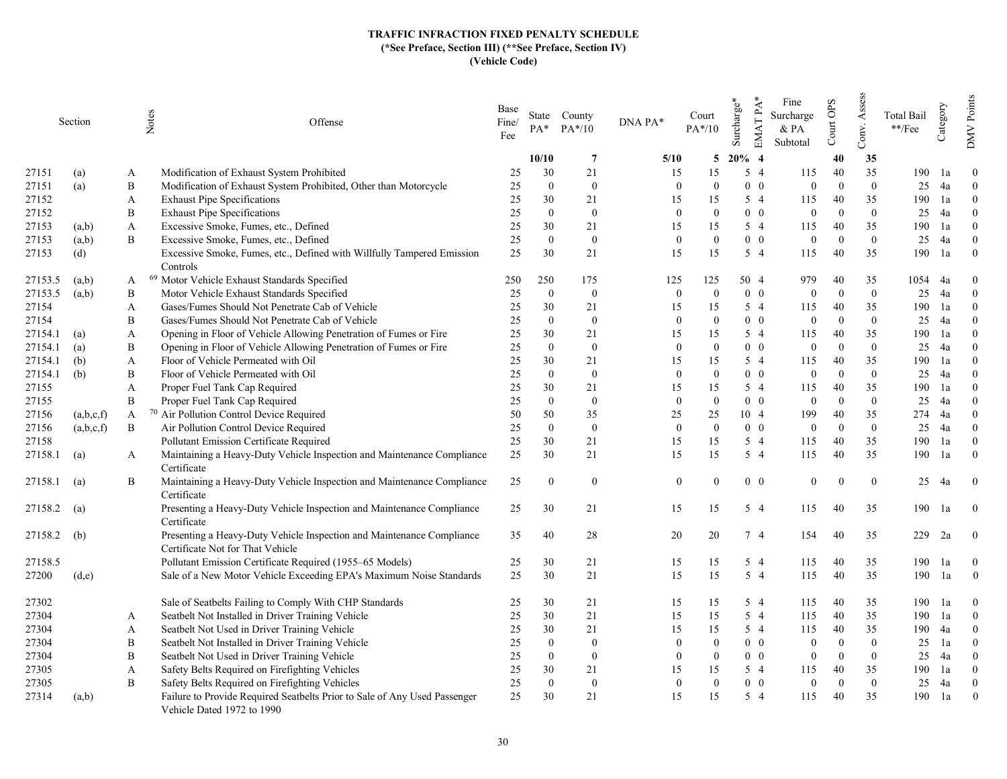|               | Section   |              | Notes<br>Offense                                                                                          | Base<br>Fine/<br>Fee | $PA^*$         | State County<br>$PA*/10$ | DNA PA*      | Court<br>$PA*/10$ | EMAT PA*<br>Surcharge* | Fine<br>Surcharge<br>$\&$ PA<br>Subtotal | Court OPS | Assess<br>Conv.  | <b>Total Bail</b><br>$\rm **/Fee$ | Category | Points<br>$\sqrt{\rm MW}$ |
|---------------|-----------|--------------|-----------------------------------------------------------------------------------------------------------|----------------------|----------------|--------------------------|--------------|-------------------|------------------------|------------------------------------------|-----------|------------------|-----------------------------------|----------|---------------------------|
|               |           |              |                                                                                                           |                      | 10/10          | $\overline{7}$           | 5/10         | 5                 | $20\%$ 4               |                                          | 40        | 35               |                                   |          |                           |
| 27151         | (a)       | A            | Modification of Exhaust System Prohibited                                                                 | 25                   | 30             | 21                       | 15           | 15                | 5 4                    | 115                                      | 40        | 35               | 190                               | 1a       | $\Omega$                  |
| 27151         | (a)       | B            | Modification of Exhaust System Prohibited, Other than Motorcycle                                          | 25                   | $\theta$       | $\mathbf{0}$             | $\Omega$     | $\Omega$          | $0\quad 0$             | $\theta$                                 | $\Omega$  | $\theta$         | 25                                | 4a       | $\theta$                  |
| 27152         |           | A            | <b>Exhaust Pipe Specifications</b>                                                                        | 25                   | 30             | 21                       | 15           | 15                | $5\quad4$              | 115                                      | 40        | 35               | 190                               | 1a       | $\Omega$                  |
| 27152         |           | B            | <b>Exhaust Pipe Specifications</b>                                                                        | 25                   | $\Omega$       | $\mathbf{0}$             | $\Omega$     | $\Omega$          | $0\quad 0$             | $\theta$                                 | $\Omega$  | $\theta$         | 25                                | 4a       | $\theta$                  |
| 27153         | (a,b)     | A            | Excessive Smoke, Fumes, etc., Defined                                                                     | 25                   | 30             | 21                       | 15           | 15                | 54                     | 115                                      | 40        | 35               | 190                               | 1a       | $\Omega$                  |
| 27153         | (a,b)     | B            | Excessive Smoke, Fumes, etc., Defined                                                                     | 25                   | $\theta$       | $\mathbf{0}$             | $\theta$     | $\theta$          | $0\quad 0$             | $\mathbf{0}$                             | $\theta$  | $\mathbf{0}$     | 25                                | 4a       | $\mathbf{0}$              |
| 27153         | (d)       |              | Excessive Smoke, Fumes, etc., Defined with Willfully Tampered Emission                                    | 25                   | 30             | 21                       | 15           | 15                | 5 4                    | 115                                      | 40        | 35               | 190                               | 1a       | $\theta$                  |
|               |           |              | Controls                                                                                                  |                      |                |                          |              |                   |                        |                                          |           |                  |                                   |          |                           |
| 27153.5       | (a,b)     | A            | <sup>69</sup> Motor Vehicle Exhaust Standards Specified                                                   | 250                  | 250            | 175                      | 125          | 125               | 50 4                   | 979                                      | 40        | 35               | 1054                              | 4a       | $\theta$                  |
| 27153.5       | (a,b)     | B            | Motor Vehicle Exhaust Standards Specified                                                                 | 25                   | $\overline{0}$ | $\mathbf{0}$             | $\mathbf{0}$ | $\theta$          | $0\quad 0$             | $\theta$                                 | $\Omega$  | $\mathbf{0}$     | 25                                | 4a       | $\mathbf{0}$              |
| 27154         |           | $\mathbf{A}$ | Gases/Fumes Should Not Penetrate Cab of Vehicle                                                           | 25                   | 30             | 21                       | 15           | 15                | 5 4                    | 115                                      | 40        | 35               | 190                               | 1a       | $\theta$                  |
| 27154         |           | B            | Gases/Fumes Should Not Penetrate Cab of Vehicle                                                           | 25                   | $\theta$       | $\mathbf{0}$             | $\Omega$     | $\Omega$          | $0\quad 0$             | $\theta$                                 | $\theta$  | $\mathbf{0}$     | 25                                | 4a       | $\Omega$                  |
| 27154.1       | (a)       | A            | Opening in Floor of Vehicle Allowing Penetration of Fumes or Fire                                         | 25                   | 30             | 21                       | 15           | 15                | $5\quad4$              | 115                                      | 40        | 35               | 190                               | 1a       | $\Omega$                  |
| 27154.1       | (a)       | B            | Opening in Floor of Vehicle Allowing Penetration of Fumes or Fire                                         | 25                   | $\Omega$       | $\mathbf{0}$             | $\Omega$     | $\Omega$          | $0\quad 0$             | $\Omega$                                 | $\Omega$  | $\theta$         | 25                                | 4a       | $\Omega$                  |
| 27154.1       | (b)       | A            | Floor of Vehicle Permeated with Oil                                                                       | 25                   | 30             | 21                       | 15           | 15                | $5\quad4$              | 115                                      | 40        | 35               | 190                               | 1a       | $\theta$                  |
| 27154.1       | (b)       | B            | Floor of Vehicle Permeated with Oil                                                                       | 25                   | $\Omega$       | $\mathbf{0}$             | $\Omega$     | $\Omega$          | $0\quad 0$             | $\theta$                                 | $\Omega$  | $\mathbf{0}$     | 25                                | 4a       | $\Omega$                  |
| 27155         |           | A            | Proper Fuel Tank Cap Required                                                                             | 25                   | 30             | 21                       | 15           | 15                | $5\quad4$              | 115                                      | 40        | 35               | 190                               | 1a       | $\Omega$                  |
| 27155         |           | $\, {\bf B}$ | Proper Fuel Tank Cap Required                                                                             | 25                   | $\theta$       | $\mathbf{0}$             | $\Omega$     | $\theta$          | $0\quad 0$             | $\mathbf{0}$                             | $\Omega$  | $\mathbf{0}$     | 25                                | 4a       | $\theta$                  |
| 27156         | (a,b,c,f) | A            | <sup>70</sup> Air Pollution Control Device Required                                                       | 50                   | 50             | 35                       | 25           | 25                | 10 4                   | 199                                      | 40        | 35               | 274                               | 4a       | $\Omega$                  |
| 27156         | (a,b,c,f) | B            | Air Pollution Control Device Required                                                                     | 25                   | $\Omega$       | $\overline{0}$           | $\Omega$     | $\Omega$          | $0\quad 0$             | $\theta$                                 | $\Omega$  | $\theta$         | 25                                | 4a       | $\theta$                  |
| 27158         |           |              | Pollutant Emission Certificate Required                                                                   | 25                   | 30             | 21                       | 15           | 15                | $5\quad4$              | 115                                      | 40        | 35               | 190                               | 1a       | $\theta$                  |
| 27158.1       | (a)       | A            | Maintaining a Heavy-Duty Vehicle Inspection and Maintenance Compliance<br>Certificate                     | 25                   | 30             | 21                       | 15           | 15                | $5\quad4$              | 115                                      | 40        | 35               | 190                               | 1a       | $\Omega$                  |
| 27158.1       | (a)       | B            | Maintaining a Heavy-Duty Vehicle Inspection and Maintenance Compliance<br>Certificate                     | 25                   | $\Omega$       | $\overline{0}$           | $\mathbf{0}$ |                   | $0\quad 0$             | $\mathbf{0}$                             | $\Omega$  | $\boldsymbol{0}$ | 25                                | 4a       | $\bf{0}$                  |
| 27158.2       | (a)       |              | Presenting a Heavy-Duty Vehicle Inspection and Maintenance Compliance<br>Certificate                      | 25                   | 30             | 21                       | 15           | 15                | $5\quad4$              | 115                                      | 40        | 35               | 190                               | 1a       | $\overline{0}$            |
| $27158.2$ (b) |           |              | Presenting a Heavy-Duty Vehicle Inspection and Maintenance Compliance<br>Certificate Not for That Vehicle | 35                   | 40             | 28                       | 20           | 20                | 7 4                    | 154                                      | 40        | 35               | 229                               | 2a       | $\theta$                  |
| 27158.5       |           |              | Pollutant Emission Certificate Required (1955-65 Models)                                                  | 25                   | 30             | 21                       | 15           | 15                | $5\quad4$              | 115                                      | 40        | 35               | 190                               | 1a       | $\mathbf{0}$              |
| 27200         | (d,e)     |              | Sale of a New Motor Vehicle Exceeding EPA's Maximum Noise Standards                                       | 25                   | 30             | 21                       | 15           | 15                | 54                     | 115                                      | $40\,$    | 35               | 190                               | 1a       | $\mathbf{0}$              |
| 27302         |           |              | Sale of Seatbelts Failing to Comply With CHP Standards                                                    | 25                   | 30             | 21                       | 15           | 15                | $5\quad4$              | 115                                      | 40        | 35               | 190                               | 1a       | $\overline{0}$            |
| 27304         |           | A            | Seatbelt Not Installed in Driver Training Vehicle                                                         | 25                   | 30             | 21                       | 15           | 15                | $5\quad4$              | 115                                      | 40        | 35               | 190                               | 1a       | $\overline{0}$            |
| 27304         |           | A            | Seatbelt Not Used in Driver Training Vehicle                                                              | 25                   | 30             | 21                       | 15           | 15                | $5\quad 4$             | 115                                      | 40        | 35               | 190                               | 4a       | $\overline{0}$            |
| 27304         |           | B            | Seatbelt Not Installed in Driver Training Vehicle                                                         | 25                   | $\Omega$       | $\mathbf{0}$             | $\mathbf{0}$ | $\Omega$          | $0\quad 0$             | $\mathbf{0}$                             | $\Omega$  | $\Omega$         | 25                                | 1a       | $\Omega$                  |
| 27304         |           | B            | Seatbelt Not Used in Driver Training Vehicle                                                              | 25                   | $\Omega$       | $\mathbf{0}$             | $\Omega$     | $\theta$          | $0\quad 0$             | $\theta$                                 | $\theta$  | $\theta$         | 25                                | 4a       | $\overline{0}$            |
| 27305         |           | A            | Safety Belts Required on Firefighting Vehicles                                                            | 25                   | 30             | 21                       | 15           | 15                | 5 4                    | 115                                      | 40        | 35               | 190                               | 1a       | $\Omega$                  |
| 27305         |           | B            | Safety Belts Required on Firefighting Vehicles                                                            | 25                   | $\Omega$       | $\mathbf{0}$             | $\Omega$     | $\Omega$          | $0\quad 0$             | $\Omega$                                 | $\Omega$  | $\theta$         | 25                                | 4a       | $\Omega$                  |
| 27314         | (a,b)     |              | Failure to Provide Required Seatbelts Prior to Sale of Any Used Passenger<br>Vehicle Dated 1972 to 1990   | 25                   | 30             | 21                       | 15           | 15                | $5\quad4$              | 115                                      | 40        | 35               | 190                               | 1a       | $\mathbf{0}$              |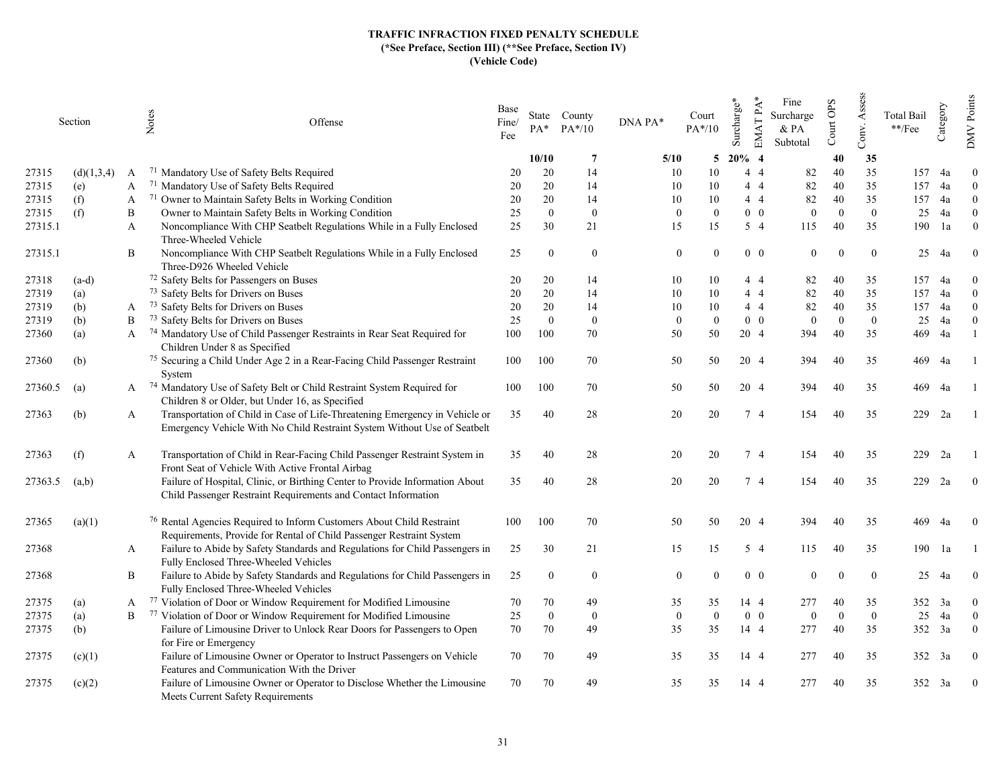|         | Section    |   | Notes<br>Offense                                                                                                                                         | Base<br>Fine/<br>Fee | $PA*$    | State County<br>$PA*/10$ | DNA PA* | Court<br>$PA*/10$                | Surcharge <sup>®</sup> | $EMATPA*$<br>Fine<br>Surcharge<br>& PA<br>Subtotal | Court OPS      | Assess<br>Conv. | <b>Total Bail</b><br>$\rm **/Fee$ | Category      | Points<br><b>NND</b> |
|---------|------------|---|----------------------------------------------------------------------------------------------------------------------------------------------------------|----------------------|----------|--------------------------|---------|----------------------------------|------------------------|----------------------------------------------------|----------------|-----------------|-----------------------------------|---------------|----------------------|
|         |            |   |                                                                                                                                                          |                      | 10/10    | 7                        | 5/10    | 5                                | $20\%$ 4               |                                                    | 40             | 35              |                                   |               |                      |
| 27315   | (d)(1,3,4) | A | <sup>71</sup> Mandatory Use of Safety Belts Required                                                                                                     | 20                   | 20       | 14                       | 10      | 10                               | $4\quad4$              | 82                                                 | 40             | 35              | 157                               | 4a            | $\overline{0}$       |
| 27315   | (e)        | A | <sup>71</sup> Mandatory Use of Safety Belts Required                                                                                                     | 20                   | 20       | 14                       | 10      | 10                               | 44                     | 82                                                 | 40             | 35              | 157                               | 4a            | $\Omega$             |
| 27315   | (f)        | A | 71 Owner to Maintain Safety Belts in Working Condition                                                                                                   | 20                   | 20       | 14                       | 10      | 10                               | 44                     | 82                                                 | 40             | 35              | 157                               | 4a            | $\Omega$             |
| 27315   | (f)        | B | Owner to Maintain Safety Belts in Working Condition                                                                                                      | 25                   | $\theta$ | $\mathbf{0}$             |         | $\mathbf{0}$<br>$\Omega$         | $0\quad 0$             | $\mathbf{0}$                                       | $\overline{0}$ | $\overline{0}$  | 25                                | 4a            | $\overline{0}$       |
| 27315.1 |            | A | Noncompliance With CHP Seatbelt Regulations While in a Fully Enclosed<br>Three-Wheeled Vehicle                                                           | 25                   | 30       | 21                       | 15      | 15                               | $5\quad4$              | 115                                                | 40             | 35              | 190                               | 1a            | $\theta$             |
| 27315.1 |            | B | Noncompliance With CHP Seatbelt Regulations While in a Fully Enclosed<br>Three-D926 Wheeled Vehicle                                                      | 25                   | $\theta$ | $\theta$                 |         | $\mathbf{0}$                     | $0\quad 0$             | $\overline{0}$                                     | $\Omega$       | $\theta$        | 25                                | 4a            | $\theta$             |
| 27318   | $(a-d)$    |   | 72 Safety Belts for Passengers on Buses                                                                                                                  | 20                   | 20       | 14                       | 10      | 10                               | 44                     | 82                                                 | 40             | 35              | 157                               | 4a            | $\theta$             |
| 27319   | (a)        |   | 73 Safety Belts for Drivers on Buses                                                                                                                     | 20                   | 20       | 14                       | 10      | 10                               | 44                     | 82                                                 | 40             | 35              | 157                               | 4a            | $\Omega$             |
| 27319   | (b)        | A | <sup>73</sup> Safety Belts for Drivers on Buses                                                                                                          | 20                   | 20       | 14                       | 10      | 10                               | 44                     | 82                                                 | 40             | 35              | 157                               | 4a            | $\Omega$             |
| 27319   | (b)        | B | <sup>73</sup> Safety Belts for Drivers on Buses                                                                                                          | 25                   | $\theta$ | $\mathbf{0}$             |         | $\overline{0}$<br>$\overline{0}$ | $0\quad 0$             | $\overline{0}$                                     | $\overline{0}$ | $\overline{0}$  | 25                                | 4a            | $\theta$             |
| 27360   | (a)        | A | 74 Mandatory Use of Child Passenger Restraints in Rear Seat Required for<br>Children Under 8 as Specified                                                | 100                  | 100      | 70                       | 50      | 50                               | 20 4                   | 394                                                | 40             | 35              | 469                               | 4a            |                      |
| 27360   | (b)        |   | 75 Securing a Child Under Age 2 in a Rear-Facing Child Passenger Restraint<br>System                                                                     | 100                  | 100      | 70                       | 50      | 50                               | 20 4                   | 394                                                | 40             | 35              | 469                               | 4a            |                      |
| 27360.5 | (a)        |   | A <sup>74</sup> Mandatory Use of Safety Belt or Child Restraint System Required for<br>Children 8 or Older, but Under 16, as Specified                   | 100                  | 100      | 70                       | 50      | 50                               | 20 4                   | 394                                                | 40             | 35              | 469                               | -4a           |                      |
| 27363   | (b)        | A | Transportation of Child in Case of Life-Threatening Emergency in Vehicle or<br>Emergency Vehicle With No Child Restraint System Without Use of Seatbelt  | 35                   | 40       | 28                       | 20      | 20                               | 74                     | 154                                                | 40             | 35              | 229                               | 2a            |                      |
| 27363   | (f)        | A | Transportation of Child in Rear-Facing Child Passenger Restraint System in<br>Front Seat of Vehicle With Active Frontal Airbag                           | 35                   | 40       | 28                       | 20      | 20                               | 7 4                    | 154                                                | 40             | 35              | 229                               | 2a            |                      |
| 27363.5 | (a,b)      |   | Failure of Hospital, Clinic, or Birthing Center to Provide Information About<br>Child Passenger Restraint Requirements and Contact Information           | 35                   | 40       | 28                       | 20      | 20                               | 7 4                    | 154                                                | 40             | 35              | 229                               | 2a            | $\overline{0}$       |
| 27365   | (a)(1)     |   | <sup>76</sup> Rental Agencies Required to Inform Customers About Child Restraint<br>Requirements, Provide for Rental of Child Passenger Restraint System | 100                  | 100      | 70                       | 50      | 50                               | 20 4                   | 394                                                | 40             | 35              | 469                               | 4a            | $\Omega$             |
| 27368   |            | A | Failure to Abide by Safety Standards and Regulations for Child Passengers in<br>Fully Enclosed Three-Wheeled Vehicles                                    | 25                   | 30       | 21                       | 15      | 15                               | $5\quad4$              | 115                                                | 40             | 35              | 190                               | 1a            |                      |
| 27368   |            | B | Failure to Abide by Safety Standards and Regulations for Child Passengers in<br>Fully Enclosed Three-Wheeled Vehicles                                    | 25                   | $\theta$ | $\theta$                 |         | $\Omega$                         | $0\quad 0$             | $\theta$                                           | $\Omega$       | $\theta$        | 25                                | 4a            | $\Omega$             |
| 27375   | (a)        | A | 77 Violation of Door or Window Requirement for Modified Limousine                                                                                        | 70                   | 70       | 49                       | 35      | 35                               | 14 4                   | 277                                                | 40             | 35              | 352                               | <sup>3a</sup> | $\mathbf{0}$         |
| 27375   | (a)        | B | 77 Violation of Door or Window Requirement for Modified Limousine                                                                                        | 25                   | $\theta$ | $\mathbf{0}$             |         | $\overline{0}$<br>$\mathbf{0}$   | $0\quad 0$             | $\boldsymbol{0}$                                   | $\Omega$       | $\mathbf{0}$    | 25                                | 4a            | $\theta$             |
| 27375   | (b)        |   | Failure of Limousine Driver to Unlock Rear Doors for Passengers to Open                                                                                  | 70                   | 70       | 49                       | 35      | 35                               | 14 4                   | 277                                                | 40             | 35              | 352                               | 3a            | $\theta$             |
|         |            |   | for Fire or Emergency                                                                                                                                    |                      |          |                          |         |                                  |                        |                                                    |                |                 |                                   |               |                      |
| 27375   | (c)(1)     |   | Failure of Limousine Owner or Operator to Instruct Passengers on Vehicle<br>Features and Communication With the Driver                                   | 70                   | 70       | 49                       | 35      | 35                               | 14 4                   | 277                                                | 40             | 35              |                                   | 352 3a        | $\overline{0}$       |
| 27375   | (c)(2)     |   | Failure of Limousine Owner or Operator to Disclose Whether the Limousine<br>Meets Current Safety Requirements                                            | 70                   | 70       | 49                       | 35      | 35                               | 14 4                   | 277                                                |                | 35              | 352                               | 3a            | $\mathbf{0}$         |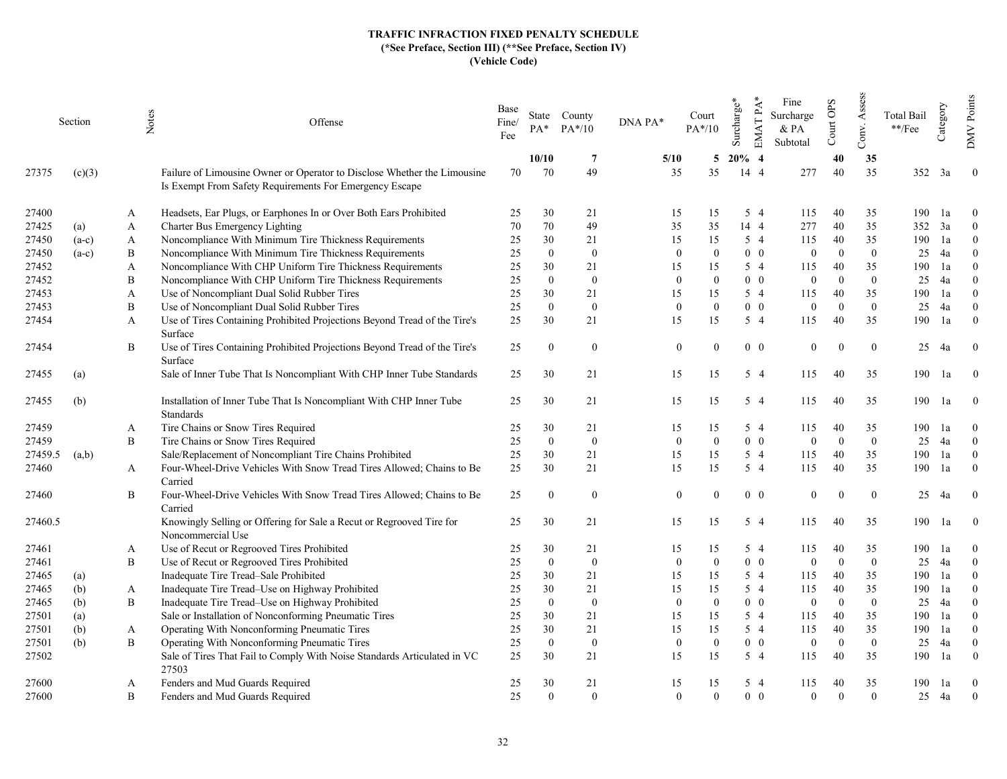|         | Section | Notes | Offense                                                                                                                             | Base<br>Fine/<br>Fee | $PA*$          | State County<br>$PA*/10$ | DNA PA* | Court<br>$PA*/10$            | Surcharge*   | $EMATPA*$  | Fine<br>Surcharge<br>& PA<br>Subtotal | Court OPS      | Assess<br>Conv.  | Total Bail<br>$**$ /Fee | Category | Points<br><b>NND</b> |
|---------|---------|-------|-------------------------------------------------------------------------------------------------------------------------------------|----------------------|----------------|--------------------------|---------|------------------------------|--------------|------------|---------------------------------------|----------------|------------------|-------------------------|----------|----------------------|
|         |         |       |                                                                                                                                     |                      | 10/10          | -7                       | 5/10    | 5                            | $20\%$ 4     |            |                                       | 40             | 35               |                         |          |                      |
| 27375   | (c)(3)  |       | Failure of Limousine Owner or Operator to Disclose Whether the Limousine<br>Is Exempt From Safety Requirements For Emergency Escape | 70                   | 70             | 49                       | 35      | 35                           | $14 \quad 4$ |            | 277                                   | 40             | 35               | 352                     | 3a       | $\overline{0}$       |
| 27400   |         | A     | Headsets, Ear Plugs, or Earphones In or Over Both Ears Prohibited                                                                   | 25                   | 30             | 21                       | 15      | 15                           |              | 5 4        | 115                                   | 40             | 35               | 190                     | 1a       | $\overline{0}$       |
| 27425   | (a)     | A     | Charter Bus Emergency Lighting                                                                                                      | 70                   | $70\,$         | 49                       | 35      | 35                           |              | 14 4       | 277                                   | 40             | 35               | 352                     | 3a       | $\theta$             |
| 27450   | $(a-c)$ | A     | Noncompliance With Minimum Tire Thickness Requirements                                                                              | 25                   | 30             | 21                       | 15      | 15                           |              | 5 4        | 115                                   | 40             | 35               | 190                     | 1a       | $\Omega$             |
| 27450   | $(a-c)$ | B     | Noncompliance With Minimum Tire Thickness Requirements                                                                              | 25                   | $\mathbf{0}$   | $\overline{0}$           |         | $\Omega$<br>$\Omega$         |              | $0\quad 0$ | $\mathbf{0}$                          | $\mathbf{0}$   | $\mathbf{0}$     | 25                      | 4a       | $\Omega$             |
| 27452   |         | A     | Noncompliance With CHP Uniform Tire Thickness Requirements                                                                          | 25                   | 30             | 21                       | 15      | 15                           |              | $5\quad4$  | 115                                   | 40             | 35               | 190                     | 1a       | $\Omega$             |
| 27452   |         | B     | Noncompliance With CHP Uniform Tire Thickness Requirements                                                                          | 25                   | $\mathbf{0}$   | $\mathbf{0}$             |         | $\mathbf{0}$<br>$\Omega$     |              | $0\quad 0$ | $\overline{0}$                        | $\overline{0}$ | $\mathbf{0}$     | 25                      | 4a       | $\Omega$             |
| 27453   |         | A     | Use of Noncompliant Dual Solid Rubber Tires                                                                                         | 25                   | 30             | 21                       | 15      | 15                           |              | 5 4        | 115                                   | 40             | 35               | 190                     | 1a       | $\theta$             |
| 27453   |         | B     | Use of Noncompliant Dual Solid Rubber Tires                                                                                         | 25                   | $\mathbf{0}$   | $\mathbf{0}$             |         | $\boldsymbol{0}$<br>$\Omega$ |              | $0\quad 0$ | $\mathbf{0}$                          | $\Omega$       | $\mathbf{0}$     | 25                      | 4a       | $\Omega$             |
| 27454   |         | A     | Use of Tires Containing Prohibited Projections Beyond Tread of the Tire's<br>Surface                                                | 25                   | 30             | 21                       |         | 15<br>15                     |              | 5 4        | 115                                   | 40             | 35               | 190                     | 1a       | $\Omega$             |
| 27454   |         | B     | Use of Tires Containing Prohibited Projections Beyond Tread of the Tire's<br>Surface                                                | 25                   | $\theta$       | $\bf{0}$                 |         | $\boldsymbol{0}$             |              | $0\quad 0$ | $\overline{0}$                        | $\Omega$       | $\theta$         | 25                      | 4a       | $\overline{0}$       |
| 27455   | (a)     |       | Sale of Inner Tube That Is Noncompliant With CHP Inner Tube Standards                                                               | 25                   | 30             | 21                       |         | 15<br>15                     |              | $5\quad4$  | 115                                   | 40             | 35               | 190                     | 1a       | $\overline{0}$       |
| 27455   | (b)     |       | Installation of Inner Tube That Is Noncompliant With CHP Inner Tube<br>Standards                                                    | 25                   | 30             | 21                       |         | 15<br>15                     |              | 5 4        | 115                                   | 40             | 35               | 190                     | 1a       | $\overline{0}$       |
| 27459   |         | A     | Tire Chains or Snow Tires Required                                                                                                  | 25                   | 30             | 21                       | 15      | 15                           |              | $5\quad4$  | 115                                   | 40             | 35               | 190                     | 1a       | $\Omega$             |
| 27459   |         | B     | Tire Chains or Snow Tires Required                                                                                                  | 25                   | $\mathbf{0}$   | $\overline{0}$           |         | $\mathbf{0}$<br>$\Omega$     |              | $0\quad 0$ | $\mathbf{0}$                          | $\mathbf{0}$   | $\boldsymbol{0}$ | 25                      | 4a       | $\overline{0}$       |
| 27459.5 | (a,b)   |       | Sale/Replacement of Noncompliant Tire Chains Prohibited                                                                             | 25                   | 30             | 21                       | 15      | 15                           |              | $5\quad4$  | 115                                   | 40             | 35               | 190                     | 1a       | $\overline{0}$       |
| 27460   |         | A     | Four-Wheel-Drive Vehicles With Snow Tread Tires Allowed; Chains to Be<br>Carried                                                    | 25                   | 30             | 21                       |         | 15<br>15                     |              | $5\quad4$  | 115                                   | 40             | 35               | 190                     | 1a       | $\overline{0}$       |
| 27460   |         | B     | Four-Wheel-Drive Vehicles With Snow Tread Tires Allowed; Chains to Be<br>Carried                                                    | 25                   | $\mathbf{0}$   | $\bf{0}$                 |         | $\overline{0}$<br>$\Omega$   |              | $0\quad 0$ | $\overline{0}$                        | $\Omega$       | $\mathbf{0}$     | 25                      | 4a       | $\overline{0}$       |
| 27460.5 |         |       | Knowingly Selling or Offering for Sale a Recut or Regrooved Tire for<br>Noncommercial Use                                           | 25                   | 30             | 21                       | 15      | 15                           |              | $5\quad4$  | 115                                   | 40             | 35               | 190                     | 1a       | $\overline{0}$       |
| 27461   |         | A     | Use of Recut or Regrooved Tires Prohibited                                                                                          | 25                   | 30             | 21                       | 15      | 15                           |              | 5 4        | 115                                   | 40             | 35               | 190                     | 1a       | $\overline{0}$       |
| 27461   |         | B     | Use of Recut or Regrooved Tires Prohibited                                                                                          | 25                   | $\theta$       | $\overline{0}$           |         | $\Omega$<br>$\Omega$         |              | $0\quad 0$ | $\Omega$                              | $\mathbf{0}$   | $\mathbf{0}$     | 25                      | 4a       | $\mathbf{0}$         |
| 27465   | (a)     |       | Inadequate Tire Tread-Sale Prohibited                                                                                               | 25                   | 30             | 21                       | 15      | 15                           |              | $5\quad4$  | 115                                   | 40             | 35               | 190                     | 1a       | $\Omega$             |
| 27465   | (b)     | A     | Inadequate Tire Tread-Use on Highway Prohibited                                                                                     | 25                   | 30             | 21                       | 15      | 15                           |              | 5 4        | 115                                   | 40             | 35               | 190                     | 1a       | $\overline{0}$       |
| 27465   | (b)     | B     | Inadequate Tire Tread-Use on Highway Prohibited                                                                                     | 25                   | $\mathbf{0}$   | $\overline{0}$           |         | $\Omega$<br>$\Omega$         |              | $0\quad 0$ | $\mathbf{0}$                          | $\overline{0}$ | $\mathbf{0}$     | 25                      | 4a       | $\theta$             |
| 27501   | (a)     |       | Sale or Installation of Nonconforming Pneumatic Tires                                                                               | 25                   | 30             | 21                       | 15      | 15                           |              | $5\quad4$  | 115                                   | 40             | 35               | 190                     | 1a       | $\theta$             |
| 27501   | (b)     | A     | Operating With Nonconforming Pneumatic Tires                                                                                        | 25                   | 30             | 21                       | 15      | 15                           |              | $5\quad4$  | 115                                   | 40             | 35               | 190                     | 1a       | $\overline{0}$       |
| 27501   | (b)     | Β     | Operating With Nonconforming Pneumatic Tires                                                                                        | 25                   | $\overline{0}$ | $\mathbf{0}$             |         | $\overline{0}$<br>$\Omega$   |              | $0\quad 0$ | $\mathbf{0}$                          | $\theta$       | $\mathbf{0}$     | 25                      | 4a       | $\mathbf{0}$         |
| 27502   |         |       | Sale of Tires That Fail to Comply With Noise Standards Articulated in VC<br>27503                                                   | 25                   | 30             | 21                       | 15      | 15                           |              | $5\quad4$  | 115                                   | 40             | 35               | 190                     | 1a       | $\Omega$             |
| 27600   |         | A     | Fenders and Mud Guards Required                                                                                                     | 25                   | 30             | 21                       | 15      | 15                           |              | 5 4        | 115                                   | 40             | 35               | 190                     | 1a       | $\overline{0}$       |
| 27600   |         | B     | Fenders and Mud Guards Required                                                                                                     | 25                   | $\mathbf{0}$   | $\theta$                 |         | $\mathbf{0}$<br>$\Omega$     |              | $0\quad 0$ | $\theta$                              | $\Omega$       | $\theta$         | 25                      | 4a       | $\mathbf{0}$         |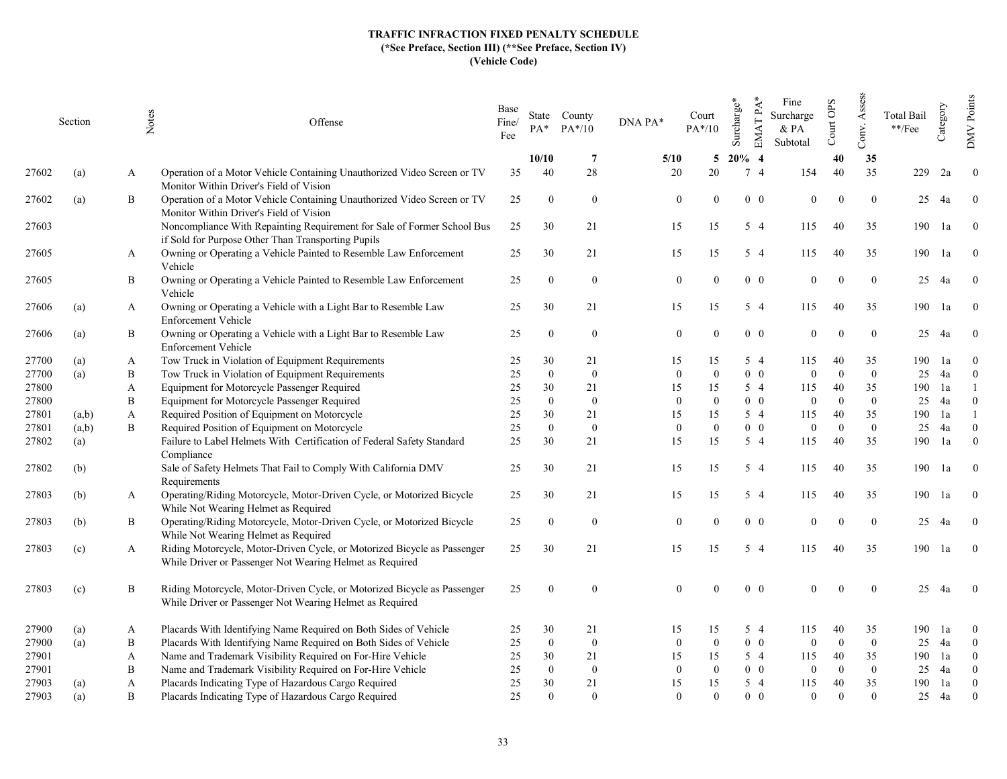|       | Section | Notes | Offense                                                                                                                              | Base<br>Fine/<br>Fee | $PA^*$       | State County<br>$PA*/10$ | DNA PA*          | Court<br>$PA*/10$ | Surcharge* | EMAT PA*       | Fine<br>Surcharge<br>$&$ PA<br>Subtotal | Court OPS    | Assess<br>Conv.  | <b>Total Bail</b><br>$^{**}/\mathrm{Fee}$ | Category | Points<br><b>NNO</b> |
|-------|---------|-------|--------------------------------------------------------------------------------------------------------------------------------------|----------------------|--------------|--------------------------|------------------|-------------------|------------|----------------|-----------------------------------------|--------------|------------------|-------------------------------------------|----------|----------------------|
|       |         |       |                                                                                                                                      |                      | 10/10        | -7                       | 5/10             | 5                 | $20\%$ 4   |                |                                         | 40           | 35               |                                           |          |                      |
| 27602 | (a)     | A     | Operation of a Motor Vehicle Containing Unauthorized Video Screen or TV<br>Monitor Within Driver's Field of Vision                   | 35                   | 40           | 28                       | 20               | 20                |            | 7 <sub>4</sub> | 154                                     | 40           | 35               | 229                                       | 2a       | $\overline{0}$       |
| 27602 | (a)     | B     | Operation of a Motor Vehicle Containing Unauthorized Video Screen or TV<br>Monitor Within Driver's Field of Vision                   | 25                   | $\mathbf{0}$ | $\overline{0}$           | $\overline{0}$   | $\Omega$          |            | $0\quad 0$     | $\mathbf{0}$                            | $\Omega$     | $\mathbf{0}$     | 25                                        | 4a       | $\Omega$             |
| 27603 |         |       | Noncompliance With Repainting Requirement for Sale of Former School Bus<br>if Sold for Purpose Other Than Transporting Pupils        | 25                   | 30           | 21                       | 15               | 15                |            | 5 4            | 115                                     | 40           | 35               | 190                                       | 1a       | $\theta$             |
| 27605 |         | A     | Owning or Operating a Vehicle Painted to Resemble Law Enforcement<br>Vehicle                                                         | 25                   | 30           | 21                       | 15               | 15                |            | $5\quad4$      | 115                                     | 40           | 35               | 190                                       | 1a       | $\overline{0}$       |
| 27605 |         | Β     | Owning or Operating a Vehicle Painted to Resemble Law Enforcement<br>Vehicle                                                         | 25                   | $\Omega$     | $\mathbf{0}$             | $\mathbf{0}$     | $\Omega$          |            | $0\quad 0$     | $\overline{0}$                          | $\Omega$     | $\mathbf{0}$     | 25                                        | 4a       | $\Omega$             |
| 27606 | (a)     | A     | Owning or Operating a Vehicle with a Light Bar to Resemble Law<br><b>Enforcement Vehicle</b>                                         | 25                   | 30           | 21                       | 15               | 15                |            | $5\quad4$      | 115                                     | 40           | 35               | 190                                       | 1a       | $\theta$             |
| 27606 | (a)     | Β     | Owning or Operating a Vehicle with a Light Bar to Resemble Law<br>Enforcement Vehicle                                                | 25                   | $\theta$     | $\overline{0}$           | $\mathbf{0}$     |                   |            | $0\quad 0$     | $\overline{0}$                          | $\Omega$     | $\mathbf{0}$     | 25                                        | 4a       | $\overline{0}$       |
| 27700 | (a)     | A     | Tow Truck in Violation of Equipment Requirements                                                                                     | 25                   | 30           | 21                       | 15               | 15                |            | $5\quad4$      | 115                                     | 40           | 35               | 190                                       | 1a       | $\mathbf{0}$         |
| 27700 | (a)     | B     | Tow Truck in Violation of Equipment Requirements                                                                                     | 25                   | $\mathbf{0}$ | $\theta$                 | $\mathbf{0}$     | $\Omega$          |            | $0\quad 0$     | $\Omega$                                | $\theta$     | $\theta$         | 25                                        | 4a       | $\theta$             |
| 27800 |         | A     | Equipment for Motorcycle Passenger Required                                                                                          | 25                   | 30           | 21                       | 15               | 15                |            | $5\quad4$      | 115                                     | 40           | 35               | 190                                       | 1a       |                      |
| 27800 |         | B     | Equipment for Motorcycle Passenger Required                                                                                          | 25                   | $\mathbf{0}$ | $\overline{0}$           | $\Omega$         | $\Omega$          |            | $0\quad 0$     | $\mathbf{0}$                            | $\theta$     | $\theta$         | 25                                        | 4a       | $\overline{0}$       |
| 27801 | (a,b)   | A     | Required Position of Equipment on Motorcycle                                                                                         | 25                   | 30           | 21                       | 15               | 15                |            | $5\quad4$      | 115                                     | 40           | 35               | 190                                       | 1a       |                      |
| 27801 | (a,b)   | B     | Required Position of Equipment on Motorcycle                                                                                         | 25                   | $\mathbf{0}$ | $\overline{0}$           | $\mathbf{0}$     | $\theta$          |            | $0\quad 0$     | $\overline{0}$                          | $\theta$     | $\mathbf{0}$     | 25                                        | 4a       | $\theta$             |
| 27802 | (a)     |       | Failure to Label Helmets With Certification of Federal Safety Standard<br>Compliance                                                 | 25                   | 30           | 21                       | 15               | 15                |            | 5 4            | 115                                     | 40           | 35               | 190                                       | 1a       | $\theta$             |
| 27802 | (b)     |       | Sale of Safety Helmets That Fail to Comply With California DMV<br>Requirements                                                       | 25                   | 30           | 21                       | 15               | 15                |            | 5 4            | 115                                     | 40           | 35               | 190                                       | 1a       | $\overline{0}$       |
| 27803 | (b)     | A     | Operating/Riding Motorcycle, Motor-Driven Cycle, or Motorized Bicycle<br>While Not Wearing Helmet as Required                        | 25                   | 30           | 21                       | 15               | 15                |            | 5 4            | 115                                     | 40           | 35               | 190 la                                    |          | $\overline{0}$       |
| 27803 | (b)     | Β     | Operating/Riding Motorcycle, Motor-Driven Cycle, or Motorized Bicycle<br>While Not Wearing Helmet as Required                        | 25                   | $\theta$     | $\mathbf{0}$             | $\boldsymbol{0}$ |                   |            | $0\quad 0$     | $\overline{0}$                          | $\Omega$     | $\boldsymbol{0}$ | 25                                        | 4a       | $\Omega$             |
| 27803 | (c)     | A     | Riding Motorcycle, Motor-Driven Cycle, or Motorized Bicycle as Passenger<br>While Driver or Passenger Not Wearing Helmet as Required | 25                   | 30           | 21                       | 15               | 15                |            | 5 4            | 115                                     | 40           | 35               | 190                                       | 1a       | $\bf{0}$             |
| 27803 | (c)     | Β     | Riding Motorcycle, Motor-Driven Cycle, or Motorized Bicycle as Passenger<br>While Driver or Passenger Not Wearing Helmet as Required | 25                   | $\theta$     | $\overline{0}$           | $\overline{0}$   | $\Omega$          |            | $0\quad 0$     | $\theta$                                | $\Omega$     | $\mathbf{0}$     | 25                                        | 4a       | $\Omega$             |
| 27900 | (a)     | A     | Placards With Identifying Name Required on Both Sides of Vehicle                                                                     | 25                   | 30           | 21                       | 15               | 15                |            | $5\quad4$      | 115                                     | 40           | 35               | 190                                       | 1a       | $\overline{0}$       |
| 27900 | (a)     | B     | Placards With Identifying Name Required on Both Sides of Vehicle                                                                     | 25                   | $\mathbf{0}$ | $\overline{0}$           | $\boldsymbol{0}$ | $\Omega$          |            | $0\quad 0$     | $\mathbf{0}$                            | $\mathbf{0}$ | $\mathbf{0}$     | 25                                        | 4a       | $\overline{0}$       |
| 27901 |         | A     | Name and Trademark Visibility Required on For-Hire Vehicle                                                                           | 25                   | 30           | 21                       | 15               | 15                |            | 5 4            | 115                                     | 40           | 35               | 190                                       | 1a       | $\overline{0}$       |
| 27901 |         | B     | Name and Trademark Visibility Required on For-Hire Vehicle                                                                           | 25                   | $\mathbf{0}$ | $\overline{0}$           | $\Omega$         | $\Omega$          |            | $0\quad 0$     | $\theta$                                | $\Omega$     | $\mathbf{0}$     | 25                                        | 4a       | $\Omega$             |
| 27903 | (a)     | A     | Placards Indicating Type of Hazardous Cargo Required                                                                                 | 25                   | 30           | 21                       | 15               | 15                |            | $5\quad4$      | 115                                     | 40           | 35               | 190                                       | 1a       | $\overline{0}$       |
| 27903 | (a)     | B     | Placards Indicating Type of Hazardous Cargo Required                                                                                 | 25                   | $\theta$     | $\theta$                 | $\mathbf{0}$     | $\Omega$          |            | $0\quad 0$     | $\theta$                                | $\Omega$     | $\theta$         | 25                                        | 4a       | $\overline{0}$       |
|       |         |       |                                                                                                                                      |                      |              |                          |                  |                   |            |                |                                         |              |                  |                                           |          |                      |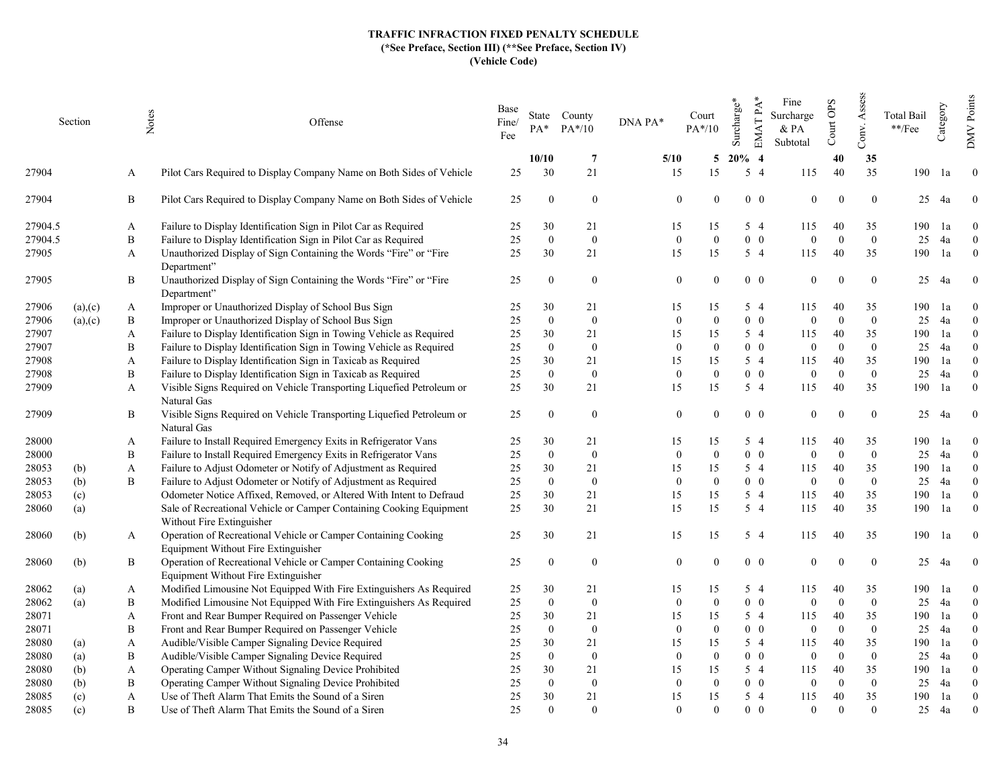|         | Section | Notes | Offense                                                                                               | Base<br>Fine/<br>Fee | $PA*$            | State County<br>$PA*/10$ | DNA PA*          | Court<br>$PA*/10$ | Surcharge* | EMAT PA*<br>Fine<br>Surcharge<br>& PA<br>Subtotal | Court OPS      | Assess<br>Conv.  | Total Bail<br>$\rm **/Fee$ | Category | Points<br><b>NNO</b> |
|---------|---------|-------|-------------------------------------------------------------------------------------------------------|----------------------|------------------|--------------------------|------------------|-------------------|------------|---------------------------------------------------|----------------|------------------|----------------------------|----------|----------------------|
|         |         |       |                                                                                                       |                      | 10/10            | -7                       | 5/10             | 5                 | $20%$ 4    |                                                   | 40             | 35               |                            |          |                      |
| 27904   |         | A     | Pilot Cars Required to Display Company Name on Both Sides of Vehicle                                  | 25                   | 30               | 21                       | 15               | 15                | $5\quad4$  | 115                                               | 40             | 35               | 190                        | 1a       | $\overline{0}$       |
| 27904   |         | B     | Pilot Cars Required to Display Company Name on Both Sides of Vehicle                                  | 25                   | $\overline{0}$   | $\bf{0}$                 | $\overline{0}$   | $\theta$          | $0\quad 0$ | $\overline{0}$                                    | $\Omega$       | $\overline{0}$   | 25                         | 4a       | $\overline{0}$       |
| 27904.5 |         | A     | Failure to Display Identification Sign in Pilot Car as Required                                       | 25                   | 30               | 21                       | 15               | 15                | 5 4        | 115                                               | 40             | 35               | 190                        | 1a       | $\overline{0}$       |
| 27904.5 |         | B     | Failure to Display Identification Sign in Pilot Car as Required                                       | 25                   | $\mathbf{0}$     | $\bf{0}$                 | $\mathbf{0}$     | $\mathbf{0}$      | $0\quad 0$ | $\overline{0}$                                    | $\Omega$       | $\mathbf{0}$     | 25                         | 4a       | $\mathbf{0}$         |
| 27905   |         | A     | Unauthorized Display of Sign Containing the Words "Fire" or "Fire<br>Department"                      | 25                   | 30               | 21                       | 15               | 15                | 5 4        | 115                                               | 40             | 35               | 190                        | 1a       | $\overline{0}$       |
| 27905   |         | B     | Unauthorized Display of Sign Containing the Words "Fire" or "Fire<br>Department"                      | 25                   | $\Omega$         | $\bf{0}$                 | $\mathbf{0}$     | $\Omega$          | $0\quad 0$ | $\mathbf{0}$                                      | $\Omega$       | $\bf{0}$         | 25                         | 4a       | $\bf{0}$             |
| 27906   | (a),(c) | A     | Improper or Unauthorized Display of School Bus Sign                                                   | 25                   | 30               | 21                       | 15               | 15                | 5 4        | 115                                               | 40             | 35               | 190                        | 1a       | $\theta$             |
| 27906   | (a),(c) | B     | Improper or Unauthorized Display of School Bus Sign                                                   | 25                   | $\theta$         | $\bf{0}$                 | $\mathbf{0}$     | $\Omega$          | $0\quad 0$ | $\mathbf{0}$                                      | $\Omega$       | $\boldsymbol{0}$ | 25                         | 4a       | $\theta$             |
| 27907   |         | A     | Failure to Display Identification Sign in Towing Vehicle as Required                                  | 25                   | 30               | 21                       | 15               | 15                | 5 4        | 115                                               | 40             | 35               | 190                        | 1a       | $\theta$             |
| 27907   |         | B     | Failure to Display Identification Sign in Towing Vehicle as Required                                  | 25                   | $\theta$         | $\overline{0}$           | $\mathbf{0}$     | $\theta$          | $0\quad 0$ | $\overline{0}$                                    | $\Omega$       | $\theta$         | 25                         | 4a       | $\Omega$             |
| 27908   |         | A     | Failure to Display Identification Sign in Taxicab as Required                                         | 25                   | 30               | 21                       | 15               | 15                | 5 4        | 115                                               | 40             | 35               | 190                        | 1a       | $\overline{0}$       |
| 27908   |         | B     | Failure to Display Identification Sign in Taxicab as Required                                         | 25                   | $\mathbf{0}$     | $\mathbf{0}$             | $\mathbf{0}$     | $\theta$          | $0\quad 0$ | $\overline{0}$                                    | $\Omega$       | $\overline{0}$   | 25                         | 4a       | $\theta$             |
| 27909   |         | A     | Visible Signs Required on Vehicle Transporting Liquefied Petroleum or<br>Natural Gas                  | 25                   | 30               | 21                       | 15               | 15                | 5 4        | 115                                               | 40             | 35               | 190                        | 1a       | $\theta$             |
| 27909   |         | B     | Visible Signs Required on Vehicle Transporting Liquefied Petroleum or<br>Natural Gas                  | 25                   | $\theta$         | $\overline{0}$           | $\mathbf{0}$     | $\theta$          | $0\quad 0$ | $\mathbf{0}$                                      | $\Omega$       | $\mathbf{0}$     | 25                         | 4a       | $\boldsymbol{0}$     |
| 28000   |         | A     | Failure to Install Required Emergency Exits in Refrigerator Vans                                      | 25                   | 30               | 21                       | 15               | 15                | 5 4        | 115                                               | 40             | 35               | 190                        | 1a       | $\overline{0}$       |
| 28000   |         | B     | Failure to Install Required Emergency Exits in Refrigerator Vans                                      | 25                   | $\mathbf{0}$     | $\overline{0}$           | $\overline{0}$   | $\theta$          | $0\quad 0$ | $\overline{0}$                                    | $\Omega$       | $\overline{0}$   | 25                         | 4a       | $\overline{0}$       |
| 28053   | (b)     | A     | Failure to Adjust Odometer or Notify of Adjustment as Required                                        | 25                   | 30               | 21                       | 15               | 15                | 5 4        | 115                                               | 40             | 35               | 190                        | 1a       | $\theta$             |
| 28053   | (b)     | B     | Failure to Adjust Odometer or Notify of Adjustment as Required                                        | 25                   | $\overline{0}$   | $\bf{0}$                 | $\mathbf{0}$     | $\Omega$          | $0\quad 0$ | $\overline{0}$                                    | $\Omega$       | $\overline{0}$   | 25                         | 4a       | $\Omega$             |
| 28053   | (c)     |       | Odometer Notice Affixed, Removed, or Altered With Intent to Defraud                                   | 25                   | 30               | 21                       | 15               | 15                | 5 4        | 115                                               | 40             | 35               | 190                        | 1a       | $\theta$             |
| 28060   | (a)     |       | Sale of Recreational Vehicle or Camper Containing Cooking Equipment<br>Without Fire Extinguisher      | 25                   | 30               | 21                       | 15               | 15                | 5 4        | 115                                               | 40             | 35               | 190                        | 1a       | $\overline{0}$       |
| 28060   | (b)     | A     | Operation of Recreational Vehicle or Camper Containing Cooking<br>Equipment Without Fire Extinguisher | 25                   | 30               | 21                       | 15               | 15                | $5\quad4$  | 115                                               | 40             | 35               | 190                        | 1a       | $\overline{0}$       |
| 28060   | (b)     | B     | Operation of Recreational Vehicle or Camper Containing Cooking<br>Equipment Without Fire Extinguisher | 25                   | $\theta$         | $\bf{0}$                 | $\mathbf{0}$     | $\Omega$          | $0\quad 0$ | $\overline{0}$                                    | $\Omega$       | $\overline{0}$   | 25                         | 4a       | $\mathbf{0}$         |
| 28062   | (a)     | A     | Modified Limousine Not Equipped With Fire Extinguishers As Required                                   | 25                   | 30               | 21                       | 15               | 15                | 5 4        | 115                                               | 40             | 35               | 190                        | 1a       | $\Omega$             |
| 28062   | (a)     | B     | Modified Limousine Not Equipped With Fire Extinguishers As Required                                   | 25                   | $\mathbf{0}$     | $\mathbf{0}$             | $\mathbf{0}$     | $\Omega$          | $0\quad 0$ | $\boldsymbol{0}$                                  | $\overline{0}$ | $\overline{0}$   | 25                         | 4a       | $\Omega$             |
| 28071   |         | A     | Front and Rear Bumper Required on Passenger Vehicle                                                   | 25                   | 30               | 21                       | 15               | 15                | 5 4        | 115                                               | 40             | 35               | 190                        | 1a       | $\Omega$             |
| 28071   |         | B     | Front and Rear Bumper Required on Passenger Vehicle                                                   | 25                   | $\boldsymbol{0}$ | $\mathbf{0}$             | $\boldsymbol{0}$ | $\Omega$          | $0\quad 0$ | $\mathbf{0}$                                      | $\Omega$       | $\theta$         | 25                         | 4a       | $\Omega$             |
| 28080   | (a)     | A     | Audible/Visible Camper Signaling Device Required                                                      | 25                   | 30               | 21                       | 15               | 15                | 5 4        | 115                                               | 40             | 35               | 190                        | 1a       | $\theta$             |
| 28080   | (a)     | B     | Audible/Visible Camper Signaling Device Required                                                      | 25                   | $\theta$         | $\bf{0}$                 | $\theta$         | $\Omega$          | $0\quad 0$ | $\theta$                                          | $\Omega$       | $\theta$         | 25                         | 4a       | $\Omega$             |
| 28080   | (b)     | A     | Operating Camper Without Signaling Device Prohibited                                                  | 25                   | 30               | 21                       | 15               | 15                | 5 4        | 115                                               | 40             | 35               | 190                        | 1a       | $\theta$             |
| 28080   | (b)     | B     | Operating Camper Without Signaling Device Prohibited                                                  | 25                   | $\boldsymbol{0}$ | $\mathbf{0}$             | $\theta$         | $\Omega$          | $0\quad 0$ | $\mathbf{0}$                                      | $\Omega$       | $\theta$         | 25                         | 4a       | $\Omega$             |
| 28085   | (c)     | A     | Use of Theft Alarm That Emits the Sound of a Siren                                                    | 25                   | 30               | 21                       | 15               | 15                | $5\quad4$  | 115                                               | 40             | 35               | 190                        | 1a       | $\overline{0}$       |
| 28085   | (c)     | B     | Use of Theft Alarm That Emits the Sound of a Siren                                                    | 25                   | $\Omega$         | $\Omega$                 | $\Omega$         | $\Omega$          | $0\quad 0$ | $\Omega$                                          | $\Omega$       | $\overline{0}$   | 25                         | 4a       | $\theta$             |
|         |         |       |                                                                                                       |                      |                  |                          |                  |                   |            |                                                   |                |                  |                            |          |                      |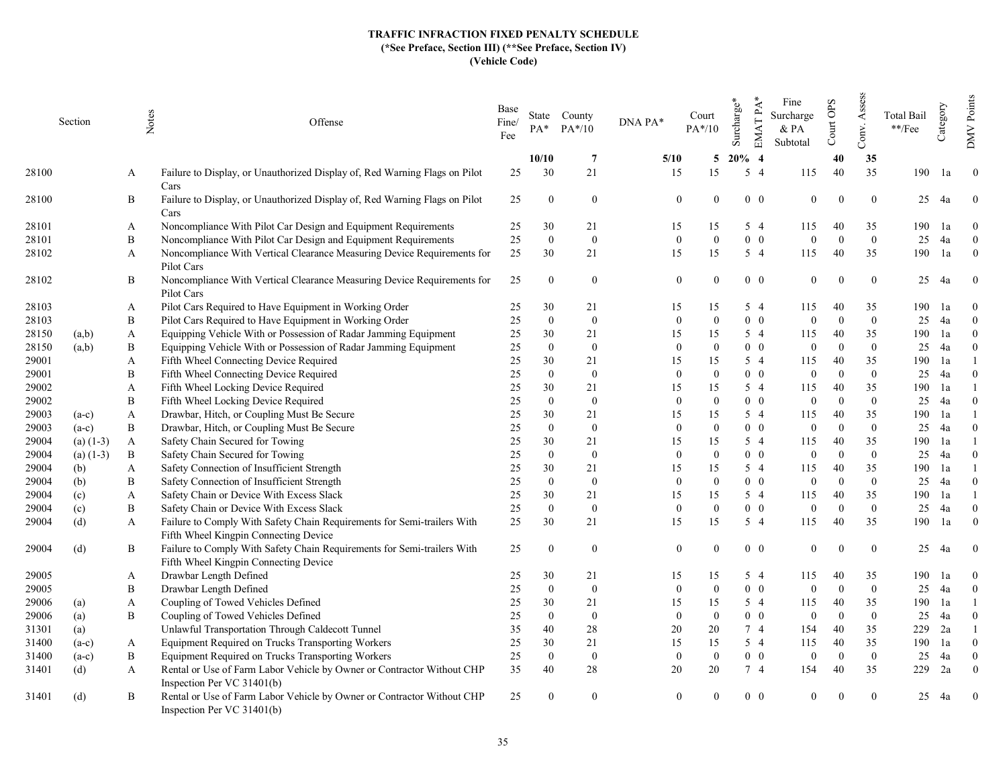|       | Section     | Notes        | Offense                                                                                                          | Base<br>Fine/<br>Fee | $PA*$          | State County<br>$PA*/10$ | DNA PA*        | Court<br>$PA*/10$ | Surcharge* | EMAT PA*<br>Fine<br>Surcharge<br>& PA<br>Subtotal | Court OPS                  | Assess<br>Conv.  | Total Bail<br>$\rm **/Fee$ | Category | Points<br><b>NNO</b> |
|-------|-------------|--------------|------------------------------------------------------------------------------------------------------------------|----------------------|----------------|--------------------------|----------------|-------------------|------------|---------------------------------------------------|----------------------------|------------------|----------------------------|----------|----------------------|
|       |             |              |                                                                                                                  |                      | 10/10          | -7                       | 5/10           | 5                 | $20\%$ 4   |                                                   | 40                         | 35               |                            |          |                      |
| 28100 |             | A            | Failure to Display, or Unauthorized Display of, Red Warning Flags on Pilot<br>Cars                               | 25                   | 30             | 21                       | 15             | 15                | $5\quad4$  | 115                                               | 40                         | 35               | 190                        | 1a       | $\overline{0}$       |
| 28100 |             | В            | Failure to Display, or Unauthorized Display of, Red Warning Flags on Pilot                                       | 25                   | $\overline{0}$ | $\bf{0}$                 | $\overline{0}$ | $\theta$          |            | $0\quad 0$                                        | $\mathbf{0}$<br>$\Omega$   | $\overline{0}$   | 25                         | 4a       | $\overline{0}$       |
|       |             |              | Cars                                                                                                             |                      |                |                          |                |                   |            |                                                   |                            |                  |                            |          |                      |
| 28101 |             | A            | Noncompliance With Pilot Car Design and Equipment Requirements                                                   | 25                   | 30             | 21                       | 15             | 15                | 5 4        | 115                                               | 40                         | 35               | 190                        | 1a       | $\theta$             |
| 28101 |             | B            | Noncompliance With Pilot Car Design and Equipment Requirements                                                   | 25                   | $\mathbf{0}$   | $\bf{0}$                 | $\mathbf{0}$   | $\mathbf{0}$      |            | $0\quad 0$                                        | $\overline{0}$<br>$\Omega$ | $\mathbf{0}$     | 25                         | 4a       | $\overline{0}$       |
| 28102 |             | A            | Noncompliance With Vertical Clearance Measuring Device Requirements for<br>Pilot Cars                            | 25                   | 30             | 21                       | 15             | 15                | 5 4        | 115                                               | 40                         | 35               | 190                        | 1a       | $\overline{0}$       |
| 28102 |             | B            | Noncompliance With Vertical Clearance Measuring Device Requirements for<br>Pilot Cars                            | 25                   | $\theta$       | $\overline{0}$           | $\mathbf{0}$   | $\Omega$          |            | $0\quad 0$                                        | $\mathbf{0}$<br>$\Omega$   | $\overline{0}$   | 25                         | 4a       | $\mathbf{0}$         |
| 28103 |             | A            | Pilot Cars Required to Have Equipment in Working Order                                                           | 25                   | 30             | 21                       | 15             | 15                | 5 4        | 115                                               | 40                         | 35               | 190                        | l a      | $\theta$             |
| 28103 |             | B            | Pilot Cars Required to Have Equipment in Working Order                                                           | 25                   | $\theta$       | $\bf{0}$                 | $\mathbf{0}$   | $\theta$          |            | $0\quad 0$                                        | $\Omega$<br>$\mathbf{0}$   | $\boldsymbol{0}$ | 25                         | 4a       | $\Omega$             |
| 28150 | (a,b)       | A            | Equipping Vehicle With or Possession of Radar Jamming Equipment                                                  | 25                   | 30             | 21                       | 15             | 15                | $5\quad4$  | 115                                               | 40                         | 35               | 190                        | 1a       | $\theta$             |
| 28150 | (a,b)       | B            | Equipping Vehicle With or Possession of Radar Jamming Equipment                                                  | 25                   | $\theta$       | $\overline{0}$           | $\theta$       | $\Omega$          |            | $0\quad 0$                                        | $\Omega$<br>$\overline{0}$ | $\theta$         | 25                         | 4a       | $\Omega$             |
| 29001 |             | A            | Fifth Wheel Connecting Device Required                                                                           | 25                   | 30             | 21                       | 15             | 15                | 5 4        | 115                                               | 40                         | 35               | 190                        | 1a       |                      |
| 29001 |             | B            | Fifth Wheel Connecting Device Required                                                                           | 25                   | $\theta$       | $\overline{0}$           | $\theta$       | $\Omega$          |            | $0\quad 0$                                        | $\Omega$<br>$\overline{0}$ | $\overline{0}$   | 25                         | 4a       | $\theta$             |
| 29002 |             | A            | Fifth Wheel Locking Device Required                                                                              | 25                   | 30             | 21                       | 15             | 15                | 5 4        | 115                                               | 40                         | 35               | 190                        | 1a       |                      |
| 29002 |             | B            | Fifth Wheel Locking Device Required                                                                              | 25                   | $\theta$       | $\overline{0}$           | $\theta$       | $\Omega$          |            | $0\quad 0$                                        | $\Omega$<br>$\overline{0}$ | $\theta$         | 25                         | 4a       | $\Omega$             |
| 29003 | $(a-c)$     | A            | Drawbar, Hitch, or Coupling Must Be Secure                                                                       | 25                   | 30             | 21                       | 15             | 15                | $5\quad4$  | 115                                               | 40                         | 35               | 190                        | 1a       |                      |
| 29003 | $(a-c)$     | B            | Drawbar, Hitch, or Coupling Must Be Secure                                                                       | 25                   | $\theta$       | $\mathbf{0}$             | $\overline{0}$ | $\Omega$          |            | $0\quad 0$                                        | $\Omega$<br>$\overline{0}$ | $\overline{0}$   | 25                         | 4a       | $\Omega$             |
| 29004 | $(a)$ (1-3) | $\mathbf{A}$ | Safety Chain Secured for Towing                                                                                  | 25                   | 30             | 21                       | 15             | 15                | $5\quad4$  | 115                                               | 40                         | 35               | 190                        | 1a       |                      |
| 29004 | (a) $(1-3)$ | B            | Safety Chain Secured for Towing                                                                                  | 25                   | $\overline{0}$ | $\overline{0}$           | $\overline{0}$ | $\Omega$          |            | $0\quad 0$                                        | $\Omega$<br>$\overline{0}$ | $\overline{0}$   | 25                         | 4a       | $\Omega$             |
| 29004 | (b)         | A            | Safety Connection of Insufficient Strength                                                                       | 25                   | 30             | 21                       | 15             | 15                | $5\quad4$  | 115                                               | 40                         | 35               | 190                        | 1a       |                      |
| 29004 | (b)         | B            | Safety Connection of Insufficient Strength                                                                       | 25                   | $\theta$       | $\overline{0}$           | $\Omega$       | $\Omega$          |            | $0\quad 0$                                        | $\overline{0}$<br>$\Omega$ | $\overline{0}$   | 25                         | 4a       | $\Omega$             |
| 29004 | (c)         | A            | Safety Chain or Device With Excess Slack                                                                         | 25                   | 30             | 21                       | 15             | 15                | 5 4        | 115                                               | 40                         | 35               | 190                        | 1a       |                      |
| 29004 | (c)         | B            | Safety Chain or Device With Excess Slack                                                                         | 25                   | $\mathbf{0}$   | $\mathbf{0}$             | $\mathbf{0}$   | $\Omega$          |            | $0\quad 0$                                        | $\Omega$<br>$\overline{0}$ | $\overline{0}$   | 25                         | 4a       | $\theta$             |
| 29004 | (d)         | A            | Failure to Comply With Safety Chain Requirements for Semi-trailers With<br>Fifth Wheel Kingpin Connecting Device | 25                   | 30             | 21                       | 15             | 15                | $5\quad4$  | 115                                               | 40                         | 35               | 190                        | 1a       | $\overline{0}$       |
| 29004 | (d)         | B            | Failure to Comply With Safety Chain Requirements for Semi-trailers With<br>Fifth Wheel Kingpin Connecting Device | 25                   | $\Omega$       | $\bf{0}$                 | $\mathbf{0}$   | $\Omega$          |            | $0\quad 0$                                        | $\mathbf{0}$<br>$\Omega$   | $\overline{0}$   | 25                         | 4a       | $\mathbf{0}$         |
| 29005 |             | A            | Drawbar Length Defined                                                                                           | 25                   | 30             | 21                       | 15             | 15                | 5 4        | 115                                               | 40                         | 35               | 190                        | 1a       | $\bf{0}$             |
| 29005 |             | B            | Drawbar Length Defined                                                                                           | 25                   | $\overline{0}$ | $\overline{0}$           | $\overline{0}$ | $\Omega$          |            | $0\quad 0$                                        | $\Omega$<br>$\overline{0}$ | $\overline{0}$   | 25                         | 4a       | $\Omega$             |
| 29006 | (a)         | A            | Coupling of Towed Vehicles Defined                                                                               | 25                   | 30             | 21                       | 15             | 15                | $5\quad4$  | 115                                               | 40                         | 35               | 190                        | 1a       |                      |
| 29006 | (a)         | B            | Coupling of Towed Vehicles Defined                                                                               | 25                   | $\overline{0}$ | $\overline{0}$           | $\overline{0}$ | $\Omega$          |            | $0\quad 0$                                        | $\overline{0}$<br>$\Omega$ | $\overline{0}$   | 25                         | 4a       | $\Omega$             |
| 31301 | (a)         |              | Unlawful Transportation Through Caldecott Tunnel                                                                 | 35                   | 40             | 28                       | 20             | 20                | 7 4        | 154                                               | 40                         | 35               | 229                        | 2a       |                      |
| 31400 | $(a-c)$     | A            | Equipment Required on Trucks Transporting Workers                                                                | 25                   | 30             | 21                       | 15             | 15                | 5 4        | 115                                               | 40                         | 35               | 190                        | 1a       | $\theta$             |
| 31400 | $(a-c)$     | B            | Equipment Required on Trucks Transporting Workers                                                                | 25                   | $\Omega$       | $\bf{0}$                 | $\theta$       | $\Omega$          |            | $0\quad 0$                                        | $\Omega$<br>$\theta$       | $\theta$         | 25                         | 4a       | $\Omega$             |
| 31401 | (d)         | A            | Rental or Use of Farm Labor Vehicle by Owner or Contractor Without CHP                                           | 35                   | 40             | 28                       | 20             | 20                | 74         |                                                   | 154<br>40                  | 35               | 229                        | 2a       | $\theta$             |
| 31401 | (d)         | B            | Inspection Per VC 31401(b)<br>Rental or Use of Farm Labor Vehicle by Owner or Contractor Without CHP             | 25                   | $\theta$       | $\theta$                 | $\theta$       |                   |            | $0\quad 0$                                        | $\Omega$                   | $\overline{0}$   | 25                         | 4a       | $\mathbf{0}$         |
|       |             |              | Inspection Per VC $31401(b)$                                                                                     |                      |                |                          |                |                   |            |                                                   |                            |                  |                            |          |                      |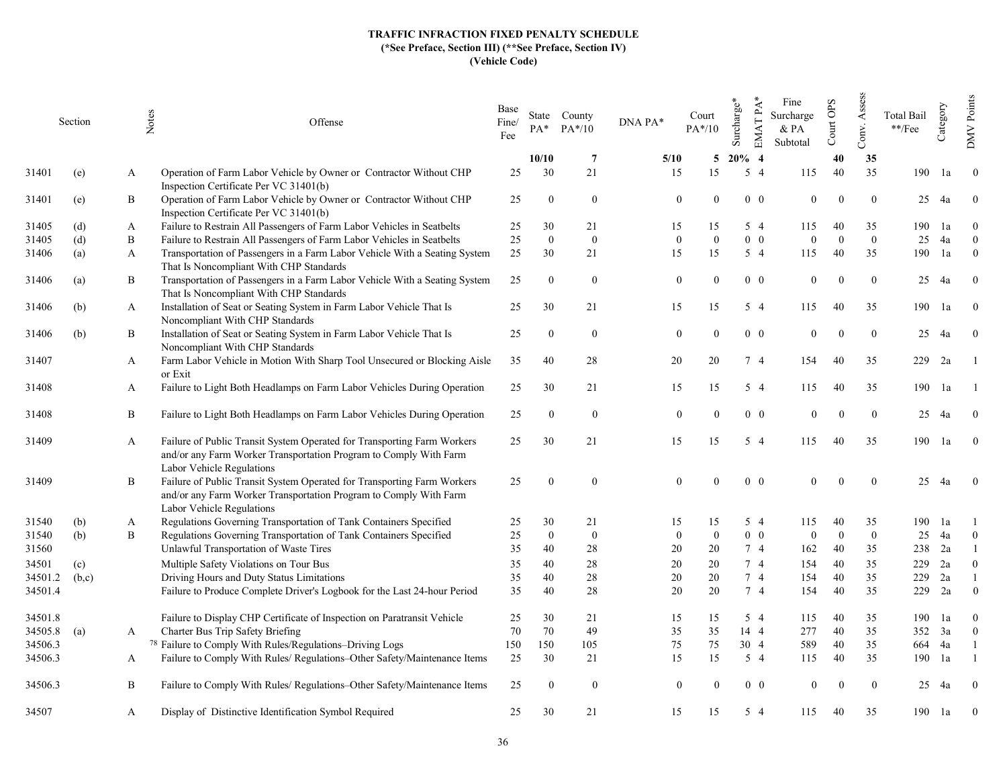|                    | Section |   | Notes<br>Offense                                                                                                                                                          | Base<br>Fine/<br>Fee | $PA*$        | State County<br>$PA*/10$ | DNA PA*  | Court<br>$PA*/10$          | Surcharge*  | $EMATPA*$<br>Fine<br>Surcharge<br>& PA<br>Subtotal | Court OPS                | Assess<br>Conv. | Total Bail<br>$\rm **/Fee$ | Category | Points<br><b>NNO</b>             |
|--------------------|---------|---|---------------------------------------------------------------------------------------------------------------------------------------------------------------------------|----------------------|--------------|--------------------------|----------|----------------------------|-------------|----------------------------------------------------|--------------------------|-----------------|----------------------------|----------|----------------------------------|
|                    |         |   |                                                                                                                                                                           |                      | 10/10        | -7                       | 5/10     | 5                          | $20\%$ 4    |                                                    | 40                       | 35              |                            |          |                                  |
| 31401              | (e)     | A | Operation of Farm Labor Vehicle by Owner or Contractor Without CHP<br>Inspection Certificate Per VC 31401(b)                                                              | 25                   | 30           | 21                       | 15       | 15                         | $5\quad4$   | 115                                                | 40                       | 35              | 190                        | 1a       | $\mathbf{0}$                     |
| 31401              | (e)     | B | Operation of Farm Labor Vehicle by Owner or Contractor Without CHP<br>Inspection Certificate Per VC 31401(b)                                                              | 25                   | $\bf{0}$     | $\bf{0}$                 |          | $\overline{0}$<br>$\theta$ | $0\quad 0$  |                                                    | $\mathbf{0}$<br>$\Omega$ | $\overline{0}$  | 25                         | 4a       | $\bf{0}$                         |
| 31405              | (d)     | A | Failure to Restrain All Passengers of Farm Labor Vehicles in Seatbelts                                                                                                    | 25                   | 30           | 21                       | 15       | 15                         | 5 4         | 115                                                | 40                       | 35              | 190                        | 1a       | $\Omega$                         |
| 31405              | (d)     | B | Failure to Restrain All Passengers of Farm Labor Vehicles in Seatbelts                                                                                                    | $25\,$               | $\mathbf{0}$ | $\bf{0}$                 | $\Omega$ | $\overline{0}$             | $0\quad 0$  | $\Omega$                                           | $\Omega$                 | $\mathbf{0}$    | 25                         | 4a       | $\overline{0}$                   |
| 31406              | (a)     | A | Transportation of Passengers in a Farm Labor Vehicle With a Seating System<br>That Is Noncompliant With CHP Standards                                                     | 25                   | 30           | 21                       | 15       | 15                         | $5\quad4$   | 115                                                | 40                       | 35              | 190                        | 1a       | $\mathbf{0}$                     |
| 31406              | (a)     | B | Transportation of Passengers in a Farm Labor Vehicle With a Seating System<br>That Is Noncompliant With CHP Standards                                                     | 25                   | $\theta$     | $\mathbf{0}$             |          | $\overline{0}$<br>$\Omega$ | $0\quad 0$  | $\theta$                                           | $\Omega$                 | $\overline{0}$  | 25                         | 4a       | $\theta$                         |
| 31406              | (b)     | A | Installation of Seat or Seating System in Farm Labor Vehicle That Is<br>Noncompliant With CHP Standards                                                                   | 25                   | 30           | 21                       | 15       | 15                         | $5\quad4$   | 115                                                | 40                       | 35              | 190                        | 1a       | $\mathbf{0}$                     |
| 31406              | (b)     | B | Installation of Seat or Seating System in Farm Labor Vehicle That Is<br>Noncompliant With CHP Standards                                                                   | 25                   | $\theta$     | $\bf{0}$                 |          | $\overline{0}$<br>$\Omega$ | $0\quad 0$  | $\theta$                                           | $\theta$                 | $\overline{0}$  | 25                         | 4a       | $\theta$                         |
| 31407              |         | A | Farm Labor Vehicle in Motion With Sharp Tool Unsecured or Blocking Aisle<br>or Exit                                                                                       | 35                   | 40           | 28                       | 20       | 20                         | 7 4         | 154                                                | 40                       | 35              | 229                        | 2a       |                                  |
| 31408              |         | A | Failure to Light Both Headlamps on Farm Labor Vehicles During Operation                                                                                                   | 25                   | 30           | 21                       | 15       | 15                         | $5\quad4$   | 115                                                | 40                       | 35              | 190                        | 1a       |                                  |
| 31408              |         | B | Failure to Light Both Headlamps on Farm Labor Vehicles During Operation                                                                                                   | 25                   | $\Omega$     | $\mathbf{0}$             |          | $\mathbf{0}$               | $0\quad 0$  | $\Omega$                                           | $\theta$                 | $\mathbf{0}$    | 25                         | 4a       | $\theta$                         |
| 31409              |         | A | Failure of Public Transit System Operated for Transporting Farm Workers<br>and/or any Farm Worker Transportation Program to Comply With Farm<br>Labor Vehicle Regulations | 25                   | 30           | 21                       | 15       | 15                         | $5\quad4$   | 115                                                | 40                       | 35              | 190                        | 1a       | $\overline{0}$                   |
| 31409              |         | B | Failure of Public Transit System Operated for Transporting Farm Workers<br>and/or any Farm Worker Transportation Program to Comply With Farm<br>Labor Vehicle Regulations | 25                   | $\theta$     | $\mathbf{0}$             | $\Omega$ | $\theta$                   | $0\quad 0$  | $\theta$                                           | $\Omega$                 | $\mathbf{0}$    | 25                         | 4a       | $\overline{0}$                   |
| 31540              | (b)     | A | Regulations Governing Transportation of Tank Containers Specified                                                                                                         | 25                   | 30           | 21                       | 15       | 15                         | 5 4         | 115                                                | 40                       | 35              | 190                        | 1a       |                                  |
| 31540              | (b)     | B | Regulations Governing Transportation of Tank Containers Specified                                                                                                         | 25                   | $\mathbf{0}$ | $\bf{0}$                 | $\Omega$ | $\overline{0}$             | $0\quad 0$  | $\theta$                                           | $\overline{0}$           | $\mathbf{0}$    | 25                         | 4a       | $\mathbf{0}$                     |
| 31560              |         |   | Unlawful Transportation of Waste Tires                                                                                                                                    | 35                   | 40           | 28                       | 20       | 20                         | 7 4         | 162                                                | 40                       | 35              | 238                        | 2a       |                                  |
| 34501              | (c)     |   | Multiple Safety Violations on Tour Bus                                                                                                                                    | 35                   | 40           | 28                       | 20       | 20                         | 74          | 154                                                | 40                       | 35              | 229                        | 2a       | $\theta$                         |
| 34501.2            | (b,c)   |   | Driving Hours and Duty Status Limitations                                                                                                                                 | 35                   | 40           | 28                       | 20       | 20                         | 74          | 154                                                | 40                       | 35              | 229                        | 2a       |                                  |
| 34501.4            |         |   | Failure to Produce Complete Driver's Logbook for the Last 24-hour Period                                                                                                  | 35                   | 40           | 28                       | 20       | 20                         | 74          | 154                                                | 40                       | 35              | 229                        | 2a       | $\mathbf{0}$                     |
| 34501.8<br>34505.8 | (a)     | A | Failure to Display CHP Certificate of Inspection on Paratransit Vehicle<br>Charter Bus Trip Safety Briefing                                                               | 25<br>70             | 30<br>70     | 21<br>49                 | 15<br>35 | 15<br>35                   | 5 4<br>14 4 | 115<br>277                                         | 40<br>40                 | 35<br>35        | 190<br>352                 | 1a<br>3a | $\overline{0}$<br>$\overline{0}$ |
| 34506.3            |         |   | <sup>78</sup> Failure to Comply With Rules/Regulations-Driving Logs                                                                                                       | 150                  | 150          | 105                      | 75       | 75                         | 30 4        | 589                                                | 40                       | 35              | 664                        | 4a       |                                  |
| 34506.3            |         | A | Failure to Comply With Rules/ Regulations-Other Safety/Maintenance Items                                                                                                  | 25                   | 30           | 21                       | 15       | 15                         | $5\quad4$   | 115                                                | 40                       | 35              | 190                        | 1a       |                                  |
| 34506.3            |         | B | Failure to Comply With Rules/ Regulations-Other Safety/Maintenance Items                                                                                                  | 25                   | $\Omega$     | $\bf{0}$                 |          | $\overline{0}$             | $0\quad 0$  | $\Omega$                                           |                          | $\overline{0}$  | 25                         | 4a       | $\Omega$                         |
| 34507              |         | A | Display of Distinctive Identification Symbol Required                                                                                                                     | 25                   | 30           | 21                       | 15       | 15                         | $5\quad4$   | 115                                                | 40                       | 35              | 190                        | 1a       | $\overline{0}$                   |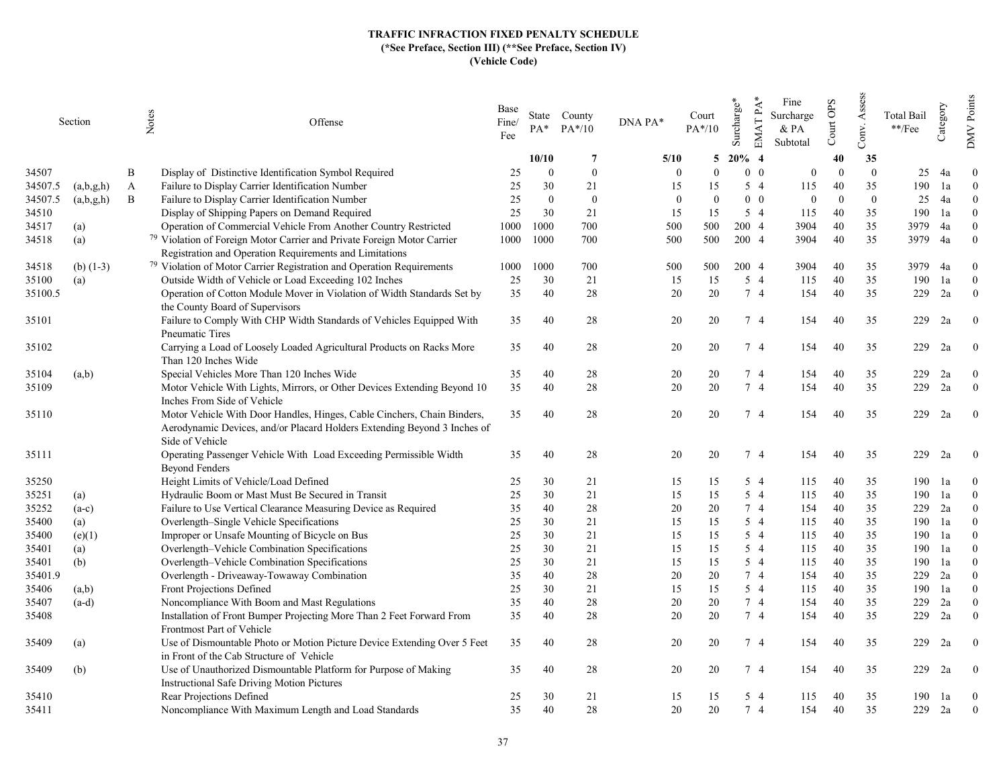|         | Section     |   | Notes<br>Offense                                                                                                                                                       | Base<br>Fine/<br>Fee | $PA*$          | State County<br>$PA*/10$ | DNA PA*        | Court<br>$PA*/10$ | EMAT PA*<br>Surcharge* | Fine<br>Surcharge<br>$&$ PA<br>Subtotal | Court OPS | Assess<br>Conv. | <b>Total Bail</b><br>**/Fee | Category | Points<br><b>NNO</b> |
|---------|-------------|---|------------------------------------------------------------------------------------------------------------------------------------------------------------------------|----------------------|----------------|--------------------------|----------------|-------------------|------------------------|-----------------------------------------|-----------|-----------------|-----------------------------|----------|----------------------|
|         |             |   |                                                                                                                                                                        |                      | 10/10          | -7                       | 5/10           | 5                 | $20\%$ 4               |                                         | 40        | 35              |                             |          |                      |
| 34507   |             | B | Display of Distinctive Identification Symbol Required                                                                                                                  | 25                   | $\Omega$       | $\overline{0}$           | $\Omega$       | $\Omega$          | $0\quad 0$             | $\overline{0}$                          | $\Omega$  | $\theta$        | 25                          | 4a       | $\Omega$             |
| 34507.5 | (a,b,g,h)   | A | Failure to Display Carrier Identification Number                                                                                                                       | 25                   | 30             | 21                       | 15             | 15                | $5\quad4$              | 115                                     | 40        | 35              | 190                         | 1a       | $\overline{0}$       |
| 34507.5 | (a,b,g,h)   | B | Failure to Display Carrier Identification Number                                                                                                                       | 25                   | $\overline{0}$ | $\bf{0}$                 | $\overline{0}$ | $\theta$          | $0\quad 0$             | $\overline{0}$                          | $\Omega$  | $\overline{0}$  | 25                          | 4a       | $\theta$             |
| 34510   |             |   | Display of Shipping Papers on Demand Required                                                                                                                          | 25                   | 30             | 21                       | 15             | 15                | $5\quad4$              | 115                                     | 40        | 35              | 190                         | 1a       | $\Omega$             |
| 34517   | (a)         |   | Operation of Commercial Vehicle From Another Country Restricted                                                                                                        | 1000                 | 1000           | 700                      | 500            | 500               | 200 4                  | 3904                                    | 40        | 35              | 3979                        | 4a       | $\Omega$             |
| 34518   | (a)         |   | <sup>79</sup> Violation of Foreign Motor Carrier and Private Foreign Motor Carrier                                                                                     | 1000                 | 1000           | 700                      | 500            | 500               | 200 4                  | 3904                                    | 40        | 35              | 3979                        | 4a       | $\theta$             |
|         |             |   | Registration and Operation Requirements and Limitations                                                                                                                |                      |                |                          |                |                   |                        |                                         |           |                 |                             |          |                      |
| 34518   | (b) $(1-3)$ |   | <sup>79</sup> Violation of Motor Carrier Registration and Operation Requirements                                                                                       | 1000                 | 1000           | 700                      | 500            | 500               | 200 4                  | 3904                                    | 40        | 35              | 3979                        | 4a       | $\overline{0}$       |
| 35100   | (a)         |   | Outside Width of Vehicle or Load Exceeding 102 Inches                                                                                                                  | 25                   | 30             | 21                       | 15             | 15                | $5\quad4$              | 115                                     | 40        | 35              | 190                         | 1a       | $\theta$             |
| 35100.5 |             |   | Operation of Cotton Module Mover in Violation of Width Standards Set by                                                                                                | 35                   | 40             | 28                       | 20             | 20                | 7 4                    | 154                                     | 40        | 35              | 229                         | 2a       | $\overline{0}$       |
|         |             |   | the County Board of Supervisors                                                                                                                                        |                      |                |                          |                |                   |                        |                                         |           |                 |                             |          |                      |
| 35101   |             |   | Failure to Comply With CHP Width Standards of Vehicles Equipped With<br>Pneumatic Tires                                                                                | 35                   | 40             | 28                       | 20             | 20                | 7 4                    | 154                                     | 40        | 35              | 229                         | 2a       | $\mathbf{0}$         |
| 35102   |             |   | Carrying a Load of Loosely Loaded Agricultural Products on Racks More<br>Than 120 Inches Wide                                                                          | 35                   | 40             | 28                       | 20             | 20                | 7 4                    | 154                                     | 40        | 35              | 229                         | 2a       | $\theta$             |
| 35104   | (a,b)       |   | Special Vehicles More Than 120 Inches Wide                                                                                                                             | 35                   | 40             | 28                       | 20             | 20                | 74                     | 154                                     | 40        | 35              | 229                         | 2a       | $\theta$             |
| 35109   |             |   | Motor Vehicle With Lights, Mirrors, or Other Devices Extending Beyond 10                                                                                               | 35                   | 40             | 28                       | 20             | 20                | 7 4                    | 154                                     | 40        | 35              | 229                         | 2a       | $\overline{0}$       |
|         |             |   | Inches From Side of Vehicle                                                                                                                                            |                      |                |                          |                |                   |                        |                                         |           |                 |                             |          |                      |
| 35110   |             |   | Motor Vehicle With Door Handles, Hinges, Cable Cinchers, Chain Binders,<br>Aerodynamic Devices, and/or Placard Holders Extending Beyond 3 Inches of<br>Side of Vehicle | 35                   | 40             | 28                       | 20             | 20                | 74                     | 154                                     | 40        | 35              | 229                         | 2a       | $\overline{0}$       |
| 35111   |             |   | Operating Passenger Vehicle With Load Exceeding Permissible Width<br><b>Beyond Fenders</b>                                                                             | 35                   | 40             | 28                       | 20             | 20                | 74                     | 154                                     | 40        | 35              | 229                         | 2a       | $\mathbf{0}$         |
| 35250   |             |   | Height Limits of Vehicle/Load Defined                                                                                                                                  | 25                   | 30             | 21                       | 15             | 15                | 5 4                    | 115                                     | 40        | 35              | 190                         | la       | $\theta$             |
| 35251   | (a)         |   | Hydraulic Boom or Mast Must Be Secured in Transit                                                                                                                      | 25                   | 30             | 21                       | 15             | 15                | 5 4                    | 115                                     | 40        | 35              | 190                         | 1a       | $\theta$             |
| 35252   | $(a-c)$     |   | Failure to Use Vertical Clearance Measuring Device as Required                                                                                                         | 35                   | 40             | 28                       | 20             | 20                | 7 4                    | 154                                     | 40        | 35              | 229                         | 2a       | $\theta$             |
| 35400   | (a)         |   | Overlength–Single Vehicle Specifications                                                                                                                               | 25                   | 30             | 21                       | 15             | 15                | 5 4                    | 115                                     | 40        | 35              | 190                         | 1a       | $\theta$             |
| 35400   | (e)(1)      |   | Improper or Unsafe Mounting of Bicycle on Bus                                                                                                                          | 25                   | 30             | 21                       | 15             | 15                | 5 4                    | 115                                     | 40        | 35              | 190                         | 1a       | $\Omega$             |
| 35401   | (a)         |   | Overlength-Vehicle Combination Specifications                                                                                                                          | 25                   | 30             | 21                       | 15             | 15                | 5 4                    | 115                                     | 40        | 35              | 190                         | 1a       | $\Omega$             |
| 35401   | (b)         |   | Overlength-Vehicle Combination Specifications                                                                                                                          | 25                   | 30             | 21                       | 15             | 15                | 5 4                    | 115                                     | 40        | 35              | 190                         | 1a       | $\Omega$             |
| 35401.9 |             |   | Overlength - Driveaway-Towaway Combination                                                                                                                             | 35                   | 40             | 28                       | 20             | 20                | 7 4                    | 154                                     | 40        | 35              | 229                         | 2a       | $\theta$             |
| 35406   | (a,b)       |   | Front Projections Defined                                                                                                                                              | 25                   | 30             | 21                       | 15             | 15                | $5\quad4$              | 115                                     | 40        | 35              | 190                         | 1a       | $\theta$             |
| 35407   | $(a-d)$     |   | Noncompliance With Boom and Mast Regulations                                                                                                                           | 35                   | 40             | 28                       | 20             | 20                | 74                     | 154                                     | 40        | 35              | 229                         | 2a       | $\theta$             |
| 35408   |             |   | Installation of Front Bumper Projecting More Than 2 Feet Forward From<br>Frontmost Part of Vehicle                                                                     | 35                   | 40             | 28                       | 20             | 20                | 7 4                    | 154                                     | 40        | 35              | 229                         | 2a       | $\overline{0}$       |
| 35409   | (a)         |   | Use of Dismountable Photo or Motion Picture Device Extending Over 5 Feet<br>in Front of the Cab Structure of Vehicle                                                   | 35                   | 40             | 28                       | 20             | 20                | 7 4                    | 154                                     | 40        | 35              | 229                         | 2a       | $\mathbf{0}$         |
| 35409   | (b)         |   | Use of Unauthorized Dismountable Platform for Purpose of Making<br>Instructional Safe Driving Motion Pictures                                                          | 35                   | 40             | 28                       | 20             | 20                | 74                     | 154                                     | 40        | 35              | 229                         | 2a       | $\theta$             |
| 35410   |             |   | Rear Projections Defined                                                                                                                                               | 25                   | 30             | 21                       | 15             | 15                | $5\quad4$              | 115                                     | 40        | 35              | 190                         | 1a       | $\mathbf{0}$         |
| 35411   |             |   | Noncompliance With Maximum Length and Load Standards                                                                                                                   | 35                   | 40             | 28                       | 20             | 20                | 7 4                    | 154                                     | 40        | 35              | 229                         | 2a       | $\overline{0}$       |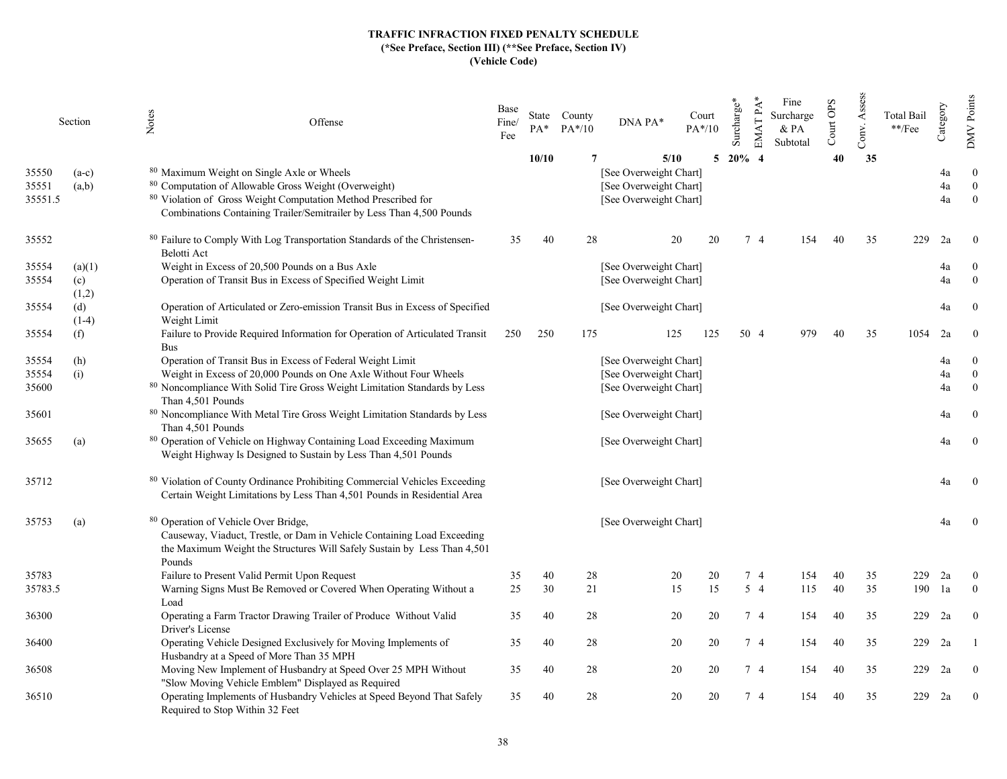| 10/10<br>$\overline{7}$<br>5/10<br>5 20% 4<br>[See Overweight Chart]<br>80 Maximum Weight on Single Axle or Wheels<br>35550<br>$(a-c)$<br>80 Computation of Allowable Gross Weight (Overweight)<br>35551<br>[See Overweight Chart]<br>(a,b)<br>80 Violation of Gross Weight Computation Method Prescribed for<br>35551.5<br>[See Overweight Chart]<br>Combinations Containing Trailer/Semitrailer by Less Than 4,500 Pounds | Conv.<br>40<br>40 | 35<br>35 | 229        | 4a<br>4a<br>4a<br>2a | $\overline{0}$<br>$\mathbf{0}$<br>$\mathbf{0}$<br>$\Omega$ |
|-----------------------------------------------------------------------------------------------------------------------------------------------------------------------------------------------------------------------------------------------------------------------------------------------------------------------------------------------------------------------------------------------------------------------------|-------------------|----------|------------|----------------------|------------------------------------------------------------|
|                                                                                                                                                                                                                                                                                                                                                                                                                             |                   |          |            |                      |                                                            |
|                                                                                                                                                                                                                                                                                                                                                                                                                             |                   |          |            |                      |                                                            |
|                                                                                                                                                                                                                                                                                                                                                                                                                             |                   |          |            |                      |                                                            |
|                                                                                                                                                                                                                                                                                                                                                                                                                             |                   |          |            |                      |                                                            |
| 80 Failure to Comply With Log Transportation Standards of the Christensen-<br>35<br>40<br>28<br>20<br>20<br>74<br>154<br>35552<br>Belotti Act                                                                                                                                                                                                                                                                               |                   |          |            |                      |                                                            |
| Weight in Excess of 20,500 Pounds on a Bus Axle<br>[See Overweight Chart]<br>35554<br>(a)(1)                                                                                                                                                                                                                                                                                                                                |                   |          |            | 4a                   | $\overline{0}$                                             |
| 35554<br>Operation of Transit Bus in Excess of Specified Weight Limit<br>[See Overweight Chart]<br>(c)                                                                                                                                                                                                                                                                                                                      |                   |          |            | 4a                   | $\overline{0}$                                             |
| (1,2)                                                                                                                                                                                                                                                                                                                                                                                                                       |                   |          |            |                      |                                                            |
| 35554<br>Operation of Articulated or Zero-emission Transit Bus in Excess of Specified<br>(d)<br>[See Overweight Chart]<br>$(1-4)$<br>Weight Limit                                                                                                                                                                                                                                                                           |                   |          |            | 4a                   | $\theta$                                                   |
| Failure to Provide Required Information for Operation of Articulated Transit<br>250<br>175<br>50 4<br>35554<br>(f)<br>250<br>125<br>125<br>979<br><b>Bus</b>                                                                                                                                                                                                                                                                | 40                | 35       | 1054       | 2a                   | $\mathbf{0}$                                               |
| Operation of Transit Bus in Excess of Federal Weight Limit<br>[See Overweight Chart]<br>35554<br>(h)                                                                                                                                                                                                                                                                                                                        |                   |          |            | 4a                   | $\overline{0}$                                             |
| Weight in Excess of 20,000 Pounds on One Axle Without Four Wheels<br>(i)<br>[See Overweight Chart]<br>35554                                                                                                                                                                                                                                                                                                                 |                   |          |            | 4a                   | $\mathbf{0}$                                               |
| 80 Noncompliance With Solid Tire Gross Weight Limitation Standards by Less<br>[See Overweight Chart]<br>35600<br>Than 4,501 Pounds                                                                                                                                                                                                                                                                                          |                   |          |            | 4a                   | $\mathbf{0}$                                               |
| 80 Noncompliance With Metal Tire Gross Weight Limitation Standards by Less<br>35601<br>[See Overweight Chart]<br>Than 4,501 Pounds                                                                                                                                                                                                                                                                                          |                   |          |            | 4a                   | $\bf{0}$                                                   |
| 80 Operation of Vehicle on Highway Containing Load Exceeding Maximum<br>35655<br>[See Overweight Chart]<br>(a)<br>Weight Highway Is Designed to Sustain by Less Than 4,501 Pounds                                                                                                                                                                                                                                           |                   |          |            | 4a                   | $\boldsymbol{0}$                                           |
| 80 Violation of County Ordinance Prohibiting Commercial Vehicles Exceeding<br>35712<br>[See Overweight Chart]<br>Certain Weight Limitations by Less Than 4,501 Pounds in Residential Area                                                                                                                                                                                                                                   |                   |          |            | 4a                   | $\overline{0}$                                             |
| 80 Operation of Vehicle Over Bridge,<br>35753<br>[See Overweight Chart]<br>(a)<br>Causeway, Viaduct, Trestle, or Dam in Vehicle Containing Load Exceeding<br>the Maximum Weight the Structures Will Safely Sustain by Less Than 4,501                                                                                                                                                                                       |                   |          |            | 4a                   | $\bf{0}$                                                   |
| Pounds                                                                                                                                                                                                                                                                                                                                                                                                                      |                   |          |            |                      |                                                            |
| Failure to Present Valid Permit Upon Request<br>28<br>20<br>35783<br>35<br>40<br>20<br>7 4<br>154<br>15<br>15<br>$5\quad4$<br>Warning Signs Must Be Removed or Covered When Operating Without a<br>25<br>30<br>21<br>35783.5<br>115                                                                                                                                                                                         | 40<br>40          | 35<br>35 | 229<br>190 | 2a<br>1a             | $\overline{0}$<br>$\theta$                                 |
| Load                                                                                                                                                                                                                                                                                                                                                                                                                        |                   |          |            |                      |                                                            |
| Operating a Farm Tractor Drawing Trailer of Produce Without Valid<br>35<br>40<br>28<br>20<br>20<br>7 4<br>154<br>36300<br>Driver's License                                                                                                                                                                                                                                                                                  | 40                | 35       | 229        | 2a                   | $\overline{0}$                                             |
| Operating Vehicle Designed Exclusively for Moving Implements of<br>35<br>40<br>28<br>20<br>7 4<br>36400<br>20<br>154<br>Husbandry at a Speed of More Than 35 MPH                                                                                                                                                                                                                                                            | 40                | 35       | 229        | 2a                   |                                                            |
| Moving New Implement of Husbandry at Speed Over 25 MPH Without<br>35<br>40<br>28<br>20<br>20<br>74<br>154<br>36508<br>"Slow Moving Vehicle Emblem" Displayed as Required                                                                                                                                                                                                                                                    | 40                | 35       | 229        | 2a                   | $\overline{0}$                                             |
| 28<br>20<br>Operating Implements of Husbandry Vehicles at Speed Beyond That Safely<br>7 4<br>36510<br>35<br>40<br>20<br>154<br>Required to Stop Within 32 Feet                                                                                                                                                                                                                                                              | 40                | 35       | 229        | 2a                   | $\overline{0}$                                             |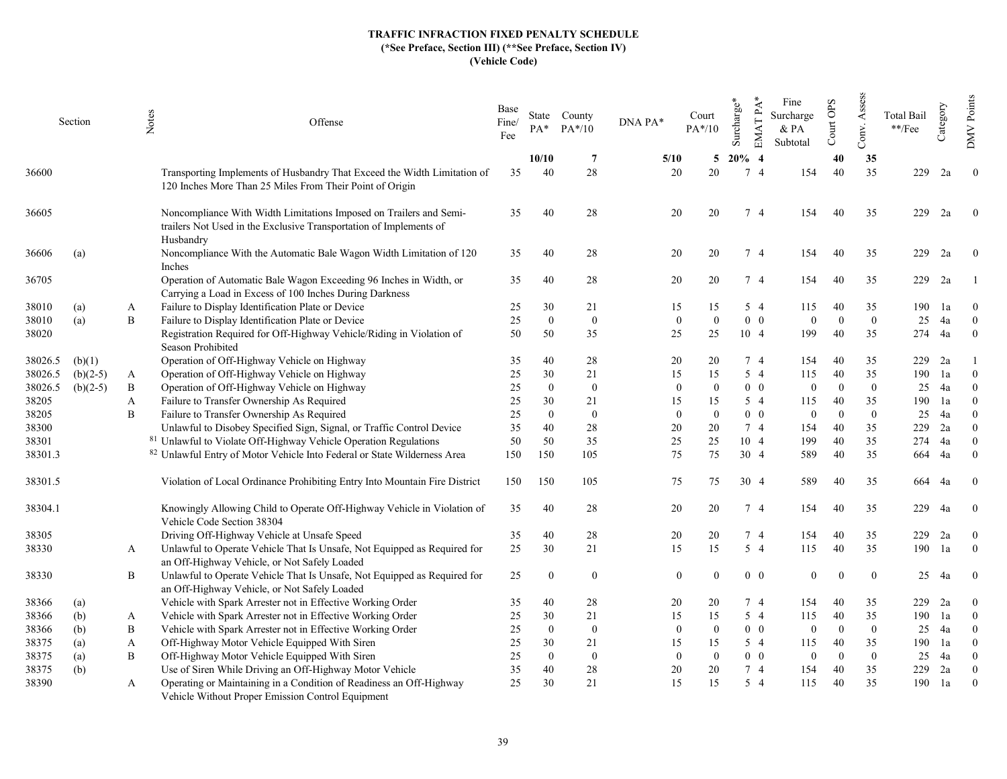|         | Section    |              | Notes<br>Offense                                                                                                                                      | Base<br>Fine/<br>Fee | $PA^*$         | State County<br>$PA*/10$ | DNA PA*        | Court<br>$PA*/10$ | Surcharge*     | $EMATPA*$<br>Fine<br>Surcharge<br>& PA<br>Subtotal | Court OPS | Assess<br>Conv.            | <b>Total Bail</b><br>$^{**}/\mathrm{Fee}$ | Category | Points<br><b>DMV</b> |
|---------|------------|--------------|-------------------------------------------------------------------------------------------------------------------------------------------------------|----------------------|----------------|--------------------------|----------------|-------------------|----------------|----------------------------------------------------|-----------|----------------------------|-------------------------------------------|----------|----------------------|
|         |            |              |                                                                                                                                                       |                      | 10/10          | -7                       | 5/10           | 5                 | $20\%$ 4       |                                                    | 40        | 35                         |                                           |          |                      |
| 36600   |            |              | Transporting Implements of Husbandry That Exceed the Width Limitation of<br>120 Inches More Than 25 Miles From Their Point of Origin                  | 35                   | 40             | 28                       | 20             | 20                | 7 <sub>4</sub> |                                                    | 154<br>40 | 35                         | 229                                       | 2a       | $\mathbf{0}$         |
| 36605   |            |              | Noncompliance With Width Limitations Imposed on Trailers and Semi-<br>trailers Not Used in the Exclusive Transportation of Implements of<br>Husbandry | 35                   | 40             | 28                       | 20             | 20                | 7 4            |                                                    | 154<br>40 | 35                         | 229                                       | 2a       | $\overline{0}$       |
| 36606   | (a)        |              | Noncompliance With the Automatic Bale Wagon Width Limitation of 120<br>Inches                                                                         | 35                   | 40             | 28                       | 20             | 20                | 7 4            |                                                    | 154<br>40 | 35                         | 229                                       | 2a       | $\theta$             |
| 36705   |            |              | Operation of Automatic Bale Wagon Exceeding 96 Inches in Width, or<br>Carrying a Load in Excess of 100 Inches During Darkness                         | 35                   | 40             | 28                       | 20             | 20                | 74             |                                                    | 154<br>40 | 35                         | 229                                       | 2a       |                      |
| 38010   | (a)        | A            | Failure to Display Identification Plate or Device                                                                                                     | 25                   | 30             | 21                       | 15             | 15                | 5 4            |                                                    | 115<br>40 | 35                         | 190                                       | 1a       | $\theta$             |
| 38010   | (a)        | B            | Failure to Display Identification Plate or Device                                                                                                     | 25                   | $\mathbf{0}$   | $\overline{0}$           | $\Omega$       | $\overline{0}$    |                | $0\quad 0$                                         | $\theta$  | $\Omega$<br>$\overline{0}$ | 25                                        | 4a       | $\mathbf{0}$         |
| 38020   |            |              | Registration Required for Off-Highway Vehicle/Riding in Violation of<br>Season Prohibited                                                             | 50                   | 50             | 35                       | 25             | 25                | 10 4           |                                                    | 199<br>40 | 35                         | 274                                       | 4a       | $\mathbf{0}$         |
| 38026.5 | (b)(1)     |              | Operation of Off-Highway Vehicle on Highway                                                                                                           | 35                   | 40             | 28                       | 20             | 20                | 7 4            |                                                    | 40<br>154 | 35                         | 229                                       | 2a       |                      |
| 38026.5 | $(b)(2-5)$ | A            | Operation of Off-Highway Vehicle on Highway                                                                                                           | 25                   | 30             | 21                       | 15             | 15                |                | $5\quad4$                                          | 40<br>115 | 35                         | 190                                       | 1a       | $\Omega$             |
| 38026.5 | $(b)(2-5)$ | B            | Operation of Off-Highway Vehicle on Highway                                                                                                           | 25                   | $\theta$       | $\overline{0}$           | $\Omega$       | $\theta$          |                | $0\quad 0$                                         | $\theta$  | $\Omega$<br>$\overline{0}$ | 25                                        | 4a       | $\Omega$             |
| 38205   |            | $\mathbf{A}$ | Failure to Transfer Ownership As Required                                                                                                             | 25                   | 30             | 21                       | 15             | 15                |                | $5\quad4$                                          | 115<br>40 | 35                         | 190                                       | 1a       | $\theta$             |
| 38205   |            | B            | Failure to Transfer Ownership As Required                                                                                                             | 25                   | $\theta$       | $\bf{0}$                 | $\overline{0}$ | $\theta$          |                | $0\quad 0$                                         | $\theta$  | $\Omega$<br>$\theta$       | 25                                        | 4a       | $\Omega$             |
| 38300   |            |              | Unlawful to Disobey Specified Sign, Signal, or Traffic Control Device                                                                                 | 35                   | 40             | 28                       | 20             | 20                | 7 4            |                                                    | 40<br>154 | 35                         | 229                                       | 2a       | $\Omega$             |
| 38301   |            |              | 81 Unlawful to Violate Off-Highway Vehicle Operation Regulations                                                                                      | 50                   | 50             | 35                       | 25             | 25                | 10 4           |                                                    | 199<br>40 | 35                         | 274                                       | 4a       | $\theta$             |
| 38301.3 |            |              | 82 Unlawful Entry of Motor Vehicle Into Federal or State Wilderness Area                                                                              | 150                  | 150            | 105                      | 75             | 75                | 30 4           |                                                    | 589<br>40 | 35                         | 664                                       | 4a       | $\theta$             |
| 38301.5 |            |              | Violation of Local Ordinance Prohibiting Entry Into Mountain Fire District                                                                            | 150                  | 150            | 105                      | 75             | 75                | 30 4           |                                                    | 589<br>40 | 35                         | 664                                       | 4a       | $\bf{0}$             |
| 38304.1 |            |              | Knowingly Allowing Child to Operate Off-Highway Vehicle in Violation of<br>Vehicle Code Section 38304                                                 | 35                   | 40             | 28                       | 20             | 20                | 7 4            |                                                    | 154<br>40 | 35                         | 229                                       | 4a       | $\overline{0}$       |
| 38305   |            |              | Driving Off-Highway Vehicle at Unsafe Speed                                                                                                           | 35                   | 40             | 28                       | 20             | 20                |                | 74                                                 | 40<br>154 | 35                         | 229                                       | 2a       | $\mathbf{0}$         |
| 38330   |            | A            | Unlawful to Operate Vehicle That Is Unsafe, Not Equipped as Required for<br>an Off-Highway Vehicle, or Not Safely Loaded                              | 25                   | 30             | 21                       | 15             | 15                |                | $5\quad4$                                          | 40<br>115 | 35                         | 190                                       | 1a       | $\theta$             |
| 38330   |            | B            | Unlawful to Operate Vehicle That Is Unsafe, Not Equipped as Required for<br>an Off-Highway Vehicle, or Not Safely Loaded                              | 25                   | $\theta$       | $\overline{0}$           | $\overline{0}$ | $\Omega$          |                | $0\quad 0$                                         | $\theta$  | $\theta$<br>$\Omega$       | 25                                        | 4a       | $\overline{0}$       |
| 38366   | (a)        |              | Vehicle with Spark Arrester not in Effective Working Order                                                                                            | 35                   | 40             | 28                       | 20             | 20                |                | 7 4                                                | 154<br>40 | 35                         | 229                                       | 2a       | $\theta$             |
| 38366   | (b)        | A            | Vehicle with Spark Arrester not in Effective Working Order                                                                                            | 25                   | 30             | 21                       | 15             | 15                | $5\quad4$      |                                                    | 40<br>115 | 35                         | 190                                       | 1a       | $\theta$             |
| 38366   | (b)        | B            | Vehicle with Spark Arrester not in Effective Working Order                                                                                            | 25                   | $\overline{0}$ | $\overline{0}$           | $\Omega$       | $\overline{0}$    |                | $0\quad 0$                                         | $\theta$  | $\overline{0}$<br>$\Omega$ | 25                                        | 4a       | $\theta$             |
| 38375   | (a)        | A            | Off-Highway Motor Vehicle Equipped With Siren                                                                                                         | 25                   | 30             | 21                       | 15             | 15                |                | 5 4                                                | 115<br>40 | 35                         | 190                                       | 1a       | $\theta$             |
| 38375   | (a)        | B            | Off-Highway Motor Vehicle Equipped With Siren                                                                                                         | 25                   | $\theta$       | $\mathbf{0}$             | $\Omega$       | $\theta$          |                | $0\quad 0$                                         | $\theta$  | $\Omega$<br>$\overline{0}$ | 25                                        | 4a       | $\theta$             |
| 38375   | (b)        |              | Use of Siren While Driving an Off-Highway Motor Vehicle                                                                                               | 35                   | 40             | 28                       | 20             | 20                |                | 7 4                                                | 40<br>154 | 35                         | 229                                       | 2a       | $\theta$             |
| 38390   |            | A            | Operating or Maintaining in a Condition of Readiness an Off-Highway<br>Vehicle Without Proper Emission Control Equipment                              | 25                   | 30             | 21                       | 15             | 15                | $5\quad4$      |                                                    | 40<br>115 | 35                         | 190                                       | 1a       | $\theta$             |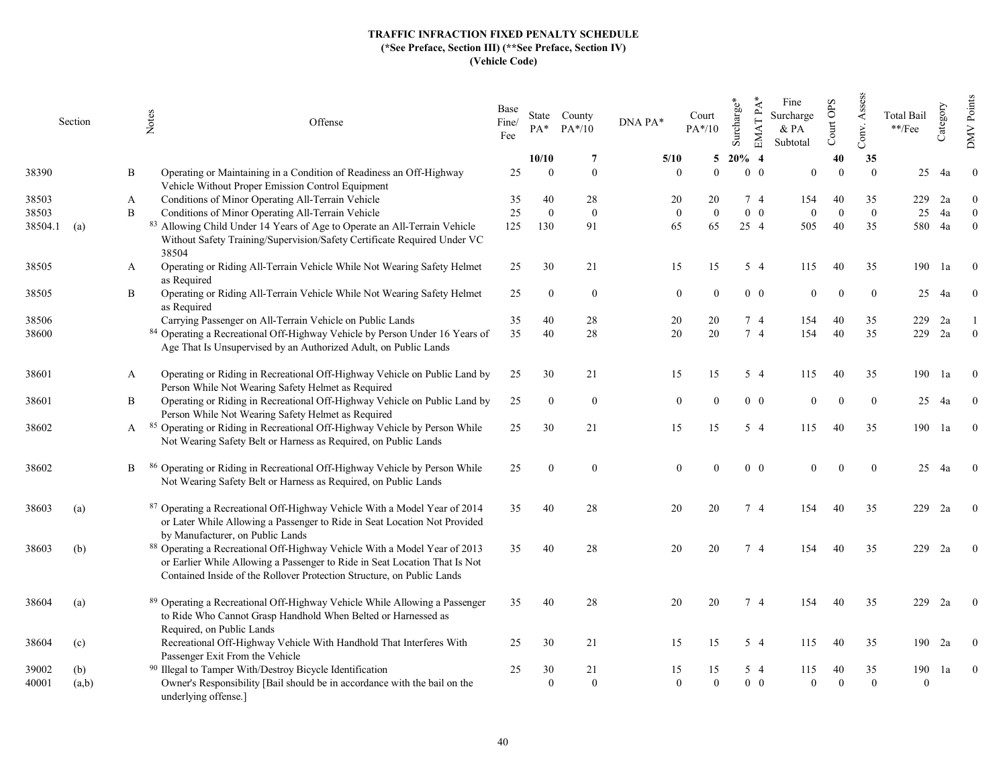|         | Section |   | Notes<br>Offense                                                                                                                                                                                                                  | Base<br>Fine/<br>Fee | $PA^*$         | State County<br>$PA*/10$ | DNA PA* | Court<br>$PA*/10$ | Surcharge* | $EMATPA*$  | Fine<br>Surcharge<br>$&$ PA<br>Subtotal | Court OPS | Conv. Assess     | <b>Total Bail</b><br>$^{**}/\mathrm{Fee}$ | Category | <b>DMV</b> Points |
|---------|---------|---|-----------------------------------------------------------------------------------------------------------------------------------------------------------------------------------------------------------------------------------|----------------------|----------------|--------------------------|---------|-------------------|------------|------------|-----------------------------------------|-----------|------------------|-------------------------------------------|----------|-------------------|
|         |         |   |                                                                                                                                                                                                                                   |                      | 10/10          | -7                       | 5/10    |                   | 5          | $20\%$ 4   |                                         | 40        | 35               |                                           |          |                   |
| 38390   |         | B | Operating or Maintaining in a Condition of Readiness an Off-Highway<br>Vehicle Without Proper Emission Control Equipment                                                                                                          | 25                   | $\overline{0}$ | $\bf{0}$                 |         | $\theta$          | $\Omega$   | $0\quad 0$ | $\theta$                                | $\Omega$  | $\Omega$         | 25                                        | 4a       | $\overline{0}$    |
| 38503   |         | A | Conditions of Minor Operating All-Terrain Vehicle                                                                                                                                                                                 | 35                   | 40             | 28                       |         | 20                | 20         | 7 4        | 154                                     | 40        | 35               | 229                                       | 2a       | $\theta$          |
| 38503   |         | B | Conditions of Minor Operating All-Terrain Vehicle                                                                                                                                                                                 | 25                   | $\mathbf{0}$   | $\mathbf{0}$             |         | $\mathbf{0}$      | $\theta$   | $0\quad 0$ | $\overline{0}$                          | $\Omega$  | $\boldsymbol{0}$ | 25                                        | 4a       | $\overline{0}$    |
| 38504.1 | (a)     |   | 83 Allowing Child Under 14 Years of Age to Operate an All-Terrain Vehicle<br>Without Safety Training/Supervision/Safety Certificate Required Under VC<br>38504                                                                    | 125                  | 130            | 91                       |         | 65                | 65         | 25 4       | 505                                     | 40        | 35               | 580                                       | 4a       | $\overline{0}$    |
| 38505   |         | A | Operating or Riding All-Terrain Vehicle While Not Wearing Safety Helmet<br>as Required                                                                                                                                            | 25                   | 30             | 21                       |         | 15                | 15         | 5 4        | 115                                     | 40        | 35               | 190                                       | 1a       | $\bf{0}$          |
| 38505   |         | B | Operating or Riding All-Terrain Vehicle While Not Wearing Safety Helmet<br>as Required                                                                                                                                            | 25                   | $\bf{0}$       | $\mathbf{0}$             |         | $\mathbf{0}$      | $\Omega$   | $0\quad 0$ | $\mathbf{0}$                            | $\Omega$  | $\mathbf{0}$     | 25                                        | 4a       | $\bf{0}$          |
| 38506   |         |   | Carrying Passenger on All-Terrain Vehicle on Public Lands                                                                                                                                                                         | 35                   | 40             | 28                       |         | 20                | 20         | 7 4        | 154                                     | 40        | 35               | 229                                       | 2a       |                   |
| 38600   |         |   | 84 Operating a Recreational Off-Highway Vehicle by Person Under 16 Years of<br>Age That Is Unsupervised by an Authorized Adult, on Public Lands                                                                                   | 35                   | 40             | 28                       |         | 20                | 20         | 74         | 154                                     | 40        | 35               | 229                                       | 2a       | $\theta$          |
| 38601   |         | A | Operating or Riding in Recreational Off-Highway Vehicle on Public Land by<br>Person While Not Wearing Safety Helmet as Required                                                                                                   | 25                   | 30             | 21                       |         | 15                | 15         | $5\quad4$  | 115                                     | 40        | 35               | 190                                       | 1a       | $\Omega$          |
| 38601   |         | B | Operating or Riding in Recreational Off-Highway Vehicle on Public Land by<br>Person While Not Wearing Safety Helmet as Required                                                                                                   | 25                   | $\mathbf{0}$   | $\bf{0}$                 |         | $\theta$          |            | $0\quad 0$ | $\theta$                                | $\Omega$  | $\mathbf{0}$     | 25                                        | 4a       | $\Omega$          |
| 38602   |         | A | 85 Operating or Riding in Recreational Off-Highway Vehicle by Person While<br>Not Wearing Safety Belt or Harness as Required, on Public Lands                                                                                     | 25                   | 30             | 21                       |         | 15                | 15         | $5\quad4$  | 115                                     | 40        | 35               | 190                                       | 1a       | $\theta$          |
| 38602   |         | B | 86 Operating or Riding in Recreational Off-Highway Vehicle by Person While<br>Not Wearing Safety Belt or Harness as Required, on Public Lands                                                                                     | 25                   | $\mathbf{0}$   | $\overline{0}$           |         | $\Omega$          | $\Omega$   | $0\quad 0$ | $\Omega$                                | $\Omega$  | $\overline{0}$   | 25                                        | 4a       | $\theta$          |
| 38603   | (a)     |   | 87 Operating a Recreational Off-Highway Vehicle With a Model Year of 2014<br>or Later While Allowing a Passenger to Ride in Seat Location Not Provided<br>by Manufacturer, on Public Lands                                        | 35                   | 40             | 28                       |         | 20                | 20         | 7 4        | 154                                     | 40        | 35               | 229                                       | 2a       | $\overline{0}$    |
| 38603   | (b)     |   | 88 Operating a Recreational Off-Highway Vehicle With a Model Year of 2013<br>or Earlier While Allowing a Passenger to Ride in Seat Location That Is Not<br>Contained Inside of the Rollover Protection Structure, on Public Lands | 35                   | 40             | 28                       |         | 20                | 20         | 7 4        | 154                                     | 40        | 35               | 229                                       | 2a       | $\overline{0}$    |
| 38604   | (a)     |   | 89 Operating a Recreational Off-Highway Vehicle While Allowing a Passenger<br>to Ride Who Cannot Grasp Handhold When Belted or Harnessed as<br>Required, on Public Lands                                                          | 35                   | 40             | 28                       |         | 20                | 20         | 74         | 154                                     | 40        | 35               | 229                                       | 2a       | $\overline{0}$    |
| 38604   | (c)     |   | Recreational Off-Highway Vehicle With Handhold That Interferes With<br>Passenger Exit From the Vehicle                                                                                                                            | 25                   | 30             | 21                       |         | 15                | 15         | 5 4        | 115                                     | 40        | 35               | 190                                       | 2a       | $\overline{0}$    |
| 39002   | (b)     |   | <sup>90</sup> Illegal to Tamper With/Destroy Bicycle Identification                                                                                                                                                               | 25                   | 30             | 21                       |         | 15                | 15         | $5\quad4$  | 115                                     | 40        | 35               | 190                                       | 1a       | $\bf{0}$          |
| 40001   | (a,b)   |   | Owner's Responsibility [Bail should be in accordance with the bail on the<br>underlying offense.]                                                                                                                                 |                      | $\mathbf{0}$   | $\bf{0}$                 |         | $\Omega$          | $\Omega$   | $0\quad 0$ | $\Omega$                                | $\Omega$  | $\mathbf{0}$     | $\overline{0}$                            |          |                   |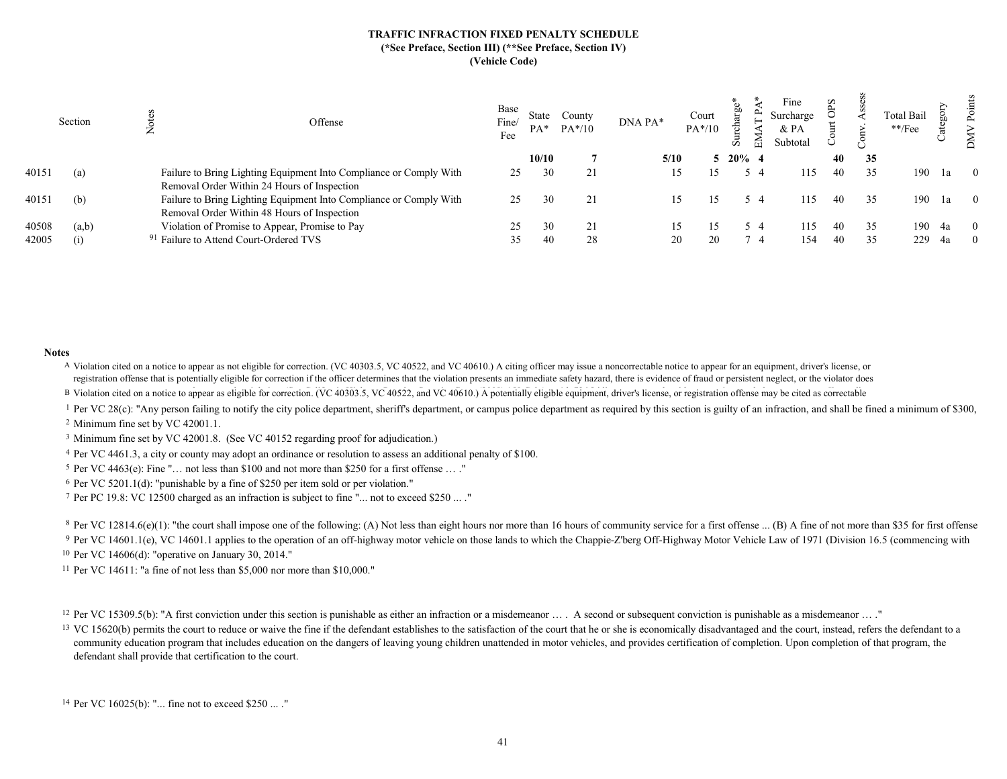|       | Section | Offense                                                                                                           | Base<br>Fine/<br>Fee | $PA*$ | County<br>$PA*/10$ | DNA PA* | Court<br>PA*/10 | ਜ਼<br>岙     | Fine<br>Surcharge<br>& PA<br>Subtotal | $_{\rm S}$ |    | <b>Total Bail</b><br>**/Fee | ╰      | ∠ |
|-------|---------|-------------------------------------------------------------------------------------------------------------------|----------------------|-------|--------------------|---------|-----------------|-------------|---------------------------------------|------------|----|-----------------------------|--------|---|
|       |         |                                                                                                                   |                      | 10/10 |                    | 5/10    |                 | $5\ 20\%$ 4 |                                       | 40         | 35 |                             |        |   |
| 40151 | (a)     | Failure to Bring Lighting Equipment Into Compliance or Comply With<br>Removal Order Within 24 Hours of Inspection | 25                   | 30    | 21                 |         |                 | 54          | 115                                   |            | 35 | 190                         | 1a     |   |
| 40151 | (b)     | Failure to Bring Lighting Equipment Into Compliance or Comply With<br>Removal Order Within 48 Hours of Inspection | 25                   | 30    | 21                 |         |                 | 54          | 115                                   |            | 35 | 190                         | 1a     |   |
| 40508 | (a,b)   | Violation of Promise to Appear, Promise to Pay                                                                    | 25                   | 30    | 21                 |         |                 | 54          | 115                                   |            | 35 |                             | 190 4a |   |
| 42005 | (i)     | <sup>91</sup> Failure to Attend Court-Ordered TVS                                                                 | 35                   | 40    | 28                 | 20      | 20              | - 4         | 154                                   |            | 35 | 229                         | 4a     |   |
|       |         |                                                                                                                   |                      |       |                    |         |                 |             |                                       |            |    |                             |        |   |

#### Notes

A Violation cited on a notice to appear as not eligible for correction. (VC 40303.5, VC 40522, and VC 40610.) A citing officer may issue a noncorrectable notice to appear for an equipment, driver's license, or registration offense that is potentially eligible for correction if the officer determines that the violation presents an immediate safety hazard, there is evidence of fraud or persistent neglect, or the violator does

B Violation cited on a notice to appear as eligible for correction. (VC 40303.5, VC 40522, and VC 40610.) A potentially eligible equipment, driver's license, or registration offense may be cited as correctable

<sup>1</sup> Per VC 28(c): "Any person failing to notify the city police department, sheriff's department, or campus police department as required by this section is guilty of an infraction, and shall be fined a minimum of \$300,

<sup>2</sup> Minimum fine set by VC 42001.1.

<sup>3</sup> Minimum fine set by VC 42001.8. (See VC 40152 regarding proof for adjudication.)

4 Per VC 4461.3, a city or county may adopt an ordinance or resolution to assess an additional penalty of \$100.

5 Per VC 4463(e): Fine "… not less than \$100 and not more than \$250 for a first offense … ."

6 Per VC 5201.1(d): "punishable by a fine of \$250 per item sold or per violation."

7 Per PC 19.8: VC 12500 charged as an infraction is subject to fine "... not to exceed \$250 ... ."

<sup>8</sup> Per VC 12814.6(e)(1): "the court shall impose one of the following: (A) Not less than eight hours nor more than 16 hours of community service for a first offense ... (B) A fine of not more than \$35 for first offense <sup>9</sup> Per VC 14601.1(e), VC 14601.1 applies to the operation of an off-highway motor vehicle on those lands to which the Chappie-Z'berg Off-Highway Motor Vehicle Law of 1971 (Division 16.5 (commencing with <sup>10</sup> Per VC 14606(d): "operative on January 30, 2014."

11 Per VC 14611: "a fine of not less than \$5,000 nor more than \$10,000."

<sup>12</sup> Per VC 15309.5(b): "A first conviction under this section is punishable as either an infraction or a misdemeanor ... A second or subsequent conviction is punishable as a misdemeanor ... "

<sup>13</sup> VC 15620(b) permits the court to reduce or waive the fine if the defendant establishes to the satisfaction of the court that he or she is economically disadvantaged and the court, instead, refers the defendant to a community education program that includes education on the dangers of leaving young children unattended in motor vehicles, and provides certification of completion. Upon completion of that program, the defendant shall provide that certification to the court.

14 Per VC 16025(b): "... fine not to exceed \$250 ... ."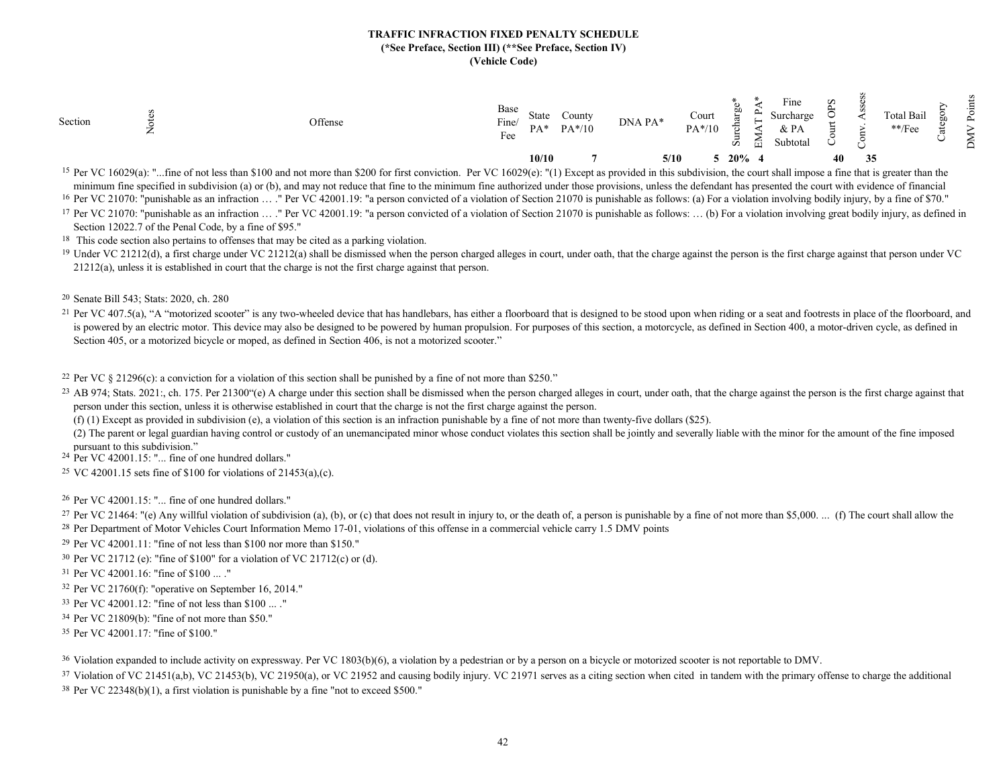|                                                                                                                                                                                                                                                                                                                       | Section<br>← | Offense | Base<br>Fine/<br>State<br>County<br>$PA*/10$<br>$PA*$<br>Fee | Fine<br>Court<br>Surcharge<br>DNA PA*<br>$PA*/10$<br>$\&$ PA<br>$\div$<br>Subtotal<br>囩<br>σī | w<br><b>Total Bail</b><br>$^{\ast\ast}/\mathrm{Fee}$<br>₩<br>− |
|-----------------------------------------------------------------------------------------------------------------------------------------------------------------------------------------------------------------------------------------------------------------------------------------------------------------------|--------------|---------|--------------------------------------------------------------|-----------------------------------------------------------------------------------------------|----------------------------------------------------------------|
| - 2012년 - 대한민국의 대한민국의 대한민국의 대한민국의 대한민국의 대한민국의 대한민국의 대한민국의 대한민국의 대한민국의 대한민국의 대한민국의 대한민국의 대한민국의 대한민국의 대한민국의 대한민국의<br>the contract of the contract of the contract of the contract of the contract of the contract of the contract of<br>the contract of the contract of the contract of the contract of the contract of |              |         | 10/10                                                        | 20%<br>5/10                                                                                   | 40<br>35                                                       |

<sup>15</sup> Per VC 16029(a): "...fine of not less than \$100 and not more than \$200 for first conviction. Per VC 16029(e): "(1) Except as provided in this subdivision, the court shall impose a fine that is greater than the minimum fine specified in subdivision (a) or (b), and may not reduce that fine to the minimum fine authorized under those provisions, unless the defendant has presented the court with evidence of financial

<sup>16</sup> Per VC 21070: "punishable as an infraction ... ." Per VC 42001.19: "a person convicted of a violation of Section 21070 is punishable as follows: (a) For a violation involving bodily injury, by a fine of \$70."

<sup>17</sup> Per VC 21070: "punishable as an infraction ... ." Per VC 42001.19: "a person convicted of a violation of Section 21070 is punishable as follows: ... (b) For a violation involving great bodily injury, as defined in Section 12022.7 of the Penal Code, by a fine of \$95."

<sup>18</sup> This code section also pertains to offenses that may be cited as a parking violation.

<sup>19</sup> Under VC 21212(d), a first charge under VC 21212(a) shall be dismissed when the person charged alleges in court, under oath, that the charge against the person is the first charge against that person under VC 21212(a), unless it is established in court that the charge is not the first charge against that person.

20 Senate Bill 543; Stats: 2020, ch. 280

<sup>21</sup> Per VC 407.5(a), "A "motorized scooter" is any two-wheeled device that has handlebars, has either a floorboard that is designed to be stood upon when riding or a seat and footrests in place of the floorboard, and is powered by an electric motor. This device may also be designed to be powered by human propulsion. For purposes of this section, a motorcycle, as defined in Section 400, a motor-driven cycle, as defined in Section 405, or a motorized bicycle or moped, as defined in Section 406, is not a motorized scooter."

<sup>22</sup> Per VC  $\S$  21296(c): a conviction for a violation of this section shall be punished by a fine of not more than \$250."

<sup>23</sup> AB 974; Stats. 2021:, ch. 175. Per 21300"(e) A charge under this section shall be dismissed when the person charged alleges in court, under oath, that the charge against the person is the first charge against that person under this section, unless it is otherwise established in court that the charge is not the first charge against the person.

(f) (1) Except as provided in subdivision (e), a violation of this section is an infraction punishable by a fine of not more than twenty-five dollars (\$25).

(2) The parent or legal guardian having control or custody of an unemancipated minor whose conduct violates this section shall be jointly and severally liable with the minor for the amount of the fine imposed pursuant to this subdivision."

24 Per VC 42001.15: "... fine of one hundred dollars."

25 VC 42001.15 sets fine of \$100 for violations of 21453(a),(c).

26 Per VC 42001.15: "... fine of one hundred dollars."

<sup>27</sup> Per VC 21464: "(e) Any willful violation of subdivision (a), (b), or (c) that does not result in injury to, or the death of, a person is punishable by a fine of not more than \$5,000. ... (f) The court shall allow the <sup>28</sup> Per Department of Motor Vehicles Court Information Memo 17-01, violations of this offense in a commercial vehicle carry 1.5 DMV points

29 Per VC 42001.11: "fine of not less than \$100 nor more than \$150."

30 Per VC 21712 (e): "fine of \$100" for a violation of VC 21712(c) or (d).

31 Per VC 42001.16: "fine of \$100 ... ."

32 Per VC 21760(f): "operative on September 16, 2014."

33 Per VC 42001.12: "fine of not less than \$100 ... ."

34 Per VC 21809(b): "fine of not more than \$50."

35 Per VC 42001.17: "fine of \$100."

<sup>36</sup> Violation expanded to include activity on expressway. Per VC 1803(b)(6), a violation by a pedestrian or by a person on a bicycle or motorized scooter is not reportable to DMV.

<sup>37</sup> Violation of VC 21451(a,b), VC 21453(b), VC 21950(a), or VC 21952 and causing bodily injury. VC 21971 serves as a citing section when cited in tandem with the primary offense to charge the additional  $38$  Per VC 22348(b)(1), a first violation is punishable by a fine "not to exceed \$500."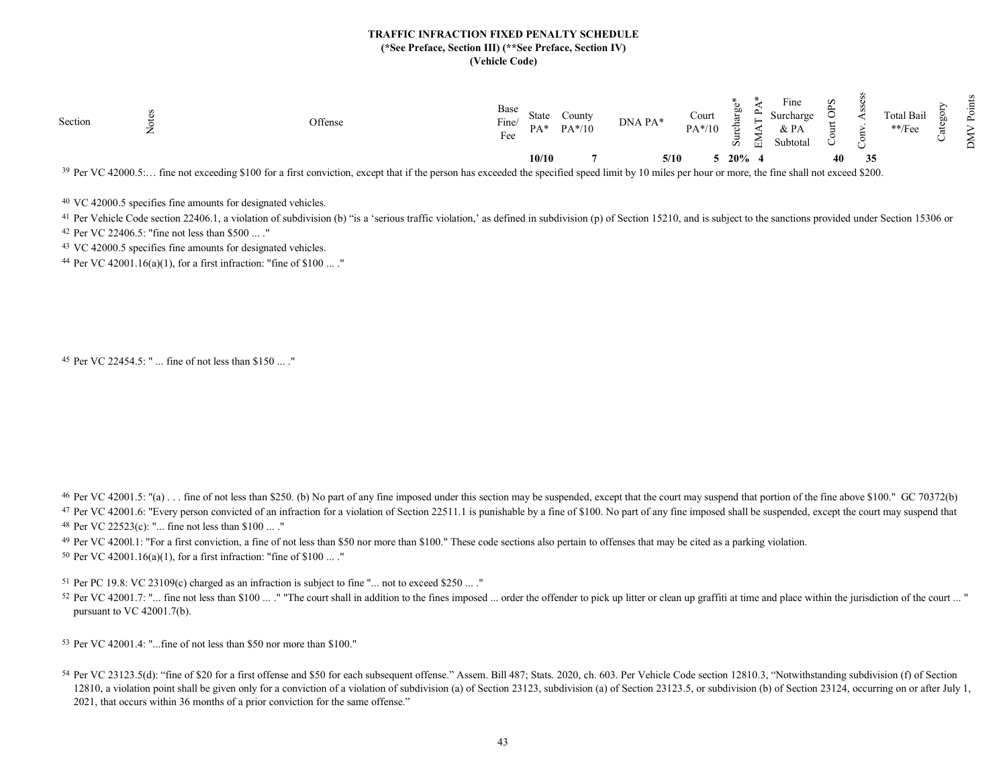

<sup>39</sup> Per VC 42000.5:... fine not exceeding \$100 for a first conviction, except that if the person has exceeded the specified speed limit by 10 miles per hour or more, the fine shall not exceed \$200.

40 VC 42000.5 specifies fine amounts for designated vehicles.

<sup>41</sup> Per Vehicle Code section 22406.1, a violation of subdivision (b) "is a 'serious traffic violation,' as defined in subdivision (p) of Section 15210, and is subject to the sanctions provided under Section 15306 or <sup>42</sup> Per VC 22406.5: "fine not less than \$500 ... ."

43 VC 42000.5 specifies fine amounts for designated vehicles.

44 Per VC 42001.16(a)(1), for a first infraction: "fine of \$100 ... ."

```
45
Per VC 22454.5: " ... fine of not less than $150 ... ."
```
<sup>46</sup> Per VC 42001.5: "(a) . . . fine of not less than \$250. (b) No part of any fine imposed under this section may be suspended, except that the court may suspend that portion of the fine above \$100." GC 70372(b) <sup>47</sup> Per VC 42001.6: "Every person convicted of an infraction for a violation of Section 22511.1 is punishable by a fine of \$100. No part of any fine imposed shall be suspended, except the court may suspend that  $48$  Per VC 22523(c): "... fine not less than \$100 ...."

<sup>49</sup> Per VC 42001.1: "For a first conviction, a fine of not less than \$50 nor more than \$100." These code sections also pertain to offenses that may be cited as a parking violation.

50 Per VC 42001.16(a)(1), for a first infraction: "fine of \$100 ... ."

<sup>51</sup> Per PC 19.8: VC 23109(c) charged as an infraction is subject to fine "... not to exceed \$250 ... ."

52 Per VC 42001.7: "... fine not less than \$100 ... ." "The court shall in addition to the fines imposed ... order the offender to pick up litter or clean up graffiti at time and place within the jurisdiction of the court pursuant to VC 42001.7(b).

53 Per VC 42001.4: "...fine of not less than \$50 nor more than \$100."

54 Per VC 23123.5(d): "fine of \$20 for a first offense and \$50 for each subsequent offense." Assem. Bill 487; Stats. 2020, ch. 603. Per Vehicle Code section 12810.3, "Notwithstanding subdivision (f) of Section 12810, a violation point shall be given only for a conviction of a violation of subdivision (a) of Section 23123, subdivision (a) of Section 23123.5, or subdivision (b) of Section 23124, occurring on or after July 1, 2021, that occurs within 36 months of a prior conviction for the same offense."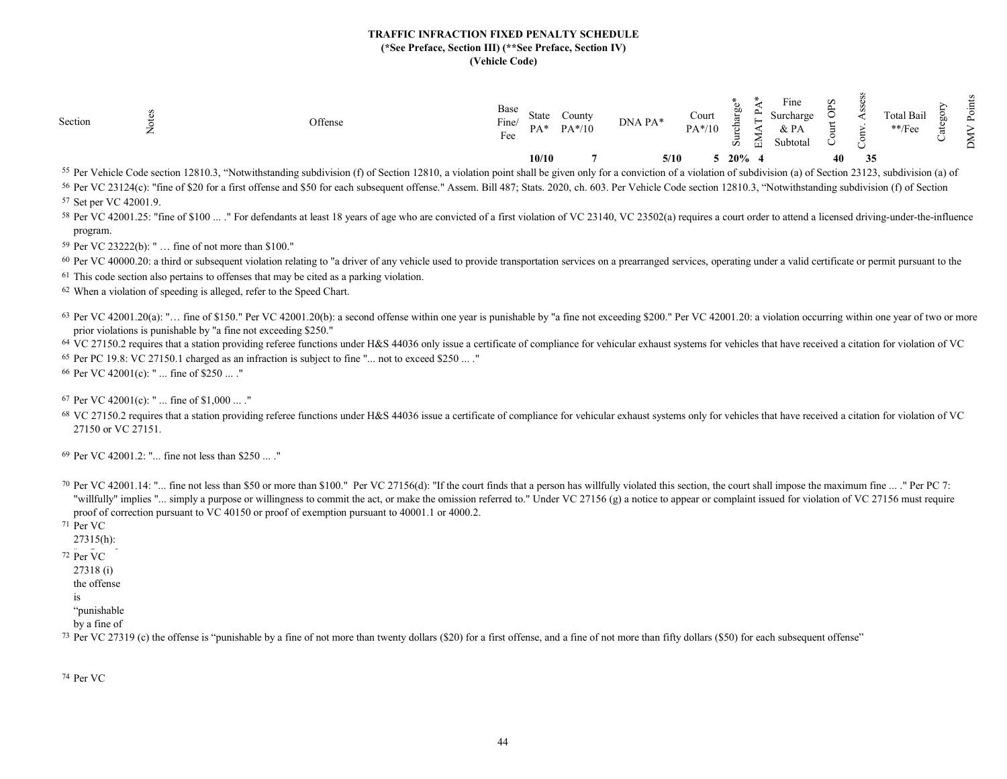| −                                |
|----------------------------------|
| 20%<br>10/10<br>40<br>5/10<br>35 |

<sup>55</sup> Per Vehicle Code section 12810.3, "Notwithstanding subdivision (f) of Section 12810, a violation point shall be given only for a conviction of a violation of subdivision (a) of Section 23123, subdivision (a) of 56 Per VC 23124(c): "fine of \$20 for a first offense and \$50 for each subsequent offense." Assem. Bill 487; Stats. 2020, ch. 603. Per Vehicle Code section 12810.3, "Notwithstanding subdivision (f) of Section 57 Set per VC 42001.9. Set per VC 42001.9.

58 Per VC 42001.25: "fine of \$100 ... ." For defendants at least 18 years of age who are convicted of a first violation of VC 23140, VC 23502(a) requires a court order to attend a licensed driving-under-the-influence program.

59 Per VC 23222(b): " … fine of not more than \$100."

<sup>60</sup> Per VC 40000.20: a third or subsequent violation relating to "a driver of any vehicle used to provide transportation services on a prearranged services, operating under a valid certificate or permit pursuant to the

 $61$  This code section also pertains to offenses that may be cited as a parking violation.

62 When a violation of speeding is alleged, refer to the Speed Chart.

 $63$  Per VC 42001.20(a): "... fine of \$150." Per VC 42001.20(b): a second offense within one year is punishable by "a fine not exceeding \$200." Per VC 42001.20: a violation occurring within one year of two or more prior violations is punishable by "a fine not exceeding \$250."

<sup>64</sup> VC 27150.2 requires that a station providing referee functions under H&S 44036 only issue a certificate of compliance for vehicular exhaust systems for vehicles that have received a citation for violation of VC  $65$  Per PC 19.8: VC 27150.1 charged as an infraction is subject to fine "... not to exceed \$250 ... ."

66 Per VC 42001(c): " ... fine of \$250 ... ."

67 Per VC 42001(c): " ... fine of \$1,000 ... ."

<sup>68</sup> VC 27150.2 requires that a station providing referee functions under H&S 44036 issue a certificate of compliance for vehicular exhaust systems only for vehicles that have received a citation for violation of VC 27150 or VC 27151.

69 Per VC 42001.2: "... fine not less than \$250 ... ."

70 Per VC 42001.14: "... fine not less than \$50 or more than \$100." Per VC 27156(d): "If the court finds that a person has willfully violated this section, the court shall impose the maximum fine ... ." Per PC 7: "willfully" implies "... simply a purpose or willingness to commit the act, or make the omission referred to." Under VC 27156 (g) a notice to appear or complaint issued for violation of VC 27156 must require proof of correction pursuant to VC 40150 or proof of exemption pursuant to 40001.1 or 4000.2.

- 71 Per VC
	- 27315(h):
- $72$  Per VC.
	- 27318 (i)
	- the offense
	- is

"punishable

by a fine of

<sup>73</sup> Per VC 27319 (c) the offense is "punishable by a fine of not more than twenty dollars (\$20) for a first offense, and a fine of not more than fifty dollars (\$50) for each subsequent offense"

74 Per VC